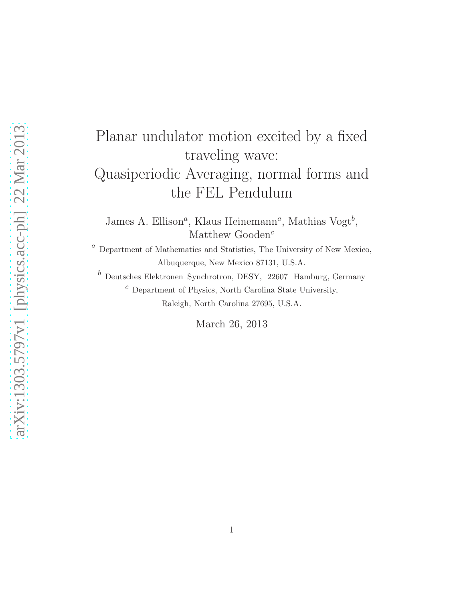# Planar undulator motion excited by a fixed traveling wave: Quasiperiodic Averaging, normal forms and the FEL Pendulum

James A. Ellison<sup>*a*</sup>, Klaus Heinemann<sup>*a*</sup>, Mathias Vogt<sup>*b*</sup>, Matthew Gooden<sup>c</sup>

 $\emph{a}$  Department of Mathematics and Statistics, The University of New Mexico, Albuquerque, New Mexico 87131, U.S.A.

 $\emph{^{b}}$  Deutsches Elektronen–Synchrotron, DESY, 22607 Hamburg, Germany  $^c$  Department of Physics, North Carolina State University, Raleigh, North Carolina 27695, U.S.A.

March 26, 2013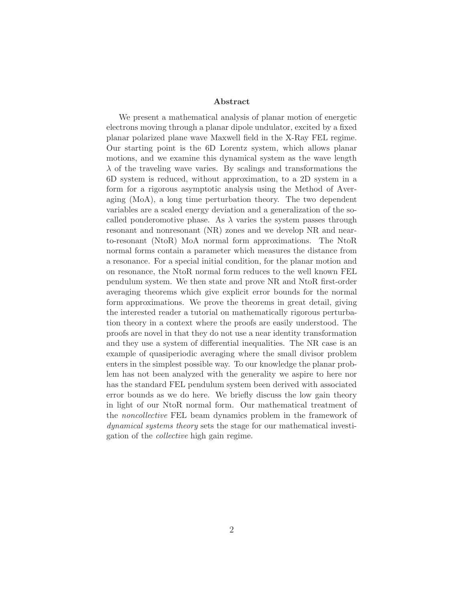#### Abstract

We present a mathematical analysis of planar motion of energetic electrons moving through a planar dipole undulator, excited by a fixed planar polarized plane wave Maxwell field in the X-Ray FEL regime. Our starting point is the 6D Lorentz system, which allows planar motions, and we examine this dynamical system as the wave length  $\lambda$  of the traveling wave varies. By scalings and transformations the 6D system is reduced, without approximation, to a 2D system in a form for a rigorous asymptotic analysis using the Method of Averaging (MoA), a long time perturbation theory. The two dependent variables are a scaled energy deviation and a generalization of the socalled ponderomotive phase. As  $\lambda$  varies the system passes through resonant and nonresonant (NR) zones and we develop NR and nearto-resonant (NtoR) MoA normal form approximations. The NtoR normal forms contain a parameter which measures the distance from a resonance. For a special initial condition, for the planar motion and on resonance, the NtoR normal form reduces to the well known FEL pendulum system. We then state and prove NR and NtoR first-order averaging theorems which give explicit error bounds for the normal form approximations. We prove the theorems in great detail, giving the interested reader a tutorial on mathematically rigorous perturbation theory in a context where the proofs are easily understood. The proofs are novel in that they do not use a near identity transformation and they use a system of differential inequalities. The NR case is an example of quasiperiodic averaging where the small divisor problem enters in the simplest possible way. To our knowledge the planar problem has not been analyzed with the generality we aspire to here nor has the standard FEL pendulum system been derived with associated error bounds as we do here. We briefly discuss the low gain theory in light of our NtoR normal form. Our mathematical treatment of the noncollective FEL beam dynamics problem in the framework of dynamical systems theory sets the stage for our mathematical investigation of the collective high gain regime.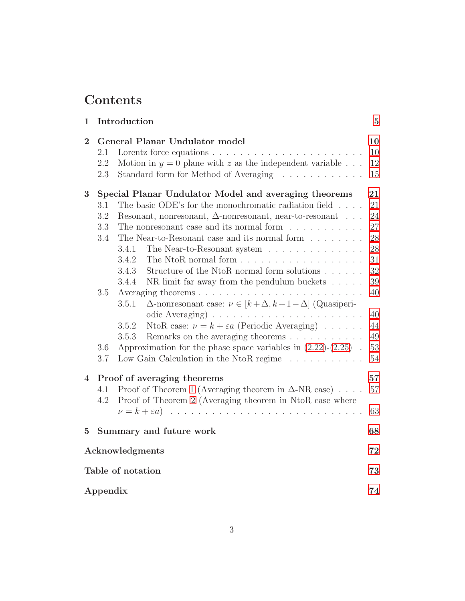## Contents

| $\mathbf 1$    |                   | Introduction                                                                                                                          | $\overline{5}$       |
|----------------|-------------------|---------------------------------------------------------------------------------------------------------------------------------------|----------------------|
| $\overline{2}$ | 2.1<br>2.2<br>2.3 | General Planar Undulator model<br>Motion in $y = 0$ plane with z as the independent variable<br>Standard form for Method of Averaging | 10<br>10<br>12<br>15 |
| 3              |                   | Special Planar Undulator Model and averaging theorems                                                                                 | 21                   |
|                | 3.1               | The basic ODE's for the monochromatic radiation field $\ldots$ .                                                                      | 21                   |
|                | 3.2               | Resonant, nonresonant, $\Delta$ -nonresonant, near-to-resonant                                                                        | 24                   |
|                | 3.3               | The nonresonant case and its normal form $\dots \dots \dots$                                                                          | 27                   |
|                | 3.4               | The Near-to-Resonant case and its normal form                                                                                         | $28\,$               |
|                |                   | The Near-to-Resonant system<br>3.4.1                                                                                                  | 28                   |
|                |                   | 3.4.2                                                                                                                                 | 31                   |
|                |                   | Structure of the NtoR normal form solutions $\ldots \ldots$<br>3.4.3                                                                  | $32\,$               |
|                |                   | NR limit far away from the pendulum buckets $\dots$ .<br>3.4.4                                                                        | $39\,$               |
|                | 3.5               |                                                                                                                                       | 40                   |
|                |                   | $\Delta$ -nonresonant case: $\nu \in [k+\Delta, k+1-\Delta]$ (Quasiperi-<br>3.5.1                                                     |                      |
|                |                   | odic Averaging)<br>NtoR case: $\nu = k + \varepsilon a$ (Periodic Averaging)<br>3.5.2                                                 | 40<br>44             |
|                |                   | 3.5.3                                                                                                                                 | 49                   |
|                | 3.6               | Approximation for the phase space variables in $(2.22)$ - $(2.25)$ .                                                                  | $53\,$               |
|                | 3.7               | Low Gain Calculation in the NtoR regime $\ldots \ldots \ldots$                                                                        | $54\,$               |
| 4              |                   | Proof of averaging theorems                                                                                                           | 57                   |
|                | 4.1<br>4.2        | Proof of Theorem 1 (Averaging theorem in $\Delta$ -NR case)<br>Proof of Theorem 2 (Averaging theorem in NtoR case where               | 57                   |
|                |                   |                                                                                                                                       | 63                   |
| $\overline{5}$ |                   | Summary and future work                                                                                                               | 68                   |
|                | Acknowledgments   |                                                                                                                                       |                      |
|                | Table of notation |                                                                                                                                       |                      |
|                | Appendix          |                                                                                                                                       |                      |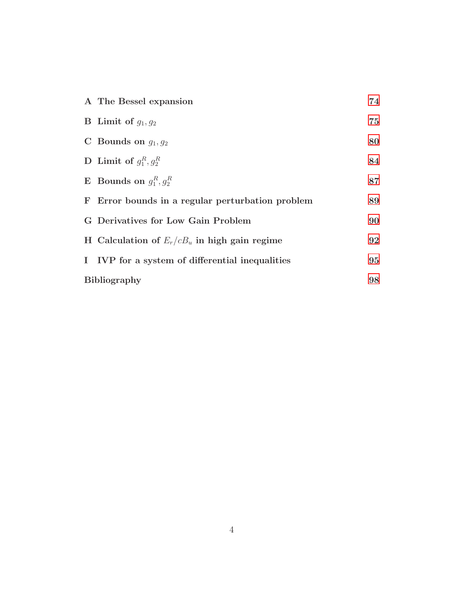| A The Bessel expansion                           | 74 |
|--------------------------------------------------|----|
| <b>B</b> Limit of $q_1, q_2$                     | 75 |
| C Bounds on $g_1, g_2$                           | 80 |
| D Limit of $q_1^R, q_2^R$                        | 84 |
| <b>E</b> Bounds on $g_1^R, g_2^R$                | 87 |
| F Error bounds in a regular perturbation problem | 89 |
| G Derivatives for Low Gain Problem               | 90 |
| H Calculation of $E_r/cB_u$ in high gain regime  | 92 |
| I IVP for a system of differential inequalities  | 95 |
| <b>Bibliography</b>                              |    |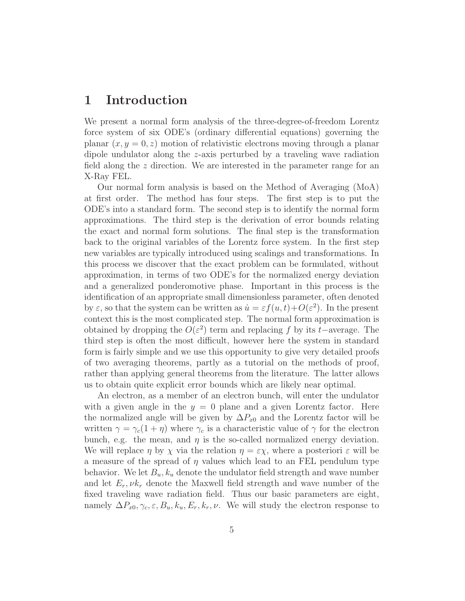## 1 Introduction

We present a normal form analysis of the three-degree-of-freedom Lorentz force system of six ODE's (ordinary differential equations) governing the planar  $(x, y = 0, z)$  motion of relativistic electrons moving through a planar dipole undulator along the z-axis perturbed by a traveling wave radiation field along the z direction. We are interested in the parameter range for an X-Ray FEL.

Our normal form analysis is based on the Method of Averaging (MoA) at first order. The method has four steps. The first step is to put the ODE's into a standard form. The second step is to identify the normal form approximations. The third step is the derivation of error bounds relating the exact and normal form solutions. The final step is the transformation back to the original variables of the Lorentz force system. In the first step new variables are typically introduced using scalings and transformations. In this process we discover that the exact problem can be formulated, without approximation, in terms of two ODE's for the normalized energy deviation and a generalized ponderomotive phase. Important in this process is the identification of an appropriate small dimensionless parameter, often denoted by  $\varepsilon$ , so that the system can be written as  $\dot{u} = \varepsilon f(u, t) + O(\varepsilon^2)$ . In the present context this is the most complicated step. The normal form approximation is obtained by dropping the  $O(\varepsilon^2)$  term and replacing f by its t–average. The third step is often the most difficult, however here the system in standard form is fairly simple and we use this opportunity to give very detailed proofs of two averaging theorems, partly as a tutorial on the methods of proof, rather than applying general theorems from the literature. The latter allows us to obtain quite explicit error bounds which are likely near optimal.

An electron, as a member of an electron bunch, will enter the undulator with a given angle in the  $y = 0$  plane and a given Lorentz factor. Here the normalized angle will be given by  $\Delta P_{x0}$  and the Lorentz factor will be written  $\gamma = \gamma_c(1 + \eta)$  where  $\gamma_c$  is a characteristic value of  $\gamma$  for the electron bunch, e.g. the mean, and  $\eta$  is the so-called normalized energy deviation. We will replace  $\eta$  by  $\chi$  via the relation  $\eta = \varepsilon \chi$ , where a posteriori  $\varepsilon$  will be a measure of the spread of  $\eta$  values which lead to an FEL pendulum type behavior. We let  $B_u, k_u$  denote the undulator field strength and wave number and let  $E_r$ ,  $\nu k_r$  denote the Maxwell field strength and wave number of the fixed traveling wave radiation field. Thus our basic parameters are eight, namely  $\Delta P_{x0}, \gamma_c, \varepsilon, B_u, k_u, E_r, k_r, \nu$ . We will study the electron response to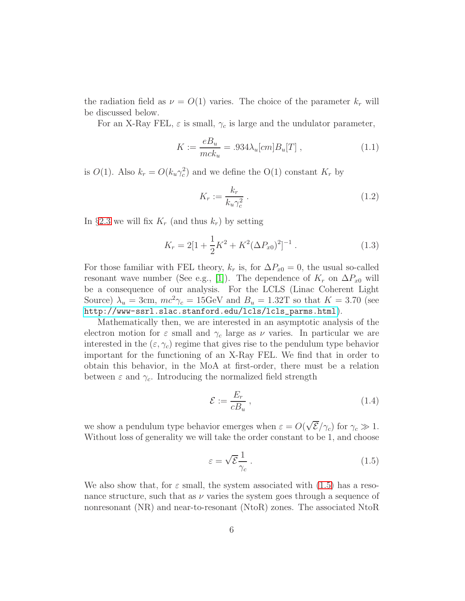the radiation field as  $\nu = O(1)$  varies. The choice of the parameter  $k_r$  will be discussed below.

For an X-Ray FEL,  $\varepsilon$  is small,  $\gamma_c$  is large and the undulator parameter,

$$
K := \frac{eB_u}{mck_u} = .934\lambda_u[cm]B_u[T] \t\t(1.1)
$$

is  $O(1)$ . Also  $k_r = O(k_u \gamma_c^2)$  and we define the  $O(1)$  constant  $K_r$  by

$$
K_r := \frac{k_r}{k_u \gamma_c^2} \,. \tag{1.2}
$$

In §[2.3](#page-14-0) we will fix  $K_r$  (and thus  $k_r$ ) by setting

$$
K_r = 2[1 + \frac{1}{2}K^2 + K^2(\Delta P_{x0})^2]^{-1}.
$$
 (1.3)

For those familiar with FEL theory,  $k_r$  is, for  $\Delta P_{x0} = 0$ , the usual so-called resonant wave number (See e.g., [\[1\]](#page-97-0)). The dependence of  $K_r$  on  $\Delta P_{x0}$  will be a consequence of our analysis. For the LCLS (Linac Coherent Light Source)  $\lambda_u = 3$ cm,  $mc^2 \gamma_c = 15$ GeV and  $B_u = 1.32$ T so that  $K = 3.70$  (see [http://www-ssrl.slac.stanford.edu/lcls/lcls\\_parms.html](http://www-ssrl.slac.stanford.edu/lcls/lcls_parms.html)).

Mathematically then, we are interested in an asymptotic analysis of the electron motion for  $\varepsilon$  small and  $\gamma_c$  large as  $\nu$  varies. In particular we are interested in the  $(\varepsilon, \gamma_c)$  regime that gives rise to the pendulum type behavior important for the functioning of an X-Ray FEL. We find that in order to obtain this behavior, in the MoA at first-order, there must be a relation between  $\varepsilon$  and  $\gamma_c$ . Introducing the normalized field strength

$$
\mathcal{E} := \frac{E_r}{c B_u} \,,\tag{1.4}
$$

we show a pendulum type behavior emerges when  $\varepsilon = O(\sqrt{\mathcal{E}}/\gamma_c)$  for  $\gamma_c \gg 1$ . Without loss of generality we will take the order constant to be 1, and choose

$$
\varepsilon = \sqrt{\mathcal{E}} \frac{1}{\gamma_c} \,. \tag{1.5}
$$

We also show that, for  $\varepsilon$  small, the system associated with [\(1.5\)](#page-73-2) has a resonance structure, such that as  $\nu$  varies the system goes through a sequence of nonresonant (NR) and near-to-resonant (NtoR) zones. The associated NtoR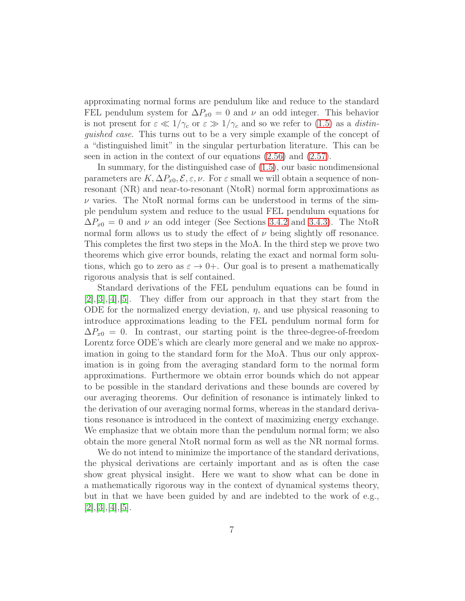approximating normal forms are pendulum like and reduce to the standard FEL pendulum system for  $\Delta P_{x0} = 0$  and  $\nu$  an odd integer. This behavior is not present for  $\varepsilon \ll 1/\gamma_c$  or  $\varepsilon \gg 1/\gamma_c$  and so we refer to [\(1.5\)](#page-73-2) as a *distin*guished case. This turns out to be a very simple example of the concept of a "distinguished limit" in the singular perturbation literature. This can be seen in action in the context of our equations [\(2.56\)](#page-16-0) and [\(2.57\)](#page-16-0).

In summary, for the distinguished case of [\(1.5\)](#page-73-2), our basic nondimensional parameters are  $K, \Delta P_{x0}, \mathcal{E}, \varepsilon, \nu$ . For  $\varepsilon$  small we will obtain a sequence of nonresonant (NR) and near-to-resonant (NtoR) normal form approximations as  $\nu$  varies. The NtoR normal forms can be understood in terms of the simple pendulum system and reduce to the usual FEL pendulum equations for  $\Delta P_{x0} = 0$  and  $\nu$  an odd integer (See Sections [3.4.2](#page-30-0) and [3.4.3\)](#page-31-0). The NtoR normal form allows us to study the effect of  $\nu$  being slightly off resonance. This completes the first two steps in the MoA. In the third step we prove two theorems which give error bounds, relating the exact and normal form solutions, which go to zero as  $\varepsilon \to 0+$ . Our goal is to present a mathematically rigorous analysis that is self contained.

Standard derivations of the FEL pendulum equations can be found in  $[2], [3], [4], [5].$  $[2], [3], [4], [5].$  $[2], [3], [4], [5].$  $[2], [3], [4], [5].$  $[2], [3], [4], [5].$  $[2], [3], [4], [5].$  $[2], [3], [4], [5].$  $[2], [3], [4], [5].$  They differ from our approach in that they start from the ODE for the normalized energy deviation,  $\eta$ , and use physical reasoning to introduce approximations leading to the FEL pendulum normal form for  $\Delta P_{x0} = 0$ . In contrast, our starting point is the three-degree-of-freedom Lorentz force ODE's which are clearly more general and we make no approximation in going to the standard form for the MoA. Thus our only approximation is in going from the averaging standard form to the normal form approximations. Furthermore we obtain error bounds which do not appear to be possible in the standard derivations and these bounds are covered by our averaging theorems. Our definition of resonance is intimately linked to the derivation of our averaging normal forms, whereas in the standard derivations resonance is introduced in the context of maximizing energy exchange. We emphasize that we obtain more than the pendulum normal form; we also obtain the more general NtoR normal form as well as the NR normal forms.

We do not intend to minimize the importance of the standard derivations, the physical derivations are certainly important and as is often the case show great physical insight. Here we want to show what can be done in a mathematically rigorous way in the context of dynamical systems theory, but in that we have been guided by and are indebted to the work of e.g.,  $[2], [3], [4], [5].$  $[2], [3], [4], [5].$  $[2], [3], [4], [5].$  $[2], [3], [4], [5].$  $[2], [3], [4], [5].$  $[2], [3], [4], [5].$  $[2], [3], [4], [5].$  $[2], [3], [4], [5].$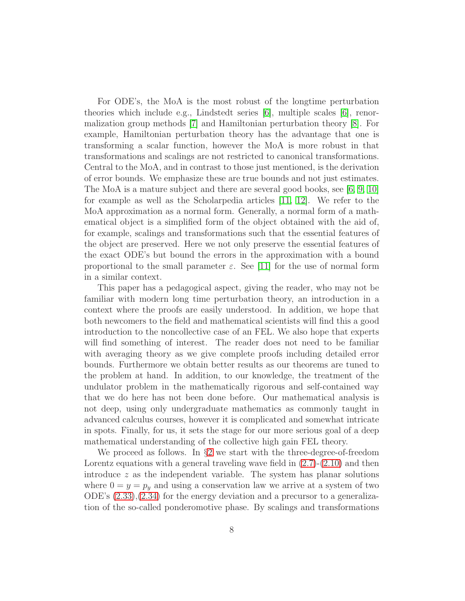For ODE's, the MoA is the most robust of the longtime perturbation theories which include e.g., Lindstedt series [\[6\]](#page-97-5), multiple scales [\[6\]](#page-97-5), renormalization group methods [\[7\]](#page-97-6) and Hamiltonian perturbation theory [\[8\]](#page-97-7). For example, Hamiltonian perturbation theory has the advantage that one is transforming a scalar function, however the MoA is more robust in that transformations and scalings are not restricted to canonical transformations. Central to the MoA, and in contrast to those just mentioned, is the derivation of error bounds. We emphasize these are true bounds and not just estimates. The MoA is a mature subject and there are several good books, see [\[6,](#page-97-5) [9,](#page-98-0) [10\]](#page-98-1) for example as well as the Scholarpedia articles [\[11,](#page-98-2) [12\]](#page-98-3). We refer to the MoA approximation as a normal form. Generally, a normal form of a mathematical object is a simplified form of the object obtained with the aid of, for example, scalings and transformations such that the essential features of the object are preserved. Here we not only preserve the essential features of the exact ODE's but bound the errors in the approximation with a bound proportional to the small parameter  $\varepsilon$ . See [\[11\]](#page-98-2) for the use of normal form in a similar context.

This paper has a pedagogical aspect, giving the reader, who may not be familiar with modern long time perturbation theory, an introduction in a context where the proofs are easily understood. In addition, we hope that both newcomers to the field and mathematical scientists will find this a good introduction to the noncollective case of an FEL. We also hope that experts will find something of interest. The reader does not need to be familiar with averaging theory as we give complete proofs including detailed error bounds. Furthermore we obtain better results as our theorems are tuned to the problem at hand. In addition, to our knowledge, the treatment of the undulator problem in the mathematically rigorous and self-contained way that we do here has not been done before. Our mathematical analysis is not deep, using only undergraduate mathematics as commonly taught in advanced calculus courses, however it is complicated and somewhat intricate in spots. Finally, for us, it sets the stage for our more serious goal of a deep mathematical understanding of the collective high gain FEL theory.

We proceed as follows. In §[2](#page-74-0) we start with the three-degree-of-freedom Lorentz equations with a general traveling wave field in  $(2.7)-(2.10)$  $(2.7)-(2.10)$  and then introduce z as the independent variable. The system has planar solutions where  $0 = y = p_y$  and using a conservation law we arrive at a system of two ODE's [\(2.33\)](#page-13-0),[\(2.34\)](#page-13-0) for the energy deviation and a precursor to a generalization of the so-called ponderomotive phase. By scalings and transformations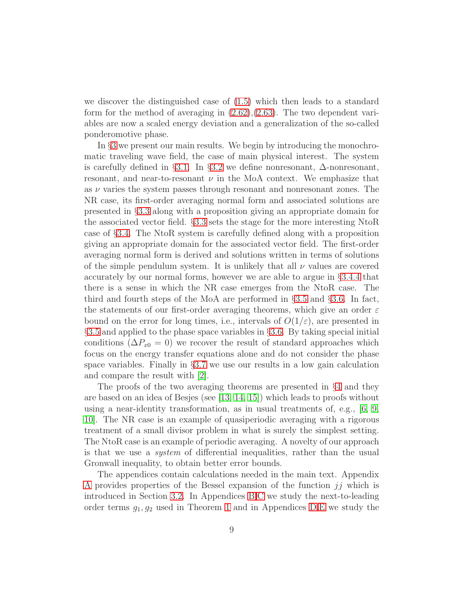we discover the distinguished case of [\(1.5\)](#page-73-2) which then leads to a standard form for the method of averaging in [\(2.62\)](#page-17-0),[\(2.63\)](#page-17-0). The two dependent variables are now a scaled energy deviation and a generalization of the so-called ponderomotive phase.

In §[3](#page-79-0) we present our main results. We begin by introducing the monochromatic traveling wave field, the case of main physical interest. The system is carefully defined in §[3.1.](#page-20-0) In §[3.2](#page-23-0) we define nonresonant, ∆-nonresonant, resonant, and near-to-resonant  $\nu$  in the MoA context. We emphasize that as  $\nu$  varies the system passes through resonant and nonresonant zones. The NR case, its first-order averaging normal form and associated solutions are presented in §[3.3](#page-26-0) along with a proposition giving an appropriate domain for the associated vector field. §[3.3](#page-26-0) sets the stage for the more interesting NtoR case of §[3.4.](#page-27-0) The NtoR system is carefully defined along with a proposition giving an appropriate domain for the associated vector field. The first-order averaging normal form is derived and solutions written in terms of solutions of the simple pendulum system. It is unlikely that all  $\nu$  values are covered accurately by our normal forms, however we are able to argue in §[3.4.4](#page-38-0) that there is a sense in which the NR case emerges from the NtoR case. The third and fourth steps of the MoA are performed in §[3.5](#page-39-0) and §[3.6.](#page-52-0) In fact, the statements of our first-order averaging theorems, which give an order  $\varepsilon$ bound on the error for long times, i.e., intervals of  $O(1/\varepsilon)$ , are presented in §[3.5](#page-39-0) and applied to the phase space variables in §[3.6.](#page-52-0) By taking special initial conditions ( $\Delta P_{x0} = 0$ ) we recover the result of standard approaches which focus on the energy transfer equations alone and do not consider the phase space variables. Finally in §[3.7](#page-53-0) we use our results in a low gain calculation and compare the result with [\[2\]](#page-97-1).

The proofs of the two averaging theorems are presented in §[4](#page-83-0) and they are based on an idea of Besjes (see [\[13,](#page-98-4) [14,](#page-98-5) [15\]](#page-98-6)) which leads to proofs without using a near-identity transformation, as in usual treatments of, e.g., [\[6,](#page-97-5) [9,](#page-98-0) [10\]](#page-98-1). The NR case is an example of quasiperiodic averaging with a rigorous treatment of a small divisor problem in what is surely the simplest setting. The NtoR case is an example of periodic averaging. A novelty of our approach is that we use a system of differential inequalities, rather than the usual Gronwall inequality, to obtain better error bounds.

The appendices contain calculations needed in the main text. Appendix [A](#page-73-0) provides properties of the Bessel expansion of the function  $jj$  which is introduced in Section [3.2.](#page-23-0) In Appendices [B,](#page-74-0)[C](#page-79-0) we study the next-to-leading order terms  $g_1, g_2$  used in Theorem [1](#page-42-0) and in Appendices [D](#page-83-0), E we study the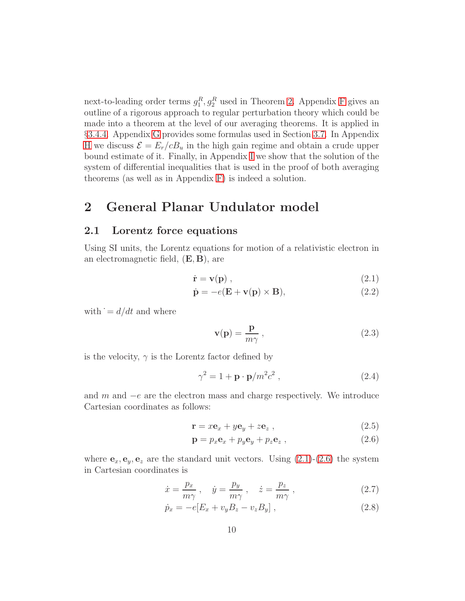next-to-leading order terms  $g_1^R, g_2^R$  used in Theorem [2.](#page-47-0) Appendix [F](#page-88-0) gives an outline of a rigorous approach to regular perturbation theory which could be made into a theorem at the level of our averaging theorems. It is applied in §[3.4.4.](#page-38-0) Appendix [G](#page-89-0) provides some formulas used in Section [3.7.](#page-53-0) In Appendix [H](#page-91-0) we discuss  $\mathcal{E} = E_r/cB_u$  in the high gain regime and obtain a crude upper bound estimate of it. Finally, in Appendix [I](#page-94-0) we show that the solution of the system of differential inequalities that is used in the proof of both averaging theorems (as well as in Appendix [F\)](#page-88-0) is indeed a solution.

## <span id="page-9-0"></span>2 General Planar Undulator model

## 2.1 Lorentz force equations

Using SI units, the Lorentz equations for motion of a relativistic electron in an electromagnetic field,  $(E, B)$ , are

$$
\dot{\mathbf{r}} = \mathbf{v}(\mathbf{p}) \tag{2.1}
$$

$$
\dot{\mathbf{p}} = -e(\mathbf{E} + \mathbf{v}(\mathbf{p}) \times \mathbf{B}),\tag{2.2}
$$

with  $\dot{ } = d/dt$  and where

$$
\mathbf{v}(\mathbf{p}) = \frac{\mathbf{p}}{m\gamma} \,, \tag{2.3}
$$

is the velocity,  $\gamma$  is the Lorentz factor defined by

$$
\gamma^2 = 1 + \mathbf{p} \cdot \mathbf{p}/m^2 c^2 , \qquad (2.4)
$$

and  $m$  and  $-e$  are the electron mass and charge respectively. We introduce Cartesian coordinates as follows:

$$
\mathbf{r} = x\mathbf{e}_x + y\mathbf{e}_y + z\mathbf{e}_z , \qquad (2.5)
$$

$$
\mathbf{p} = p_x \mathbf{e}_x + p_y \mathbf{e}_y + p_z \mathbf{e}_z , \qquad (2.6)
$$

where  $\mathbf{e}_x, \mathbf{e}_y, \mathbf{e}_z$  are the standard unit vectors. Using [\(2.1\)](#page-75-0)-[\(2.6\)](#page-76-0) the system in Cartesian coordinates is

<span id="page-9-1"></span>
$$
\dot{x} = \frac{p_x}{m\gamma} , \quad \dot{y} = \frac{p_y}{m\gamma} , \quad \dot{z} = \frac{p_z}{m\gamma} , \tag{2.7}
$$

$$
\dot{p}_x = -e[E_x + v_y B_z - v_z B_y], \qquad (2.8)
$$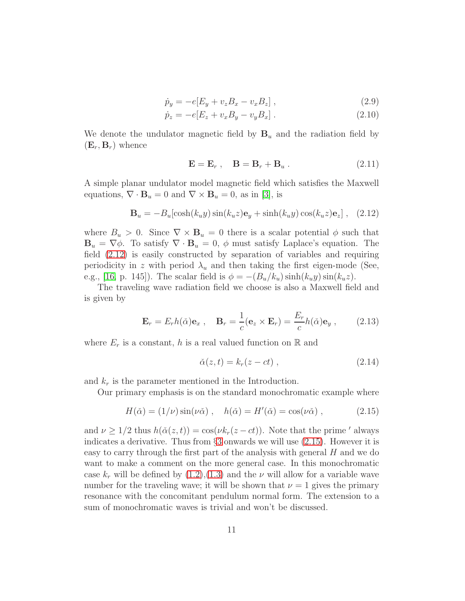$$
\dot{p}_y = -e[E_y + v_z B_x - v_x B_z], \qquad (2.9)
$$

$$
\dot{p}_z = -e[E_z + v_x B_y - v_y B_x]. \qquad (2.10)
$$

We denote the undulator magnetic field by  $B_u$  and the radiation field by  $(E_r, B_r)$  whence

$$
\mathbf{E} = \mathbf{E}_r \,, \quad \mathbf{B} = \mathbf{B}_r + \mathbf{B}_u \,. \tag{2.11}
$$

A simple planar undulator model magnetic field which satisfies the Maxwell equations,  $\nabla \cdot \mathbf{B}_u = 0$  and  $\nabla \times \mathbf{B}_u = 0$ , as in [\[3\]](#page-97-2), is

$$
\mathbf{B}_u = -B_u[\cosh(k_u y)\sin(k_u z)\mathbf{e}_y + \sinh(k_u y)\cos(k_u z)\mathbf{e}_z], \quad (2.12)
$$

where  $B_u > 0$ . Since  $\nabla \times \mathbf{B}_u = 0$  there is a scalar potential  $\phi$  such that **. To satisfy**  $\nabla \cdot **B**<sub>u</sub> = 0$ **,**  $\phi$  **must satisfy Laplace's equation. The** field [\(2.12\)](#page-78-0) is easily constructed by separation of variables and requiring periodicity in z with period  $\lambda_u$  and then taking the first eigen-mode (See, e.g., [\[16,](#page-98-7) p. 145]). The scalar field is  $\phi = -(B_u/k_u)\sinh(k_u y)\sin(k_u z)$ .

The traveling wave radiation field we choose is also a Maxwell field and is given by

$$
\mathbf{E}_r = E_r h(\check{\alpha}) \mathbf{e}_x , \quad \mathbf{B}_r = \frac{1}{c} (\mathbf{e}_z \times \mathbf{E}_r) = \frac{E_r}{c} h(\check{\alpha}) \mathbf{e}_y , \qquad (2.13)
$$

where  $E_r$  is a constant, h is a real valued function on R and

$$
\check{\alpha}(z,t) = k_r(z-ct) , \qquad (2.14)
$$

and  $k_r$  is the parameter mentioned in the Introduction.

Our primary emphasis is on the standard monochromatic example where

<span id="page-10-0"></span>
$$
H(\check{\alpha}) = (1/\nu)\sin(\nu\check{\alpha}), \quad h(\check{\alpha}) = H'(\check{\alpha}) = \cos(\nu\check{\alpha}), \quad (2.15)
$$

and  $\nu > 1/2$  thus  $h(\check{\alpha}(z,t)) = \cos(\nu k_r(z-ct))$ . Note that the prime ' always indicates a derivative. Thus from §[3](#page-79-0) onwards we will use [\(2.15\)](#page-10-0). However it is easy to carry through the first part of the analysis with general H and we do want to make a comment on the more general case. In this monochromatic case  $k_r$  will be defined by  $(1.2),(1.3)$  $(1.2),(1.3)$  and the  $\nu$  will allow for a variable wave number for the traveling wave; it will be shown that  $\nu = 1$  gives the primary resonance with the concomitant pendulum normal form. The extension to a sum of monochromatic waves is trivial and won't be discussed.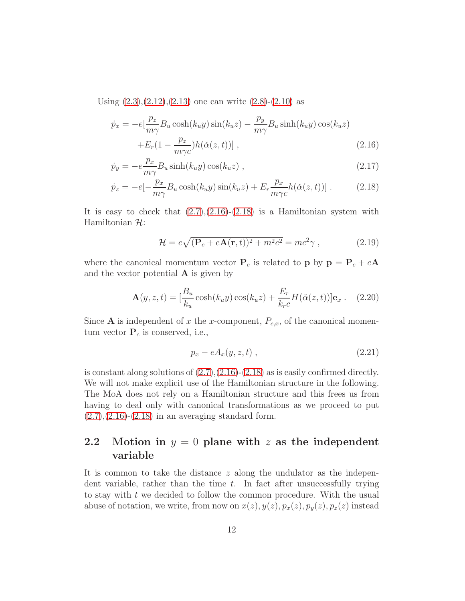Using  $(2.3),(2.12),(2.13)$  $(2.3),(2.12),(2.13)$  $(2.3),(2.12),(2.13)$  $(2.3),(2.12),(2.13)$  one can write  $(2.8)-(2.10)$  $(2.8)-(2.10)$  as

<span id="page-11-1"></span>
$$
\dot{p}_x = -e\left[\frac{p_z}{m\gamma}B_u\cosh(k_uy)\sin(k_uz) - \frac{p_y}{m\gamma}B_u\sinh(k_uy)\cos(k_uz) + E_r(1 - \frac{p_z}{m\gamma c})h(\check{\alpha}(z,t))\right],
$$
\n(2.16)

$$
\dot{p}_y = -e \frac{p_x}{m\gamma} B_u \sinh(k_u y) \cos(k_u z) , \qquad (2.17)
$$

$$
\dot{p}_z = -e[-\frac{p_x}{m\gamma}B_u\cosh(k_uy)\sin(k_uz) + E_r\frac{p_x}{m\gamma c}h(\check{\alpha}(z,t))].
$$
 (2.18)

It is easy to check that  $(2.7),(2.16)-(2.18)$  $(2.7),(2.16)-(2.18)$  $(2.7),(2.16)-(2.18)$  $(2.7),(2.16)-(2.18)$  is a Hamiltonian system with Hamiltonian  $\mathcal{H}$ :

$$
\mathcal{H} = c\sqrt{(\mathbf{P}_c + e\mathbf{A}(\mathbf{r}, t))^2 + m^2c^2} = mc^2\gamma ,\qquad (2.19)
$$

where the canonical momentum vector  $P_c$  is related to p by  $p = P_c + eA$ and the vector potential  $\bf{A}$  is given by

$$
\mathbf{A}(y, z, t) = \left[\frac{B_u}{k_u}\cosh(k_u y)\cos(k_u z) + \frac{E_r}{k_r c}H(\check{\alpha}(z, t))\right]\mathbf{e}_x. \quad (2.20)
$$

Since **A** is independent of x the x-component,  $P_{c,x}$ , of the canonical momentum vector  $P_c$  is conserved, i.e.,

<span id="page-11-2"></span>
$$
p_x - eA_x(y, z, t) , \qquad (2.21)
$$

is constant along solutions of  $(2.7),(2.16)-(2.18)$  $(2.7),(2.16)-(2.18)$  $(2.7),(2.16)-(2.18)$  $(2.7),(2.16)-(2.18)$  as is easily confirmed directly. We will not make explicit use of the Hamiltonian structure in the following. The MoA does not rely on a Hamiltonian structure and this frees us from having to deal only with canonical transformations as we proceed to put  $(2.7),(2.16)-(2.18)$  $(2.7),(2.16)-(2.18)$  $(2.7),(2.16)-(2.18)$  $(2.7),(2.16)-(2.18)$  $(2.7),(2.16)-(2.18)$  in an averaging standard form.

## <span id="page-11-0"></span>2.2 Motion in  $y = 0$  plane with z as the independent variable

It is common to take the distance z along the undulator as the independent variable, rather than the time  $t$ . In fact after unsuccessfully trying to stay with  $t$  we decided to follow the common procedure. With the usual abuse of notation, we write, from now on  $x(z)$ ,  $y(z)$ ,  $p_x(z)$ ,  $p_y(z)$ ,  $p_z(z)$  instead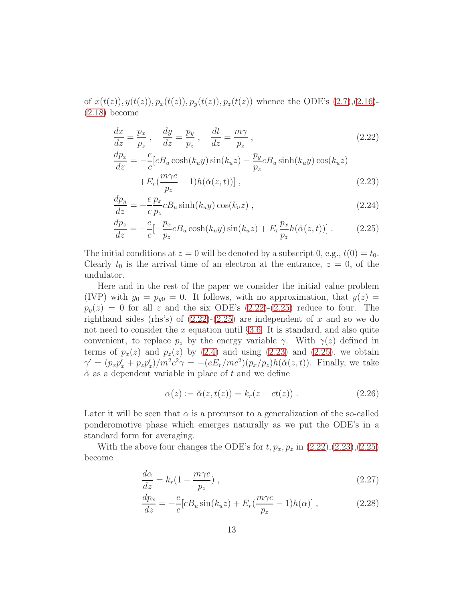of  $x(t(z), y(t(z), p_x(t(z)), p_y(t(z)), p_z(t(z))$  whence the ODE's [\(2.7\)](#page-9-1),[\(2.16\)](#page-11-1)-[\(2.18\)](#page-11-1) become

<span id="page-12-0"></span>
$$
\frac{dx}{dz} = \frac{p_x}{p_z}, \quad \frac{dy}{dz} = \frac{p_y}{p_z}, \quad \frac{dt}{dz} = \frac{m\gamma}{p_z},
$$
\n
$$
\frac{dp_x}{dz} = -\frac{e}{c}[cB_u \cosh(k_uy)\sin(k_uz) - \frac{p_y}{p_z}cB_u \sinh(k_uy)\cos(k_uz)]
$$
\n(2.22)

$$
+E_r\left(\frac{m\gamma c}{p_z} - 1\right)h(\check{\alpha}(z, t))\right],\tag{2.23}
$$

$$
\frac{dp_y}{dz} = -\frac{e}{c} \frac{p_x}{p_z} c B_u \sinh(k_u y) \cos(k_u z) ,\qquad (2.24)
$$

$$
\frac{dp_z}{dz} = -\frac{e}{c} \left[-\frac{p_x}{p_z} c B_u \cosh(k_u y) \sin(k_u z) + E_r \frac{p_x}{p_z} h(\check{\alpha}(z, t))\right].\tag{2.25}
$$

The initial conditions at  $z = 0$  will be denoted by a subscript 0, e.g.,  $t(0) = t_0$ . Clearly  $t_0$  is the arrival time of an electron at the entrance,  $z = 0$ , of the undulator.

Here and in the rest of the paper we consider the initial value problem (IVP) with  $y_0 = p_{y0} = 0$ . It follows, with no approximation, that  $y(z) =$  $p_y(z) = 0$  for all z and the six ODE's  $(2.22)-(2.25)$  $(2.22)-(2.25)$  reduce to four. The righthand sides (rhs's) of  $(2.22)-(2.25)$  $(2.22)-(2.25)$  are independent of x and so we do not need to consider the x equation until  $\S 3.6$ . It is standard, and also quite convenient, to replace  $p_z$  by the energy variable  $\gamma$ . With  $\gamma(z)$  defined in terms of  $p_x(z)$  and  $p_z(z)$  by [\(2.4\)](#page-75-2) and using [\(2.23\)](#page-12-0) and [\(2.25\)](#page-12-0), we obtain  $\gamma' = (p_x p_x' + p_z p_z')/m^2 c^2 \gamma = -(eE_r/mc^2)(p_x/p_z)h(\check{\alpha}(z,t)).$  Finally, we take  $\check{\alpha}$  as a dependent variable in place of t and we define

<span id="page-12-2"></span>
$$
\alpha(z) := \check{\alpha}(z, t(z)) = k_r(z - ct(z)).
$$
 (2.26)

Later it will be seen that  $\alpha$  is a precursor to a generalization of the so-called ponderomotive phase which emerges naturally as we put the ODE's in a standard form for averaging.

With the above four changes the ODE's for  $t, p_x, p_z$  in  $(2.22),(2.23),(2.25)$  $(2.22),(2.23),(2.25)$  $(2.22),(2.23),(2.25)$  $(2.22),(2.23),(2.25)$ become

<span id="page-12-1"></span>
$$
\frac{d\alpha}{dz} = k_r (1 - \frac{m\gamma c}{p_z}),\tag{2.27}
$$

$$
\frac{dp_x}{dz} = -\frac{e}{c} [cB_u \sin(k_u z) + E_r (\frac{m\gamma c}{p_z} - 1) h(\alpha)] , \qquad (2.28)
$$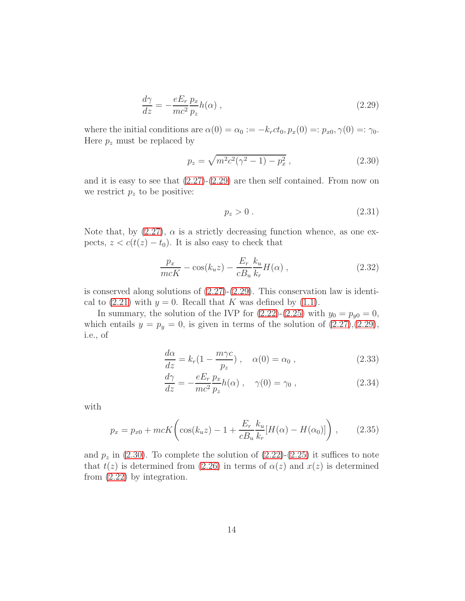$$
\frac{d\gamma}{dz} = -\frac{eE_r}{mc^2} \frac{p_x}{p_z} h(\alpha) ,\qquad (2.29)
$$

where the initial conditions are  $\alpha(0) = \alpha_0 := -k_rct_0, p_x(0) =: p_{x0}, \gamma(0) =: \gamma_0$ . Here  $p_z$  must be replaced by

<span id="page-13-1"></span>
$$
p_z = \sqrt{m^2 c^2 (\gamma^2 - 1) - p_x^2} \,, \tag{2.30}
$$

and it is easy to see that  $(2.27)-(2.29)$  $(2.27)-(2.29)$  are then self contained. From now on we restrict  $p_z$  to be positive:

<span id="page-13-3"></span>
$$
p_z > 0. \tag{2.31}
$$

Note that, by  $(2.27)$ ,  $\alpha$  is a strictly decreasing function whence, as one expects,  $z < c(t(z) - t_0)$ . It is also easy to check that

<span id="page-13-2"></span>
$$
\frac{p_x}{mcK} - \cos(k_u z) - \frac{E_r}{cB_u} \frac{k_u}{k_r} H(\alpha) ,
$$
\n(2.32)

is conserved along solutions of  $(2.27)-(2.29)$  $(2.27)-(2.29)$ . This conservation law is identical to  $(2.21)$  with  $y = 0$ . Recall that K was defined by  $(1.1)$ .

In summary, the solution of the IVP for  $(2.22)-(2.25)$  $(2.22)-(2.25)$  with  $y_0 = p_{y0} = 0$ , which entails  $y = p_y = 0$ , is given in terms of the solution of  $(2.27),(2.29)$  $(2.27),(2.29)$ , i.e., of

<span id="page-13-0"></span>
$$
\frac{d\alpha}{dz} = k_r (1 - \frac{m\gamma c}{p_z}), \quad \alpha(0) = \alpha_0 , \qquad (2.33)
$$

$$
\frac{d\gamma}{dz} = -\frac{eE_r}{mc^2} \frac{p_x}{p_z} h(\alpha) , \quad \gamma(0) = \gamma_0 , \qquad (2.34)
$$

with

<span id="page-13-4"></span>
$$
p_x = p_{x0} + mcK \left( \cos(k_u z) - 1 + \frac{E_r}{c B_u} \frac{k_u}{k_r} [H(\alpha) - H(\alpha_0)] \right), \quad (2.35)
$$

and  $p_z$  in [\(2.30\)](#page-13-1). To complete the solution of [\(2.22\)](#page-12-0)-[\(2.25\)](#page-12-0) it suffices to note that  $t(z)$  is determined from [\(2.26\)](#page-12-2) in terms of  $\alpha(z)$  and  $x(z)$  is determined from [\(2.22\)](#page-12-0) by integration.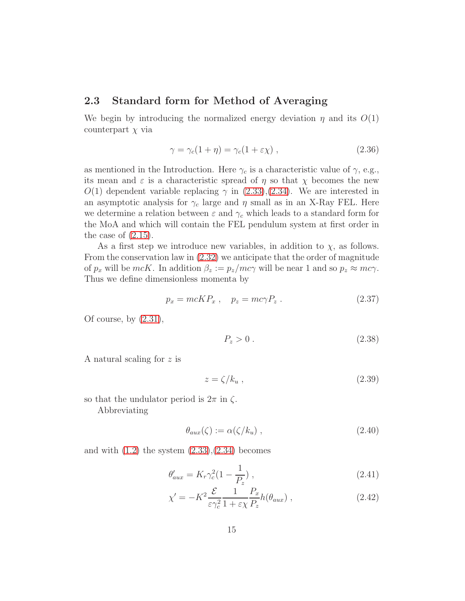### <span id="page-14-0"></span>2.3 Standard form for Method of Averaging

We begin by introducing the normalized energy deviation  $\eta$  and its  $O(1)$ counterpart  $\chi$  via

<span id="page-14-4"></span>
$$
\gamma = \gamma_c (1 + \eta) = \gamma_c (1 + \varepsilon \chi) , \qquad (2.36)
$$

as mentioned in the Introduction. Here  $\gamma_c$  is a characteristic value of  $\gamma$ , e.g., its mean and  $\varepsilon$  is a characteristic spread of  $\eta$  so that  $\chi$  becomes the new  $O(1)$  dependent variable replacing  $\gamma$  in [\(2.33\)](#page-13-0),[\(2.34\)](#page-13-0). We are interested in an asymptotic analysis for  $\gamma_c$  large and  $\eta$  small as in an X-Ray FEL. Here we determine a relation between  $\varepsilon$  and  $\gamma_c$  which leads to a standard form for the MoA and which will contain the FEL pendulum system at first order in the case of  $(2.15)$ .

As a first step we introduce new variables, in addition to  $\chi$ , as follows. From the conservation law in [\(2.32\)](#page-13-2) we anticipate that the order of magnitude of  $p_x$  will be  $mcK$ . In addition  $\beta_z := p_z/mc\gamma$  will be near 1 and so  $p_z \approx mc\gamma$ . Thus we define dimensionless momenta by

$$
p_x = mcKP_x , \quad p_z = mc\gamma P_z . \tag{2.37}
$$

Of course, by  $(2.31)$ ,

<span id="page-14-5"></span>
$$
P_z > 0 \tag{2.38}
$$

A natural scaling for z is

<span id="page-14-3"></span>
$$
z = \zeta / k_u \,, \tag{2.39}
$$

so that the undulator period is  $2\pi$  in  $\zeta$ . Abbreviating

<span id="page-14-2"></span>
$$
\theta_{aux}(\zeta) := \alpha(\zeta/k_u) \;, \tag{2.40}
$$

and with  $(1.2)$  the system  $(2.33),(2.34)$  $(2.33),(2.34)$  becomes

<span id="page-14-1"></span>
$$
\theta'_{aux} = K_r \gamma_c^2 (1 - \frac{1}{P_z}), \qquad (2.41)
$$

$$
\chi' = -K^2 \frac{\mathcal{E}}{\varepsilon \gamma_c^2} \frac{1}{1 + \varepsilon \chi} \frac{P_x}{P_z} h(\theta_{aux}), \qquad (2.42)
$$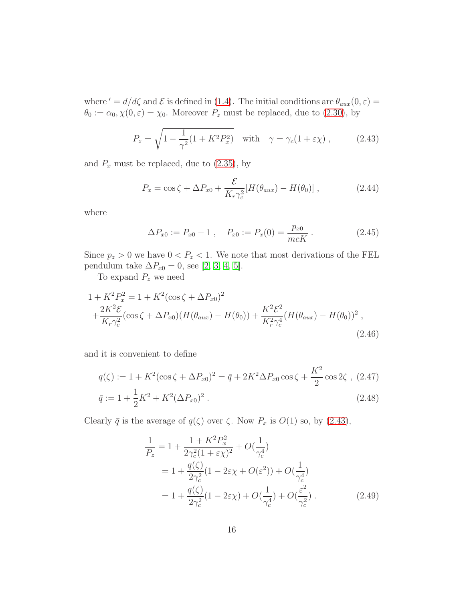where ' =  $d/d\zeta$  and  $\mathcal E$  is defined in [\(1.4\)](#page-73-6). The initial conditions are  $\theta_{aux}(0,\varepsilon)$  =  $\theta_0 := \alpha_0, \chi(0, \varepsilon) = \chi_0$ . Moreover  $P_z$  must be replaced, due to [\(2.30\)](#page-13-1), by

<span id="page-15-0"></span>
$$
P_z = \sqrt{1 - \frac{1}{\gamma^2} (1 + K^2 P_x^2)} \quad \text{with} \quad \gamma = \gamma_c (1 + \varepsilon \chi) , \quad (2.43)
$$

and  $P_x$  must be replaced, due to  $(2.35)$ , by

<span id="page-15-1"></span>
$$
P_x = \cos\zeta + \Delta P_{x0} + \frac{\mathcal{E}}{K_r \gamma_c^2} [H(\theta_{aux}) - H(\theta_0)], \qquad (2.44)
$$

where

$$
\Delta P_{x0} := P_{x0} - 1 \,, \quad P_{x0} := P_x(0) = \frac{p_{x0}}{mcK} \,. \tag{2.45}
$$

Since  $p_z > 0$  we have  $0 < P_z < 1$ . We note that most derivations of the FEL pendulum take  $\Delta P_{x0} = 0$ , see [\[2,](#page-97-1) [3,](#page-97-2) [4,](#page-97-3) [5\]](#page-97-4).

To expand  $P_z$  we need

$$
1 + K^2 P_x^2 = 1 + K^2 (\cos \zeta + \Delta P_{x0})^2
$$
  
+ 
$$
\frac{2K^2 \mathcal{E}}{K_r \gamma_c^2} (\cos \zeta + \Delta P_{x0}) (H(\theta_{aux}) - H(\theta_0)) + \frac{K^2 \mathcal{E}^2}{K_r^2 \gamma_c^4} (H(\theta_{aux}) - H(\theta_0))^2,
$$
  
(2.46)

and it is convenient to define

<span id="page-15-3"></span>
$$
q(\zeta) := 1 + K^2(\cos\zeta + \Delta P_{x0})^2 = \bar{q} + 2K^2\Delta P_{x0}\cos\zeta + \frac{K^2}{2}\cos 2\zeta , (2.47)
$$
  

$$
\bar{q} := 1 + \frac{1}{2}K^2 + K^2(\Delta P_{x0})^2 .
$$
 (2.48)

Clearly  $\bar{q}$  is the average of  $q(\zeta)$  over  $\zeta$ . Now  $P_x$  is  $O(1)$  so, by [\(2.43\)](#page-15-0),

<span id="page-15-2"></span>
$$
\frac{1}{P_z} = 1 + \frac{1 + K^2 P_x^2}{2\gamma_c^2 (1 + \varepsilon \chi)^2} + O(\frac{1}{\gamma_c^4})
$$
\n
$$
= 1 + \frac{q(\zeta)}{2\gamma_c^2} (1 - 2\varepsilon \chi + O(\varepsilon^2)) + O(\frac{1}{\gamma_c^4})
$$
\n
$$
= 1 + \frac{q(\zeta)}{2\gamma_c^2} (1 - 2\varepsilon \chi) + O(\frac{1}{\gamma_c^4}) + O(\frac{\varepsilon^2}{\gamma_c^2}). \tag{2.49}
$$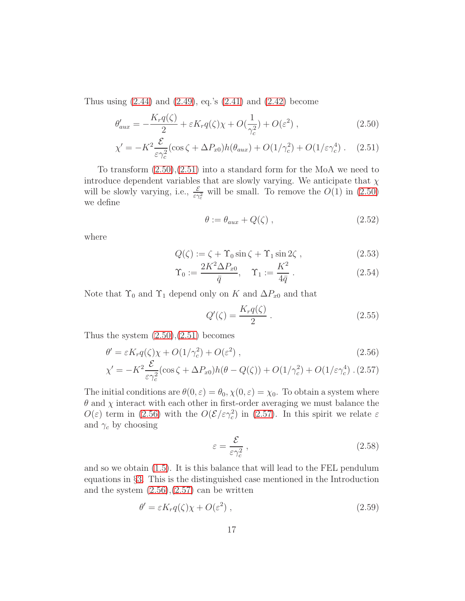Thus using  $(2.44)$  and  $(2.49)$ , eq.'s  $(2.41)$  and  $(2.42)$  become

<span id="page-16-1"></span>
$$
\theta'_{aux} = -\frac{K_r q(\zeta)}{2} + \varepsilon K_r q(\zeta) \chi + O(\frac{1}{\gamma_c^2}) + O(\varepsilon^2) ,\qquad (2.50)
$$

$$
\chi' = -K^2 \frac{\mathcal{E}}{\varepsilon \gamma_c^2} (\cos \zeta + \Delta P_{x0}) h(\theta_{aux}) + O(1/\gamma_c^2) + O(1/\varepsilon \gamma_c^4) \ . \tag{2.51}
$$

To transform [\(2.50\)](#page-16-1),[\(2.51\)](#page-16-1) into a standard form for the MoA we need to introduce dependent variables that are slowly varying. We anticipate that  $\chi$ will be slowly varying, i.e.,  $\frac{\varepsilon}{\varepsilon \gamma_c^2}$  will be small. To remove the  $O(1)$  in  $(2.50)$ we define

<span id="page-16-3"></span>
$$
\theta := \theta_{aux} + Q(\zeta) \tag{2.52}
$$

where

<span id="page-16-4"></span>
$$
Q(\zeta) := \zeta + \Upsilon_0 \sin \zeta + \Upsilon_1 \sin 2\zeta , \qquad (2.53)
$$

$$
\Upsilon_0 := \frac{2K^2 \Delta P_{x0}}{\bar{q}}, \quad \Upsilon_1 := \frac{K^2}{4\bar{q}}.
$$
 (2.54)

Note that  $\Upsilon_0$  and  $\Upsilon_1$  depend only on K and  $\Delta P_{x0}$  and that

$$
Q'(\zeta) = \frac{K_r q(\zeta)}{2} \,. \tag{2.55}
$$

Thus the system  $(2.50),(2.51)$  $(2.50),(2.51)$  becomes

<span id="page-16-0"></span>
$$
\theta' = \varepsilon K_r q(\zeta) \chi + O(1/\gamma_c^2) + O(\varepsilon^2) , \qquad (2.56)
$$

$$
\chi' = -K^2 \frac{\mathcal{E}}{\varepsilon \gamma_c^2} (\cos \zeta + \Delta P_{x0}) h(\theta - Q(\zeta)) + O(1/\gamma_c^2) + O(1/\varepsilon \gamma_c^4) \tag{2.57}
$$

The initial conditions are  $\theta(0, \varepsilon) = \theta_0$ ,  $\chi(0, \varepsilon) = \chi_0$ . To obtain a system where  $\theta$  and  $\chi$  interact with each other in first-order averaging we must balance the  $O(\varepsilon)$  term in [\(2.56\)](#page-16-0) with the  $O(\mathcal{E}/\varepsilon\gamma_c^2)$  in [\(2.57\)](#page-16-0). In this spirit we relate  $\varepsilon$ and  $\gamma_c$  by choosing

$$
\varepsilon = \frac{\mathcal{E}}{\varepsilon \gamma_c^2} \,, \tag{2.58}
$$

and so we obtain [\(1.5\)](#page-73-2). It is this balance that will lead to the FEL pendulum equations in §[3.](#page-79-0) This is the distinguished case mentioned in the Introduction and the system  $(2.56),(2.57)$  $(2.56),(2.57)$  can be written

<span id="page-16-2"></span>
$$
\theta' = \varepsilon K_r q(\zeta) \chi + O(\varepsilon^2) \tag{2.59}
$$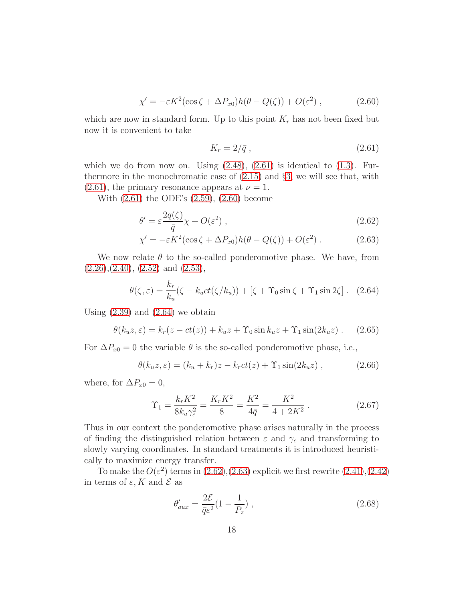$$
\chi' = -\varepsilon K^2 (\cos \zeta + \Delta P_{x0}) h(\theta - Q(\zeta)) + O(\varepsilon^2) , \qquad (2.60)
$$

which are now in standard form. Up to this point  $K_r$  has not been fixed but now it is convenient to take

<span id="page-17-1"></span>
$$
K_r = 2/\bar{q} \,,\tag{2.61}
$$

which we do from now on. Using  $(2.48)$ ,  $(2.61)$  is identical to  $(1.3)$ . Furthermore in the monochromatic case of  $(2.15)$  and  $\S3$ , we will see that, with  $(2.61)$ , the primary resonance appears at  $\nu = 1$ .

With [\(2.61\)](#page-17-1) the ODE's [\(2.59\)](#page-16-2), [\(2.60\)](#page-16-2) become

<span id="page-17-0"></span>
$$
\theta' = \varepsilon \frac{2q(\zeta)}{\bar{q}} \chi + O(\varepsilon^2) \;, \tag{2.62}
$$

$$
\chi' = -\varepsilon K^2 (\cos \zeta + \Delta P_{x0}) h(\theta - Q(\zeta)) + O(\varepsilon^2) . \qquad (2.63)
$$

We now relate  $\theta$  to the so-called ponderomotive phase. We have, from  $(2.26),(2.40), (2.52)$  $(2.26),(2.40), (2.52)$  $(2.26),(2.40), (2.52)$  $(2.26),(2.40), (2.52)$  $(2.26),(2.40), (2.52)$  and  $(2.53),$ 

<span id="page-17-2"></span>
$$
\theta(\zeta,\varepsilon) = \frac{k_r}{k_u} (\zeta - k_u ct(\zeta/k_u)) + [\zeta + \Upsilon_0 \sin \zeta + \Upsilon_1 \sin 2\zeta]. \tag{2.64}
$$

Using  $(2.39)$  and  $(2.64)$  we obtain

$$
\theta(k_u z, \varepsilon) = k_r (z - ct(z)) + k_u z + \Upsilon_0 \sin k_u z + \Upsilon_1 \sin(2k_u z) . \tag{2.65}
$$

For  $\Delta P_{x0} = 0$  the variable  $\theta$  is the so-called ponderomotive phase, i.e.,

$$
\theta(k_u z, \varepsilon) = (k_u + k_r)z - k_r ct(z) + \Upsilon_1 \sin(2k_u z) , \qquad (2.66)
$$

where, for  $\Delta P_{x0} = 0$ ,

$$
\Upsilon_1 = \frac{k_r K^2}{8k_u \gamma_c^2} = \frac{K_r K^2}{8} = \frac{K^2}{4\bar{q}} = \frac{K^2}{4 + 2K^2} \,. \tag{2.67}
$$

Thus in our context the ponderomotive phase arises naturally in the process of finding the distinguished relation between  $\varepsilon$  and  $\gamma_c$  and transforming to slowly varying coordinates. In standard treatments it is introduced heuristically to maximize energy transfer.

To make the  $O(\varepsilon^2)$  terms in  $(2.62),(2.63)$  $(2.62),(2.63)$  explicit we first rewrite  $(2.41),(2.42)$  $(2.41),(2.42)$ in terms of  $\varepsilon$ , K and  $\mathcal E$  as

<span id="page-17-3"></span>
$$
\theta'_{aux} = \frac{2\mathcal{E}}{\bar{q}\varepsilon^2} (1 - \frac{1}{P_z}),
$$
\n(2.68)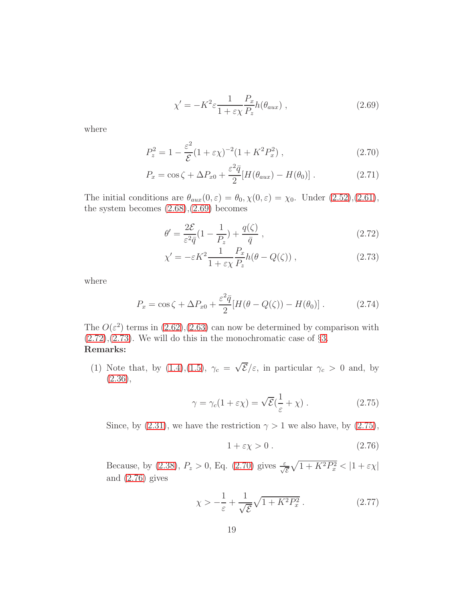$$
\chi' = -K^2 \varepsilon \frac{1}{1 + \varepsilon \chi} \frac{P_x}{P_z} h(\theta_{aux}), \qquad (2.69)
$$

where

<span id="page-18-2"></span>
$$
P_z^2 = 1 - \frac{\varepsilon^2}{\mathcal{E}} (1 + \varepsilon \chi)^{-2} (1 + K^2 P_x^2) , \qquad (2.70)
$$

$$
P_x = \cos\zeta + \Delta P_{x0} + \frac{\varepsilon^2 \bar{q}}{2} [H(\theta_{aux}) - H(\theta_0)]. \qquad (2.71)
$$

The initial conditions are  $\theta_{aux}(0,\varepsilon) = \theta_0, \chi(0,\varepsilon) = \chi_0$ . Under  $(2.52),(2.61)$  $(2.52),(2.61)$ , the system becomes [\(2.68\)](#page-17-3),[\(2.69\)](#page-17-3) becomes

<span id="page-18-0"></span>
$$
\theta' = \frac{2\mathcal{E}}{\varepsilon^2 \bar{q}} (1 - \frac{1}{P_z}) + \frac{q(\zeta)}{\bar{q}} ,\qquad (2.72)
$$

$$
\chi' = -\varepsilon K^2 \frac{1}{1 + \varepsilon \chi} \frac{P_x}{P_z} h(\theta - Q(\zeta)), \qquad (2.73)
$$

where

<span id="page-18-5"></span>
$$
P_x = \cos\zeta + \Delta P_{x0} + \frac{\varepsilon^2 \bar{q}}{2} [H(\theta - Q(\zeta)) - H(\theta_0)]. \qquad (2.74)
$$

The  $O(\varepsilon^2)$  terms in  $(2.62)$ ,  $(2.63)$  can now be determined by comparison with  $(2.72),(2.73)$  $(2.72),(2.73)$  $(2.72),(2.73)$ . We will do this in the monochromatic case of §[3.](#page-79-0) Remarks:

(1) Note that, by [\(1.4\)](#page-73-6),[\(1.5\)](#page-73-2),  $\gamma_c = \sqrt{\mathcal{E}}/\varepsilon$ , in particular  $\gamma_c > 0$  and, by  $(2.36),$  $(2.36),$ 

<span id="page-18-1"></span>
$$
\gamma = \gamma_c (1 + \varepsilon \chi) = \sqrt{\mathcal{E}} (\frac{1}{\varepsilon} + \chi) . \tag{2.75}
$$

Since, by [\(2.31\)](#page-13-3), we have the restriction  $\gamma > 1$  we also have, by [\(2.75\)](#page-18-1),

<span id="page-18-3"></span>
$$
1 + \varepsilon \chi > 0. \tag{2.76}
$$

Because, by [\(2.38\)](#page-14-5),  $P_z > 0$ , Eq. [\(2.70\)](#page-18-2) gives  $\frac{\varepsilon}{\sqrt{\varepsilon}}$  $\sqrt{1+K^2P_x^2} < |1+\varepsilon\chi|$ and [\(2.76\)](#page-18-3) gives

<span id="page-18-4"></span>
$$
\chi > -\frac{1}{\varepsilon} + \frac{1}{\sqrt{\mathcal{E}}} \sqrt{1 + K^2 P_x^2} \,. \tag{2.77}
$$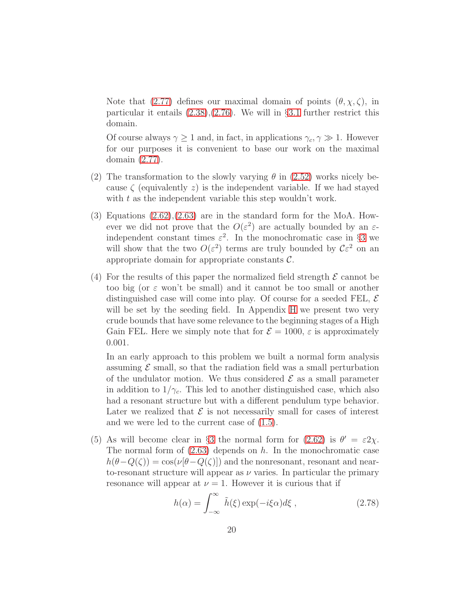Note that [\(2.77\)](#page-18-4) defines our maximal domain of points  $(\theta, \chi, \zeta)$ , in particular it entails  $(2.38)$ , $(2.76)$ . We will in §[3.1](#page-20-0) further restrict this domain.

Of course always  $\gamma \ge 1$  and, in fact, in applications  $\gamma_c, \gamma \gg 1$ . However for our purposes it is convenient to base our work on the maximal domain [\(2.77\)](#page-18-4).

- (2) The transformation to the slowly varying  $\theta$  in [\(2.52\)](#page-16-3) works nicely because  $\zeta$  (equivalently z) is the independent variable. If we had stayed with  $t$  as the independent variable this step wouldn't work.
- $(3)$  Equations  $(2.62)$ , $(2.63)$  are in the standard form for the MoA. However we did not prove that the  $O(\varepsilon^2)$  are actually bounded by an  $\varepsilon$ independent constant times  $\varepsilon^2$ . In the monochromatic case in §[3](#page-79-0) we will show that the two  $O(\varepsilon^2)$  terms are truly bounded by  $C\varepsilon^2$  on an appropriate domain for appropriate constants C.
- (4) For the results of this paper the normalized field strength  $\mathcal E$  cannot be too big (or  $\varepsilon$  won't be small) and it cannot be too small or another distinguished case will come into play. Of course for a seeded FEL,  $\mathcal E$ will be set by the seeding field. In Appendix [H](#page-91-0) we present two very crude bounds that have some relevance to the beginning stages of a High Gain FEL. Here we simply note that for  $\mathcal{E} = 1000$ ,  $\varepsilon$  is approximately 0.001.

In an early approach to this problem we built a normal form analysis assuming  $\mathcal E$  small, so that the radiation field was a small perturbation of the undulator motion. We thus considered  $\mathcal E$  as a small parameter in addition to  $1/\gamma_c$ . This led to another distinguished case, which also had a resonant structure but with a different pendulum type behavior. Later we realized that  $\mathcal E$  is not necessarily small for cases of interest and we were led to the current case of [\(1.5\)](#page-73-2).

(5) As will become clear in §[3](#page-79-0) the normal form for [\(2.62\)](#page-17-0) is  $\theta' = \varepsilon 2\chi$ . The normal form of  $(2.63)$  depends on h. In the monochromatic case  $h(\theta-Q(\zeta))=\cos(\nu[\theta-Q(\zeta)])$  and the nonresonant, resonant and nearto-resonant structure will appear as  $\nu$  varies. In particular the primary resonance will appear at  $\nu = 1$ . However it is curious that if

$$
h(\alpha) = \int_{-\infty}^{\infty} \tilde{h}(\xi) \exp(-i\xi\alpha) d\xi , \qquad (2.78)
$$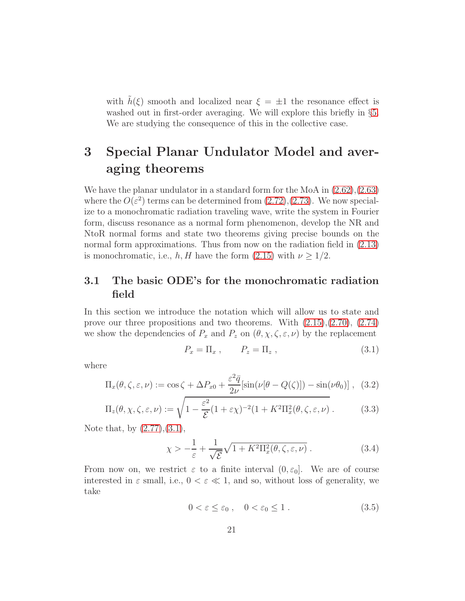with  $\tilde{h}(\xi)$  smooth and localized near  $\xi = \pm 1$  the resonance effect is washed out in first-order averaging. We will explore this briefly in §[5.](#page-86-0) We are studying the consequence of this in the collective case.

## 3 Special Planar Undulator Model and averaging theorems

We have the planar undulator in a standard form for the MoA in [\(2.62\)](#page-17-0),[\(2.63\)](#page-17-0) where the  $O(\varepsilon^2)$  terms can be determined from  $(2.72),(2.73)$  $(2.72),(2.73)$ . We now specialize to a monochromatic radiation traveling wave, write the system in Fourier form, discuss resonance as a normal form phenomenon, develop the NR and NtoR normal forms and state two theorems giving precise bounds on the normal form approximations. Thus from now on the radiation field in [\(2.13\)](#page-79-1) is monochromatic, i.e., h, H have the form  $(2.15)$  with  $\nu \geq 1/2$ .

## <span id="page-20-0"></span>3.1 The basic ODE's for the monochromatic radiation field

In this section we introduce the notation which will allow us to state and prove our three propositions and two theorems. With [\(2.15\)](#page-10-0),[\(2.70\)](#page-18-2), [\(2.74\)](#page-18-5) we show the dependencies of  $P_x$  and  $P_z$  on  $(\theta, \chi, \zeta, \varepsilon, \nu)$  by the replacement

$$
P_x = \Pi_x , \qquad P_z = \Pi_z , \qquad (3.1)
$$

where

$$
\Pi_x(\theta,\zeta,\varepsilon,\nu) := \cos\zeta + \Delta P_{x0} + \frac{\varepsilon^2 \bar{q}}{2\nu} [\sin(\nu[\theta - Q(\zeta)]) - \sin(\nu\theta_0)], \quad (3.2)
$$

$$
\Pi_z(\theta, \chi, \zeta, \varepsilon, \nu) := \sqrt{1 - \frac{\varepsilon^2}{\mathcal{E}} (1 + \varepsilon \chi)^{-2} (1 + K^2 \Pi_x^2(\theta, \zeta, \varepsilon, \nu))}.
$$
 (3.3)

Note that, by [\(2.77\)](#page-18-4),[\(3.1\)](#page-79-2),

$$
\chi > -\frac{1}{\varepsilon} + \frac{1}{\sqrt{\mathcal{E}}} \sqrt{1 + K^2 \Pi_x^2(\theta, \zeta, \varepsilon, \nu)}.
$$
 (3.4)

From now on, we restrict  $\varepsilon$  to a finite interval  $(0, \varepsilon_0]$ . We are of course interested in  $\varepsilon$  small, i.e.,  $0 < \varepsilon \ll 1$ , and so, without loss of generality, we take

$$
0 < \varepsilon \le \varepsilon_0 \;, \quad 0 < \varepsilon_0 \le 1 \;.
$$
\n(3.5)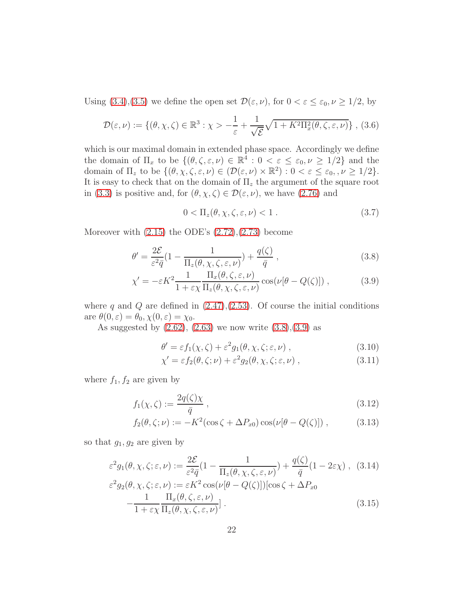Using [\(3.4\)](#page-79-3),[\(3.5\)](#page-79-4) we define the open set  $\mathcal{D}(\varepsilon, \nu)$ , for  $0 < \varepsilon \leq \varepsilon_0, \nu \geq 1/2$ , by

$$
\mathcal{D}(\varepsilon,\nu) := \{(\theta,\chi,\zeta) \in \mathbb{R}^3 : \chi > -\frac{1}{\varepsilon} + \frac{1}{\sqrt{\varepsilon}}\sqrt{1 + K^2 \Pi_x^2(\theta,\zeta,\varepsilon,\nu)}\}, (3.6)
$$

which is our maximal domain in extended phase space. Accordingly we define the domain of  $\Pi_x$  to be  $\{(\theta, \zeta, \varepsilon, \nu) \in \mathbb{R}^4 : 0 < \varepsilon \leq \varepsilon_0, \nu \geq 1/2\}$  and the domain of  $\Pi_z$  to be  $\{(\theta, \chi, \zeta, \varepsilon, \nu) \in (\mathcal{D}(\varepsilon, \nu) \times \mathbb{R}^2) : 0 < \varepsilon \leq \varepsilon_0, \nu \geq 1/2\}.$ It is easy to check that on the domain of  $\Pi_z$  the argument of the square root in [\(3.3\)](#page-79-5) is positive and, for  $(\theta, \chi, \zeta) \in \mathcal{D}(\varepsilon, \nu)$ , we have [\(2.76\)](#page-18-3) and

$$
0 < \Pi_z(\theta, \chi, \zeta, \varepsilon, \nu) < 1 \tag{3.7}
$$

Moreover with  $(2.15)$  the ODE's  $(2.72),(2.73)$  $(2.72),(2.73)$  become

$$
\theta' = \frac{2\mathcal{E}}{\varepsilon^2 \bar{q}} \left( 1 - \frac{1}{\Pi_z(\theta, \chi, \zeta, \varepsilon, \nu)} \right) + \frac{q(\zeta)}{\bar{q}}, \qquad (3.8)
$$

$$
\chi' = -\varepsilon K^2 \frac{1}{1 + \varepsilon \chi} \frac{\Pi_x(\theta, \zeta, \varepsilon, \nu)}{\Pi_z(\theta, \chi, \zeta, \varepsilon, \nu)} \cos(\nu[\theta - Q(\zeta)]) , \qquad (3.9)
$$

where q and Q are defined in  $(2.47),(2.53)$  $(2.47),(2.53)$ . Of course the initial conditions are  $\theta(0,\varepsilon) = \theta_0, \chi(0,\varepsilon) = \chi_0$ .

As suggested by  $(2.62)$ ,  $(2.63)$  we now write  $(3.8)$ , $(3.9)$  as

$$
\theta' = \varepsilon f_1(\chi, \zeta) + \varepsilon^2 g_1(\theta, \chi, \zeta; \varepsilon, \nu) , \qquad (3.10)
$$

$$
\chi' = \varepsilon f_2(\theta, \zeta; \nu) + \varepsilon^2 g_2(\theta, \chi, \zeta; \varepsilon, \nu) , \qquad (3.11)
$$

where  $f_1, f_2$  are given by

$$
f_1(\chi,\zeta) := \frac{2q(\zeta)\chi}{\bar{q}}\,,\tag{3.12}
$$

$$
f_2(\theta,\zeta;\nu) := -K^2(\cos\zeta + \Delta P_{x0})\cos(\nu[\theta - Q(\zeta)]), \qquad (3.13)
$$

so that  $g_1, g_2$  are given by

$$
\varepsilon^{2} g_{1}(\theta, \chi, \zeta; \varepsilon, \nu) := \frac{2\mathcal{E}}{\varepsilon^{2} \bar{q}} \left(1 - \frac{1}{\Pi_{z}(\theta, \chi, \zeta, \varepsilon, \nu)}\right) + \frac{q(\zeta)}{\bar{q}} \left(1 - 2\varepsilon\chi\right), \quad (3.14)
$$
  

$$
\varepsilon^{2} g_{2}(\theta, \chi, \zeta; \varepsilon, \nu) := \varepsilon K^{2} \cos(\nu[\theta - Q(\zeta)]) [\cos \zeta + \Delta P_{x0} - \frac{1}{1 + \varepsilon\chi} \frac{\Pi_{x}(\theta, \zeta, \varepsilon, \nu)}{\Pi_{z}(\theta, \chi, \zeta, \varepsilon, \nu)}]. \tag{3.15}
$$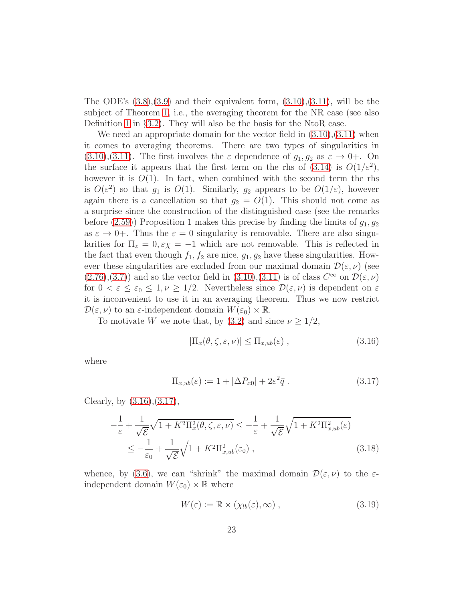The ODE's  $(3.8),(3.9)$  $(3.8),(3.9)$  and their equivalent form,  $(3.10),(3.11)$  $(3.10),(3.11)$ , will be the subject of Theorem [1,](#page-42-0) i.e., the averaging theorem for the NR case (see also Definition [1](#page-25-0) in §[3.2\)](#page-23-0). They will also be the basis for the NtoR case.

We need an appropriate domain for the vector field in  $(3.10),(3.11)$  $(3.10),(3.11)$  when it comes to averaging theorems. There are two types of singularities in  $(3.10), (3.11)$  $(3.10), (3.11)$  $(3.10), (3.11)$ . The first involves the  $\varepsilon$  dependence of  $g_1, g_2$  as  $\varepsilon \to 0^+$ . On the surface it appears that the first term on the rhs of  $(3.14)$  is  $O(1/\varepsilon^2)$ , however it is  $O(1)$ . In fact, when combined with the second term the rhs is  $O(\varepsilon^2)$  so that  $g_1$  is  $O(1)$ . Similarly,  $g_2$  appears to be  $O(1/\varepsilon)$ , however again there is a cancellation so that  $g_2 = O(1)$ . This should not come as a surprise since the construction of the distinguished case (see the remarks before [\(2.59\)](#page-16-2)) Proposition 1 makes this precise by finding the limits of  $g_1, g_2$ as  $\varepsilon \to 0+$ . Thus the  $\varepsilon = 0$  singularity is removable. There are also singularities for  $\Pi_z = 0, \varepsilon \chi = -1$  which are not removable. This is reflected in the fact that even though  $f_1, f_2$  are nice,  $g_1, g_2$  have these singularities. However these singularities are excluded from our maximal domain  $\mathcal{D}(\varepsilon,\nu)$  (see  $(2.76),(3.7))$  $(2.76),(3.7))$  $(2.76),(3.7))$  $(2.76),(3.7))$  and so the vector field in  $(3.10),(3.11)$  $(3.10),(3.11)$  is of class  $C^{\infty}$  on  $\mathcal{D}(\varepsilon,\nu)$ for  $0 < \varepsilon \leq \varepsilon_0 \leq 1, \nu \geq 1/2$ . Nevertheless since  $\mathcal{D}(\varepsilon, \nu)$  is dependent on  $\varepsilon$ it is inconvenient to use it in an averaging theorem. Thus we now restrict  $\mathcal{D}(\varepsilon,\nu)$  to an  $\varepsilon$ -independent domain  $W(\varepsilon_0)\times\mathbb{R}$ .

To motivate W we note that, by [\(3.2\)](#page-79-5) and since  $\nu \geq 1/2$ ,

$$
|\Pi_x(\theta,\zeta,\varepsilon,\nu)| \le \Pi_{x,ub}(\varepsilon) , \qquad (3.16)
$$

where

$$
\Pi_{x,ub}(\varepsilon) := 1 + |\Delta P_{x0}| + 2\varepsilon^2 \bar{q} \ . \tag{3.17}
$$

Clearly, by [\(3.16\)](#page-81-1),[\(3.17\)](#page-81-2),

$$
-\frac{1}{\varepsilon} + \frac{1}{\sqrt{\varepsilon}} \sqrt{1 + K^2 \Pi_x^2(\theta, \zeta, \varepsilon, \nu)} \le -\frac{1}{\varepsilon} + \frac{1}{\sqrt{\varepsilon}} \sqrt{1 + K^2 \Pi_{x,ub}^2(\varepsilon)}
$$
  

$$
\le -\frac{1}{\varepsilon_0} + \frac{1}{\sqrt{\varepsilon}} \sqrt{1 + K^2 \Pi_{x,ub}^2(\varepsilon_0)},
$$
(3.18)

whence, by [\(3.6\)](#page-79-6), we can "shrink" the maximal domain  $\mathcal{D}(\varepsilon,\nu)$  to the  $\varepsilon$ independent domain  $W(\varepsilon_0) \times \mathbb{R}$  where

$$
W(\varepsilon) := \mathbb{R} \times (\chi_{lb}(\varepsilon), \infty) , \qquad (3.19)
$$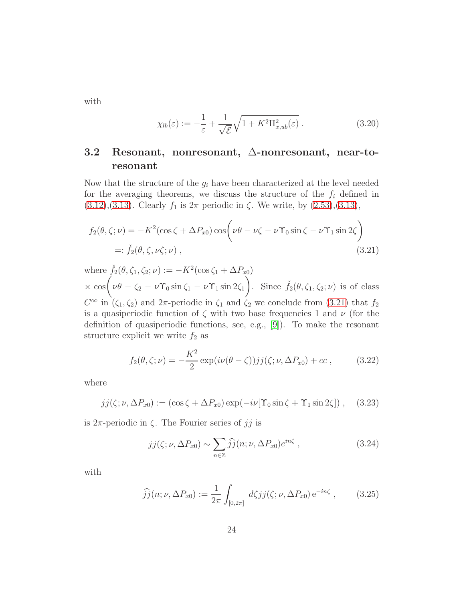with

$$
\chi_{lb}(\varepsilon) := -\frac{1}{\varepsilon} + \frac{1}{\sqrt{\varepsilon}} \sqrt{1 + K^2 \Pi_{x,ub}^2(\varepsilon)} . \tag{3.20}
$$

## <span id="page-23-0"></span>3.2 Resonant, nonresonant, ∆-nonresonant, near-toresonant

Now that the structure of the  $g_i$  have been characterized at the level needed for the averaging theorems, we discuss the structure of the  $f_i$  defined in [\(3.12\)](#page-81-3),[\(3.13\)](#page-81-3). Clearly  $f_1$  is  $2\pi$  periodic in  $\zeta$ . We write, by [\(2.53\)](#page-16-4),(3.13),

$$
f_2(\theta, \zeta; \nu) = -K^2(\cos \zeta + \Delta P_{x0}) \cos \left(\nu\theta - \nu\zeta - \nu\Upsilon_0 \sin \zeta - \nu\Upsilon_1 \sin 2\zeta\right)
$$
  
=:  $\check{f}_2(\theta, \zeta, \nu\zeta; \nu)$ , (3.21)

where  $\check{f}_2(\theta, \zeta_1, \zeta_2; \nu) := -K^2(\cos \zeta_1 + \Delta P_{x_0})$  $\times \cos \left( \nu \theta - \zeta_2 - \nu \Upsilon_0 \sin \zeta_1 - \nu \Upsilon_1 \sin 2\zeta_1 \right)$ ). Since  $\check{f}_2(\theta,\zeta_1,\zeta_2;\nu)$  is of class  $C^{\infty}$  in  $(\zeta_1, \zeta_2)$  and  $2\pi$ -periodic in  $\zeta_1$  and  $\zeta_2$  we conclude from [\(3.21\)](#page-81-4) that  $f_2$ is a quasiperiodic function of  $\zeta$  with two base frequencies 1 and  $\nu$  (for the definition of quasiperiodic functions, see, e.g., [\[9\]](#page-98-0)). To make the resonant structure explicit we write  $f_2$  as

$$
f_2(\theta,\zeta;\nu) = -\frac{K^2}{2} \exp(i\nu(\theta-\zeta))jj(\zeta;\nu,\Delta P_{x0}) + cc , \qquad (3.22)
$$

where

$$
jj(\zeta;\nu,\Delta P_{x0}) := (\cos\zeta + \Delta P_{x0})\exp(-i\nu[\Upsilon_0\sin\zeta + \Upsilon_1\sin 2\zeta]) , \quad (3.23)
$$

is  $2\pi$ -periodic in  $\zeta$ . The Fourier series of jj is

$$
jj(\zeta; \nu, \Delta P_{x0}) \sim \sum_{n \in \mathbb{Z}} \hat{j}j(n; \nu, \Delta P_{x0})e^{in\zeta}, \qquad (3.24)
$$

with

$$
\widehat{j}\widehat{j}(n;\nu,\Delta P_{x0}) := \frac{1}{2\pi} \int_{[0,2\pi]} d\zeta j j(\zeta;\nu,\Delta P_{x0}) e^{-in\zeta}, \qquad (3.25)
$$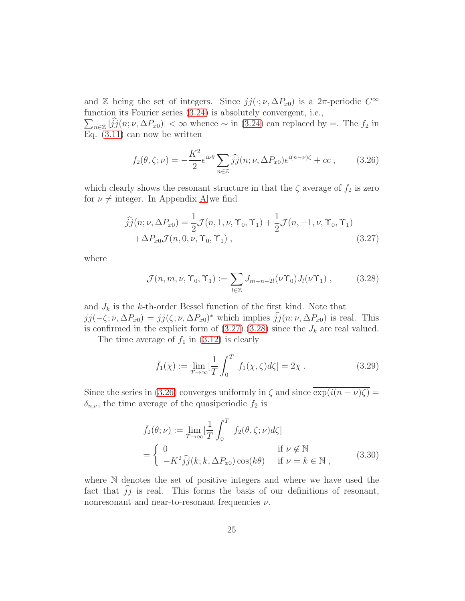and Z being the set of integers. Since  $jj(\cdot;\nu,\Delta P_{x0})$  is a  $2\pi$ -periodic  $C^{\infty}$ function its Fourier series [\(3.24\)](#page-82-0) is absolutely convergent, i.e.,

 $\sum_{n\in\mathbb{Z}}|\hat{j}(n;\nu,\Delta P_{x0})|<\infty$  whence  $\sim$  in [\(3.24\)](#page-82-0) can replaced by =. The  $f_2$  in Eq. [\(3.11\)](#page-80-1) can now be written

$$
f_2(\theta,\zeta;\nu) = -\frac{K^2}{2}e^{i\nu\theta}\sum_{n\in\mathbb{Z}}\widehat{j}\widehat{j}(n;\nu,\Delta P_{x0})e^{i(n-\nu)\zeta} + cc\,,\qquad(3.26)
$$

which clearly shows the resonant structure in that the  $\zeta$  average of  $f_2$  is zero for  $\nu \neq$  integer. In [A](#page-73-0)ppendix A we find

$$
\hat{j}j(n;\nu,\Delta P_{x0}) = \frac{1}{2}\mathcal{J}(n,1,\nu,\Upsilon_0,\Upsilon_1) + \frac{1}{2}\mathcal{J}(n,-1,\nu,\Upsilon_0,\Upsilon_1) \n+ \Delta P_{x0}\mathcal{J}(n,0,\nu,\Upsilon_0,\Upsilon_1) ,
$$
\n(3.27)

where

$$
\mathcal{J}(n,m,\nu,\Upsilon_0,\Upsilon_1) := \sum_{l \in \mathbb{Z}} J_{m-n-2l}(\nu \Upsilon_0) J_l(\nu \Upsilon_1) , \qquad (3.28)
$$

and  $J_k$  is the k-th-order Bessel function of the first kind. Note that  $jj(-\zeta;\nu,\Delta P_{x0}) = jj(\zeta;\nu,\Delta P_{x0})^*$  which implies  $jj(n;\nu,\Delta P_{x0})$  is real. This is confirmed in the explicit form of  $(3.27),(3.28)$  $(3.27),(3.28)$  since the  $J_k$  are real valued.

The time average of  $f_1$  in [\(3.12\)](#page-81-3) is clearly

$$
\bar{f}_1(\chi) := \lim_{T \to \infty} \left[ \frac{1}{T} \int_0^T f_1(\chi, \zeta) d\zeta \right] = 2\chi \,. \tag{3.29}
$$

Since the series in [\(3.26\)](#page-82-2) converges uniformly in  $\zeta$  and since  $\overline{\exp(i(n-\nu)\zeta)}$  =  $\delta_{n,\nu}$ , the time average of the quasiperiodic  $f_2$  is

$$
\bar{f}_2(\theta; \nu) := \lim_{T \to \infty} \left[ \frac{1}{T} \int_0^T f_2(\theta, \zeta; \nu) d\zeta \right]
$$
\n
$$
= \begin{cases}\n0 & \text{if } \nu \notin \mathbb{N} \\
-K^2 \hat{j}(\kappa; k, \Delta P_{x0}) \cos(k\theta) & \text{if } \nu = k \in \mathbb{N},\n\end{cases}
$$
\n(3.30)

where N denotes the set of positive integers and where we have used the fact that  $jj$  is real. This forms the basis of our definitions of resonant, nonresonant and near-to-resonant frequencies  $\nu$ .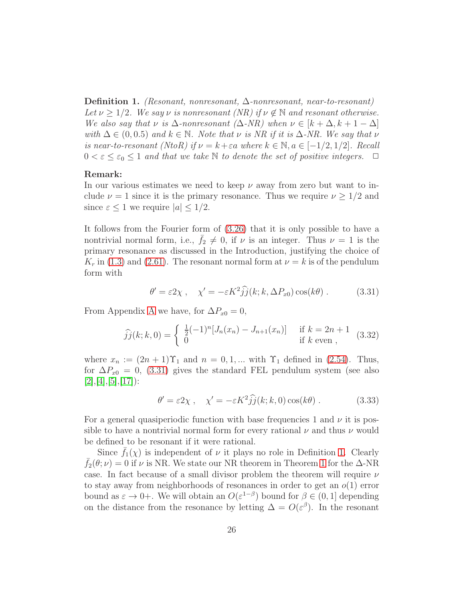<span id="page-25-0"></span>Definition 1. (Resonant, nonresonant, ∆-nonresonant, near-to-resonant) Let  $\nu \geq 1/2$ . We say  $\nu$  is nonresonant (NR) if  $\nu \notin \mathbb{N}$  and resonant otherwise. We also say that  $\nu$  is  $\Delta$ -nonresonant  $(\Delta$ -NR) when  $\nu \in [k + \Delta, k + 1 - \Delta]$ with  $\Delta \in (0, 0.5)$  and  $k \in \mathbb{N}$ . Note that  $\nu$  is NR if it is  $\Delta$ -NR. We say that  $\nu$ is near-to-resonant (NtoR) if  $\nu = k + \varepsilon a$  where  $k \in \mathbb{N}, a \in [-1/2, 1/2]$ . Recall  $0 < \varepsilon \leq \varepsilon_0 \leq 1$  and that we take N to denote the set of positive integers.  $\Box$ 

#### Remark:

In our various estimates we need to keep  $\nu$  away from zero but want to include  $\nu = 1$  since it is the primary resonance. Thus we require  $\nu \geq 1/2$  and since  $\varepsilon \leq 1$  we require  $|a| \leq 1/2$ .

It follows from the Fourier form of [\(3.26\)](#page-82-2) that it is only possible to have a nontrivial normal form, i.e.,  $f_2 \neq 0$ , if  $\nu$  is an integer. Thus  $\nu = 1$  is the primary resonance as discussed in the Introduction, justifying the choice of  $K_r$  in [\(1.3\)](#page-73-4) and [\(2.61\)](#page-17-1). The resonant normal form at  $\nu = k$  is of the pendulum form with

$$
\theta' = \varepsilon 2\chi \,, \quad \chi' = -\varepsilon K^2 \hat{j}\hat{j}(k; k, \Delta P_{x0}) \cos(k\theta) \,. \tag{3.31}
$$

From [A](#page-73-0)ppendix A we have, for  $\Delta P_{x0} = 0$ ,

<span id="page-25-1"></span>
$$
\widehat{jj}(k;k,0) = \begin{cases} \frac{1}{2}(-1)^n [J_n(x_n) - J_{n+1}(x_n)] & \text{if } k = 2n+1 \\ 0 & \text{if } k \text{ even }, \end{cases}
$$
 (3.32)

where  $x_n := (2n + 1)\Upsilon_1$  and  $n = 0, 1, ...$  with  $\Upsilon_1$  defined in [\(2.54\)](#page-16-4). Thus, for  $\Delta P_{x0} = 0$ , [\(3.31\)](#page-83-2) gives the standard FEL pendulum system (see also  $[2], [4], [5], [17]$  $[2], [4], [5], [17]$  $[2], [4], [5], [17]$  $[2], [4], [5], [17]$  $[2], [4], [5], [17]$  $[2], [4], [5], [17]$  $[2], [4], [5], [17]$ :

<span id="page-25-2"></span>
$$
\theta' = \varepsilon 2\chi \,, \quad \chi' = -\varepsilon K^2 \hat{j}\hat{j}(k; k, 0) \cos(k\theta) \,. \tag{3.33}
$$

For a general quasiperiodic function with base frequencies 1 and  $\nu$  it is possible to have a nontrivial normal form for every rational  $\nu$  and thus  $\nu$  would be defined to be resonant if it were rational.

Since  $\bar{f}_1(\chi)$  is independent of  $\nu$  it plays no role in Definition [1.](#page-25-0) Clearly  $\bar{f}_2(\theta;\nu) = 0$  if  $\nu$  is NR. We state our NR theorem in Theorem [1](#page-42-0) for the  $\Delta$ -NR case. In fact because of a small divisor problem the theorem will require  $\nu$ to stay away from neighborhoods of resonances in order to get an  $o(1)$  error bound as  $\varepsilon \to 0+$ . We will obtain an  $O(\varepsilon^{1-\beta})$  bound for  $\beta \in (0,1]$  depending on the distance from the resonance by letting  $\Delta = O(\varepsilon^{\beta})$ . In the resonant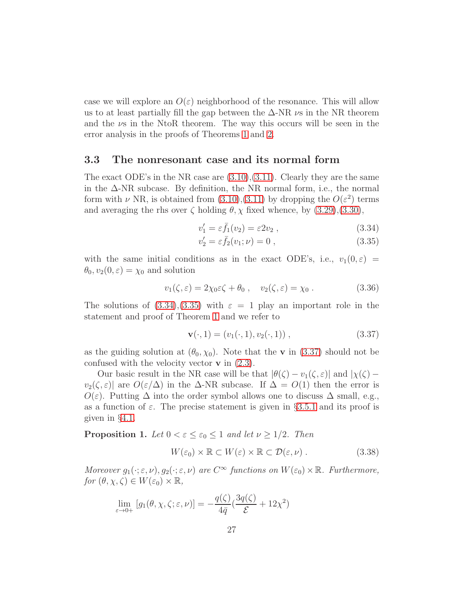case we will explore an  $O(\varepsilon)$  neighborhood of the resonance. This will allow us to at least partially fill the gap between the  $\Delta$ -NR  $\nu$ s in the NR theorem and the  $\nu s$  in the NtoR theorem. The way this occurs will be seen in the error analysis in the proofs of Theorems [1](#page-42-0) and [2.](#page-47-0)

## <span id="page-26-0"></span>3.3 The nonresonant case and its normal form

The exact ODE's in the NR case are  $(3.10),(3.11)$  $(3.10),(3.11)$ . Clearly they are the same in the ∆-NR subcase. By definition, the NR normal form, i.e., the normal form with  $\nu$  NR, is obtained from [\(3.10\)](#page-80-1),[\(3.11\)](#page-80-1) by dropping the  $O(\varepsilon^2)$  terms and averaging the rhs over  $\zeta$  holding  $\theta$ ,  $\chi$  fixed whence, by [\(3.29\)](#page-83-3),[\(3.30\)](#page-83-4),

<span id="page-26-1"></span>
$$
v_1' = \varepsilon \bar{f}_1(v_2) = \varepsilon 2v_2 , \qquad (3.34)
$$

$$
v_2' = \varepsilon \bar{f}_2(v_1; \nu) = 0 , \qquad (3.35)
$$

with the same initial conditions as in the exact ODE's, i.e.,  $v_1(0, \varepsilon)$  =  $\theta_0, v_2(0, \varepsilon) = \chi_0$  and solution

$$
v_1(\zeta, \varepsilon) = 2\chi_0 \varepsilon \zeta + \theta_0 , \quad v_2(\zeta, \varepsilon) = \chi_0 . \tag{3.36}
$$

The solutions of  $(3.34),(3.35)$  $(3.34),(3.35)$  with  $\varepsilon = 1$  play an important role in the statement and proof of Theorem [1](#page-42-0) and we refer to

<span id="page-26-2"></span>
$$
\mathbf{v}(\cdot,1) = (v_1(\cdot,1), v_2(\cdot,1)), \qquad (3.37)
$$

as the guiding solution at  $(\theta_0, \chi_0)$ . Note that the **v** in [\(3.37\)](#page-26-2) should not be confused with the velocity vector  $\bf{v}$  in [\(2.3\)](#page-75-1).

Our basic result in the NR case will be that  $|\theta(\zeta) - v_1(\zeta, \varepsilon)|$  and  $|\chi(\zeta)$  $v_2(\zeta, \varepsilon)$  are  $O(\varepsilon/\Delta)$  in the  $\Delta$ -NR subcase. If  $\Delta = O(1)$  then the error is  $O(\varepsilon)$ . Putting  $\Delta$  into the order symbol allows one to discuss  $\Delta$  small, e.g., as a function of  $\varepsilon$ . The precise statement is given in §[3.5.1](#page-39-1) and its proof is given in §[4.1.](#page-56-0)

<span id="page-26-3"></span>**Proposition 1.** Let  $0 < \varepsilon \leq \varepsilon_0 \leq 1$  and let  $\nu \geq 1/2$ . Then

<span id="page-26-4"></span>
$$
W(\varepsilon_0) \times \mathbb{R} \subset W(\varepsilon) \times \mathbb{R} \subset \mathcal{D}(\varepsilon, \nu) . \tag{3.38}
$$

Moreover  $g_1(\cdot; \varepsilon, \nu)$ ,  $g_2(\cdot; \varepsilon, \nu)$  are  $C^{\infty}$  functions on  $W(\varepsilon_0) \times \mathbb{R}$ . Furthermore, for  $(\theta, \chi, \zeta) \in W(\varepsilon_0) \times \mathbb{R}$ ,

<span id="page-26-5"></span>
$$
\lim_{\varepsilon \to 0+} [g_1(\theta, \chi, \zeta; \varepsilon, \nu)] = -\frac{q(\zeta)}{4\bar{q}} \left(\frac{3q(\zeta)}{\mathcal{E}} + 12\chi^2\right)
$$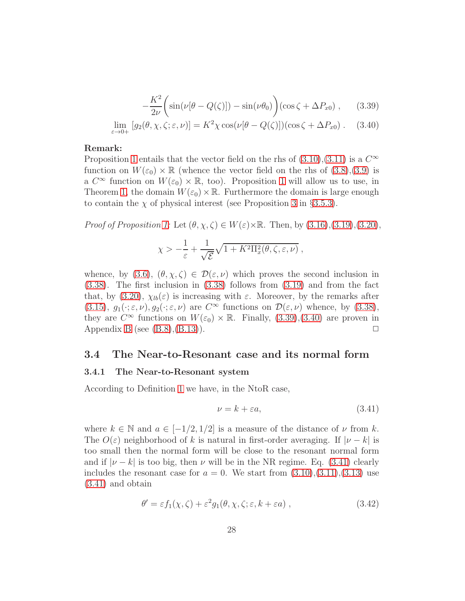$$
-\frac{K^2}{2\nu}\left(\sin(\nu[\theta - Q(\zeta)]) - \sin(\nu\theta_0)\right)(\cos\zeta + \Delta P_{x0}), \qquad (3.39)
$$

$$
\lim_{\varepsilon \to 0+} \left[ g_2(\theta, \chi, \zeta; \varepsilon, \nu) \right] = K^2 \chi \cos(\nu[\theta - Q(\zeta)])(\cos \zeta + \Delta P_{x0}). \quad (3.40)
$$

#### Remark:

Proposition [1](#page-26-3) entails that the vector field on the rhs of  $(3.10),(3.11)$  $(3.10),(3.11)$  is a  $C^{\infty}$ function on  $W(\varepsilon_0) \times \mathbb{R}$  (whence the vector field on the rhs of  $(3.8), (3.9)$  $(3.8), (3.9)$  is  $\alpha C^{\infty}$  function on  $W(\varepsilon_0) \times \mathbb{R}$ , too). Proposition [1](#page-26-3) will allow us to use, in Theorem [1,](#page-42-0) the domain  $W(\varepsilon_0) \times \mathbb{R}$ . Furthermore the domain is large enough to contain the  $\chi$  of physical interest (see Proposition [3](#page-48-1) in §[3.5.3\)](#page-48-0).

Proof of Proposition [1:](#page-26-3) Let  $(\theta, \chi, \zeta) \in W(\varepsilon) \times \mathbb{R}$ . Then, by  $(3.16), (3.19), (3.20),$  $(3.16), (3.19), (3.20),$  $(3.16), (3.19), (3.20),$  $(3.16), (3.19), (3.20),$  $(3.16), (3.19), (3.20),$ 

$$
\chi > -\frac{1}{\varepsilon} + \frac{1}{\sqrt{\varepsilon}} \sqrt{1 + K^2 \Pi_x^2(\theta, \zeta, \varepsilon, \nu)},
$$

whence, by [\(3.6\)](#page-79-6),  $(\theta, \chi, \zeta) \in \mathcal{D}(\varepsilon, \nu)$  which proves the second inclusion in [\(3.38\)](#page-26-4). The first inclusion in [\(3.38\)](#page-26-4) follows from [\(3.19\)](#page-81-5) and from the fact that, by [\(3.20\)](#page-81-6),  $\chi_{lb}(\varepsilon)$  is increasing with  $\varepsilon$ . Moreover, by the remarks after [\(3.15\)](#page-81-0),  $g_1(\cdot; \varepsilon, \nu)$ ,  $g_2(\cdot; \varepsilon, \nu)$  are  $C^{\infty}$  functions on  $\mathcal{D}(\varepsilon, \nu)$  whence, by [\(3.38\)](#page-26-4), they are  $C^{\infty}$  functions on  $W(\varepsilon_0) \times \mathbb{R}$ . Finally, [\(3.39\)](#page-26-5), [\(3.40\)](#page-26-5) are proven in Appendix [B](#page-74-0) (see  $(B.8), (B.13)$  $(B.8), (B.13)$ ).

### <span id="page-27-1"></span><span id="page-27-0"></span>3.4 The Near-to-Resonant case and its normal form

### 3.4.1 The Near-to-Resonant system

According to Definition [1](#page-25-0) we have, in the NtoR case,

<span id="page-27-2"></span>
$$
\nu = k + \varepsilon a,\tag{3.41}
$$

where  $k \in \mathbb{N}$  and  $a \in [-1/2, 1/2]$  is a measure of the distance of  $\nu$  from k. The  $O(\varepsilon)$  neighborhood of k is natural in first-order averaging. If  $|\nu - k|$  is too small then the normal form will be close to the resonant normal form and if  $|\nu - k|$  is too big, then  $\nu$  will be in the NR regime. Eq. [\(3.41\)](#page-27-2) clearly includes the resonant case for  $a = 0$ . We start from  $(3.10),(3.11),(3.13)$  $(3.10),(3.11),(3.13)$  $(3.10),(3.11),(3.13)$  $(3.10),(3.11),(3.13)$  use [\(3.41\)](#page-27-2) and obtain

<span id="page-27-3"></span>
$$
\theta' = \varepsilon f_1(\chi, \zeta) + \varepsilon^2 g_1(\theta, \chi, \zeta; \varepsilon, k + \varepsilon a) , \qquad (3.42)
$$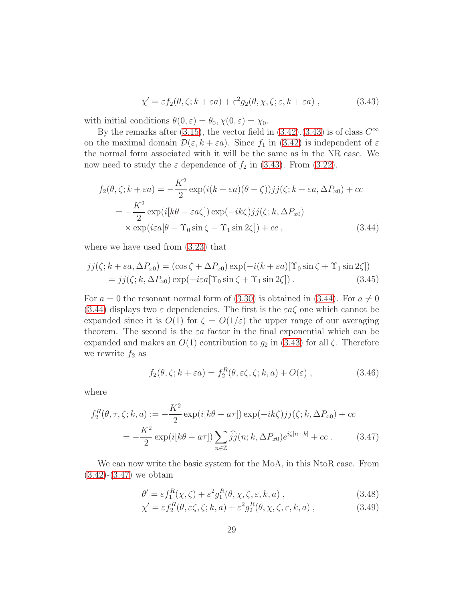$$
\chi' = \varepsilon f_2(\theta, \zeta; k + \varepsilon a) + \varepsilon^2 g_2(\theta, \chi, \zeta; \varepsilon, k + \varepsilon a) , \qquad (3.43)
$$

with initial conditions  $\theta(0, \varepsilon) = \theta_0, \chi(0, \varepsilon) = \chi_0$ .

By the remarks after [\(3.15\)](#page-81-0), the vector field in  $(3.42),(3.43)$  $(3.42),(3.43)$  is of class  $C^{\infty}$ on the maximal domain  $\mathcal{D}(\varepsilon, k + \varepsilon a)$ . Since  $f_1$  in [\(3.42\)](#page-27-3) is independent of  $\varepsilon$ the normal form associated with it will be the same as in the NR case. We now need to study the  $\varepsilon$  dependence of  $f_2$  in [\(3.43\)](#page-27-3). From [\(3.22\)](#page-82-3),

<span id="page-28-0"></span>
$$
f_2(\theta, \zeta; k + \varepsilon a) = -\frac{K^2}{2} \exp(i(k + \varepsilon a)(\theta - \zeta))jj(\zeta; k + \varepsilon a, \Delta P_{x0}) + cc
$$
  
= 
$$
-\frac{K^2}{2} \exp(i[k\theta - \varepsilon a\zeta]) \exp(-ik\zeta)jj(\zeta; k, \Delta P_{x0})
$$
  

$$
\times \exp(iea[\theta - \Upsilon_0 \sin \zeta - \Upsilon_1 \sin 2\zeta]) + cc ,
$$
 (3.44)

where we have used from [\(3.23\)](#page-82-4) that

$$
jj(\zeta; k + \varepsilon a, \Delta P_{x0}) = (\cos \zeta + \Delta P_{x0}) \exp(-i(k + \varepsilon a)[\Upsilon_0 \sin \zeta + \Upsilon_1 \sin 2\zeta])
$$
  
=  $jj(\zeta; k, \Delta P_{x0}) \exp(-i\varepsilon a[\Upsilon_0 \sin \zeta + \Upsilon_1 \sin 2\zeta]).$  (3.45)

For  $a = 0$  the resonant normal form of [\(3.30\)](#page-83-4) is obtained in [\(3.44\)](#page-28-0). For  $a \neq 0$ [\(3.44\)](#page-28-0) displays two  $\varepsilon$  dependencies. The first is the  $\varepsilon a\zeta$  one which cannot be expanded since it is  $O(1)$  for  $\zeta = O(1/\varepsilon)$  the upper range of our averaging theorem. The second is the  $\varepsilon a$  factor in the final exponential which can be expanded and makes an  $O(1)$  contribution to  $g_2$  in [\(3.43\)](#page-27-3) for all  $\zeta$ . Therefore we rewrite  $f_2$  as

$$
f_2(\theta, \zeta; k + \varepsilon a) = f_2^R(\theta, \varepsilon \zeta, \zeta; k, a) + O(\varepsilon) , \qquad (3.46)
$$

where

<span id="page-28-1"></span>
$$
f_2^R(\theta, \tau, \zeta; k, a) := -\frac{K^2}{2} \exp(i[k\theta - a\tau]) \exp(-ik\zeta) jj(\zeta; k, \Delta P_{x0}) + cc
$$
  

$$
= -\frac{K^2}{2} \exp(i[k\theta - a\tau]) \sum_{n \in \mathbb{Z}} \hat{j}j(n; k, \Delta P_{x0}) e^{i\zeta[n-k]} + cc . \tag{3.47}
$$

We can now write the basic system for the MoA, in this NtoR case. From  $(3.42)$ - $(3.47)$  we obtain

<span id="page-28-2"></span>
$$
\theta' = \varepsilon f_1^R(\chi, \zeta) + \varepsilon^2 g_1^R(\theta, \chi, \zeta, \varepsilon, k, a) , \qquad (3.48)
$$

$$
\chi' = \varepsilon f_2^R(\theta, \varepsilon \zeta, \zeta; k, a) + \varepsilon^2 g_2^R(\theta, \chi, \zeta, \varepsilon, k, a) , \qquad (3.49)
$$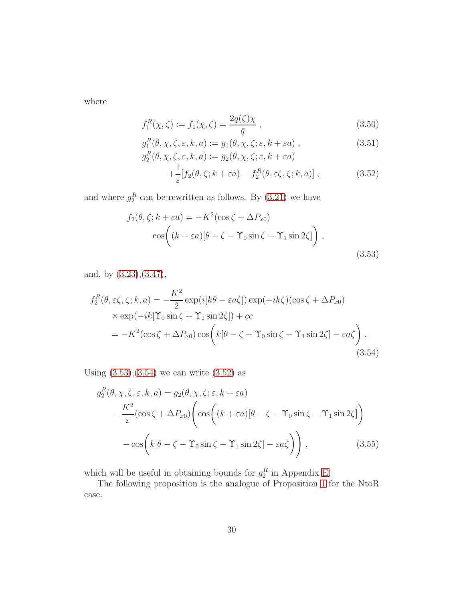where

<span id="page-29-2"></span>
$$
f_1^R(\chi, \zeta) := f_1(\chi, \zeta) = \frac{2q(\zeta)\chi}{\bar{q}} , \qquad (3.50)
$$

$$
g_1^R(\theta, \chi, \zeta, \varepsilon, k, a) := g_1(\theta, \chi, \zeta; \varepsilon, k + \varepsilon a) ,
$$
 (3.51)

$$
g_2^R(\theta, \chi, \zeta, \varepsilon, k, a) := g_2(\theta, \chi, \zeta; \varepsilon, k + \varepsilon a)
$$
  
 
$$
+ \frac{1}{\varepsilon} [f_2(\theta, \zeta; k + \varepsilon a) - f_2^R(\theta, \varepsilon \zeta, \zeta; k, a)], \qquad (3.52)
$$

and where  $g_2^R$  can be rewritten as follows. By  $(3.21)$  we have

<span id="page-29-0"></span>
$$
f_2(\theta, \zeta; k + \varepsilon a) = -K^2(\cos \zeta + \Delta P_{x0})
$$

$$
\cos\left((k + \varepsilon a)[\theta - \zeta - \Upsilon_0 \sin \zeta - \Upsilon_1 \sin 2\zeta]\right),
$$
(3.53)

and, by [\(3.23\)](#page-82-4),[\(3.47\)](#page-28-1),

<span id="page-29-1"></span>
$$
f_2^R(\theta, \varepsilon \zeta, \zeta; k, a) = -\frac{K^2}{2} \exp(i[k\theta - \varepsilon a \zeta]) \exp(-ik\zeta)(\cos \zeta + \Delta P_{x0})
$$
  
×  $\exp(-ik[\Upsilon_0 \sin \zeta + \Upsilon_1 \sin 2\zeta]) + cc$   
=  $-K^2(\cos \zeta + \Delta P_{x0}) \cos \left(k[\theta - \zeta - \Upsilon_0 \sin \zeta - \Upsilon_1 \sin 2\zeta] - \varepsilon a \zeta\right).$  (3.54)

Using  $(3.53),(3.54)$  $(3.53),(3.54)$  we can write  $(3.52)$  as

$$
g_2^R(\theta, \chi, \zeta, \varepsilon, k, a) = g_2(\theta, \chi, \zeta; \varepsilon, k + \varepsilon a)
$$
  
 
$$
- \frac{K^2}{\varepsilon} (\cos \zeta + \Delta P_{x0}) \left( \cos \left( (k + \varepsilon a) [\theta - \zeta - \Upsilon_0 \sin \zeta - \Upsilon_1 \sin 2\zeta] \right) - \cos \left( k[\theta - \zeta - \Upsilon_0 \sin \zeta - \Upsilon_1 \sin 2\zeta] - \varepsilon a \zeta \right) \right), \tag{3.55}
$$

which will be useful in obtaining bounds for  $g_2^R$  in Appendix [E.](#page-86-0)

The following proposition is the analogue of Proposition [1](#page-26-3) for the NtoR case.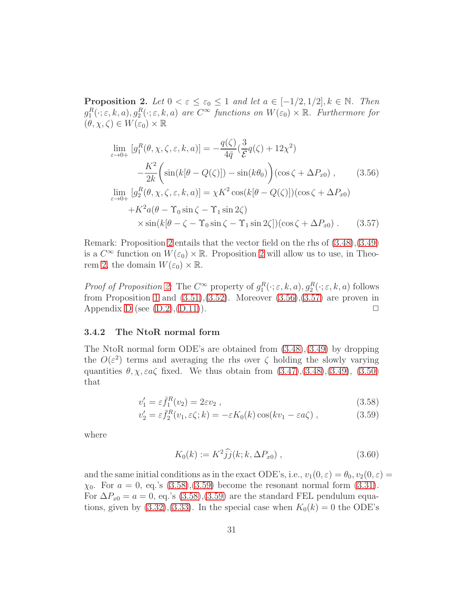<span id="page-30-1"></span>**Proposition 2.** Let  $0 < \varepsilon \leq \varepsilon_0 \leq 1$  and let  $a \in [-1/2, 1/2], k \in \mathbb{N}$ . Then  $g_1^R(\cdot; \varepsilon, k, a), g_2^R(\cdot; \varepsilon, k, a)$  are  $C^{\infty}$  functions on  $W(\varepsilon_0) \times \mathbb{R}$ . Furthermore for  $(\theta, \chi, \zeta) \in W(\varepsilon_0) \times \mathbb{R}$ 

<span id="page-30-2"></span>
$$
\lim_{\varepsilon \to 0+} \left[ g_1^R(\theta, \chi, \zeta, \varepsilon, k, a) \right] = -\frac{q(\zeta)}{4\bar{q}} \left( \frac{3}{\mathcal{E}} q(\zeta) + 12\chi^2 \right)
$$
\n
$$
-\frac{K^2}{2k} \left( \sin(k[\theta - Q(\zeta)]) - \sin(k\theta_0) \right) (\cos \zeta + \Delta P_{x0}), \qquad (3.56)
$$
\n
$$
\lim_{\varepsilon \to 0+} \left[ g_2^R(\theta, \chi, \zeta, \varepsilon, k, a) \right] = \chi K^2 \cos(k[\theta - Q(\zeta)])(\cos \zeta + \Delta P_{x0})
$$
\n
$$
+K^2 a(\theta - \Upsilon_0 \sin \zeta - \Upsilon_1 \sin 2\zeta)
$$
\n
$$
\times \sin(k[\theta - \zeta - \Upsilon_0 \sin \zeta - \Upsilon_1 \sin 2\zeta])(\cos \zeta + \Delta P_{x0}). \qquad (3.57)
$$

Remark: Proposition [2](#page-30-1) entails that the vector field on the rhs of [\(3.48\)](#page-28-2),[\(3.49\)](#page-28-2) is a  $C^{\infty}$  function on  $W(\varepsilon_0) \times \mathbb{R}$ . Proposition [2](#page-30-1) will allow us to use, in Theo-rem [2,](#page-47-0) the domain  $W(\varepsilon_0) \times \mathbb{R}$ .

Proof of Proposition [2:](#page-30-1) The  $C^{\infty}$  property of  $g_1^R(\cdot; \varepsilon, k, a), g_2^R(\cdot; \varepsilon, k, a)$  follows from Proposition [1](#page-26-3) and  $(3.51),(3.52)$  $(3.51),(3.52)$ . Moreover  $(3.56),(3.57)$  $(3.56),(3.57)$  are proven in Appendix [D](#page-83-0) (see  $(D.2),(D.11)$  $(D.2),(D.11)$ ).

#### <span id="page-30-0"></span>3.4.2 The NtoR normal form

The NtoR normal form ODE's are obtained from [\(3.48\)](#page-28-2),[\(3.49\)](#page-28-2) by dropping the  $O(\varepsilon^2)$  terms and averaging the rhs over  $\zeta$  holding the slowly varying quantities  $\theta$ ,  $\chi$ ,  $\varepsilon a \zeta$  fixed. We thus obtain from  $(3.47),(3.48),(3.49),(3.50)$  $(3.47),(3.48),(3.49),(3.50)$  $(3.47),(3.48),(3.49),(3.50)$  $(3.47),(3.48),(3.49),(3.50)$  $(3.47),(3.48),(3.49),(3.50)$ that

<span id="page-30-3"></span>
$$
v_1' = \varepsilon \bar{f}_1^R(v_2) = 2\varepsilon v_2 , \qquad (3.58)
$$

$$
v_2' = \varepsilon \bar{f}_2^R(v_1, \varepsilon \zeta; k) = -\varepsilon K_0(k) \cos(kv_1 - \varepsilon a \zeta) , \qquad (3.59)
$$

where

$$
K_0(k) := K^2 \hat{j} (k; k, \Delta P_{x0}), \qquad (3.60)
$$

and the same initial conditions as in the exact ODE's, i.e.,  $v_1(0, \varepsilon) = \theta_0$ ,  $v_2(0, \varepsilon) =$  $\chi_0$ . For  $a = 0$ , eq.'s  $(3.58)$ , $(3.59)$  become the resonant normal form  $(3.31)$ . For  $\Delta P_{x0} = a = 0$ , eq.'s [\(3.58\)](#page-30-3),[\(3.59\)](#page-30-3) are the standard FEL pendulum equations, given by  $(3.32),(3.33)$  $(3.32),(3.33)$ . In the special case when  $K_0(k) = 0$  the ODE's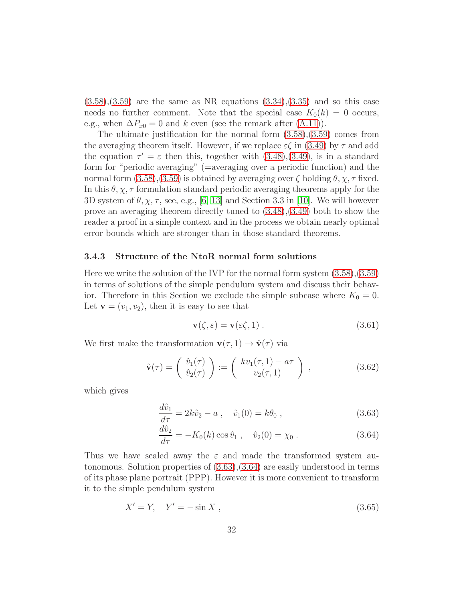$(3.58)$ , $(3.59)$  are the same as NR equations  $(3.34)$ , $(3.35)$  and so this case needs no further comment. Note that the special case  $K_0(k) = 0$  occurs, e.g., when  $\Delta P_{x0} = 0$  and k even (see the remark after [\(A.11\)](#page-74-1)).

The ultimate justification for the normal form  $(3.58),(3.59)$  $(3.58),(3.59)$  comes from the averaging theorem itself. However, if we replace  $\varepsilon \zeta$  in [\(3.49\)](#page-28-2) by  $\tau$  and add the equation  $\tau' = \varepsilon$  then this, together with  $(3.48), (3.49)$  $(3.48), (3.49)$ , is in a standard form for "periodic averaging" (=averaging over a periodic function) and the normal form  $(3.58)$ , $(3.59)$  is obtained by averaging over  $\zeta$  holding  $\theta$ ,  $\chi$ ,  $\tau$  fixed. In this  $\theta$ ,  $\chi$ ,  $\tau$  formulation standard periodic averaging theorems apply for the 3D system of  $\theta$ ,  $\chi$ ,  $\tau$ , see, e.g., [\[6,](#page-97-5) [13\]](#page-98-4) and Section 3.3 in [\[10\]](#page-98-1). We will however prove an averaging theorem directly tuned to [\(3.48\)](#page-28-2),[\(3.49\)](#page-28-2) both to show the reader a proof in a simple context and in the process we obtain nearly optimal error bounds which are stronger than in those standard theorems.

#### <span id="page-31-0"></span>3.4.3 Structure of the NtoR normal form solutions

Here we write the solution of the IVP for the normal form system [\(3.58\)](#page-30-3),[\(3.59\)](#page-30-3) in terms of solutions of the simple pendulum system and discuss their behavior. Therefore in this Section we exclude the simple subcase where  $K_0 = 0$ . Let  $\mathbf{v} = (v_1, v_2)$ , then it is easy to see that

<span id="page-31-2"></span>
$$
\mathbf{v}(\zeta,\varepsilon) = \mathbf{v}(\varepsilon\zeta,1) \,. \tag{3.61}
$$

We first make the transformation  $\mathbf{v}(\tau, 1) \to \hat{\mathbf{v}}(\tau)$  via

<span id="page-31-3"></span>
$$
\hat{\mathbf{v}}(\tau) = \begin{pmatrix} \hat{v}_1(\tau) \\ \hat{v}_2(\tau) \end{pmatrix} := \begin{pmatrix} kv_1(\tau, 1) - a\tau \\ v_2(\tau, 1) \end{pmatrix}, \qquad (3.62)
$$

which gives

<span id="page-31-1"></span>
$$
\frac{d\hat{v}_1}{d\tau} = 2k\hat{v}_2 - a \ , \quad \hat{v}_1(0) = k\theta_0 \ , \tag{3.63}
$$

$$
\frac{d\hat{v}_2}{d\tau} = -K_0(k)\cos\hat{v}_1 , \quad \hat{v}_2(0) = \chi_0 . \tag{3.64}
$$

Thus we have scaled away the  $\varepsilon$  and made the transformed system autonomous. Solution properties of [\(3.63\)](#page-31-1),[\(3.64\)](#page-31-1) are easily understood in terms of its phase plane portrait (PPP). However it is more convenient to transform it to the simple pendulum system

<span id="page-31-4"></span>
$$
X' = Y, \quad Y' = -\sin X \,, \tag{3.65}
$$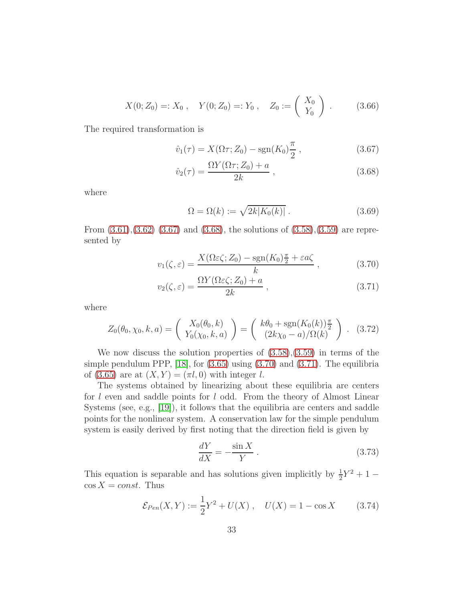$$
X(0; Z_0) =: X_0 , \quad Y(0; Z_0) =: Y_0 , \quad Z_0 := \begin{pmatrix} X_0 \\ Y_0 \end{pmatrix} .
$$
 (3.66)

The required transformation is

<span id="page-32-0"></span>
$$
\hat{v}_1(\tau) = X(\Omega \tau; Z_0) - \text{sgn}(K_0) \frac{\pi}{2}, \qquad (3.67)
$$

$$
\hat{v}_2(\tau) = \frac{\Omega Y(\Omega \tau; Z_0) + a}{2k} ,\qquad(3.68)
$$

where

$$
\Omega = \Omega(k) := \sqrt{2k|K_0(k)|} . \tag{3.69}
$$

From  $(3.61),(3.62)$  $(3.61),(3.62)$   $(3.67)$  and  $(3.68)$ , the solutions of  $(3.58),(3.59)$  $(3.58),(3.59)$  are represented by

<span id="page-32-1"></span>
$$
v_1(\zeta, \varepsilon) = \frac{X(\Omega \varepsilon \zeta; Z_0) - \text{sgn}(K_0) \frac{\pi}{2} + \varepsilon a \zeta}{k}, \qquad (3.70)
$$

$$
v_2(\zeta, \varepsilon) = \frac{\Omega Y(\Omega \varepsilon \zeta; Z_0) + a}{2k} , \qquad (3.71)
$$

where

<span id="page-32-2"></span>
$$
Z_0(\theta_0, \chi_0, k, a) = \begin{pmatrix} X_0(\theta_0, k) \\ Y_0(\chi_0, k, a) \end{pmatrix} = \begin{pmatrix} k\theta_0 + \text{sgn}(K_0(k))\frac{\pi}{2} \\ (2k\chi_0 - a)/\Omega(k) \end{pmatrix} . \tag{3.72}
$$

We now discuss the solution properties of  $(3.58),(3.59)$  $(3.58),(3.59)$  in terms of the simple pendulum PPP,  $[18]$ , for  $(3.65)$  using  $(3.70)$  and  $(3.71)$ . The equilibria of [\(3.65\)](#page-31-4) are at  $(X, Y) = (\pi l, 0)$  with integer l.

The systems obtained by linearizing about these equilibria are centers for  $l$  even and saddle points for  $l$  odd. From the theory of Almost Linear Systems (see, e.g., [\[19\]](#page-98-10)), it follows that the equilibria are centers and saddle points for the nonlinear system. A conservation law for the simple pendulum system is easily derived by first noting that the direction field is given by

$$
\frac{dY}{dX} = -\frac{\sin X}{Y} \,. \tag{3.73}
$$

This equation is separable and has solutions given implicitly by  $\frac{1}{2}Y^2 + 1 \cos X = const.$  Thus

<span id="page-32-3"></span>
$$
\mathcal{E}_{Pen}(X,Y) := \frac{1}{2}Y^2 + U(X) , \quad U(X) = 1 - \cos X \qquad (3.74)
$$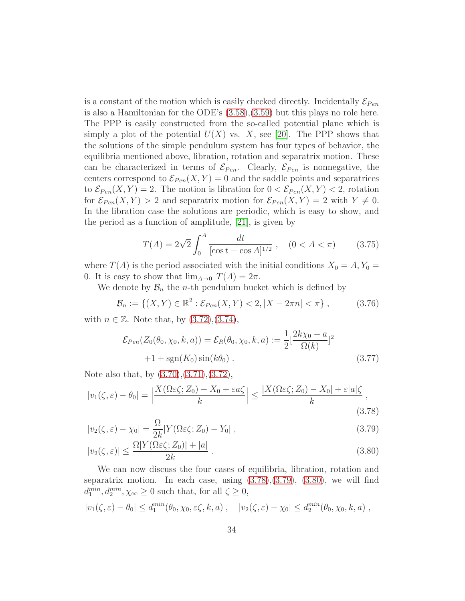is a constant of the motion which is easily checked directly. Incidentally  $\mathcal{E}_{Pen}$ is also a Hamiltonian for the ODE's [\(3.58\)](#page-30-3),[\(3.59\)](#page-30-3) but this plays no role here. The PPP is easily constructed from the so-called potential plane which is simply a plot of the potential  $U(X)$  vs. X, see [\[20\]](#page-99-0). The PPP shows that the solutions of the simple pendulum system has four types of behavior, the equilibria mentioned above, libration, rotation and separatrix motion. These can be characterized in terms of  $\mathcal{E}_{Pen}$ . Clearly,  $\mathcal{E}_{Pen}$  is nonnegative, the centers correspond to  $\mathcal{E}_{Pen}(X, Y) = 0$  and the saddle points and separatrices to  $\mathcal{E}_{Pen}(X, Y) = 2$ . The motion is libration for  $0 < \mathcal{E}_{Pen}(X, Y) < 2$ , rotation for  $\mathcal{E}_{Pen}(X, Y) > 2$  and separatrix motion for  $\mathcal{E}_{Pen}(X, Y) = 2$  with  $Y \neq 0$ . In the libration case the solutions are periodic, which is easy to show, and the period as a function of amplitude, [\[21\]](#page-99-1), is given by

$$
T(A) = 2\sqrt{2} \int_0^A \frac{dt}{[\cos t - \cos A]^{1/2}}, \quad (0 < A < \pi) \tag{3.75}
$$

where  $T(A)$  is the period associated with the initial conditions  $X_0 = A, Y_0 =$ 0. It is easy to show that  $\lim_{A\to 0} T(A) = 2\pi$ .

We denote by  $\mathcal{B}_n$  the *n*-th pendulum bucket which is defined by

$$
\mathcal{B}_n := \{ (X, Y) \in \mathbb{R}^2 : \mathcal{E}_{Pen}(X, Y) < 2, |X - 2\pi n| < \pi \},\tag{3.76}
$$

with  $n \in \mathbb{Z}$ . Note that, by  $(3.72), (3.74),$  $(3.72), (3.74),$  $(3.72), (3.74),$ 

$$
\mathcal{E}_{Pen}(Z_0(\theta_0, \chi_0, k, a)) = \mathcal{E}_R(\theta_0, \chi_0, k, a) := \frac{1}{2} \left[\frac{2k\chi_0 - a}{\Omega(k)}\right]^2
$$
  
 
$$
+1 + \text{sgn}(K_0) \sin(k\theta_0) .
$$
 (3.77)

Note also that, by [\(3.70\)](#page-32-1),[\(3.71\)](#page-32-1),[\(3.72\)](#page-32-2),

<span id="page-33-0"></span>
$$
|v_1(\zeta, \varepsilon) - \theta_0| = \left| \frac{X(\Omega \varepsilon \zeta; Z_0) - X_0 + \varepsilon a \zeta}{k} \right| \le \frac{|X(\Omega \varepsilon \zeta; Z_0) - X_0| + \varepsilon |a| \zeta}{k},
$$
\n(3.78)

$$
|v_2(\zeta,\varepsilon) - \chi_0| = \frac{\Omega}{2k} |Y(\Omega\varepsilon\zeta; Z_0) - Y_0| \,, \tag{3.79}
$$

$$
|v_2(\zeta,\varepsilon)| \le \frac{\Omega |Y(\Omega\varepsilon\zeta; Z_0)| + |a|}{2k} \,. \tag{3.80}
$$

We can now discuss the four cases of equilibria, libration, rotation and separatrix motion. In each case, using  $(3.78),(3.79)$  $(3.78),(3.79)$ ,  $(3.80)$ , we will find  $d_1^{min}, d_2^{min}, \chi_{\infty} \ge 0$  such that, for all  $\zeta \ge 0$ ,

<span id="page-33-1"></span>
$$
|v_1(\zeta,\varepsilon)-\theta_0|\leq d_1^{min}(\theta_0,\chi_0,\varepsilon\zeta,k,a), \quad |v_2(\zeta,\varepsilon)-\chi_0|\leq d_2^{min}(\theta_0,\chi_0,k,a),
$$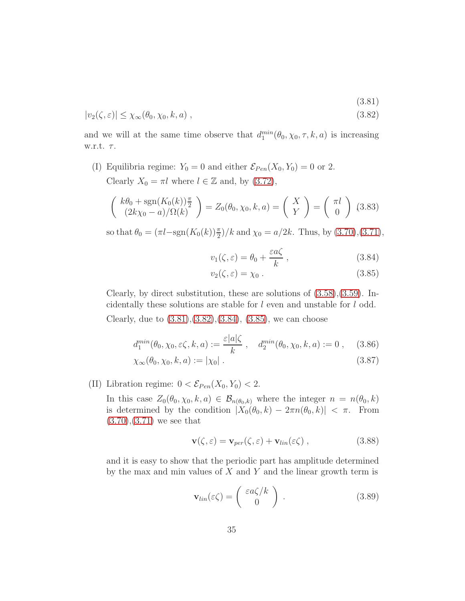(3.81)

$$
|v_2(\zeta,\varepsilon)| \le \chi_{\infty}(\theta_0,\chi_0,k,a) , \qquad (3.82)
$$

and we will at the same time observe that  $d_1^{min}(\theta_0, \chi_0, \tau, k, a)$  is increasing w.r.t.  $\tau$ .

(I) Equilibria regime:  $Y_0 = 0$  and either  $\mathcal{E}_{Pen}(X_0, Y_0) = 0$  or 2. Clearly  $X_0 = \pi l$  where  $l \in \mathbb{Z}$  and, by [\(3.72\)](#page-32-2),

$$
\begin{pmatrix} k\theta_0 + \text{sgn}(K_0(k))^{\pi} \\ (2k\chi_0 - a)/\Omega(k) \end{pmatrix} = Z_0(\theta_0, \chi_0, k, a) = \begin{pmatrix} X \\ Y \end{pmatrix} = \begin{pmatrix} \pi l \\ 0 \end{pmatrix} \tag{3.83}
$$

so that  $\theta_0 = (\pi l - \text{sgn}(K_0(k))\frac{\pi}{2})/k$  and  $\chi_0 = a/2k$ . Thus, by [\(3.70\)](#page-32-1), [\(3.71\)](#page-32-1),

<span id="page-34-0"></span>
$$
v_1(\zeta, \varepsilon) = \theta_0 + \frac{\varepsilon a \zeta}{k} , \qquad (3.84)
$$

$$
v_2(\zeta,\varepsilon) = \chi_0 \; . \tag{3.85}
$$

Clearly, by direct substitution, these are solutions of  $(3.58)$ , $(3.59)$ . Incidentally these solutions are stable for l even and unstable for l odd. Clearly, due to  $(3.81), (3.82), (3.84), (3.85),$  $(3.81), (3.82), (3.84), (3.85),$  $(3.81), (3.82), (3.84), (3.85),$  $(3.81), (3.82), (3.84), (3.85),$  $(3.81), (3.82), (3.84), (3.85),$  $(3.81), (3.82), (3.84), (3.85),$  $(3.81), (3.82), (3.84), (3.85),$  we can choose

$$
d_1^{min}(\theta_0, \chi_0, \varepsilon \zeta, k, a) := \frac{\varepsilon |a| \zeta}{k}, \quad d_2^{min}(\theta_0, \chi_0, k, a) := 0 , \quad (3.86)
$$

$$
\chi_{\infty}(\theta_0, \chi_0, k, a) := |\chi_0| \tag{3.87}
$$

(II) Libration regime:  $0 < \mathcal{E}_{Pen}(X_0, Y_0) < 2$ .

In this case  $Z_0(\theta_0, \chi_0, k, a) \in \mathcal{B}_{n(\theta_0, k)}$  where the integer  $n = n(\theta_0, k)$ is determined by the condition  $|X_0(\theta_0, k) - 2\pi n(\theta_0, k)| < \pi$ . From  $(3.70), (3.71)$  $(3.70), (3.71)$  $(3.70), (3.71)$  we see that

$$
\mathbf{v}(\zeta,\varepsilon) = \mathbf{v}_{per}(\zeta,\varepsilon) + \mathbf{v}_{lin}(\varepsilon \zeta) , \qquad (3.88)
$$

and it is easy to show that the periodic part has amplitude determined by the max and min values of  $X$  and  $Y$  and the linear growth term is

$$
\mathbf{v}_{lin}(\varepsilon \zeta) = \begin{pmatrix} \varepsilon a \zeta / k \\ 0 \end{pmatrix} . \tag{3.89}
$$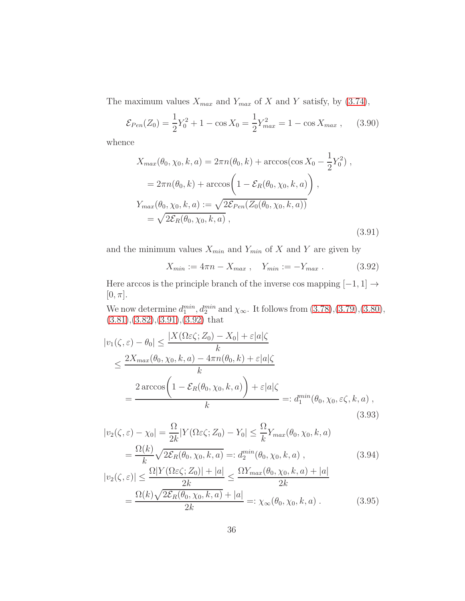The maximum values  $X_{max}$  and  $Y_{max}$  of X and Y satisfy, by [\(3.74\)](#page-32-3),

$$
\mathcal{E}_{Pen}(Z_0) = \frac{1}{2}Y_0^2 + 1 - \cos X_0 = \frac{1}{2}Y_{max}^2 = 1 - \cos X_{max} , \quad (3.90)
$$

whence

<span id="page-35-0"></span>
$$
X_{max}(\theta_0, \chi_0, k, a) = 2\pi n(\theta_0, k) + \arccos(\cos X_0 - \frac{1}{2}Y_0^2),
$$
  
=  $2\pi n(\theta_0, k) + \arccos\left(1 - \mathcal{E}_R(\theta_0, \chi_0, k, a)\right),$   

$$
Y_{max}(\theta_0, \chi_0, k, a) := \sqrt{2\mathcal{E}_{Pen}(Z_0(\theta_0, \chi_0, k, a))}
$$
  
=  $\sqrt{2\mathcal{E}_R(\theta_0, \chi_0, k, a)},$  (3.91)

and the minimum values  $X_{min}$  and  $Y_{min}$  of X and Y are given by

<span id="page-35-1"></span>
$$
X_{min} := 4\pi n - X_{max} , \quad Y_{min} := -Y_{max} . \tag{3.92}
$$

Here arccos is the principle branch of the inverse cos mapping  $[-1, 1] \rightarrow$  $[0, \pi]$ .

We now determine  $d_1^{min}$ ,  $d_2^{min}$  and  $\chi_{\infty}$ . It follows from  $(3.78),(3.79),(3.80)$  $(3.78),(3.79),(3.80)$  $(3.78),(3.79),(3.80)$  $(3.78),(3.79),(3.80)$ , [\(3.81\)](#page-33-1),[\(3.82\)](#page-33-1),[\(3.91\)](#page-35-0),[\(3.92\)](#page-35-1) that

$$
|v_1(\zeta, \varepsilon) - \theta_0| \le \frac{|X(\Omega \varepsilon \zeta; Z_0) - X_0| + \varepsilon |a|\zeta}{k}
$$
  

$$
\le \frac{2X_{max}(\theta_0, \chi_0, k, a) - 4\pi n(\theta_0, k) + \varepsilon |a|\zeta}{k}
$$
  

$$
= \frac{2\arccos\left(1 - \mathcal{E}_R(\theta_0, \chi_0, k, a)\right) + \varepsilon |a|\zeta}{k} =: d_1^{min}(\theta_0, \chi_0, \varepsilon \zeta, k, a),
$$
\n(3.93)

$$
|v_2(\zeta, \varepsilon) - \chi_0| = \frac{\Omega}{2k} |Y(\Omega \varepsilon \zeta; Z_0) - Y_0| \le \frac{\Omega}{k} Y_{max}(\theta_0, \chi_0, k, a)
$$
  
= 
$$
\frac{\Omega(k)}{k} \sqrt{2\mathcal{E}_R(\theta_0, \chi_0, k, a)} =: d_2^{min}(\theta_0, \chi_0, k, a) ,
$$
 (3.94)

$$
|v_2(\zeta, \varepsilon)| \le \frac{\Omega |Y(\Omega \varepsilon \zeta; Z_0)| + |a|}{2k} \le \frac{\Omega Y_{max}(\theta_0, \chi_0, k, a) + |a|}{2k}
$$
  
= 
$$
\frac{\Omega(k)\sqrt{2\mathcal{E}_R(\theta_0, \chi_0, k, a)} + |a|}{2k} =: \chi_\infty(\theta_0, \chi_0, k, a) .
$$
 (3.95)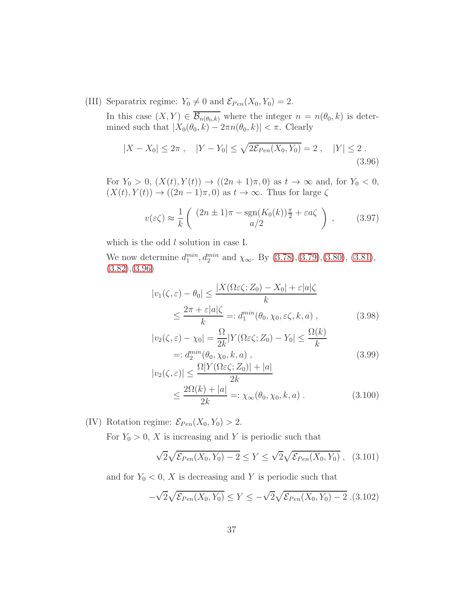(III) Separatrix regime:  $Y_0 \neq 0$  and  $\mathcal{E}_{Pen}(X_0, Y_0) = 2$ .

In this case  $(X, Y) \in \overline{\mathcal{B}_{n(\theta_0, k)}}$  where the integer  $n = n(\theta_0, k)$  is determined such that  $|X_0(\theta_0, k) - 2\pi n(\theta_0, k)| < \pi$ . Clearly

<span id="page-36-0"></span>
$$
|X - X_0| \le 2\pi , \quad |Y - Y_0| \le \sqrt{2\mathcal{E}_{Pen}(X_0, Y_0)} = 2 , \quad |Y| \le 2 .
$$
\n(3.96)

For  $Y_0 > 0$ ,  $(X(t), Y(t)) \to ((2n + 1)\pi, 0)$  as  $t \to \infty$  and, for  $Y_0 < 0$ ,  $(X(t), Y(t)) \rightarrow ((2n-1)\pi, 0)$  as  $t \rightarrow \infty$ . Thus for large  $\zeta$ 

$$
v(\varepsilon \zeta) \approx \frac{1}{k} \left( \frac{(2n \pm 1)\pi - \text{sgn}(K_0(k))\frac{\pi}{2} + \varepsilon a \zeta}{a/2} \right) , \qquad (3.97)
$$

which is the odd  $l$  solution in case I.

We now determine  $d_1^{min}$ ,  $d_2^{min}$  and  $\chi_{\infty}$ . By [\(3.78\)](#page-33-0),[\(3.79\)](#page-33-0),[\(3.80\)](#page-33-0), [\(3.81\)](#page-33-1),  $(3.82),(3.96)$  $(3.82),(3.96)$  $(3.82),(3.96)$ 

$$
|v_1(\zeta, \varepsilon) - \theta_0| \le \frac{|X(\Omega \varepsilon \zeta; Z_0) - X_0| + \varepsilon |a|\zeta}{k}
$$
  
 
$$
\le \frac{2\pi + \varepsilon |a|\zeta}{k} =: d_1^{min}(\theta_0, \chi_0, \varepsilon \zeta, k, a), \qquad (3.98)
$$

$$
|v_2(\zeta, \varepsilon) - \chi_0| = \frac{\Omega}{2k} |Y(\Omega \varepsilon \zeta; Z_0) - Y_0| \le \frac{\Omega(k)}{k}
$$
  
=: 
$$
d_2^{\min}(\theta_0, \chi_0, k, a),
$$
  

$$
\Omega |V(\Omega \varepsilon \zeta; Z_0)| + |a|
$$
 (3.99)

$$
|v_2(\zeta, \varepsilon)| \le \frac{\Omega |Y(\Omega \varepsilon \zeta; Z_0)| + |a|}{2k}
$$
  
 
$$
\le \frac{2\Omega(k) + |a|}{2k} =: \chi_{\infty}(\theta_0, \chi_0, k, a) .
$$
 (3.100)

(IV) Rotation regime:  $\mathcal{E}_{Pen}(X_0, Y_0) > 2$ .

For  $Y_0 > 0$ , X is increasing and Y is periodic such that

<span id="page-36-1"></span>
$$
\sqrt{2}\sqrt{\mathcal{E}_{Pen}(X_0, Y_0) - 2} \le Y \le \sqrt{2}\sqrt{\mathcal{E}_{Pen}(X_0, Y_0)},
$$
 (3.101)

and for  $Y_0 < 0$ , X is decreasing and Y is periodic such that

<span id="page-36-2"></span>
$$
-\sqrt{2}\sqrt{\mathcal{E}_{Pen}(X_0, Y_0)} \le Y \le -\sqrt{2}\sqrt{\mathcal{E}_{Pen}(X_0, Y_0)} - 2. (3.102)
$$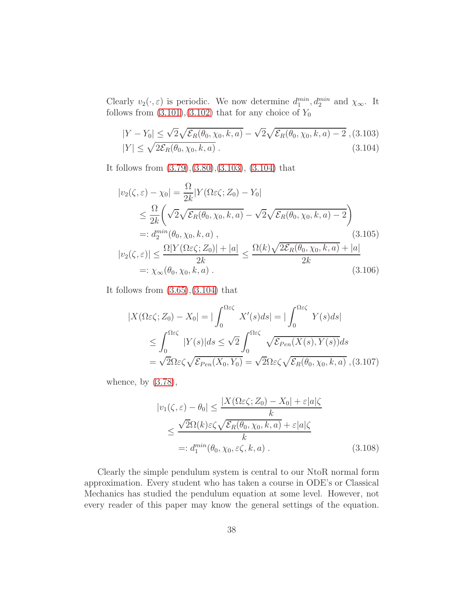Clearly  $v_2(\cdot, \varepsilon)$  is periodic. We now determine  $d_1^{min}$ ,  $d_2^{min}$  and  $\chi_{\infty}$ . It follows from  $(3.101),(3.102)$  $(3.101),(3.102)$  that for any choice of  $Y_0$ 

<span id="page-37-0"></span>
$$
|Y - Y_0| \le \sqrt{2} \sqrt{\mathcal{E}_R(\theta_0, \chi_0, k, a)} - \sqrt{2} \sqrt{\mathcal{E}_R(\theta_0, \chi_0, k, a) - 2},
$$
(3.103)  

$$
|Y| \le \sqrt{2\mathcal{E}_R(\theta_0, \chi_0, k, a)}.
$$
(3.104)

It follows from [\(3.79\)](#page-33-0),[\(3.80\)](#page-33-0),[\(3.103\)](#page-37-0), [\(3.104\)](#page-37-0) that

$$
|v_2(\zeta, \varepsilon) - \chi_0| = \frac{\Omega}{2k} |Y(\Omega \varepsilon \zeta; Z_0) - Y_0|
$$
  
\n
$$
\leq \frac{\Omega}{2k} \left( \sqrt{2} \sqrt{\mathcal{E}_R(\theta_0, \chi_0, k, a)} - \sqrt{2} \sqrt{\mathcal{E}_R(\theta_0, \chi_0, k, a)} - 2 \right)
$$
  
\n
$$
=: d_2^{\min}(\theta_0, \chi_0, k, a),
$$
  
\n
$$
|v_2(\zeta, \varepsilon)| \leq \frac{\Omega |Y(\Omega \varepsilon \zeta; Z_0)| + |a|}{2k} \leq \frac{\Omega(k) \sqrt{2\mathcal{E}_R(\theta_0, \chi_0, k, a)} + |a|}{2k}
$$
  
\n
$$
=: \chi_{\infty}(\theta_0, \chi_0, k, a).
$$
  
\n(3.106)

It follows from  $(3.65),(3.104)$  $(3.65),(3.104)$  that

$$
|X(\Omega\varepsilon\zeta; Z_0) - X_0| = |\int_0^{\Omega\varepsilon\zeta} X'(s)ds| = |\int_0^{\Omega\varepsilon\zeta} Y(s)ds|
$$
  
\n
$$
\leq \int_0^{\Omega\varepsilon\zeta} |Y(s)|ds \leq \sqrt{2} \int_0^{\Omega\varepsilon\zeta} \sqrt{\mathcal{E}_{Pen}(X(s), Y(s))}ds
$$
  
\n
$$
= \sqrt{2}\Omega\varepsilon\zeta\sqrt{\mathcal{E}_{Pen}(X_0, Y_0)} = \sqrt{2}\Omega\varepsilon\zeta\sqrt{\mathcal{E}_R(\theta_0, \chi_0, k, a)}, (3.107)
$$

whence, by  $(3.78)$ ,

$$
|v_1(\zeta, \varepsilon) - \theta_0| \le \frac{|X(\Omega \varepsilon \zeta; Z_0) - X_0| + \varepsilon |a| \zeta}{k}
$$
  

$$
\le \frac{\sqrt{2}\Omega(k)\varepsilon \zeta \sqrt{\varepsilon_R(\theta_0, \chi_0, k, a)} + \varepsilon |a| \zeta}{k}
$$
  

$$
=: d_1^{\min}(\theta_0, \chi_0, \varepsilon \zeta, k, a).
$$
 (3.108)

Clearly the simple pendulum system is central to our NtoR normal form approximation. Every student who has taken a course in ODE's or Classical Mechanics has studied the pendulum equation at some level. However, not every reader of this paper may know the general settings of the equation.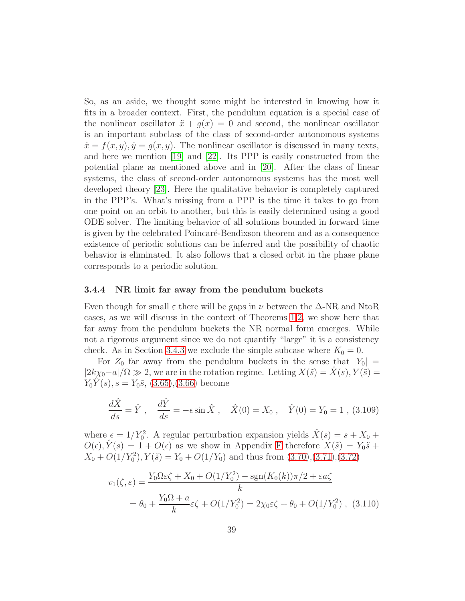So, as an aside, we thought some might be interested in knowing how it fits in a broader context. First, the pendulum equation is a special case of the nonlinear oscillator  $\ddot{x} + g(x) = 0$  and second, the nonlinear oscillator is an important subclass of the class of second-order autonomous systems  $\dot{x} = f(x, y), \dot{y} = g(x, y)$ . The nonlinear oscillator is discussed in many texts, and here we mention [\[19\]](#page-98-0) and [\[22\]](#page-99-0). Its PPP is easily constructed from the potential plane as mentioned above and in [\[20\]](#page-99-1). After the class of linear systems, the class of second-order autonomous systems has the most well developed theory [\[23\]](#page-99-2). Here the qualitative behavior is completely captured in the PPP's. What's missing from a PPP is the time it takes to go from one point on an orbit to another, but this is easily determined using a good ODE solver. The limiting behavior of all solutions bounded in forward time is given by the celebrated Poincaré-Bendixson theorem and as a consequence existence of periodic solutions can be inferred and the possibility of chaotic behavior is eliminated. It also follows that a closed orbit in the phase plane corresponds to a periodic solution.

#### <span id="page-38-0"></span>3.4.4 NR limit far away from the pendulum buckets

Even though for small  $\varepsilon$  there will be gaps in  $\nu$  between the  $\Delta$ -NR and NtoR cases, as we will discuss in the context of Theorems [1,](#page-42-0)[2,](#page-47-0) we show here that far away from the pendulum buckets the NR normal form emerges. While not a rigorous argument since we do not quantify "large" it is a consistency check. As in Section [3.4.3](#page-31-1) we exclude the simple subcase where  $K_0 = 0$ .

For  $Z_0$  far away from the pendulum buckets in the sense that  $|Y_0|$  =  $|2k\chi_0-a|/\Omega \gg 2$ , we are in the rotation regime. Letting  $X(\tilde{s}) = \hat{X}(s), Y(\tilde{s}) =$  $Y_0Y(s)$ ,  $s = Y_0\tilde{s}$ , [\(3.65\)](#page-31-0), [\(3.66\)](#page-31-0) become

$$
\frac{d\hat{X}}{ds} = \hat{Y}, \quad \frac{d\hat{Y}}{ds} = -\epsilon \sin \hat{X}, \quad \hat{X}(0) = X_0, \quad \hat{Y}(0) = Y_0 = 1, (3.109)
$$

where  $\epsilon = 1/Y_0^2$ . A regular perturbation expansion yields  $\hat{X}(s) = s + X_0 +$  $O(\epsilon), \hat{Y}(s) = 1 + O(\epsilon)$  as we show in Appendix [F](#page-88-0) therefore  $X(\tilde{s}) = Y_0 \tilde{s} +$  $X_0 + O(1/Y_0^2)$ ,  $Y(\tilde{s}) = Y_0 + O(1/Y_0)$  and thus from  $(3.70),(3.71),(3.72)$  $(3.70),(3.71),(3.72)$  $(3.70),(3.71),(3.72)$  $(3.70),(3.71),(3.72)$ 

$$
v_1(\zeta, \varepsilon) = \frac{Y_0 \Omega \varepsilon \zeta + X_0 + O(1/Y_0^2) - \text{sgn}(K_0(k))\pi/2 + \varepsilon a \zeta}{k}
$$
  
=  $\theta_0 + \frac{Y_0 \Omega + a}{k} \varepsilon \zeta + O(1/Y_0^2) = 2\chi_0 \varepsilon \zeta + \theta_0 + O(1/Y_0^2)$ , (3.110)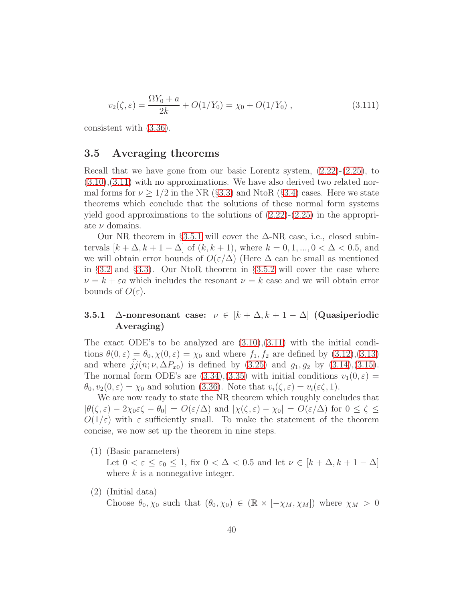$$
v_2(\zeta, \varepsilon) = \frac{\Omega Y_0 + a}{2k} + O(1/Y_0) = \chi_0 + O(1/Y_0) , \qquad (3.111)
$$

<span id="page-39-1"></span>consistent with [\(3.36\)](#page-26-0).

### 3.5 Averaging theorems

Recall that we have gone from our basic Lorentz system, [\(2.22\)](#page-12-0)-[\(2.25\)](#page-12-0), to  $(3.10), (3.11)$  $(3.10), (3.11)$  $(3.10), (3.11)$  with no approximations. We have also derived two related normal forms for  $\nu \geq 1/2$  in the NR (§[3.3\)](#page-26-1) and NtoR (§[3.4\)](#page-27-0) cases. Here we state theorems which conclude that the solutions of these normal form systems yield good approximations to the solutions of  $(2.22)-(2.25)$  $(2.22)-(2.25)$  in the appropriate  $\nu$  domains.

Our NR theorem in §[3.5.1](#page-39-0) will cover the  $\Delta$ -NR case, i.e., closed subintervals  $[k + \Delta, k + 1 - \Delta]$  of  $(k, k + 1)$ , where  $k = 0, 1, ..., 0 < \Delta < 0.5$ , and we will obtain error bounds of  $O(\varepsilon/\Delta)$  (Here  $\Delta$  can be small as mentioned in §[3.2](#page-23-0) and §[3.3\)](#page-26-1). Our NtoR theorem in §[3.5.2](#page-43-0) will cover the case where  $\nu = k + \varepsilon a$  which includes the resonant  $\nu = k$  case and we will obtain error bounds of  $O(\varepsilon)$ .

## <span id="page-39-0"></span>3.5.1  $\Delta$ -nonresonant case:  $\nu \in [k + \Delta, k + 1 - \Delta]$  (Quasiperiodic Averaging)

The exact ODE's to be analyzed are  $(3.10),(3.11)$  $(3.10),(3.11)$  with the initial conditions  $\theta(0,\varepsilon) = \theta_0, \chi(0,\varepsilon) = \chi_0$  and where  $f_1, f_2$  are defined by  $(3.12),(3.13)$  $(3.12),(3.13)$ and where  $\hat{j}(n; \nu, \Delta P_{x0})$  is defined by [\(3.25\)](#page-82-0) and  $g_1, g_2$  by [\(3.14\)](#page-81-1),[\(3.15\)](#page-81-1). The normal form ODE's are  $(3.34),(3.35)$  $(3.34),(3.35)$  with initial conditions  $v_1(0,\varepsilon)$  =  $\theta_0, v_2(0, \varepsilon) = \chi_0$  and solution [\(3.36\)](#page-26-0). Note that  $v_i(\zeta, \varepsilon) = v_i(\varepsilon \zeta, 1)$ .

We are now ready to state the NR theorem which roughly concludes that  $|\theta(\zeta, \varepsilon) - 2\chi_0 \varepsilon \zeta - \theta_0| = O(\varepsilon/\Delta)$  and  $|\chi(\zeta, \varepsilon) - \chi_0| = O(\varepsilon/\Delta)$  for  $0 \leq \zeta \leq$  $O(1/\varepsilon)$  with  $\varepsilon$  sufficiently small. To make the statement of the theorem concise, we now set up the theorem in nine steps.

- (1) (Basic parameters) Let  $0 < \varepsilon \leq \varepsilon_0 \leq 1$ , fix  $0 < \Delta < 0.5$  and let  $\nu \in [k + \Delta, k + 1 - \Delta]$ where  $k$  is a nonnegative integer.
- (2) (Initial data)

Choose  $\theta_0, \chi_0$  such that  $(\theta_0, \chi_0) \in (\mathbb{R} \times [-\chi_M, \chi_M])$  where  $\chi_M > 0$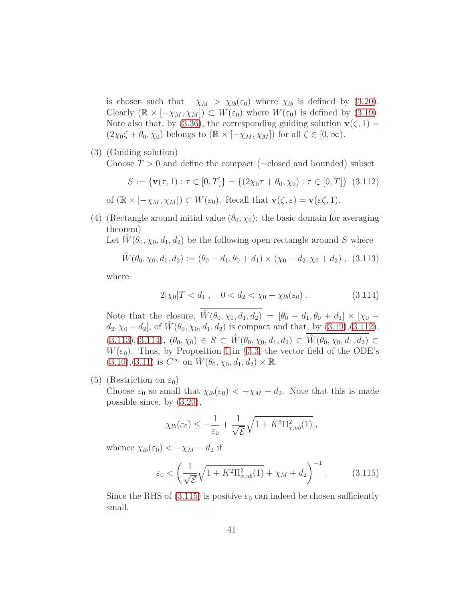is chosen such that  $-\chi_M > \chi_{lb}(\varepsilon_0)$  where  $\chi_{lb}$  is defined by [\(3.20\)](#page-81-2). Clearly  $(\mathbb{R} \times [-\chi_M, \chi_M]) \subset W(\varepsilon_0)$  where  $W(\varepsilon_0)$  is defined by [\(3.19\)](#page-81-3). Note also that, by [\(3.36\)](#page-26-0), the corresponding guiding solution  $\mathbf{v}(\zeta, 1) =$  $(2\chi_0\zeta + \theta_0, \chi_0)$  belongs to  $(\mathbb{R} \times [-\chi_M, \chi_M])$  for all  $\zeta \in [0, \infty)$ .

(3) (Guiding solution) Choose  $T > 0$  and define the compact (=closed and bounded) subset

<span id="page-40-0"></span>
$$
S := \{ \mathbf{v}(\tau, 1) : \tau \in [0, T] \} = \{ (2\chi_0 \tau + \theta_0, \chi_0) : \tau \in [0, T] \} \tag{3.112}
$$
  
of  $(\mathbb{R} \times [-\chi_M, \chi_M]) \subset W(\varepsilon_0)$ . Recall that  $\mathbf{v}(\zeta, \varepsilon) = \mathbf{v}(\varepsilon \zeta, 1)$ .

(4) (Rectangle around initial value  $(\theta_0, \chi_0)$ : the basic domain for averaging theorem)

Let  $W(\theta_0, \chi_0, d_1, d_2)$  be the following open rectangle around S where

<span id="page-40-1"></span>
$$
\hat{W}(\theta_0, \chi_0, d_1, d_2) := (\theta_0 - d_1, \theta_0 + d_1) \times (\chi_0 - d_2, \chi_0 + d_2), \quad (3.113)
$$

where

<span id="page-40-2"></span>
$$
2|\chi_0|T < d_1 \,, \quad 0 < d_2 < \chi_0 - \chi_{lb}(\varepsilon_0) \,. \tag{3.114}
$$

Note that the closure,  $\hat{W}(\theta_0, \chi_0, d_1, d_2) = [\theta_0 - d_1, \theta_0 + d_1] \times [\chi_0$  $d_2, \chi_0 + d_2$ , of  $W(\theta_0, \chi_0, d_1, d_2)$  is compact and that, by  $(3.19), (3.112),$  $(3.19), (3.112),$  $(3.19), (3.112),$  $(3.113),(3.114), (\theta_0,\chi_0) \in S \subset \hat{W}(\theta_0,\chi_0,d_1,d_2) \subset \hat{W}(\theta_0,\chi_0,d_1,d_2) \subset$  $(3.113),(3.114), (\theta_0,\chi_0) \in S \subset \hat{W}(\theta_0,\chi_0,d_1,d_2) \subset \hat{W}(\theta_0,\chi_0,d_1,d_2) \subset$  $(3.113),(3.114), (\theta_0,\chi_0) \in S \subset \hat{W}(\theta_0,\chi_0,d_1,d_2) \subset \hat{W}(\theta_0,\chi_0,d_1,d_2) \subset$  $(3.113),(3.114), (\theta_0,\chi_0) \in S \subset \hat{W}(\theta_0,\chi_0,d_1,d_2) \subset \hat{W}(\theta_0,\chi_0,d_1,d_2) \subset$  $W(\varepsilon_0)$ . Thus, by Proposition [1](#page-26-3) in §[3.3,](#page-26-1) the vector field of the ODE's  $(3.10), (3.11)$  $(3.10), (3.11)$  $(3.10), (3.11)$  is  $C^{\infty}$  on  $\hat{W}(\theta_0, \chi_0, d_1, d_2) \times \mathbb{R}$ .

(5) (Restriction on  $\varepsilon_0$ )

Choose  $\varepsilon_0$  so small that  $\chi_{lb}(\varepsilon_0) < -\chi_M - d_2$ . Note that this is made possible since, by [\(3.20\)](#page-81-2),

$$
\chi_{lb}(\varepsilon_0) \leq -\frac{1}{\varepsilon_0} + \frac{1}{\sqrt{\mathcal{E}}} \sqrt{1 + K^2 \Pi_{x,ub}^2(1)} ,
$$

whence  $\chi_{lb}(\varepsilon_0) < -\chi_M - d_2$  if

<span id="page-40-3"></span>
$$
\varepsilon_0 < \left(\frac{1}{\sqrt{\mathcal{E}}}\sqrt{1 + K^2 \Pi_{x,ub}^2(1)} + \chi_M + d_2\right)^{-1}.\tag{3.115}
$$

Since the RHS of [\(3.115\)](#page-40-3) is positive  $\varepsilon_0$  can indeed be chosen sufficiently small.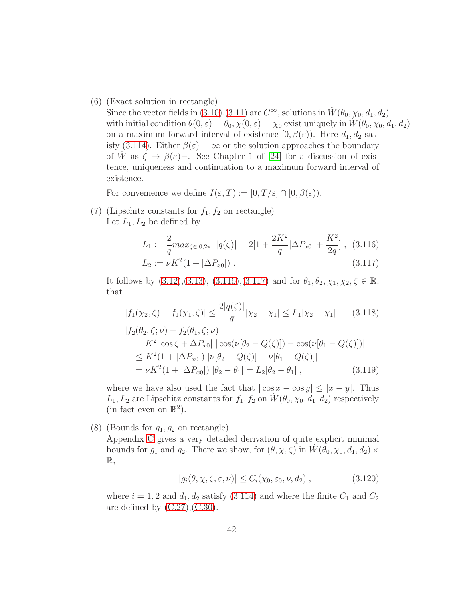(6) (Exact solution in rectangle)

Since the vector fields in [\(3.10\)](#page-80-0),[\(3.11\)](#page-80-0) are  $C^{\infty}$ , solutions in  $\hat{W}(\theta_0, \chi_0, d_1, d_2)$ with initial condition  $\theta(0, \varepsilon) = \theta_0, \chi(0, \varepsilon) = \chi_0$  exist uniquely in  $\hat{W}(\theta_0, \chi_0, d_1, d_2)$ on a maximum forward interval of existence  $[0, \beta(\varepsilon))$ . Here  $d_1, d_2$  sat-isfy [\(3.114\)](#page-40-2). Either  $\beta(\varepsilon) = \infty$  or the solution approaches the boundary of W as  $\zeta \to \beta(\varepsilon)$ -. See Chapter 1 of [\[24\]](#page-99-3) for a discussion of existence, uniqueness and continuation to a maximum forward interval of existence.

For convenience we define  $I(\varepsilon,T) := [0,T/\varepsilon] \cap [0,\beta(\varepsilon)).$ 

(7) (Lipschitz constants for  $f_1, f_2$  on rectangle) Let  $L_1, L_2$  be defined by

<span id="page-41-0"></span>
$$
L_1 := \frac{2}{\bar{q}} max_{\zeta \in [0, 2\pi]} |q(\zeta)| = 2[1 + \frac{2K^2}{\bar{q}} |\Delta P_{x0}| + \frac{K^2}{2\bar{q}}], (3.116)
$$
  

$$
L_2 := \nu K^2 (1 + |\Delta P_{x0}|).
$$
 (3.117)

It follows by  $(3.12),(3.13), (3.116),(3.117)$  $(3.12),(3.13), (3.116),(3.117)$  $(3.12),(3.13), (3.116),(3.117)$  $(3.12),(3.13), (3.116),(3.117)$  $(3.12),(3.13), (3.116),(3.117)$  $(3.12),(3.13), (3.116),(3.117)$  and for  $\theta_1, \theta_2, \chi_1, \chi_2, \zeta \in \mathbb{R}$ , that

<span id="page-41-1"></span>
$$
|f_1(\chi_2, \zeta) - f_1(\chi_1, \zeta)| \le \frac{2|q(\zeta)|}{\bar{q}} |\chi_2 - \chi_1| \le L_1 |\chi_2 - \chi_1| \,, \quad (3.118)
$$
  
\n
$$
|f_2(\theta_2, \zeta; \nu) - f_2(\theta_1, \zeta; \nu)|
$$
  
\n
$$
= K^2 |\cos \zeta + \Delta P_{x0}| |\cos(\nu[\theta_2 - Q(\zeta)]) - \cos(\nu[\theta_1 - Q(\zeta)])|
$$
  
\n
$$
\le K^2 (1 + |\Delta P_{x0}|) |\nu[\theta_2 - Q(\zeta)] - \nu[\theta_1 - Q(\zeta)]|
$$
  
\n
$$
= \nu K^2 (1 + |\Delta P_{x0}|) |\theta_2 - \theta_1| = L_2 |\theta_2 - \theta_1| \,, \quad (3.119)
$$

where we have also used the fact that  $|\cos x - \cos y| \leq |x - y|$ . Thus  $L_1, L_2$  are Lipschitz constants for  $f_1, f_2$  on  $\hat{W}(\theta_0, \chi_0, d_1, d_2)$  respectively (in fact even on  $\mathbb{R}^2$ ).

(8) (Bounds for  $g_1, g_2$  on rectangle)

Appendix [C](#page-79-0) gives a very detailed derivation of quite explicit minimal bounds for  $g_1$  and  $g_2$ . There we show, for  $(\theta, \chi, \zeta)$  in  $W(\theta_0, \chi_0, d_1, d_2) \times$  $\mathbb{R},$ 

<span id="page-41-2"></span>
$$
|g_i(\theta, \chi, \zeta, \varepsilon, \nu)| \le C_i(\chi_0, \varepsilon_0, \nu, d_2), \qquad (3.120)
$$

where  $i = 1, 2$  and  $d_1, d_2$  satisfy [\(3.114\)](#page-40-2) and where the finite  $C_1$  and  $C_2$ are defined by  $(C.27)$ ,  $(C.30)$ .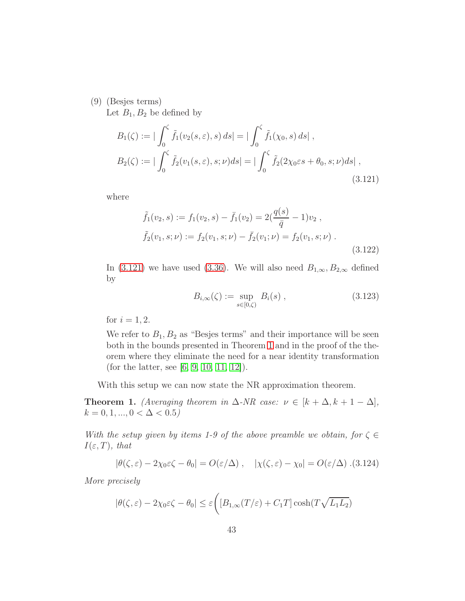(9) (Besjes terms)

Let  $B_1, B_2$  be defined by

<span id="page-42-1"></span>
$$
B_1(\zeta) := |\int_0^{\zeta} \tilde{f}_1(v_2(s, \varepsilon), s) ds| = |\int_0^{\zeta} \tilde{f}_1(\chi_0, s) ds|,
$$
  
\n
$$
B_2(\zeta) := |\int_0^{\zeta} \tilde{f}_2(v_1(s, \varepsilon), s; \nu) ds| = |\int_0^{\zeta} \tilde{f}_2(2\chi_0 \varepsilon s + \theta_0, s; \nu) ds|,
$$
\n(3.121)

where

<span id="page-42-2"></span>
$$
\tilde{f}_1(v_2, s) := f_1(v_2, s) - \bar{f}_1(v_2) = 2(\frac{q(s)}{\bar{q}} - 1)v_2 ,
$$
  

$$
\tilde{f}_2(v_1, s; \nu) := f_2(v_1, s; \nu) - \bar{f}_2(v_1; \nu) = f_2(v_1, s; \nu) .
$$
  
(3.122)

In [\(3.121\)](#page-42-1) we have used [\(3.36\)](#page-26-0). We will also need  $B_{1,\infty}, B_{2,\infty}$  defined by

<span id="page-42-3"></span>
$$
B_{i,\infty}(\zeta) := \sup_{s \in [0,\zeta)} B_i(s) , \qquad (3.123)
$$

for  $i = 1, 2$ .

We refer to  $B_1, B_2$  as "Besjes terms" and their importance will be seen both in the bounds presented in Theorem [1](#page-42-0) and in the proof of the theorem where they eliminate the need for a near identity transformation (for the latter, see [\[6,](#page-97-0) [9,](#page-98-1) [10,](#page-98-2) [11,](#page-98-3) [12\]](#page-98-4)).

With this setup we can now state the NR approximation theorem.

<span id="page-42-0"></span>**Theorem 1.** (Averaging theorem in  $\Delta$ -NR case:  $\nu \in [k + \Delta, k + 1 - \Delta],$  $k = 0, 1, ..., 0 < \Delta < 0.5$ 

With the setup given by items 1-9 of the above preamble we obtain, for  $\zeta \in$  $I(\varepsilon,T)$ , that

$$
|\theta(\zeta,\varepsilon)-2\chi_0\varepsilon\zeta-\theta_0|=O(\varepsilon/\Delta)\,,\quad |\chi(\zeta,\varepsilon)-\chi_0|=O(\varepsilon/\Delta)\,.\,(3.124)
$$

More precisely

<span id="page-42-4"></span>
$$
|\theta(\zeta,\varepsilon)-2\chi_0\varepsilon\zeta-\theta_0|\leq\varepsilon\bigg([B_{1,\infty}(T/\varepsilon)+C_1T]\cosh(T\sqrt{L_1L_2})
$$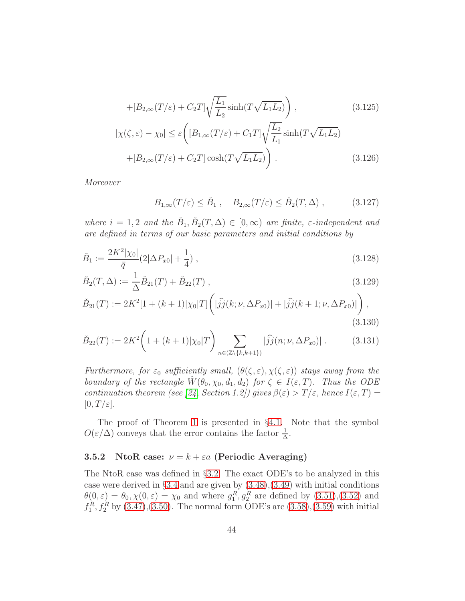$$
+[B_{2,\infty}(T/\varepsilon)+C_2T]\sqrt{\frac{L_1}{L_2}}\sinh(T\sqrt{L_1L_2})\Big),\qquad(3.125)
$$

$$
|\chi(\zeta,\varepsilon)-\chi_0|\leq \varepsilon\left([B_{1,\infty}(T/\varepsilon)+C_1T]\sqrt{\frac{L_2}{L_1}}\sinh(T\sqrt{L_1L_2})\right)
$$

$$
+[B_{2,\infty}(T/\varepsilon)+C_2T]\cosh(T\sqrt{L_1L_2})\Big).
$$
(3.126)

$$
+[B_{2,\infty}(T/\varepsilon)+C_2T]\cosh(T\sqrt{L_1L_2})\bigg)\ .\qquad (3)
$$

Moreover

<span id="page-43-2"></span>
$$
B_{1,\infty}(T/\varepsilon) \le \check{B}_1 \,, \quad B_{2,\infty}(T/\varepsilon) \le \check{B}_2(T,\Delta) \,, \tag{3.127}
$$

where  $i = 1, 2$  and the  $\check{B}_1, \check{B}_2(T, \Delta) \in [0, \infty)$  are finite,  $\varepsilon$ -independent and are defined in terms of our basic parameters and initial conditions by

<span id="page-43-1"></span>
$$
\check{B}_1 := \frac{2K^2|\chi_0|}{\bar{q}} (2|\Delta P_{x0}| + \frac{1}{4}), \qquad (3.128)
$$

$$
\check{B}_2(T,\Delta) := \frac{1}{\Delta} \check{B}_{21}(T) + \check{B}_{22}(T) , \qquad (3.129)
$$

$$
\tilde{B}_{21}(T) := 2K^2[1 + (k+1)|\chi_0|T] \left( |\hat{j}j(k;\nu,\Delta P_{x0})| + |\hat{j}j(k+1;\nu,\Delta P_{x0})| \right),\tag{3.130}
$$

$$
\check{B}_{22}(T) := 2K^2 \left( 1 + (k+1)|\chi_0|T \right) \sum_{n \in (\mathbb{Z} \setminus \{k, k+1\})} |\widehat{j}(\mathbf{x}; \nu, \Delta P_{\mathbf{x}_0})| \,. \tag{3.131}
$$

Furthermore, for  $\varepsilon_0$  sufficiently small,  $(\theta(\zeta,\varepsilon), \chi(\zeta,\varepsilon))$  stays away from the boundary of the rectangle  $\hat{W}(\theta_0, \chi_0, d_1, d_2)$  for  $\zeta \in I(\varepsilon, T)$ . Thus the ODE continuation theorem (see [\[24,](#page-99-3) Section 1.2]) gives  $\beta(\varepsilon) > T/\varepsilon$ , hence  $I(\varepsilon,T) =$  $[0, T/\varepsilon].$ 

The proof of Theorem [1](#page-42-0) is presented in §[4.1.](#page-56-0) Note that the symbol  $O(\varepsilon/\Delta)$  conveys that the error contains the factor  $\frac{1}{\Delta}$ .

### <span id="page-43-0"></span>3.5.2 NtoR case:  $\nu = k + \varepsilon a$  (Periodic Averaging)

The NtoR case was defined in §[3.2.](#page-23-0) The exact ODE's to be analyzed in this case were derived in  $\S 3.4$  $\S 3.4$  and are given by  $(3.48),(3.49)$  $(3.48),(3.49)$  with initial conditions  $\theta(0,\varepsilon) = \theta_0, \chi(0,\varepsilon) = \chi_0$  and where  $g_1^R, g_2^R$  are defined by  $(3.51),(3.52)$  $(3.51),(3.52)$  and  $f_1^R, f_2^R$  by [\(3.47\)](#page-28-1),[\(3.50\)](#page-29-0). The normal form ODE's are [\(3.58\)](#page-30-0),[\(3.59\)](#page-30-0) with initial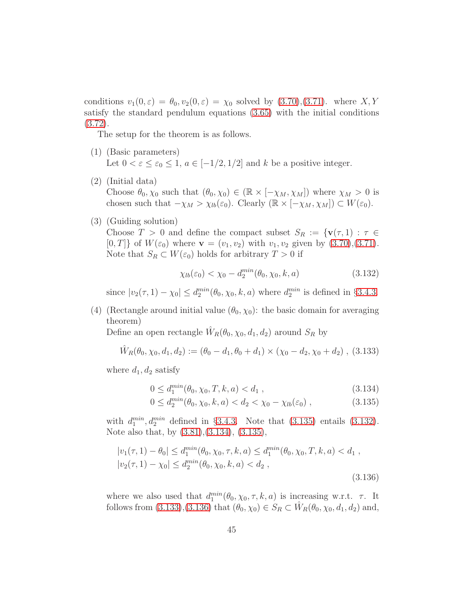conditions  $v_1(0, \varepsilon) = \theta_0, v_2(0, \varepsilon) = \chi_0$  solved by  $(3.70), (3.71)$  $(3.70), (3.71)$ . where  $X, Y$ satisfy the standard pendulum equations [\(3.65\)](#page-31-0) with the initial conditions [\(3.72\)](#page-32-1).

The setup for the theorem is as follows.

- (1) (Basic parameters) Let  $0 < \varepsilon \leq \varepsilon_0 \leq 1$ ,  $a \in [-1/2, 1/2]$  and k be a positive integer.
- (2) (Initial data) Choose  $\theta_0, \chi_0$  such that  $(\theta_0, \chi_0) \in (\mathbb{R} \times [-\chi_M, \chi_M])$  where  $\chi_M > 0$  is chosen such that  $-\chi_M > \chi_{lb}(\varepsilon_0)$ . Clearly  $(\mathbb{R} \times [-\chi_M, \chi_M]) \subset W(\varepsilon_0)$ .
- (3) (Guiding solution)

Choose  $T > 0$  and define the compact subset  $S_R := \{v(\tau, 1) : \tau \in$  $[0, T]$  of  $W(\varepsilon_0)$  where  $\mathbf{v} = (v_1, v_2)$  with  $v_1, v_2$  given by  $(3.70), (3.71)$  $(3.70), (3.71)$ . Note that  $S_R \subset W(\varepsilon_0)$  holds for arbitrary  $T > 0$  if

<span id="page-44-1"></span>
$$
\chi_{lb}(\varepsilon_0) < \chi_0 - d_2^{\min}(\theta_0, \chi_0, k, a) \tag{3.132}
$$

since  $|v_2(\tau, 1) - \chi_0| \le d_2^{min}(\theta_0, \chi_0, k, a)$  where  $d_2^{min}$  is defined in §[3.4.3.](#page-31-1)

(4) (Rectangle around initial value  $(\theta_0, \chi_0)$ : the basic domain for averaging theorem)

Define an open rectangle  $\hat{W}_R(\theta_0, \chi_0, d_1, d_2)$  around  $S_R$  by

<span id="page-44-2"></span>
$$
\hat{W}_R(\theta_0, \chi_0, d_1, d_2) := (\theta_0 - d_1, \theta_0 + d_1) \times (\chi_0 - d_2, \chi_0 + d_2), (3.133)
$$

where  $d_1, d_2$  satisfy

<span id="page-44-0"></span>
$$
0 \le d_1^{min}(\theta_0, \chi_0, T, k, a) < d_1 \tag{3.134}
$$

$$
0 \le d_2^{min}(\theta_0, \chi_0, k, a) < d_2 < \chi_0 - \chi_{lb}(\varepsilon_0) \tag{3.135}
$$

with  $d_1^{min}$ ,  $d_2^{min}$  defined in §[3.4.3.](#page-31-1) Note that  $(3.135)$  entails  $(3.132)$ . Note also that, by [\(3.81\)](#page-33-1),[\(3.134\)](#page-44-0), [\(3.135\)](#page-44-0),

<span id="page-44-3"></span>
$$
|v_1(\tau, 1) - \theta_0| \le d_1^{\min}(\theta_0, \chi_0, \tau, k, a) \le d_1^{\min}(\theta_0, \chi_0, T, k, a) < d_1,
$$
\n
$$
|v_2(\tau, 1) - \chi_0| \le d_2^{\min}(\theta_0, \chi_0, k, a) < d_2,
$$
\n
$$
(3.136)
$$

where we also used that  $d_1^{min}(\theta_0, \chi_0, \tau, k, a)$  is increasing w.r.t.  $\tau$ . It follows from [\(3.133\)](#page-44-2),[\(3.136\)](#page-44-3) that  $(\theta_0, \chi_0) \in S_R \subset \hat{W}_R(\theta_0, \chi_0, d_1, d_2)$  and,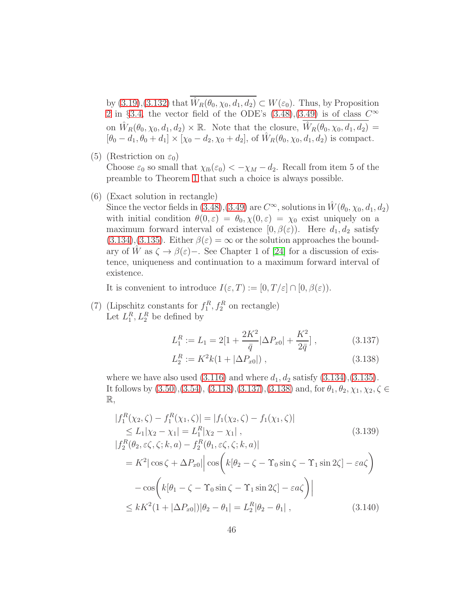by  $(3.19), (3.132)$  $(3.19), (3.132)$  that  $\hat{W}_R(\theta_0, \chi_0, d_1, d_2) \subset W(\varepsilon_0)$ . Thus, by Proposition [2](#page-30-1) in §[3.4,](#page-27-0) the vector field of the ODE's  $(3.48)$ , $(3.49)$  is of class  $C^{\infty}$ on  $\hat{W}_R(\theta_0, \chi_0, d_1, d_2) \times \mathbb{R}$ . Note that the closure,  $\hat{W}_R(\theta_0, \chi_0, d_1, d_2) =$  $[\theta_0 - d_1, \theta_0 + d_1] \times [\chi_0 - d_2, \chi_0 + d_2],$  of  $\hat{W}_R(\theta_0, \chi_0, d_1, d_2)$  is compact.

(5) (Restriction on  $\varepsilon_0$ )

Choose  $\varepsilon_0$  so small that  $\chi_{lb}(\varepsilon_0) < -\chi_M - d_2$ . Recall from item 5 of the preamble to Theorem [1](#page-42-0) that such a choice is always possible.

(6) (Exact solution in rectangle)

Since the vector fields in [\(3.48\)](#page-28-0),[\(3.49\)](#page-28-0) are  $C^{\infty}$ , solutions in  $\hat{W}(\theta_0, \chi_0, d_1, d_2)$ with initial condition  $\theta(0, \varepsilon) = \theta_0, \chi(0, \varepsilon) = \chi_0$  exist uniquely on a maximum forward interval of existence  $[0, \beta(\varepsilon))$ . Here  $d_1, d_2$  satisfy  $(3.134),(3.135)$  $(3.134),(3.135)$  $(3.134),(3.135)$ . Either  $\beta(\varepsilon) = \infty$  or the solution approaches the boundary of W as  $\zeta \to \beta(\varepsilon)$ -. See Chapter 1 of [\[24\]](#page-99-3) for a discussion of existence, uniqueness and continuation to a maximum forward interval of existence.

It is convenient to introduce  $I(\varepsilon,T) := [0,T/\varepsilon] \cap [0,\beta(\varepsilon)).$ 

(7) (Lipschitz constants for  $f_1^R, f_2^R$  on rectangle) Let  $L_1^R, L_2^R$  be defined by

<span id="page-45-0"></span>
$$
L_1^R := L_1 = 2[1 + \frac{2K^2}{\bar{q}}|\Delta P_{x0}| + \frac{K^2}{2\bar{q}}], \qquad (3.137)
$$

$$
L_2^R := K^2 k (1 + |\Delta P_{x0}|) , \qquad (3.138)
$$

where we have also used  $(3.116)$  and where  $d_1, d_2$  satisfy  $(3.134), (3.135)$  $(3.134), (3.135)$ . It follows by  $(3.50),(3.54),(3.118),(3.137),(3.138)$  $(3.50),(3.54),(3.118),(3.137),(3.138)$  $(3.50),(3.54),(3.118),(3.137),(3.138)$  $(3.50),(3.54),(3.118),(3.137),(3.138)$  $(3.50),(3.54),(3.118),(3.137),(3.138)$  $(3.50),(3.54),(3.118),(3.137),(3.138)$  and, for  $\theta_1, \theta_2, \chi_1, \chi_2, \zeta \in$  $\mathbb{R},$ 

<span id="page-45-1"></span>
$$
|f_1^R(\chi_2, \zeta) - f_1^R(\chi_1, \zeta)| = |f_1(\chi_2, \zeta) - f_1(\chi_1, \zeta)|
$$
  
\n
$$
\le L_1|\chi_2 - \chi_1| = L_1^R|\chi_2 - \chi_1|,
$$
  
\n
$$
|f_2^R(\theta_2, \varepsilon\zeta, \zeta; k, a) - f_2^R(\theta_1, \varepsilon\zeta, \zeta; k, a)|
$$
  
\n
$$
= K^2|\cos\zeta + \Delta P_{x0}||\cos\left(k[\theta_2 - \zeta - \Upsilon_0\sin\zeta - \Upsilon_1\sin 2\zeta] - \varepsilon a\zeta\right)
$$
  
\n
$$
- \cos\left(k[\theta_1 - \zeta - \Upsilon_0\sin\zeta - \Upsilon_1\sin 2\zeta] - \varepsilon a\zeta\right)||
$$
  
\n
$$
\le kK^2(1 + |\Delta P_{x0}|)|\theta_2 - \theta_1| = L_2^R|\theta_2 - \theta_1|,
$$
\n(3.140)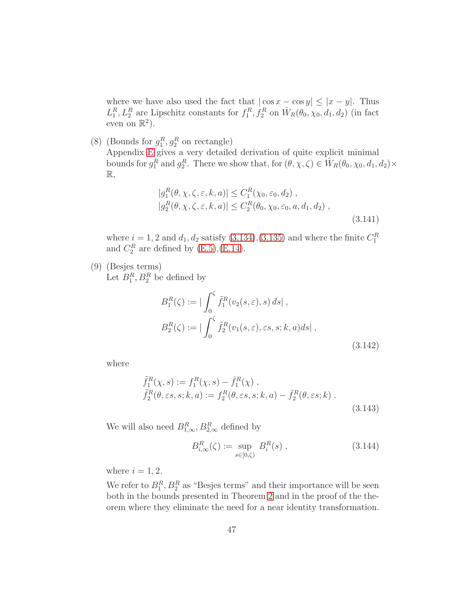where we have also used the fact that  $|\cos x - \cos y| \leq |x - y|$ . Thus  $L_1^R, L_2^R$  are Lipschitz constants for  $f_1^R, f_2^R$  on  $\hat{W}_R(\theta_0, \chi_0, d_1, d_2)$  (in fact even on  $\mathbb{R}^2$ ).

(8) (Bounds for  $g_1^R, g_2^R$  on rectangle)

Appendix [E](#page-86-0) gives a very detailed derivation of quite explicit minimal bounds for  $g_1^R$  and  $g_2^R$ . There we show that, for  $(\theta, \chi, \zeta) \in \hat{W}_R(\theta_0, \chi_0, d_1, d_2) \times$  $\mathbb{R},$ 

<span id="page-46-1"></span>
$$
|g_1^R(\theta, \chi, \zeta, \varepsilon, k, a)| \le C_1^R(\chi_0, \varepsilon_0, d_2),
$$
  
\n
$$
|g_2^R(\theta, \chi, \zeta, \varepsilon, k, a)| \le C_2^R(\theta_0, \chi_0, \varepsilon_0, a, d_1, d_2),
$$
  
\n(3.141)

where  $i = 1, 2$  and  $d_1, d_2$  satisfy [\(3.134\)](#page-44-0),[\(3.135\)](#page-44-0) and where the finite  $C_1^R$ and  $C_2^R$  are defined by [\(E.5\)](#page-86-1),[\(E.14\)](#page-87-0).

(9) (Besjes terms)

Let  $B_1^R$ ,  $B_2^R$  be defined by

<span id="page-46-2"></span>
$$
B_1^R(\zeta) := |\int_0^{\zeta} \tilde{f}_1^R(v_2(s, \varepsilon), s) ds|,
$$
  
\n
$$
B_2^R(\zeta) := |\int_0^{\zeta} \tilde{f}_2^R(v_1(s, \varepsilon), \varepsilon s, s; k, a) ds|,
$$
\n(3.142)

where

<span id="page-46-0"></span>
$$
\tilde{f}_1^R(\chi, s) := f_1^R(\chi, s) - \bar{f}_1^R(\chi) ,\n\tilde{f}_2^R(\theta, \varepsilon s, s; k, a) := f_2^R(\theta, \varepsilon s, s; k, a) - \bar{f}_2^R(\theta, \varepsilon s; k) .
$$
\n(3.143)

We will also need  $B_{1,\infty}^R, B_{2,\infty}^R$  defined by

<span id="page-46-3"></span>
$$
B_{i,\infty}^R(\zeta) := \sup_{s \in [0,\zeta)} B_i^R(s) , \qquad (3.144)
$$

where  $i = 1, 2$ .

We refer to  $B_1^R$ ,  $B_2^R$  as "Besjes terms" and their importance will be seen both in the bounds presented in Theorem [2](#page-47-0) and in the proof of the theorem where they eliminate the need for a near identity transformation.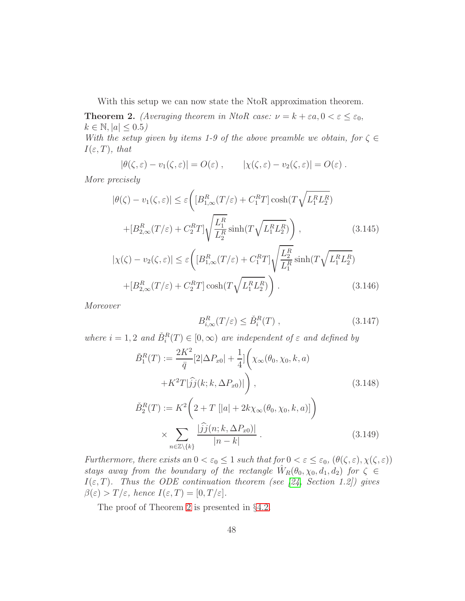With this setup we can now state the NtoR approximation theorem.

<span id="page-47-0"></span>**Theorem 2.** (Averaging theorem in NtoR case:  $\nu = k + \varepsilon a, 0 < \varepsilon \leq \varepsilon_0$ ,  $k \in \mathbb{N}, |a| \leq 0.5$ 

With the setup given by items 1-9 of the above preamble we obtain, for  $\zeta \in$  $I(\varepsilon,T)$ , that

$$
|\theta(\zeta,\varepsilon)-v_1(\zeta,\varepsilon)|=O(\varepsilon), \qquad |\chi(\zeta,\varepsilon)-v_2(\zeta,\varepsilon)|=O(\varepsilon).
$$

More precisely

<span id="page-47-2"></span>
$$
|\theta(\zeta) - v_1(\zeta, \varepsilon)| \le \varepsilon \left( [B_{1,\infty}^R(T/\varepsilon) + C_1^R T] \cosh(T \sqrt{L_1^R L_2^R}) + [B_{2,\infty}^R(T/\varepsilon) + C_2^R T] \sqrt{\frac{L_1^R}{L_2^R}} \sinh(T \sqrt{L_1^R L_2^R}) \right),
$$
\n(3.145)

$$
|\chi(\zeta) - v_2(\zeta, \varepsilon)| \le \varepsilon \left( [B_{1,\infty}^R(T/\varepsilon) + C_1^R T] \sqrt{\frac{L_2^R}{L_1^R}} \sinh(T\sqrt{L_1^R L_2^R}) + [B_{2,\infty}^R(T/\varepsilon) + C_2^R T] \cosh(T\sqrt{L_1^R L_2^R}) \right).
$$
\n(3.146)

Moreover

<span id="page-47-3"></span>
$$
B_{i,\infty}^R(T/\varepsilon) \le \check{B}_i^R(T) , \qquad (3.147)
$$

where  $i = 1, 2$  and  $\check{B}_i^R(T) \in [0, \infty)$  are independent of  $\varepsilon$  and defined by

<span id="page-47-1"></span>
$$
\tilde{B}_{1}^{R}(T) := \frac{2K^{2}}{\bar{q}}[2|\Delta P_{x0}| + \frac{1}{4}]\left(\chi_{\infty}(\theta_{0}, \chi_{0}, k, a) + K^{2}T|\hat{j}j(k; k, \Delta P_{x0})|\right),
$$
\n(3.148)  
\n
$$
\tilde{B}_{2}^{R}(T) := K^{2}\left(2 + T\left[|a| + 2k\chi_{\infty}(\theta_{0}, \chi_{0}, k, a)\right]\right) \times \sum_{n \in \mathbb{Z}\setminus\{k\}} \frac{|\hat{j}j(n; k, \Delta P_{x0})|}{|n - k|}.
$$
\n(3.149)

Furthermore, there exists an  $0 < \varepsilon_0 \leq 1$  such that for  $0 < \varepsilon \leq \varepsilon_0$ ,  $(\theta(\zeta, \varepsilon), \chi(\zeta, \varepsilon))$ stays away from the boundary of the rectangle  $\hat{W}_R(\theta_0, \chi_0, d_1, d_2)$  for  $\zeta \in$  $I(\varepsilon,T)$ . Thus the ODE continuation theorem (see [\[24,](#page-99-3) Section 1.2]) gives  $\beta(\varepsilon) > T/\varepsilon$ , hence  $I(\varepsilon,T) = [0,T/\varepsilon]$ .

The proof of Theorem [2](#page-47-0) is presented in §[4.2.](#page-62-0)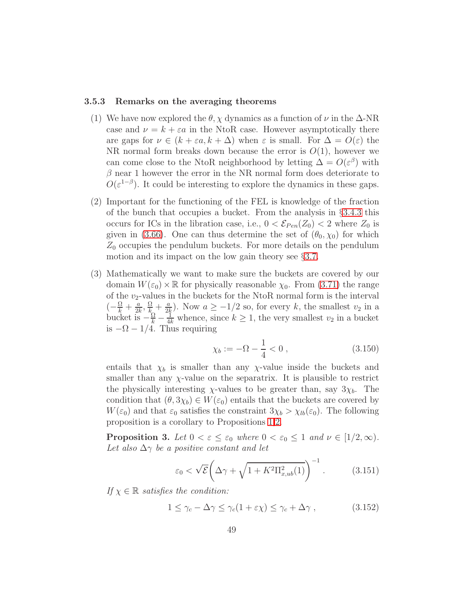#### 3.5.3 Remarks on the averaging theorems

- (1) We have now explored the  $\theta$ ,  $\chi$  dynamics as a function of  $\nu$  in the  $\Delta$ -NR case and  $\nu = k + \varepsilon a$  in the NtoR case. However asymptotically there are gaps for  $\nu \in (k + \varepsilon a, k + \Delta)$  when  $\varepsilon$  is small. For  $\Delta = O(\varepsilon)$  the NR normal form breaks down because the error is  $O(1)$ , however we can come close to the NtoR neighborhood by letting  $\Delta = O(\varepsilon^{\beta})$  with  $\beta$  near 1 however the error in the NR normal form does deteriorate to  $O(\varepsilon^{1-\beta})$ . It could be interesting to explore the dynamics in these gaps.
- (2) Important for the functioning of the FEL is knowledge of the fraction of the bunch that occupies a bucket. From the analysis in §[3.4.3](#page-31-1) this occurs for ICs in the libration case, i.e.,  $0 < \mathcal{E}_{Pen}(Z_0) < 2$  where  $Z_0$  is given in [\(3.66\)](#page-31-0). One can thus determine the set of  $(\theta_0, \chi_0)$  for which  $Z_0$  occupies the pendulum buckets. For more details on the pendulum motion and its impact on the low gain theory see §[3.7.](#page-53-0)
- (3) Mathematically we want to make sure the buckets are covered by our domain  $W(\varepsilon_0) \times \mathbb{R}$  for physically reasonable  $\chi_0$ . From [\(3.71\)](#page-32-0) the range of the  $v_2$ -values in the buckets for the NtoR normal form is the interval  $\left(-\frac{\Omega}{k}+\frac{a}{2k}\right)$  $\frac{a}{2k}, \frac{\Omega}{k} + \frac{a}{2k}$  $\frac{a}{2k}$ ). Now  $a \ge -1/2$  so, for every k, the smallest  $v_2$  in a bucket is  $-\frac{\Omega}{k} - \frac{1}{4k}$  whence, since  $k \geq 1$ , the very smallest  $v_2$  in a bucket is  $-\Omega - 1/4$ . Thus requiring

$$
\chi_b := -\Omega - \frac{1}{4} < 0 \,, \tag{3.150}
$$

entails that  $\chi_b$  is smaller than any  $\chi$ -value inside the buckets and smaller than any  $\chi$ -value on the separatrix. It is plausible to restrict the physically interesting  $\chi$ -values to be greater than, say  $3\chi_b$ . The condition that  $(\theta, 3\chi_b) \in W(\varepsilon_0)$  entails that the buckets are covered by  $W(\varepsilon_0)$  and that  $\varepsilon_0$  satisfies the constraint  $3\chi_b > \chi_{lb}(\varepsilon_0)$ . The following proposition is a corollary to Propositions [1](#page-26-3)[,2.](#page-30-1)

<span id="page-48-1"></span>**Proposition 3.** Let  $0 < \varepsilon \leq \varepsilon_0$  where  $0 < \varepsilon_0 \leq 1$  and  $\nu \in [1/2, \infty)$ . Let also  $\Delta \gamma$  be a positive constant and let

<span id="page-48-0"></span>
$$
\varepsilon_0 < \sqrt{\mathcal{E}} \bigg( \Delta \gamma + \sqrt{1 + K^2 \Pi_{x,ub}^2(1)} \bigg)^{-1} \,. \tag{3.151}
$$

If  $\chi \in \mathbb{R}$  satisfies the condition:

<span id="page-48-2"></span>
$$
1 \le \gamma_c - \Delta \gamma \le \gamma_c (1 + \varepsilon \chi) \le \gamma_c + \Delta \gamma , \qquad (3.152)
$$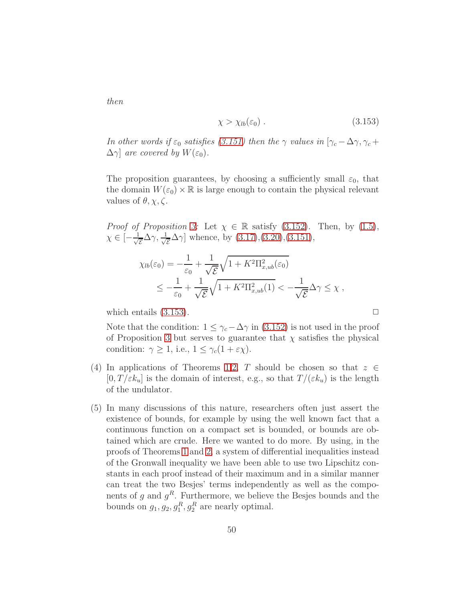<span id="page-49-0"></span>
$$
\chi > \chi_{lb}(\varepsilon_0) \ . \tag{3.153}
$$

In other words if  $\varepsilon_0$  satisfies [\(3.151\)](#page-48-0) then the  $\gamma$  values in  $[\gamma_c - \Delta \gamma, \gamma_c +$  $\Delta \gamma$ ] are covered by  $W(\varepsilon_0)$ .

The proposition guarantees, by choosing a sufficiently small  $\varepsilon_0$ , that the domain  $W(\varepsilon_0) \times \mathbb{R}$  is large enough to contain the physical relevant values of  $\theta$ ,  $\chi$ ,  $\zeta$ .

*Proof of Proposition [3:](#page-48-1)* Let  $\chi \in \mathbb{R}$  satisfy [\(3.152\)](#page-48-2). Then, by [\(1.5\)](#page-73-0),  $\chi \in \left[ -\frac{1}{\sqrt{2}} \right]$  $\frac{1}{\overline{\mathcal{E}}}\Delta\gamma,\frac{1}{\sqrt{2}}$  $\bar{z}^{\Delta\gamma}$  whence, by  $(3.17),(3.20),(3.151),$  $(3.17),(3.20),(3.151),$  $(3.17),(3.20),(3.151),$  $(3.17),(3.20),(3.151),$  $(3.17),(3.20),(3.151),$ 

$$
\chi_{lb}(\varepsilon_0) = -\frac{1}{\varepsilon_0} + \frac{1}{\sqrt{\mathcal{E}}} \sqrt{1 + K^2 \Pi_{x,ub}^2(\varepsilon_0)}
$$
  

$$
\leq -\frac{1}{\varepsilon_0} + \frac{1}{\sqrt{\mathcal{E}}} \sqrt{1 + K^2 \Pi_{x,ub}^2(1)} < -\frac{1}{\sqrt{\mathcal{E}}} \Delta \gamma \leq \chi,
$$

which entails  $(3.153)$ .

Note that the condition:  $1 \leq \gamma_c - \Delta \gamma$  in [\(3.152\)](#page-48-2) is not used in the proof of Proposition [3](#page-48-1) but serves to guarantee that  $\chi$  satisfies the physical condition:  $\gamma \geq 1$ , i.e.,  $1 \leq \gamma_c(1 + \varepsilon \chi)$ .

- (4) In applications of Theorems [1](#page-42-0)[,2,](#page-47-0) T should be chosen so that  $z \in \mathbb{R}$  $[0, T/\varepsilon k_u]$  is the domain of interest, e.g., so that  $T/(\varepsilon k_u)$  is the length of the undulator.
- (5) In many discussions of this nature, researchers often just assert the existence of bounds, for example by using the well known fact that a continuous function on a compact set is bounded, or bounds are obtained which are crude. Here we wanted to do more. By using, in the proofs of Theorems [1](#page-42-0) and [2,](#page-47-0) a system of differential inequalities instead of the Gronwall inequality we have been able to use two Lipschitz constants in each proof instead of their maximum and in a similar manner can treat the two Besjes' terms independently as well as the components of g and  $g^R$ . Furthermore, we believe the Besjes bounds and the bounds on  $g_1, g_2, g_1^R, g_2^R$  are nearly optimal.

then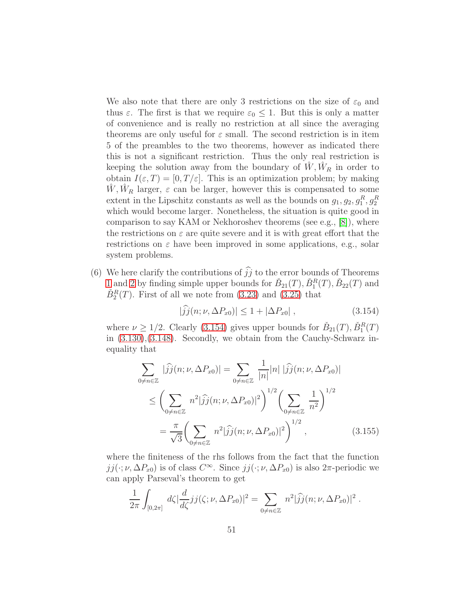We also note that there are only 3 restrictions on the size of  $\varepsilon_0$  and thus  $\varepsilon$ . The first is that we require  $\varepsilon_0 \leq 1$ . But this is only a matter of convenience and is really no restriction at all since the averaging theorems are only useful for  $\varepsilon$  small. The second restriction is in item 5 of the preambles to the two theorems, however as indicated there this is not a significant restriction. Thus the only real restriction is keeping the solution away from the boundary of  $\hat{W}, \hat{W}_R$  in order to obtain  $I(\varepsilon,T) = [0,T/\varepsilon]$ . This is an optimization problem; by making  $\hat{W}, \hat{W}_R$  larger,  $\varepsilon$  can be larger, however this is compensated to some extent in the Lipschitz constants as well as the bounds on  $g_1, g_2, g_1^R, g_2^R$ which would become larger. Nonetheless, the situation is quite good in comparison to say KAM or Nekhoroshev theorems (see e.g., [\[8\]](#page-97-1)), where the restrictions on  $\varepsilon$  are quite severe and it is with great effort that the restrictions on  $\varepsilon$  have been improved in some applications, e.g., solar system problems.

(6) We here clarify the contributions of  $\hat{j}j$  to the error bounds of Theorems [1](#page-42-0) and [2](#page-47-0) by finding simple upper bounds for  $\check{B}_{21}(T)$ ,  $\check{B}_1^R(T)$ ,  $\check{B}_{22}(T)$  and  $\check{B}_2^R(T)$ . First of all we note from [\(3.23\)](#page-82-2) and [\(3.25\)](#page-82-0) that

<span id="page-50-0"></span>
$$
|\widehat{j}\widehat{j}(n;\nu,\Delta P_{x0})| \le 1 + |\Delta P_{x0}| \,, \tag{3.154}
$$

where  $\nu \geq 1/2$ . Clearly [\(3.154\)](#page-50-0) gives upper bounds for  $\check{B}_{21}(T), \check{B}_1^R(T)$ in [\(3.130\)](#page-43-1),[\(3.148\)](#page-47-1). Secondly, we obtain from the Cauchy-Schwarz inequality that

<span id="page-50-1"></span>
$$
\sum_{0 \neq n \in \mathbb{Z}} |\hat{j}j(n;\nu,\Delta P_{x0})| = \sum_{0 \neq n \in \mathbb{Z}} \frac{1}{|n|} |n| |\hat{j}j(n;\nu,\Delta P_{x0})|
$$
  
\n
$$
\leq \left( \sum_{0 \neq n \in \mathbb{Z}} n^2 |\hat{j}j(n;\nu,\Delta P_{x0})|^2 \right)^{1/2} \left( \sum_{0 \neq n \in \mathbb{Z}} \frac{1}{n^2} \right)^{1/2}
$$
  
\n
$$
= \frac{\pi}{\sqrt{3}} \left( \sum_{0 \neq n \in \mathbb{Z}} n^2 |\hat{j}j(n;\nu,\Delta P_{x0})|^2 \right)^{1/2}, \qquad (3.155)
$$

where the finiteness of the rhs follows from the fact that the function  $jj(\cdot;\nu,\Delta P_{x0})$  is of class  $C^{\infty}$ . Since  $jj(\cdot;\nu,\Delta P_{x0})$  is also  $2\pi$ -periodic we can apply Parseval's theorem to get

<span id="page-50-2"></span>
$$
\frac{1}{2\pi}\int_{[0,2\pi]} d\zeta \vert \frac{d}{d\zeta} jj(\zeta;\nu,\Delta P_{x0}) \vert^2 = \sum_{0 \neq n \in \mathbb{Z}} n^2 \vert \widehat{j}\widehat{j}(n;\nu,\Delta P_{x0}) \vert^2.
$$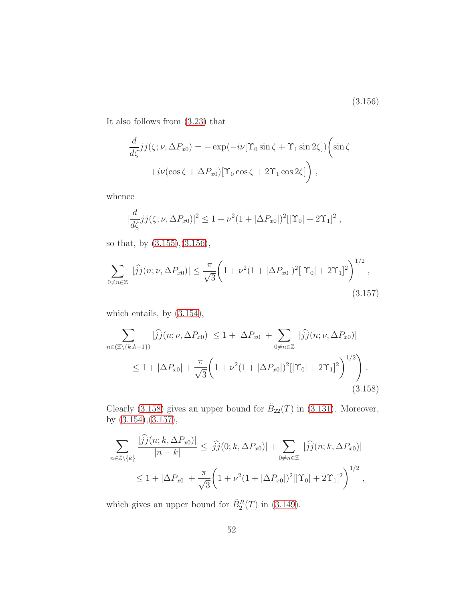(3.156)

It also follows from [\(3.23\)](#page-82-2) that

$$
\frac{d}{d\zeta}jj(\zeta;\nu,\Delta P_{x0}) = -\exp(-i\nu[\Upsilon_0\sin\zeta + \Upsilon_1\sin 2\zeta])\left(\sin\zeta\right)
$$

$$
+i\nu(\cos\zeta + \Delta P_{x0})[\Upsilon_0\cos\zeta + 2\Upsilon_1\cos 2\zeta]\right),
$$

whence

$$
\left|\frac{d}{d\zeta}jj(\zeta;\nu,\Delta P_{x0})\right|^2 \leq 1 + \nu^2 (1 + |\Delta P_{x0}|)^2 [|\Upsilon_0| + 2\Upsilon_1]^2 ,
$$

so that, by [\(3.155\)](#page-50-1),[\(3.156\)](#page-50-2),

<span id="page-51-1"></span>
$$
\sum_{0 \neq n \in \mathbb{Z}} |\widehat{j}(\eta; \nu, \Delta P_{x0})| \leq \frac{\pi}{\sqrt{3}} \bigg( 1 + \nu^2 (1 + |\Delta P_{x0}|)^2 [|\Upsilon_0| + 2\Upsilon_1]^2 \bigg)^{1/2},
$$
\n(3.157)

which entails, by [\(3.154\)](#page-50-0),

<span id="page-51-0"></span>
$$
\sum_{n \in (\mathbb{Z}\setminus\{k,k+1\})} |\widehat{j}j(n;\nu,\Delta P_{x0})| \le 1 + |\Delta P_{x0}| + \sum_{0 \ne n \in \mathbb{Z}} |\widehat{j}j(n;\nu,\Delta P_{x0})|
$$
  
 
$$
\le 1 + |\Delta P_{x0}| + \frac{\pi}{\sqrt{3}} \bigg(1 + \nu^2 (1 + |\Delta P_{x0}|)^2 [|\Upsilon_0| + 2\Upsilon_1]^2 \bigg)^{1/2} \bigg) . \tag{3.158}
$$

Clearly [\(3.158\)](#page-51-0) gives an upper bound for  $\check{B}_{22}(T)$  in [\(3.131\)](#page-43-1). Moreover, by [\(3.154\)](#page-50-0),[\(3.157\)](#page-51-1),

$$
\sum_{n\in\mathbb{Z}\backslash\{k\}}\frac{|jj(n;k,\Delta P_{x0})|}{|n-k|} \leq |\widehat{j}j(0;k,\Delta P_{x0})| + \sum_{0\neq n\in\mathbb{Z}}|\widehat{j}j(n;k,\Delta P_{x0})|
$$
  

$$
\leq 1 + |\Delta P_{x0}| + \frac{\pi}{\sqrt{3}}\left(1 + \nu^2(1+|\Delta P_{x0}|)^2[|\Upsilon_0|+2\Upsilon_1]^2\right)^{1/2},
$$

which gives an upper bound for  $\check{B}_2^R(T)$  in [\(3.149\)](#page-47-1).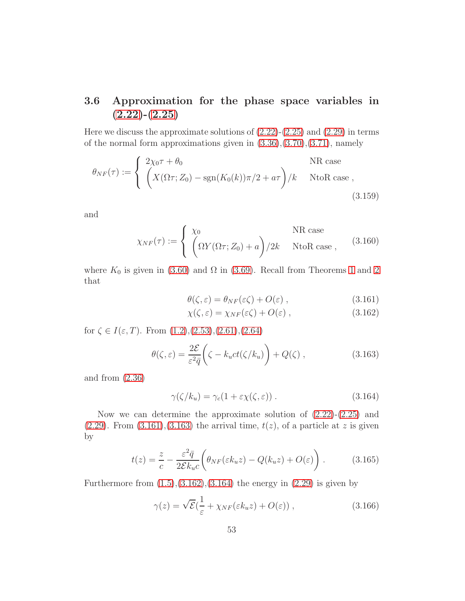## <span id="page-52-5"></span>3.6 Approximation for the phase space variables in  $(2.22)-(2.25)$  $(2.22)-(2.25)$  $(2.22)-(2.25)$

Here we discuss the approximate solutions of  $(2.22)-(2.25)$  $(2.22)-(2.25)$  and  $(2.29)$  in terms of the normal form approximations given in  $(3.36),(3.70),(3.71)$  $(3.36),(3.70),(3.71)$  $(3.36),(3.70),(3.71)$  $(3.36),(3.70),(3.71)$ , namely

$$
\theta_{NF}(\tau) := \begin{cases} 2\chi_0 \tau + \theta_0 & \text{NR case} \\ \left( X(\Omega \tau; Z_0) - \text{sgn}(K_0(k))\pi/2 + a\tau \right) / k & \text{NtoR case} , \end{cases}
$$
\n(3.159)

and

$$
\chi_{NF}(\tau) := \begin{cases} \chi_0 & \text{NR case} \\ \left(\Omega Y(\Omega \tau; Z_0) + a\right) / 2k & \text{NtoR case} , \end{cases}
$$
 (3.160)

where  $K_0$  is given in [\(3.60\)](#page-30-2) and  $\Omega$  in [\(3.69\)](#page-32-2). Recall from Theorems [1](#page-42-0) and [2](#page-47-0) that

<span id="page-52-0"></span>
$$
\theta(\zeta,\varepsilon) = \theta_{NF}(\varepsilon \zeta) + O(\varepsilon) , \qquad (3.161)
$$

$$
\chi(\zeta,\varepsilon) = \chi_{NF}(\varepsilon\zeta) + O(\varepsilon) , \qquad (3.162)
$$

for  $\zeta \in I(\varepsilon, T)$ . From  $(1.2), (2.53), (2.61), (2.64)$  $(1.2), (2.53), (2.61), (2.64)$  $(1.2), (2.53), (2.61), (2.64)$  $(1.2), (2.53), (2.61), (2.64)$  $(1.2), (2.53), (2.61), (2.64)$  $(1.2), (2.53), (2.61), (2.64)$ 

<span id="page-52-1"></span>
$$
\theta(\zeta,\varepsilon) = \frac{2\mathcal{E}}{\varepsilon^2 \bar{q}} \bigg(\zeta - k_u ct(\zeta/k_u)\bigg) + Q(\zeta) ,\qquad (3.163)
$$

and from [\(2.36\)](#page-14-0)

<span id="page-52-2"></span>
$$
\gamma(\zeta/k_u) = \gamma_c(1 + \varepsilon \chi(\zeta, \varepsilon)) \,. \tag{3.164}
$$

Now we can determine the approximate solution of [\(2.22\)](#page-12-0)-[\(2.25\)](#page-12-0) and  $(2.29)$ . From  $(3.161)$ ,  $(3.163)$  the arrival time,  $t(z)$ , of a particle at z is given by

<span id="page-52-4"></span>
$$
t(z) = \frac{z}{c} - \frac{\varepsilon^2 \bar{q}}{2\mathcal{E}k_u c} \left( \theta_{NF}(\varepsilon k_u z) - Q(k_u z) + O(\varepsilon) \right). \tag{3.165}
$$

Furthermore from  $(1.5)$ , $(3.162)$ , $(3.164)$  the energy in  $(2.29)$  is given by

<span id="page-52-3"></span>
$$
\gamma(z) = \sqrt{\mathcal{E}}\left(\frac{1}{\varepsilon} + \chi_{NF}(\varepsilon k_u z) + O(\varepsilon)\right),\tag{3.166}
$$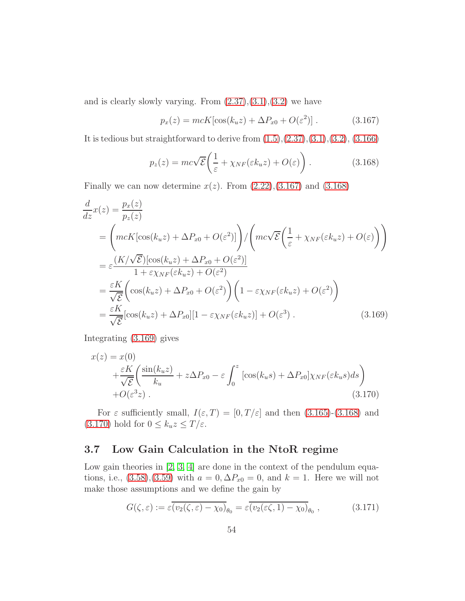and is clearly slowly varying. From  $(2.37),(3.1),(3.2)$  $(2.37),(3.1),(3.2)$  $(2.37),(3.1),(3.2)$  $(2.37),(3.1),(3.2)$  we have

<span id="page-53-1"></span>
$$
p_x(z) = mcK[\cos(k_u z) + \Delta P_{x0} + O(\varepsilon^2)].
$$
 (3.167)

It is tedious but straightforward to derive from  $(1.5), (2.37), (3.1), (3.2), (3.166)$  $(1.5), (2.37), (3.1), (3.2), (3.166)$  $(1.5), (2.37), (3.1), (3.2), (3.166)$  $(1.5), (2.37), (3.1), (3.2), (3.166)$  $(1.5), (2.37), (3.1), (3.2), (3.166)$  $(1.5), (2.37), (3.1), (3.2), (3.166)$  $(1.5), (2.37), (3.1), (3.2), (3.166)$  $(1.5), (2.37), (3.1), (3.2), (3.166)$ 

<span id="page-53-2"></span>
$$
p_z(z) = mc\sqrt{\mathcal{E}} \left( \frac{1}{\varepsilon} + \chi_{NF}(\varepsilon k_u z) + O(\varepsilon) \right). \tag{3.168}
$$

Finally we can now determine  $x(z)$ . From  $(2.22),(3.167)$  $(2.22),(3.167)$  and  $(3.168)$ 

<span id="page-53-3"></span>
$$
\frac{d}{dz}x(z) = \frac{p_x(z)}{p_z(z)}
$$
\n
$$
= \left( mcK[\cos(k_u z) + \Delta P_{x0} + O(\varepsilon^2)] \right) / \left( mc\sqrt{\varepsilon} \left( \frac{1}{\varepsilon} + \chi_{NF}(\varepsilon k_u z) + O(\varepsilon) \right) \right)
$$
\n
$$
= \varepsilon \frac{(K/\sqrt{\varepsilon})[\cos(k_u z) + \Delta P_{x0} + O(\varepsilon^2)]}{1 + \varepsilon \chi_{NF}(\varepsilon k_u z) + O(\varepsilon^2)}
$$
\n
$$
= \frac{\varepsilon K}{\sqrt{\varepsilon}} \left( \cos(k_u z) + \Delta P_{x0} + O(\varepsilon^2) \right) \left( 1 - \varepsilon \chi_{NF}(\varepsilon k_u z) + O(\varepsilon^2) \right)
$$
\n
$$
= \frac{\varepsilon K}{\sqrt{\varepsilon}} [\cos(k_u z) + \Delta P_{x0}] [1 - \varepsilon \chi_{NF}(\varepsilon k_u z)] + O(\varepsilon^3) . \tag{3.169}
$$

Integrating [\(3.169\)](#page-53-3) gives

<span id="page-53-4"></span>
$$
x(z) = x(0)
$$
  
 
$$
+ \frac{\varepsilon K}{\sqrt{\mathcal{E}}} \left( \frac{\sin(k_u z)}{k_u} + z \Delta P_{x0} - \varepsilon \int_0^z \left[ \cos(k_u s) + \Delta P_{x0} \right] \chi_{NF}(\varepsilon k_u s) ds \right)
$$
  
 
$$
+ O(\varepsilon^3 z) . \tag{3.170}
$$

For  $\varepsilon$  sufficiently small,  $I(\varepsilon,T) = [0,T/\varepsilon]$  and then [\(3.165\)](#page-52-4)-[\(3.168\)](#page-53-2) and [\(3.170\)](#page-53-4) hold for  $0\leq k_u z \leq T/\varepsilon.$ 

## <span id="page-53-0"></span>3.7 Low Gain Calculation in the NtoR regime

Low gain theories in [\[2,](#page-97-2) [3,](#page-97-3) [4\]](#page-97-4) are done in the context of the pendulum equations, i.e.,  $(3.58)$ , $(3.59)$  with  $a = 0$ ,  $\Delta P_{x0} = 0$ , and  $k = 1$ . Here we will not make those assumptions and we define the gain by

<span id="page-53-5"></span>
$$
G(\zeta, \varepsilon) := \varepsilon \overline{(v_2(\zeta, \varepsilon) - \chi_0)}_{\theta_0} = \varepsilon \overline{(v_2(\varepsilon \zeta, 1) - \chi_0)}_{\theta_0}, \qquad (3.171)
$$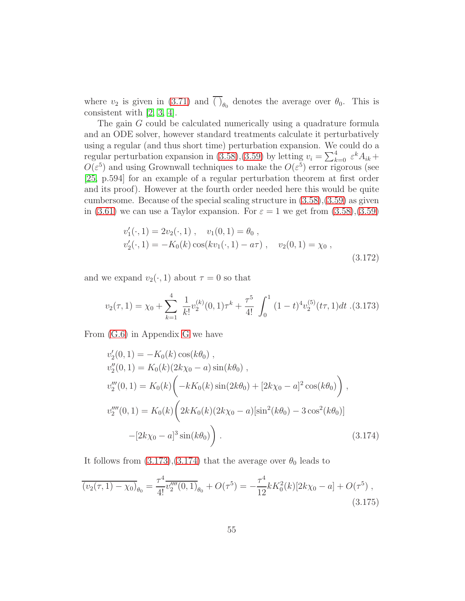where  $v_2$  is given in [\(3.71\)](#page-32-0) and ( )<sub> $\theta_0$ </sub> denotes the average over  $\theta_0$ . This is consistent with [\[2,](#page-97-2) [3,](#page-97-3) [4\]](#page-97-4).

The gain G could be calculated numerically using a quadrature formula and an ODE solver, however standard treatments calculate it perturbatively using a regular (and thus short time) perturbation expansion. We could do a regular perturbation expansion in [\(3.58\)](#page-30-0),[\(3.59\)](#page-30-0) by letting  $v_i = \sum_{k=0}^{4} \varepsilon^k A_{ik} +$  $O(\varepsilon^5)$  and using Grownwall techniques to make the  $O(\varepsilon^5)$  error rigorous (see [\[25,](#page-99-4) p.594] for an example of a regular perturbation theorem at first order and its proof). However at the fourth order needed here this would be quite cumbersome. Because of the special scaling structure in [\(3.58\)](#page-30-0),[\(3.59\)](#page-30-0) as given in [\(3.61\)](#page-31-2) we can use a Taylor expansion. For  $\varepsilon = 1$  we get from [\(3.58\)](#page-30-0),[\(3.59\)](#page-30-0)

$$
v'_1(\cdot, 1) = 2v_2(\cdot, 1), \quad v_1(0, 1) = \theta_0,
$$
  
\n
$$
v'_2(\cdot, 1) = -K_0(k) \cos(kv_1(\cdot, 1) - a\tau), \quad v_2(0, 1) = \chi_0,
$$
  
\n(3.172)

and we expand  $v_2(\cdot, 1)$  about  $\tau = 0$  so that

<span id="page-54-0"></span>
$$
v_2(\tau, 1) = \chi_0 + \sum_{k=1}^4 \frac{1}{k!} v_2^{(k)}(0, 1)\tau^k + \frac{\tau^5}{4!} \int_0^1 (1 - t)^4 v_2^{(5)}(t\tau, 1) dt \tag{3.173}
$$

From [\(G.6\)](#page-90-0) in Appendix [G](#page-89-0) we have

<span id="page-54-1"></span>
$$
v'_2(0, 1) = -K_0(k) \cos(k\theta_0),
$$
  
\n
$$
v''_2(0, 1) = K_0(k)(2k\chi_0 - a) \sin(k\theta_0),
$$
  
\n
$$
v'''_2(0, 1) = K_0(k) \left( -kK_0(k) \sin(2k\theta_0) + [2k\chi_0 - a]^2 \cos(k\theta_0) \right),
$$
  
\n
$$
v'''_2(0, 1) = K_0(k) \left( 2kK_0(k)(2k\chi_0 - a) [\sin^2(k\theta_0) - 3\cos^2(k\theta_0)] - [2k\chi_0 - a]^3 \sin(k\theta_0) \right).
$$
\n(3.174)

It follows from  $(3.173),(3.174)$  $(3.173),(3.174)$  that the average over  $\theta_0$  leads to

$$
\overline{(v_2(\tau, 1) - \chi_0)}_{\theta_0} = \frac{\tau^4}{4!} \overline{v_2'''(0, 1)}_{\theta_0} + O(\tau^5) = -\frac{\tau^4}{12} k K_0^2(k) [2k\chi_0 - a] + O(\tau^5) ,
$$
\n(3.175)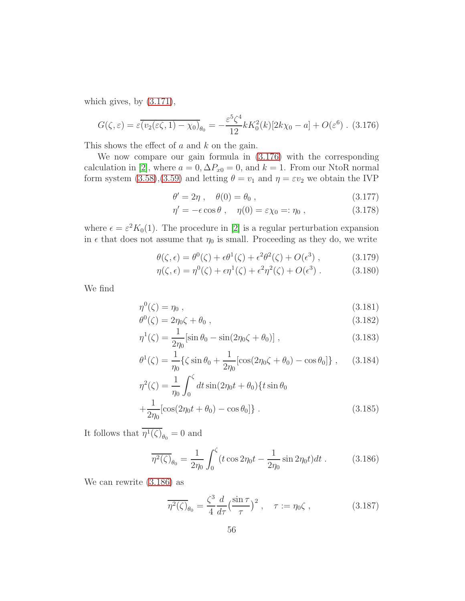which gives, by  $(3.171)$ ,

<span id="page-55-0"></span>
$$
G(\zeta,\varepsilon) = \varepsilon \overline{(v_2(\varepsilon \zeta, 1) - \chi_0)}_{\theta_0} = -\frac{\varepsilon^5 \zeta^4}{12} k K_0^2(k) [2k\chi_0 - a] + O(\varepsilon^6) \quad (3.176)
$$

This shows the effect of  $a$  and  $k$  on the gain.

We now compare our gain formula in [\(3.176\)](#page-55-0) with the corresponding calculation in [\[2\]](#page-97-2), where  $a = 0, \Delta P_{x0} = 0$ , and  $k = 1$ . From our NtoR normal form system [\(3.58\)](#page-30-0),[\(3.59\)](#page-30-0) and letting  $\theta = v_1$  and  $\eta = \varepsilon v_2$  we obtain the IVP

$$
\theta' = 2\eta \,, \quad \theta(0) = \theta_0 \,, \tag{3.177}
$$

$$
\eta' = -\epsilon \cos \theta \;, \quad \eta(0) = \epsilon \chi_0 =: \eta_0 \;, \tag{3.178}
$$

where  $\epsilon = \epsilon^2 K_0(1)$ . The procedure in [\[2\]](#page-97-2) is a regular perturbation expansion in  $\epsilon$  that does not assume that  $\eta_0$  is small. Proceeding as they do, we write

$$
\theta(\zeta, \epsilon) = \theta^0(\zeta) + \epsilon \theta^1(\zeta) + \epsilon^2 \theta^2(\zeta) + O(\epsilon^3) , \qquad (3.179)
$$

$$
\eta(\zeta, \epsilon) = \eta^0(\zeta) + \epsilon \eta^1(\zeta) + \epsilon^2 \eta^2(\zeta) + O(\epsilon^3) . \tag{3.180}
$$

We find

$$
\eta^0(\zeta) = \eta_0 \tag{3.181}
$$

$$
\theta^0(\zeta) = 2\eta_0 \zeta + \theta_0 , \qquad (3.182)
$$

$$
\eta^{1}(\zeta) = \frac{1}{2\eta_{0}} [\sin \theta_{0} - \sin(2\eta_{0}\zeta + \theta_{0})], \qquad (3.183)
$$

$$
\theta^1(\zeta) = \frac{1}{\eta_0} \{ \zeta \sin \theta_0 + \frac{1}{2\eta_0} [\cos(2\eta_0 \zeta + \theta_0) - \cos \theta_0] \}, \qquad (3.184)
$$

$$
\eta^2(\zeta) = \frac{1}{\eta_0} \int_0^{\zeta} dt \sin(2\eta_0 t + \theta_0) \{t \sin \theta_0 + \frac{1}{2\eta_0} [\cos(2\eta_0 t + \theta_0) - \cos \theta_0] \}.
$$
\n(3.185)

It follows that  $\eta^1(\zeta)_{\theta_0} = 0$  and

<span id="page-55-1"></span>
$$
\overline{\eta^2(\zeta)}_{\theta_0} = \frac{1}{2\eta_0} \int_0^{\zeta} (t \cos 2\eta_0 t - \frac{1}{2\eta_0} \sin 2\eta_0 t) dt.
$$
 (3.186)

We can rewrite [\(3.186\)](#page-55-1) as

$$
\overline{\eta^2(\zeta)}_{\theta_0} = \frac{\zeta^3}{4} \frac{d}{d\tau} \left(\frac{\sin \tau}{\tau}\right)^2, \quad \tau := \eta_0 \zeta, \qquad (3.187)
$$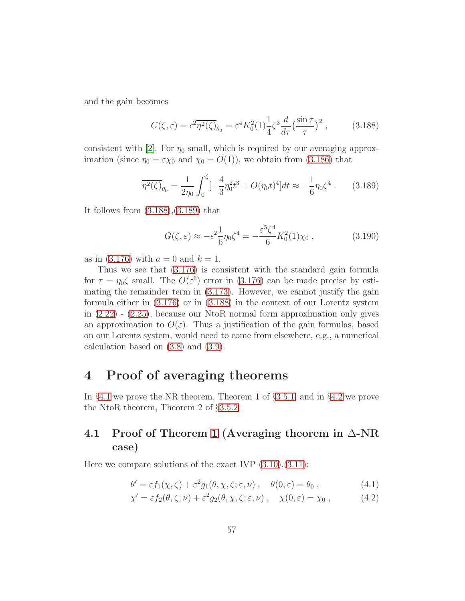and the gain becomes

<span id="page-56-1"></span>
$$
G(\zeta,\varepsilon) = \epsilon^2 \overline{\eta^2(\zeta)}_{\theta_0} = \varepsilon^4 K_0^2(1) \frac{1}{4} \zeta^3 \frac{d}{d\tau} \left(\frac{\sin \tau}{\tau}\right)^2 ,\qquad (3.188)
$$

consistent with [\[2\]](#page-97-2). For  $\eta_0$  small, which is required by our averaging approximation (since  $\eta_0 = \varepsilon \chi_0$  and  $\chi_0 = O(1)$ ), we obtain from [\(3.186\)](#page-55-1) that

<span id="page-56-2"></span>
$$
\overline{\eta^2(\zeta)}_{\theta_0} = \frac{1}{2\eta_0} \int_0^{\zeta} \left[-\frac{4}{3}\eta_0^2 t^3 + O(\eta_0 t)^4\right] dt \approx -\frac{1}{6}\eta_0 \zeta^4 \,. \tag{3.189}
$$

It follows from [\(3.188\)](#page-56-1),[\(3.189\)](#page-56-2) that

$$
G(\zeta,\varepsilon) \approx -\epsilon^2 \frac{1}{6} \eta_0 \zeta^4 = -\frac{\varepsilon^5 \zeta^4}{6} K_0^2(1) \chi_0 , \qquad (3.190)
$$

as in [\(3.176\)](#page-55-0) with  $a = 0$  and  $k = 1$ .

Thus we see that [\(3.176\)](#page-55-0) is consistent with the standard gain formula for  $\tau = \eta_0 \zeta$  small. The  $O(\varepsilon^6)$  error in [\(3.176\)](#page-55-0) can be made precise by estimating the remainder term in [\(3.173\)](#page-54-0). However, we cannot justify the gain formula either in [\(3.176\)](#page-55-0) or in [\(3.188\)](#page-56-1) in the context of our Lorentz system in [\(2.22\)](#page-12-0) - [\(2.25\)](#page-12-0), because our NtoR normal form approximation only gives an approximation to  $O(\varepsilon)$ . Thus a justification of the gain formulas, based on our Lorentz system, would need to come from elsewhere, e.g., a numerical calculation based on [\(3.8\)](#page-80-1) and [\(3.9\)](#page-80-1).

## 4 Proof of averaging theorems

In §[4.1](#page-56-0) we prove the NR theorem, Theorem 1 of §[3.5.1,](#page-39-0) and in §[4.2](#page-62-0) we prove the NtoR theorem, Theorem 2 of §[3.5.2.](#page-43-0)

## <span id="page-56-0"></span>4.1 Proof of Theorem [1](#page-42-0) (Averaging theorem in  $\Delta$ -NR case)

Here we compare solutions of the exact IVP  $(3.10), (3.11)$  $(3.10), (3.11)$ :

$$
\theta' = \varepsilon f_1(\chi, \zeta) + \varepsilon^2 g_1(\theta, \chi, \zeta; \varepsilon, \nu) , \quad \theta(0, \varepsilon) = \theta_0 , \qquad (4.1)
$$

$$
\chi' = \varepsilon f_2(\theta, \zeta; \nu) + \varepsilon^2 g_2(\theta, \chi, \zeta; \varepsilon, \nu) , \quad \chi(0, \varepsilon) = \chi_0 , \qquad (4.2)
$$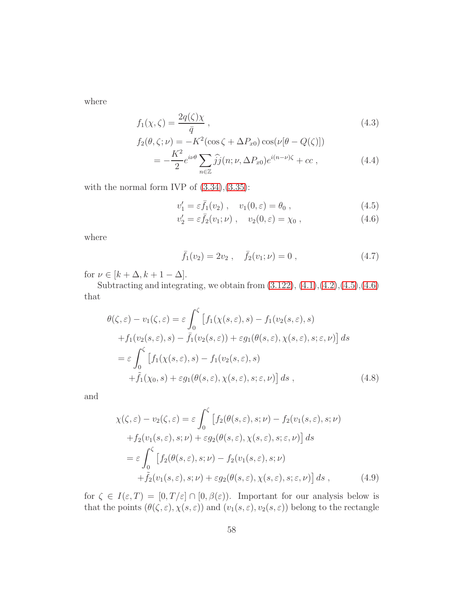where

$$
f_1(\chi,\zeta) = \frac{2q(\zeta)\chi}{\bar{q}},\tag{4.3}
$$

$$
f_2(\theta, \zeta; \nu) = -K^2(\cos \zeta + \Delta P_{x0}) \cos(\nu[\theta - Q(\zeta)])
$$
  
= 
$$
-\frac{K^2}{2} e^{i\nu\theta} \sum_{n \in \mathbb{Z}} \widehat{j}j(n; \nu, \Delta P_{x0}) e^{i(n-\nu)\zeta} + cc ,
$$
 (4.4)

with the normal form IVP of  $(3.34),(3.35)$  $(3.34),(3.35)$ :

<span id="page-57-0"></span>
$$
v_1' = \varepsilon \bar{f}_1(v_2) , \quad v_1(0, \varepsilon) = \theta_0 , \qquad (4.5)
$$

$$
v_2' = \varepsilon \bar{f}_2(v_1; \nu) , \quad v_2(0, \varepsilon) = \chi_0 , \qquad (4.6)
$$

where

$$
\bar{f}_1(v_2) = 2v_2 , \quad \bar{f}_2(v_1; \nu) = 0 , \qquad (4.7)
$$

for  $\nu \in [k + \Delta, k + 1 - \Delta]$ .

Subtracting and integrating, we obtain from  $(3.122), (4.1), (4.2), (4.5), (4.6)$  $(3.122), (4.1), (4.2), (4.5), (4.6)$  $(3.122), (4.1), (4.2), (4.5), (4.6)$  $(3.122), (4.1), (4.2), (4.5), (4.6)$  $(3.122), (4.1), (4.2), (4.5), (4.6)$  $(3.122), (4.1), (4.2), (4.5), (4.6)$  $(3.122), (4.1), (4.2), (4.5), (4.6)$  $(3.122), (4.1), (4.2), (4.5), (4.6)$ that

$$
\theta(\zeta, \varepsilon) - v_1(\zeta, \varepsilon) = \varepsilon \int_0^{\zeta} \left[ f_1(\chi(s, \varepsilon), s) - f_1(v_2(s, \varepsilon), s) + f_1(v_2(s, \varepsilon), s) - \bar{f}_1(v_2(s, \varepsilon)) + \varepsilon g_1(\theta(s, \varepsilon), \chi(s, \varepsilon), s; \varepsilon, \nu) \right] ds
$$
  

$$
= \varepsilon \int_0^{\zeta} \left[ f_1(\chi(s, \varepsilon), s) - f_1(v_2(s, \varepsilon), s) + \tilde{f}_1(\chi_0, s) + \varepsilon g_1(\theta(s, \varepsilon), \chi(s, \varepsilon), s; \varepsilon, \nu) \right] ds , \qquad (4.8)
$$

and

$$
\chi(\zeta, \varepsilon) - v_2(\zeta, \varepsilon) = \varepsilon \int_0^{\zeta} \left[ f_2(\theta(s, \varepsilon), s; \nu) - f_2(v_1(s, \varepsilon), s; \nu) \right. \n+ f_2(v_1(s, \varepsilon), s; \nu) + \varepsilon g_2(\theta(s, \varepsilon), \chi(s, \varepsilon), s; \varepsilon, \nu) \right] ds \n= \varepsilon \int_0^{\zeta} \left[ f_2(\theta(s, \varepsilon), s; \nu) - f_2(v_1(s, \varepsilon), s; \nu) \right. \n+ \tilde{f}_2(v_1(s, \varepsilon), s; \nu) + \varepsilon g_2(\theta(s, \varepsilon), \chi(s, \varepsilon), s; \varepsilon, \nu) \right] ds , \qquad (4.9)
$$

for  $\zeta \in I(\varepsilon,T) = [0,T/\varepsilon] \cap [0,\beta(\varepsilon))$ . Important for our analysis below is that the points  $(\theta(\zeta,\varepsilon), \chi(s,\varepsilon))$  and  $(v_1(s,\varepsilon), v_2(s,\varepsilon))$  belong to the rectangle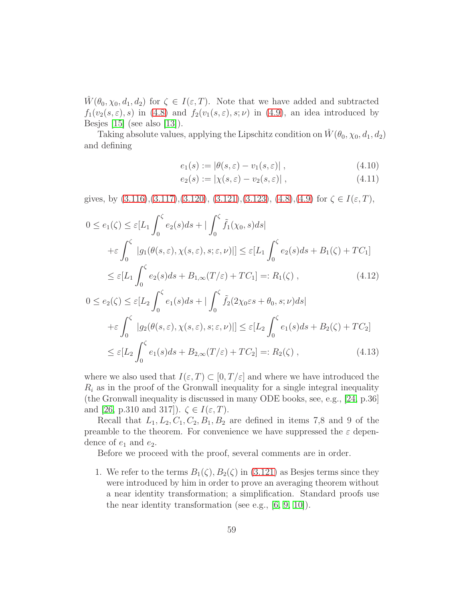$\hat{W}(\theta_0, \chi_0, d_1, d_2)$  for  $\zeta \in I(\varepsilon, T)$ . Note that we have added and subtracted  $f_1(v_2(s, \varepsilon), s)$  in [\(4.8\)](#page-85-0) and  $f_2(v_1(s, \varepsilon), s; \nu)$  in [\(4.9\)](#page-85-1), an idea introduced by Besjes [\[15\]](#page-98-5) (see also [\[13\]](#page-98-6)).

Taking absolute values, applying the Lipschitz condition on  $\hat{W}(\theta_0, \chi_0, d_1, d_2)$ and defining

$$
e_1(s) := |\theta(s, \varepsilon) - v_1(s, \varepsilon)| \tag{4.10}
$$

$$
e_2(s) := |\chi(s, \varepsilon) - v_2(s, \varepsilon)| \,, \tag{4.11}
$$

gives, by  $(3.116),(3.117),(3.120),(3.121),(3.123),(4.8),(4.9)$  $(3.116),(3.117),(3.120),(3.121),(3.123),(4.8),(4.9)$  $(3.116),(3.117),(3.120),(3.121),(3.123),(4.8),(4.9)$  $(3.116),(3.117),(3.120),(3.121),(3.123),(4.8),(4.9)$  $(3.116),(3.117),(3.120),(3.121),(3.123),(4.8),(4.9)$  $(3.116),(3.117),(3.120),(3.121),(3.123),(4.8),(4.9)$  $(3.116),(3.117),(3.120),(3.121),(3.123),(4.8),(4.9)$  $(3.116),(3.117),(3.120),(3.121),(3.123),(4.8),(4.9)$  for  $\zeta \in I(\varepsilon,T)$ ,

<span id="page-58-0"></span>
$$
0 \le e_1(\zeta) \le \varepsilon [L_1 \int_0^{\zeta} e_2(s)ds + |\int_0^{\zeta} \tilde{f}_1(\chi_0, s)ds|
$$
  
+ $\varepsilon \int_0^{\zeta} |g_1(\theta(s, \varepsilon), \chi(s, \varepsilon), s; \varepsilon, \nu)|] \le \varepsilon [L_1 \int_0^{\zeta} e_2(s)ds + B_1(\zeta) + TC_1]$   
 $\le \varepsilon [L_1 \int_0^{\zeta} e_2(s)ds + B_{1,\infty}(T/\varepsilon) + TC_1] =: R_1(\zeta),$  (4.12)

$$
0 \le e_2(\zeta) \le \varepsilon [L_2 \int_0^{\zeta} e_1(s)ds + |\int_0^{\zeta} \tilde{f}_2(2\chi_0 \varepsilon s + \theta_0, s; \nu)ds|
$$
  
+ $\varepsilon \int_0^{\zeta} |g_2(\theta(s, \varepsilon), \chi(s, \varepsilon), s; \varepsilon, \nu)|] \le \varepsilon [L_2 \int_0^{\zeta} e_1(s)ds + B_2(\zeta) + TC_2]$   
 $\le \varepsilon [L_2 \int_0^{\zeta} e_1(s)ds + B_{2,\infty}(T/\varepsilon) + TC_2] =: R_2(\zeta),$  (4.13)

where we also used that  $I(\varepsilon, T) \subset [0, T/\varepsilon]$  and where we have introduced the  $R_i$  as in the proof of the Gronwall inequality for a single integral inequality (the Gronwall inequality is discussed in many ODE books, see, e.g., [\[24,](#page-99-3) p.36] and [\[26,](#page-99-5) p.310 and 317]).  $\zeta \in I(\varepsilon, T)$ .

Recall that  $L_1, L_2, C_1, C_2, B_1, B_2$  are defined in items 7,8 and 9 of the preamble to the theorem. For convenience we have suppressed the  $\varepsilon$  dependence of  $e_1$  and  $e_2$ .

Before we proceed with the proof, several comments are in order.

1. We refer to the terms  $B_1(\zeta), B_2(\zeta)$  in [\(3.121\)](#page-42-1) as Besjes terms since they were introduced by him in order to prove an averaging theorem without a near identity transformation; a simplification. Standard proofs use the near identity transformation (see e.g., [\[6,](#page-97-0) [9,](#page-98-1) [10\]](#page-98-2)).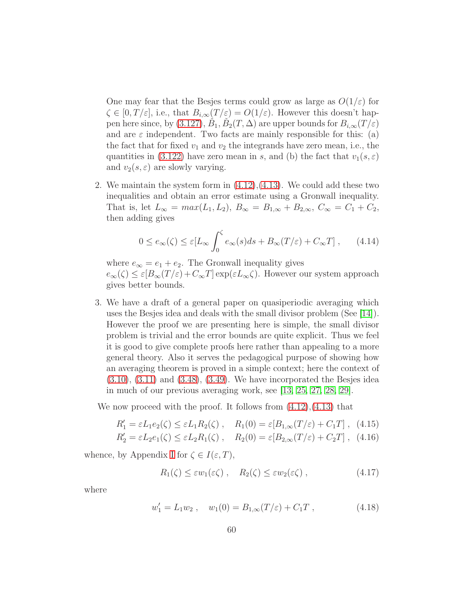One may fear that the Besjes terms could grow as large as  $O(1/\varepsilon)$  for  $\zeta \in [0, T/\varepsilon],$  i.e., that  $B_{i,\infty}(T/\varepsilon) = O(1/\varepsilon)$ . However this doesn't hap-pen here since, by [\(3.127\)](#page-43-2),  $\check{B}_1$ ,  $\check{B}_2(T,\Delta)$  are upper bounds for  $B_{i,\infty}(T/\varepsilon)$ and are  $\varepsilon$  independent. Two facts are mainly responsible for this: (a) the fact that for fixed  $v_1$  and  $v_2$  the integrands have zero mean, i.e., the quantities in [\(3.122\)](#page-42-2) have zero mean in s, and (b) the fact that  $v_1(s, \varepsilon)$ and  $v_2(s, \varepsilon)$  are slowly varying.

2. We maintain the system form in [\(4.12\)](#page-58-0),[\(4.13\)](#page-58-0). We could add these two inequalities and obtain an error estimate using a Gronwall inequality. That is, let  $L_{\infty} = max(L_1, L_2), B_{\infty} = B_{1,\infty} + B_{2,\infty}, C_{\infty} = C_1 + C_2$ , then adding gives

$$
0 \le e_{\infty}(\zeta) \le \varepsilon [L_{\infty} \int_0^{\zeta} e_{\infty}(s) ds + B_{\infty}(T/\varepsilon) + C_{\infty}T], \qquad (4.14)
$$

where  $e_{\infty} = e_1 + e_2$ . The Gronwall inequality gives  $e_{\infty}(\zeta) \leq \varepsilon [B_{\infty}(T/\varepsilon) + C_{\infty}T] \exp(\varepsilon L_{\infty}\zeta)$ . However our system approach gives better bounds.

3. We have a draft of a general paper on quasiperiodic averaging which uses the Besjes idea and deals with the small divisor problem (See [\[14\]](#page-98-7)). However the proof we are presenting here is simple, the small divisor problem is trivial and the error bounds are quite explicit. Thus we feel it is good to give complete proofs here rather than appealing to a more general theory. Also it serves the pedagogical purpose of showing how an averaging theorem is proved in a simple context; here the context of  $(3.10), (3.11)$  $(3.10), (3.11)$  $(3.10), (3.11)$  and  $(3.48), (3.49)$  $(3.48), (3.49)$ . We have incorporated the Besjes idea in much of our previous averaging work, see [\[13,](#page-98-6) [25,](#page-99-4) [27,](#page-99-6) [28,](#page-99-7) [29\]](#page-100-0).

We now proceed with the proof. It follows from  $(4.12)$ , $(4.13)$  that

$$
R'_1 = \varepsilon L_1 e_2(\zeta) \le \varepsilon L_1 R_2(\zeta) , \quad R_1(0) = \varepsilon [B_{1,\infty}(T/\varepsilon) + C_1 T] , \tag{4.15}
$$

$$
R_2' = \varepsilon L_2 e_1(\zeta) \le \varepsilon L_2 R_1(\zeta) , \quad R_2(0) = \varepsilon [B_{2,\infty}(T/\varepsilon) + C_2 T] , \tag{4.16}
$$

whence, by Appendix [I](#page-94-0) for  $\zeta \in I(\varepsilon,T)$ ,

<span id="page-59-1"></span>
$$
R_1(\zeta) \le \varepsilon w_1(\varepsilon \zeta) , \quad R_2(\zeta) \le \varepsilon w_2(\varepsilon \zeta) , \tag{4.17}
$$

where

<span id="page-59-0"></span>
$$
w_1' = L_1 w_2 , \quad w_1(0) = B_{1,\infty}(T/\varepsilon) + C_1 T , \qquad (4.18)
$$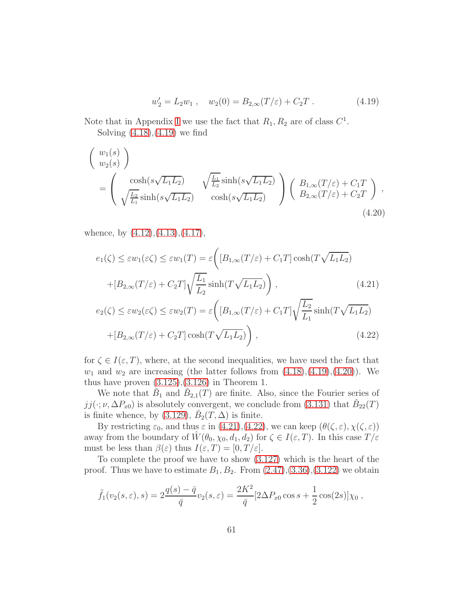$$
w_2' = L_2 w_1 , \quad w_2(0) = B_{2,\infty}(T/\varepsilon) + C_2 T . \tag{4.19}
$$

Note that in Appendix [I](#page-94-0) we use the fact that  $R_1, R_2$  are of class  $C^1$ . Solving [\(4.18\)](#page-59-0),[\(4.19\)](#page-59-0) we find

<span id="page-60-0"></span>
$$
\begin{pmatrix}\nw_1(s) \\
w_2(s)\n\end{pmatrix}\n= \begin{pmatrix}\n\cosh(s\sqrt{L_1L_2}) & \sqrt{\frac{L_1}{L_2}}\sinh(s\sqrt{L_1L_2}) \\
\sqrt{\frac{L_2}{L_1}}\sinh(s\sqrt{L_1L_2}) & \cosh(s\sqrt{L_1L_2})\n\end{pmatrix}\n\begin{pmatrix}\nB_{1,\infty}(T/\varepsilon) + C_1T \\
B_{2,\infty}(T/\varepsilon) + C_2T\n\end{pmatrix},
$$
\n(4.20)

whence, by  $(4.12)$ ,  $(4.13)$ ,  $(4.17)$ ,

<span id="page-60-1"></span>
$$
e_1(\zeta) \le \varepsilon w_1(\varepsilon \zeta) \le \varepsilon w_1(T) = \varepsilon \left( \left[ B_{1,\infty}(T/\varepsilon) + C_1 T \right] \cosh(T\sqrt{L_1 L_2}) + \left[ B_{2,\infty}(T/\varepsilon) + C_2 T \right] \sqrt{\frac{L_1}{L_2}} \sinh(T\sqrt{L_1 L_2}) \right),\tag{4.21}
$$

$$
e_2(\zeta) \le \varepsilon w_2(\varepsilon \zeta) \le \varepsilon w_2(T) = \varepsilon \left( [B_{1,\infty}(T/\varepsilon) + C_1 T] \sqrt{\frac{L_2}{L_1}} \sinh(T \sqrt{L_1 L_2}) + [B_{2,\infty}(T/\varepsilon) + C_2 T] \cosh(T \sqrt{L_1 L_2}) \right),
$$
\n(4.22)

for  $\zeta \in I(\varepsilon,T)$ , where, at the second inequalities, we have used the fact that  $w_1$  and  $w_2$  are increasing (the latter follows from  $(4.18),(4.19),(4.20)$  $(4.18),(4.19),(4.20)$  $(4.18),(4.19),(4.20)$  $(4.18),(4.19),(4.20)$ ). We thus have proven  $(3.125),(3.126)$  $(3.125),(3.126)$  in Theorem 1.

We note that  $\check{B}_1$  and  $\check{B}_{2,1}(T)$  are finite. Also, since the Fourier series of  $jj(\cdot;\nu,\Delta P_{x0})$  is absolutely convergent, we conclude from [\(3.131\)](#page-43-1) that  $\check{B}_{22}(T)$ is finite whence, by [\(3.129\)](#page-43-1),  $\check{B}_2(T,\Delta)$  is finite.

By restricting  $\varepsilon_0$ , and thus  $\varepsilon$  in [\(4.21\)](#page-60-1),[\(4.22\)](#page-60-1), we can keep  $(\theta(\zeta,\varepsilon), \chi(\zeta,\varepsilon))$ away from the boundary of  $\hat{W}(\theta_0, \chi_0, d_1, d_2)$  for  $\zeta \in I(\varepsilon, T)$ . In this case  $T/\varepsilon$ must be less than  $\beta(\varepsilon)$  thus  $I(\varepsilon,T) = [0,T/\varepsilon].$ 

To complete the proof we have to show [\(3.127\)](#page-43-2) which is the heart of the proof. Thus we have to estimate  $B_1, B_2$ . From  $(2.47), (3.36), (3.122)$  $(2.47), (3.36), (3.122)$  $(2.47), (3.36), (3.122)$  $(2.47), (3.36), (3.122)$  we obtain

$$
\tilde{f}_1(v_2(s,\varepsilon),s) = 2\frac{q(s) - \bar{q}}{\bar{q}}v_2(s,\varepsilon) = \frac{2K^2}{\bar{q}}[2\Delta P_{x0}\cos s + \frac{1}{2}\cos(2s)]\chi_0,
$$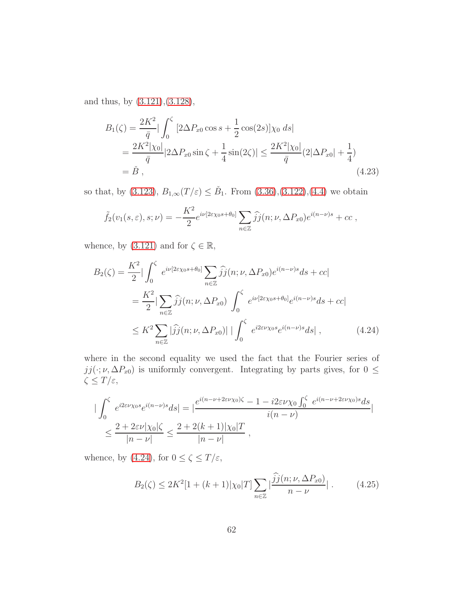and thus, by [\(3.121\)](#page-42-1),[\(3.128\)](#page-43-1),

$$
B_1(\zeta) = \frac{2K^2}{\bar{q}} |\int_0^{\zeta} [2\Delta P_{x0} \cos s + \frac{1}{2} \cos(2s)] \chi_0 ds|
$$
  
= 
$$
\frac{2K^2 |\chi_0|}{\bar{q}} |2\Delta P_{x0} \sin \zeta + \frac{1}{4} \sin(2\zeta)| \le \frac{2K^2 |\chi_0|}{\bar{q}} (2|\Delta P_{x0}| + \frac{1}{4})
$$
  
=  $\check{B}$ , (4.23)

so that, by [\(3.123\)](#page-42-3),  $B_{1,\infty}(T/\varepsilon) \leq \check{B}_1$ . From [\(3.36\)](#page-26-0),[\(3.122\)](#page-42-2),[\(4.4\)](#page-84-1) we obtain

$$
\tilde{f}_2(v_1(s,\varepsilon),s;\nu)=-\frac{K^2}{2}e^{i\nu[2\varepsilon\chi_0s+\theta_0]}\sum_{n\in\mathbb{Z}}\widehat{j}\widehat{j}(n;\nu,\Delta P_{x0})e^{i(n-\nu)s}+cc,
$$

whence, by [\(3.121\)](#page-42-1) and for  $\zeta \in \mathbb{R}$ ,

<span id="page-61-0"></span>
$$
B_2(\zeta) = \frac{K^2}{2} |\int_0^{\zeta} e^{i\nu[2\varepsilon\chi_0 s + \theta_0]} \sum_{n \in \mathbb{Z}} \hat{j}j(n;\nu, \Delta P_{x0}) e^{i(n-\nu)s} ds + cc|
$$
  

$$
= \frac{K^2}{2} |\sum_{n \in \mathbb{Z}} \hat{j}j(n;\nu, \Delta P_{x0}) \int_0^{\zeta} e^{i\nu[2\varepsilon\chi_0 s + \theta_0]} e^{i(n-\nu)s} ds + cc|
$$
  

$$
\leq K^2 \sum_{n \in \mathbb{Z}} |\hat{j}j(n;\nu, \Delta P_{x0})| |\int_0^{\zeta} e^{i2\varepsilon\nu\chi_0 s} e^{i(n-\nu)s} ds|, \qquad (4.24)
$$

where in the second equality we used the fact that the Fourier series of  $jj(\cdot;\nu,\Delta P_{x0})$  is uniformly convergent. Integrating by parts gives, for  $0 \leq$ ζ ≤ T/ε,

$$
\begin{split} \left| \int_0^\zeta e^{i2\varepsilon\nu\chi_0 s} e^{i(n-\nu)s} ds \right| &= \left| \frac{e^{i(n-\nu+2\varepsilon\nu\chi_0)\zeta} - 1 - i2\varepsilon\nu\chi_0 \int_0^\zeta e^{i(n-\nu+2\varepsilon\nu\chi_0)s} ds}{i(n-\nu)} \right| \\ &\le \frac{2 + 2\varepsilon\nu|\chi_0|\zeta}{|n-\nu|} \le \frac{2 + 2(k+1)|\chi_0|T}{|n-\nu|} \,, \end{split}
$$

whence, by [\(4.24\)](#page-61-0), for  $0 \leq \zeta \leq T/\varepsilon,$ 

<span id="page-61-1"></span>
$$
B_2(\zeta) \le 2K^2[1 + (k+1)|\chi_0|T] \sum_{n \in \mathbb{Z}} \left| \frac{\widehat{j}j(n; \nu, \Delta P_{x0})}{n - \nu} \right|.
$$
 (4.25)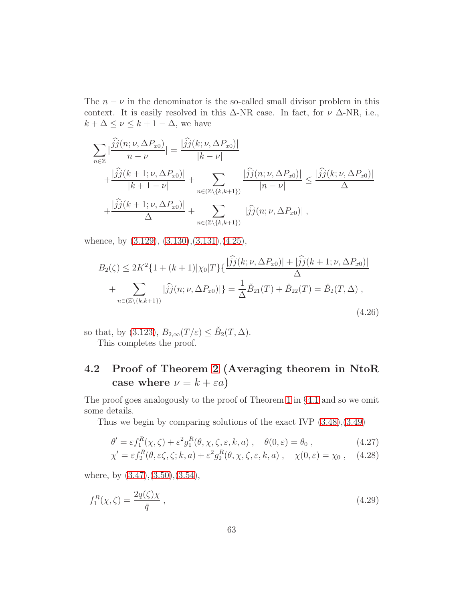The  $n - \nu$  in the denominator is the so-called small divisor problem in this context. It is easily resolved in this  $\Delta$ -NR case. In fact, for  $\nu \Delta$ -NR, i.e.,  $k + \Delta \leq \nu \leq k + 1 - \Delta$ , we have

$$
\sum_{n\in\mathbb{Z}}\left|\frac{\widehat{j}j(n;\nu,\Delta P_{x0})}{n-\nu}\right| = \frac{|\widehat{j}j(k;\nu,\Delta P_{x0})|}{|k-\nu|} + \frac{|\widehat{j}j(k+1;\nu,\Delta P_{x0})|}{|k+1-\nu|} + \sum_{n\in(\mathbb{Z}\setminus\{k,k+1\})} \frac{|\widehat{j}j(n;\nu,\Delta P_{x0})|}{|n-\nu|} \leq \frac{|\widehat{j}j(k;\nu,\Delta P_{x0})|}{\Delta} + \frac{|\widehat{j}j(k+1;\nu,\Delta P_{x0})|}{\Delta} + \sum_{n\in(\mathbb{Z}\setminus\{k,k+1\})} |\widehat{j}j(n;\nu,\Delta P_{x0})|,
$$

whence, by  $(3.129)$ ,  $(3.130)$ ,  $(3.131)$ ,  $(4.25)$ ,

$$
B_2(\zeta) \le 2K^2\{1 + (k+1)|\chi_0|T\}\{\frac{|\hat{j}j(k;\nu,\Delta P_{x0})| + |\hat{j}j(k+1;\nu,\Delta P_{x0})|}{\Delta} + \sum_{n \in (\mathbb{Z}\setminus\{k,k+1\})} |\hat{j}j(n;\nu,\Delta P_{x0})|\} = \frac{1}{\Delta}\check{B}_{21}(T) + \check{B}_{22}(T) = \check{B}_2(T,\Delta),
$$
\n(4.26)

so that, by [\(3.123\)](#page-42-3),  $B_{2,\infty}(T/\varepsilon) \leq \check{B}_2(T,\Delta)$ . This completes the proof.

# <span id="page-62-0"></span>4.2 Proof of Theorem [2](#page-47-0) (Averaging theorem in NtoR case where  $\nu = k + \varepsilon a$ )

The proof goes analogously to the proof of Theorem [1](#page-42-0) in §[4.1](#page-56-0) and so we omit some details.

Thus we begin by comparing solutions of the exact IVP [\(3.48\)](#page-28-0),[\(3.49\)](#page-28-0)

<span id="page-62-1"></span>
$$
\theta' = \varepsilon f_1^R(\chi, \zeta) + \varepsilon^2 g_1^R(\theta, \chi, \zeta, \varepsilon, k, a), \quad \theta(0, \varepsilon) = \theta_0 , \qquad (4.27)
$$

$$
\chi' = \varepsilon f_2^R(\theta, \varepsilon \zeta, \zeta; k, a) + \varepsilon^2 g_2^R(\theta, \chi, \zeta, \varepsilon, k, a) , \quad \chi(0, \varepsilon) = \chi_0 , \quad (4.28)
$$

where, by  $(3.47),(3.50),(3.54)$  $(3.47),(3.50),(3.54)$  $(3.47),(3.50),(3.54)$  $(3.47),(3.50),(3.54)$ ,

<span id="page-62-2"></span>
$$
f_1^R(\chi,\zeta) = \frac{2q(\zeta)\chi}{\bar{q}}\,,\tag{4.29}
$$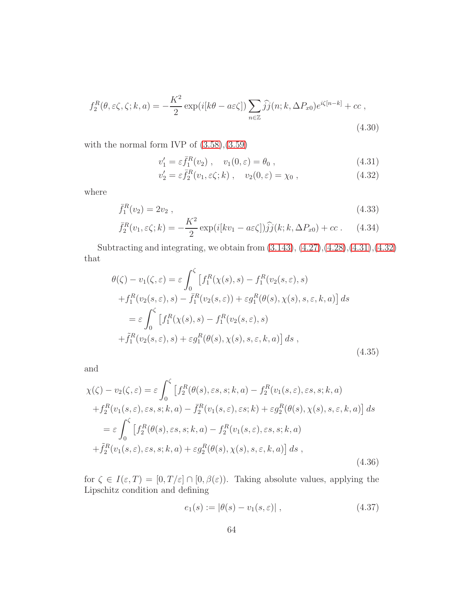$$
f_2^R(\theta, \varepsilon \zeta, \zeta; k, a) = -\frac{K^2}{2} \exp(i[k\theta - a\varepsilon \zeta]) \sum_{n \in \mathbb{Z}} \widehat{j}j(n; k, \Delta P_{x0}) e^{i\zeta[n-k]} + cc,
$$
\n(4.30)

with the normal form IVP of  $(3.58),(3.59)$  $(3.58),(3.59)$ 

<span id="page-63-0"></span>
$$
v_1' = \varepsilon \bar{f}_1^R(v_2) , \quad v_1(0, \varepsilon) = \theta_0 , \qquad (4.31)
$$

$$
v_2' = \varepsilon \bar{f}_2^R(v_1, \varepsilon \zeta; k) , \quad v_2(0, \varepsilon) = \chi_0 , \qquad (4.32)
$$

where

<span id="page-63-3"></span>
$$
\bar{f}_1^R(v_2) = 2v_2 , \t\t(4.33)
$$

$$
\bar{f}_2^R(v_1, \varepsilon \zeta; k) = -\frac{K^2}{2} \exp(i[kv_1 - a\varepsilon \zeta]) \hat{j} (k; k, \Delta P_{x0}) + cc \,. \tag{4.34}
$$

Subtracting and integrating, we obtain from [\(3.143\)](#page-46-0), [\(4.27\)](#page-62-1),[\(4.28\)](#page-62-1),[\(4.31\)](#page-63-0),[\(4.32\)](#page-63-0) that

<span id="page-63-1"></span>
$$
\theta(\zeta) - v_1(\zeta, \varepsilon) = \varepsilon \int_0^{\zeta} \left[ f_1^R(\chi(s), s) - f_1^R(v_2(s, \varepsilon), s) \right. \n+ f_1^R(v_2(s, \varepsilon), s) - \bar{f}_1^R(v_2(s, \varepsilon)) + \varepsilon g_1^R(\theta(s), \chi(s), s, \varepsilon, k, a) \right] ds \n= \varepsilon \int_0^{\zeta} \left[ f_1^R(\chi(s), s) - f_1^R(v_2(s, \varepsilon), s) \right. \n+ \tilde{f}_1^R(v_2(s, \varepsilon), s) + \varepsilon g_1^R(\theta(s), \chi(s), s, \varepsilon, k, a) \right] ds , \tag{4.35}
$$

and

<span id="page-63-2"></span>
$$
\chi(\zeta) - v_2(\zeta, \varepsilon) = \varepsilon \int_0^{\zeta} \left[ f_2^R(\theta(s), \varepsilon s, s; k, a) - f_2^R(v_1(s, \varepsilon), \varepsilon s, s; k, a) \right. \n+ f_2^R(v_1(s, \varepsilon), \varepsilon s, s; k, a) - \bar{f}_2^R(v_1(s, \varepsilon), \varepsilon s; k) + \varepsilon g_2^R(\theta(s), \chi(s), s, \varepsilon, k, a) \right] ds \n= \varepsilon \int_0^{\zeta} \left[ f_2^R(\theta(s), \varepsilon s, s; k, a) - f_2^R(v_1(s, \varepsilon), \varepsilon s, s; k, a) \right. \n+ \tilde{f}_2^R(v_1(s, \varepsilon), \varepsilon s, s; k, a) + \varepsilon g_2^R(\theta(s), \chi(s), s, \varepsilon, k, a) \right] ds ,
$$
\n(4.36)

for  $\zeta \in I(\varepsilon,T) = [0,T/\varepsilon] \cap [0,\beta(\varepsilon))$ . Taking absolute values, applying the Lipschitz condition and defining

$$
e_1(s) := |\theta(s) - v_1(s, \varepsilon)| \,, \tag{4.37}
$$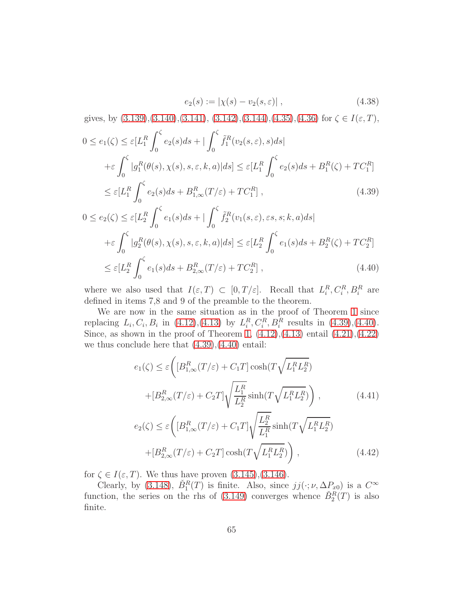$$
e_2(s) := |\chi(s) - v_2(s, \varepsilon)| , \qquad (4.38)
$$

gives, by  $(3.139),(3.140),(3.141),(3.142),(3.144),(4.35),(4.36)$  $(3.139),(3.140),(3.141),(3.142),(3.144),(4.35),(4.36)$  $(3.139),(3.140),(3.141),(3.142),(3.144),(4.35),(4.36)$  $(3.139),(3.140),(3.141),(3.142),(3.144),(4.35),(4.36)$  $(3.139),(3.140),(3.141),(3.142),(3.144),(4.35),(4.36)$  $(3.139),(3.140),(3.141),(3.142),(3.144),(4.35),(4.36)$  $(3.139),(3.140),(3.141),(3.142),(3.144),(4.35),(4.36)$  $(3.139),(3.140),(3.141),(3.142),(3.144),(4.35),(4.36)$  $(3.139),(3.140),(3.141),(3.142),(3.144),(4.35),(4.36)$  $(3.139),(3.140),(3.141),(3.142),(3.144),(4.35),(4.36)$  for  $\zeta \in I(\varepsilon,T)$ ,

<span id="page-64-0"></span>
$$
0 \le e_1(\zeta) \le \varepsilon [L_1^R \int_0^{\zeta} e_2(s)ds + |\int_0^{\zeta} \tilde{f}_1^R(v_2(s,\varepsilon),s)ds| + \varepsilon \int_0^{\zeta} |g_1^R(\theta(s), \chi(s), s, \varepsilon, k, a)|ds| \le \varepsilon [L_1^R \int_0^{\zeta} e_2(s)ds + B_1^R(\zeta) + TC_1^R] \le \varepsilon [L_1^R \int_0^{\zeta} e_2(s)ds + B_{1,\infty}^R(T/\varepsilon) + TC_1^R],
$$
\n(4.39)

$$
0 \le e_2(\zeta) \le \varepsilon [L_2^R \int_0^{\zeta} e_1(s)ds + |\int_0^{\zeta} \tilde{f}_2^R(v_1(s,\varepsilon),\varepsilon s, s; k, a)ds|
$$
  
+ $\varepsilon \int_0^{\zeta} |g_2^R(\theta(s), \chi(s), s, \varepsilon, k, a)|ds| \le \varepsilon [L_2^R \int_0^{\zeta} e_1(s)ds + B_2^R(\zeta) + TC_2^R]$   
 $\le \varepsilon [L_2^R \int_0^{\zeta} e_1(s)ds + B_{2,\infty}^R(T/\varepsilon) + TC_2^R],$  (4.40)

where we also used that  $I(\varepsilon,T) \subset [0,T/\varepsilon]$ . Recall that  $L_i^R, C_i^R, B_i^R$  are defined in items 7,8 and 9 of the preamble to the theorem.

We are now in the same situation as in the proof of Theorem [1](#page-42-0) since replacing  $L_i, C_i, B_i$  in [\(4.12\)](#page-58-0),[\(4.13\)](#page-58-0) by  $L_i^R, C_i^R, B_i^R$  results in [\(4.39\)](#page-64-0),[\(4.40\)](#page-64-0). Since, as shown in the proof of Theorem [1,](#page-42-0)  $(4.12),(4.13)$  $(4.12),(4.13)$  entail  $(4.21),(4.22)$  $(4.21),(4.22)$ we thus conclude here that  $(4.39)$ , $(4.40)$  entail:

<span id="page-64-1"></span>
$$
e_1(\zeta) \le \varepsilon \left( \left[ B_{1,\infty}^R(T/\varepsilon) + C_1 T \right] \cosh(T \sqrt{L_1^R L_2^R}) \right)
$$

$$
+ \left[ B_{2,\infty}^R(T/\varepsilon) + C_2 T \right] \sqrt{\frac{L_1^R}{L_2^R}} \sinh(T \sqrt{L_1^R L_2^R}) \right), \qquad (4.41)
$$

$$
e_2(\zeta) \le \varepsilon \left( \left[ B_{1,\infty}^R(T/\varepsilon) + C_1 T \right] \sqrt{\frac{L_2^R}{L_1^R}} \sinh(T \sqrt{L_1^R L_2^R}) \right)
$$

$$
+ \left[ B_{2,\infty}^R(T/\varepsilon) + C_2 T \right] \cosh(T \sqrt{L_1^R L_2^R}) \right), \qquad (4.42)
$$

for  $\zeta \in I(\varepsilon, T)$ . We thus have proven  $(3.145), (3.146)$  $(3.145), (3.146)$ .

Clearly, by [\(3.148\)](#page-47-1),  $\check{B}_1^R(T)$  is finite. Also, since  $jj(\cdot;\nu,\Delta P_{x0})$  is a  $C^{\infty}$ function, the series on the rhs of [\(3.149\)](#page-47-1) converges whence  $\check{B}_2^R(T)$  is also finite.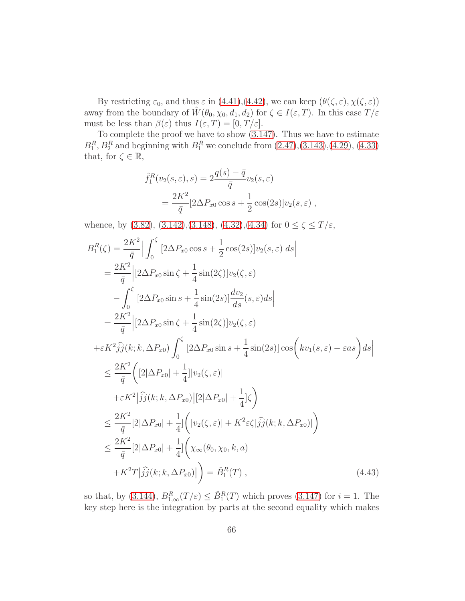By restricting  $\varepsilon_0$ , and thus  $\varepsilon$  in [\(4.41\)](#page-64-1),[\(4.42\)](#page-64-1), we can keep  $(\theta(\zeta,\varepsilon), \chi(\zeta,\varepsilon))$ away from the boundary of  $\hat{W}(\theta_0, \chi_0, d_1, d_2)$  for  $\zeta \in I(\varepsilon, T)$ . In this case  $T/\varepsilon$ must be less than  $\beta(\varepsilon)$  thus  $I(\varepsilon,T) = [0,T/\varepsilon]$ .

To complete the proof we have to show [\(3.147\)](#page-47-3). Thus we have to estimate  $B_1^R$ ,  $B_2^R$  and beginning with  $B_1^R$  we conclude from  $(2.47),(3.143),(4.29),(4.33)$  $(2.47),(3.143),(4.29),(4.33)$  $(2.47),(3.143),(4.29),(4.33)$  $(2.47),(3.143),(4.29),(4.33)$  $(2.47),(3.143),(4.29),(4.33)$ that, for  $\zeta \in \mathbb{R}$ ,

$$
\tilde{f}_1^R(v_2(s,\varepsilon),s) = 2\frac{q(s) - \bar{q}}{\bar{q}}v_2(s,\varepsilon)
$$

$$
= \frac{2K^2}{\bar{q}}[2\Delta P_{x0}\cos s + \frac{1}{2}\cos(2s)]v_2(s,\varepsilon) ,
$$

whence, by [\(3.82\)](#page-33-1), [\(3.142\)](#page-46-2), [\(3.148\)](#page-47-1), [\(4.32\)](#page-63-0), [\(4.34\)](#page-63-3) for  $0 \le \zeta \le T/\varepsilon$ ,

$$
B_1^R(\zeta) = \frac{2K^2}{\bar{q}} \Big| \int_0^{\zeta} \left[ 2\Delta P_{x0} \cos s + \frac{1}{2} \cos(2s) \right] v_2(s, \varepsilon) ds \Big|
$$
  
\n
$$
= \frac{2K^2}{\bar{q}} \Big| [2\Delta P_{x0} \sin \zeta + \frac{1}{4} \sin(2\zeta) \Big] v_2(\zeta, \varepsilon)
$$
  
\n
$$
- \int_0^{\zeta} \Big[ 2\Delta P_{x0} \sin s + \frac{1}{4} \sin(2s) \Big] \frac{dv_2}{ds}(s, \varepsilon) ds \Big|
$$
  
\n
$$
= \frac{2K^2}{\bar{q}} \Big| [2\Delta P_{x0} \sin \zeta + \frac{1}{4} \sin(2\zeta) \Big] v_2(\zeta, \varepsilon)
$$
  
\n
$$
+ \varepsilon K^2 \hat{j} j(k; k, \Delta P_{x0}) \int_0^{\zeta} \Big[ 2\Delta P_{x0} \sin s + \frac{1}{4} \sin(2s) \Big] \cos \Big( k v_1(s, \varepsilon) - \varepsilon as \Big) ds \Big|
$$
  
\n
$$
\leq \frac{2K^2}{\bar{q}} \Big( [2|\Delta P_{x0}| + \frac{1}{4}] |v_2(\zeta, \varepsilon)|
$$
  
\n
$$
+ \varepsilon K^2 |\hat{j} j(k; k, \Delta P_{x0})| [2|\Delta P_{x0}| + \frac{1}{4}] \zeta \Big)
$$
  
\n
$$
\leq \frac{2K^2}{\bar{q}} [2|\Delta P_{x0}| + \frac{1}{4}] \Big( |v_2(\zeta, \varepsilon)| + K^2 \varepsilon \zeta |\hat{j} j(k; k, \Delta P_{x0})| \Big)
$$
  
\n
$$
\leq \frac{2K^2}{\bar{q}} [2|\Delta P_{x0}| + \frac{1}{4}] \Big( \chi_\infty(\theta_0, \chi_0, k, a)
$$
  
\n
$$
+ K^2 T |\hat{j} j(k; k, \Delta P_{x0})| \Big) = \tilde{B}_1^R(T), \qquad (4.43)
$$

so that, by [\(3.144\)](#page-46-3),  $B_{1,\infty}^R(T/\varepsilon) \leq \check{B}_1^R(T)$  which proves [\(3.147\)](#page-47-3) for  $i = 1$ . The key step here is the integration by parts at the second equality which makes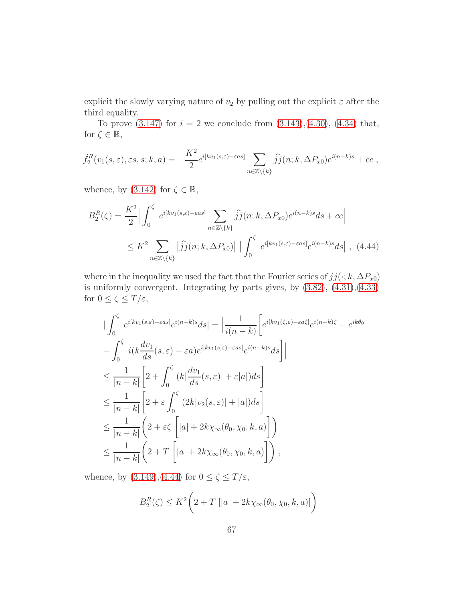explicit the slowly varying nature of  $v_2$  by pulling out the explicit  $\varepsilon$  after the third equality.

To prove  $(3.147)$  for  $i = 2$  we conclude from  $(3.143),(4.30), (4.34)$  $(3.143),(4.30), (4.34)$  $(3.143),(4.30), (4.34)$  $(3.143),(4.30), (4.34)$  that, for  $\zeta \in \mathbb{R}$ ,

$$
\tilde{f}_2^R(v_1(s,\varepsilon),\varepsilon s,s;k,a) = -\frac{K^2}{2}e^{i[kv_1(s,\varepsilon)-\varepsilon as]}\sum_{n\in\mathbb{Z}\setminus\{k\}}\widehat{j}_j(n;k,\Delta P_{x0})e^{i(n-k)s}+cc,
$$

whence, by  $(3.142)$  for  $\zeta \in \mathbb{R}$ ,

<span id="page-66-0"></span>
$$
B_2^R(\zeta) = \frac{K^2}{2} \Big| \int_0^{\zeta} e^{i[kv_1(s,\varepsilon) - \varepsilon as]} \sum_{n \in \mathbb{Z} \setminus \{k\}} \widehat{j}(\eta; k, \Delta P_{x0}) e^{i(n-k)s} ds + cc \Big|
$$
  

$$
\leq K^2 \sum_{n \in \mathbb{Z} \setminus \{k\}} |\widehat{j}(\eta; k, \Delta P_{x0})| \Big| \int_0^{\zeta} e^{i[kv_1(s,\varepsilon) - \varepsilon as]} e^{i(n-k)s} ds \Big|, (4.44)
$$

where in the inequality we used the fact that the Fourier series of  $jj(\cdot; k, \Delta P_{x0})$ is uniformly convergent. Integrating by parts gives, by [\(3.82\)](#page-33-1), [\(4.31\)](#page-63-0),[\(4.33\)](#page-63-3) for  $0\leq \zeta\leq T/\varepsilon,$ 

$$
\begin{split}\n&|\int_{0}^{\zeta} e^{i[kv_{1}(s,\varepsilon)-\varepsilon as]} e^{i(n-k)s} ds| = \left|\frac{1}{i(n-k)} \left[e^{i[kv_{1}(\zeta,\varepsilon)-\varepsilon a\zeta]} e^{i(n-k)\zeta} - e^{ik\theta_{0}}\right|\right| \\
&-\int_{0}^{\zeta} i(k\frac{dv_{1}}{ds}(s,\varepsilon)-\varepsilon a)e^{i[kv_{1}(s,\varepsilon)-\varepsilon as]} e^{i(n-k)s} ds\right] \\
&\leq \frac{1}{|n-k|} \left[2+\int_{0}^{\zeta} (k|\frac{dv_{1}}{ds}(s,\varepsilon)|+\varepsilon|a|) ds\right] \\
&\leq \frac{1}{|n-k|} \left[2+\varepsilon \int_{0}^{\zeta} (2k|v_{2}(s,\varepsilon)|+|a|) ds\right] \\
&\leq \frac{1}{|n-k|} \left(2+\varepsilon \zeta \left[|a|+2k\chi_{\infty}(\theta_{0},\chi_{0},k,a)\right]\right) \\
&\leq \frac{1}{|n-k|} \left(2+T\left[|a|+2k\chi_{\infty}(\theta_{0},\chi_{0},k,a)\right]\right),\n\end{split}
$$

whence, by [\(3.149\)](#page-47-1),[\(4.44\)](#page-66-0) for  $0 \leq \zeta \leq T/\varepsilon,$ 

$$
B_2^R(\zeta) \le K^2 \bigg( 2 + T \left[ |a| + 2k\chi_\infty(\theta_0, \chi_0, k, a) \right] \bigg)
$$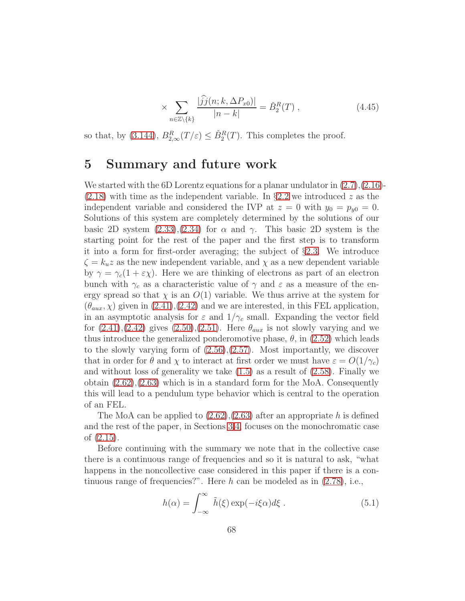$$
\times \sum_{n \in \mathbb{Z} \setminus \{k\}} \frac{|\widehat{j}j(n;k,\Delta P_{x0})|}{|n-k|} = \check{B}_2^R(T) , \qquad (4.45)
$$

so that, by [\(3.144\)](#page-46-3),  $B_{2,\infty}^R(T/\varepsilon) \leq \check{B}_2^R(T)$ . This completes the proof.

## 5 Summary and future work

We started with the 6D Lorentz equations for a planar undulator in  $(2.7),(2.16)$  $(2.7),(2.16)$ - $(2.18)$  with time as the independent variable. In §[2.2](#page-11-1) we introduced z as the independent variable and considered the IVP at  $z = 0$  with  $y_0 = p_{y0} = 0$ . Solutions of this system are completely determined by the solutions of our basic 2D system  $(2.33),(2.34)$  $(2.33),(2.34)$  for  $\alpha$  and  $\gamma$ . This basic 2D system is the starting point for the rest of the paper and the first step is to transform it into a form for first-order averaging; the subject of §[2.3.](#page-14-2) We introduce  $\zeta = k_u z$  as the new independent variable, and  $\chi$  as a new dependent variable by  $\gamma = \gamma_c(1 + \varepsilon \chi)$ . Here we are thinking of electrons as part of an electron bunch with  $\gamma_c$  as a characteristic value of  $\gamma$  and  $\varepsilon$  as a measure of the energy spread so that  $\chi$  is an  $O(1)$  variable. We thus arrive at the system for  $(\theta_{aux}, \chi)$  given in  $(2.41), (2.42)$  $(2.41), (2.42)$  and we are interested, in this FEL application, in an asymptotic analysis for  $\varepsilon$  and  $1/\gamma_c$  small. Expanding the vector field for  $(2.41),(2.42)$  $(2.41),(2.42)$  gives  $(2.50),(2.51)$  $(2.50),(2.51)$ . Here  $\theta_{aux}$  is not slowly varying and we thus introduce the generalized ponderomotive phase,  $\theta$ , in [\(2.52\)](#page-16-2) which leads to the slowly varying form of  $(2.56),(2.57)$  $(2.56),(2.57)$ . Most importantly, we discover that in order for  $\theta$  and  $\chi$  to interact at first order we must have  $\varepsilon = O(1/\gamma_c)$ and without loss of generality we take  $(1.5)$  as a result of  $(2.58)$ . Finally we obtain [\(2.62\)](#page-17-2),[\(2.63\)](#page-17-2) which is in a standard form for the MoA. Consequently this will lead to a pendulum type behavior which is central to the operation of an FEL.

The MoA can be applied to  $(2.62),(2.63)$  $(2.62),(2.63)$  after an appropriate h is defined and the rest of the paper, in Sections [3](#page-79-0)[,4,](#page-83-1) focuses on the monochromatic case of [\(2.15\)](#page-10-0).

Before continuing with the summary we note that in the collective case there is a continuous range of frequencies and so it is natural to ask, "what happens in the noncollective case considered in this paper if there is a continuous range of frequencies?". Here  $h$  can be modeled as in  $(2.78)$ , i.e.,

$$
h(\alpha) = \int_{-\infty}^{\infty} \tilde{h}(\xi) \exp(-i\xi \alpha) d\xi . \qquad (5.1)
$$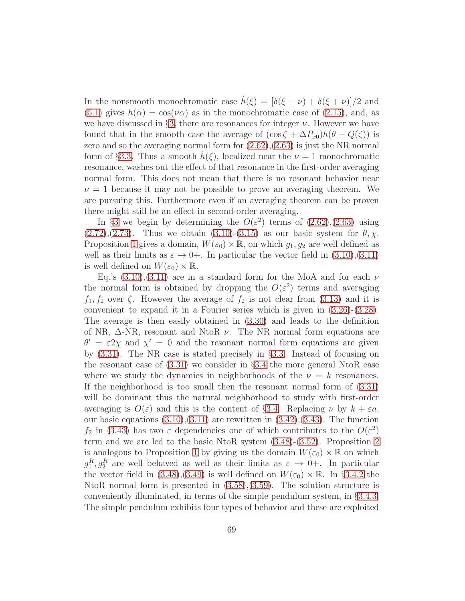In the nonsmooth monochromatic case  $\tilde{h}(\xi) = [\delta(\xi - \nu) + \delta(\xi + \nu)]/2$  and [\(5.1\)](#page-86-2) gives  $h(\alpha) = \cos(\nu \alpha)$  as in the monochromatic case of [\(2.15\)](#page-10-0), and, as we have discussed in §[3,](#page-79-0) there are resonances for integer  $\nu$ . However we have found that in the smooth case the average of  $(\cos \zeta + \Delta P_{x0})h(\theta - Q(\zeta))$  is zero and so the averaging normal form for [\(2.62\)](#page-17-2),[\(2.63\)](#page-17-2) is just the NR normal form of §[3.3.](#page-26-1) Thus a smooth  $h(\xi)$ , localized near the  $\nu = 1$  monochromatic resonance, washes out the effect of that resonance in the first-order averaging normal form. This does not mean that there is no resonant behavior near  $\nu = 1$  because it may not be possible to prove an averaging theorem. We are pursuing this. Furthermore even if an averaging theorem can be proven there might still be an effect in second-order averaging.

In §[3](#page-79-0) we begin by determining the  $O(\varepsilon^2)$  terms of  $(2.62),(2.63)$  $(2.62),(2.63)$  using  $(2.72),(2.73)$  $(2.72),(2.73)$  $(2.72),(2.73)$ . Thus we obtain  $(3.10)-(3.15)$  $(3.10)-(3.15)$  as our basic system for  $\theta$ ,  $\chi$ . Proposition [1](#page-26-3) gives a domain,  $W(\varepsilon_0) \times \mathbb{R}$ , on which  $g_1, g_2$  are well defined as well as their limits as  $\varepsilon \to 0+$ . In particular the vector field in  $(3.10),(3.11)$  $(3.10),(3.11)$ is well defined on  $W(\varepsilon_0) \times \mathbb{R}$ .

Eq.'s  $(3.10),(3.11)$  $(3.10),(3.11)$  are in a standard form for the MoA and for each  $\nu$ the normal form is obtained by dropping the  $O(\varepsilon^2)$  terms and averaging  $f_1, f_2$  over  $\zeta$ . However the average of  $f_2$  is not clear from [\(3.13\)](#page-81-0) and it is convenient to expand it in a Fourier series which is given in [\(3.26\)](#page-82-3)-[\(3.28\)](#page-83-2). The average is then easily obtained in [\(3.30\)](#page-83-0) and leads to the definition of NR,  $\Delta$ -NR, resonant and NtoR  $\nu$ . The NR normal form equations are  $\theta' = \varepsilon 2\chi$  and  $\chi' = 0$  and the resonant normal form equations are given by [\(3.31\)](#page-83-3). The NR case is stated precisely in §[3.3.](#page-26-1) Instead of focusing on the resonant case of [\(3.31\)](#page-83-3) we consider in §[3.4](#page-27-0) the more general NtoR case where we study the dynamics in neighborhoods of the  $\nu = k$  resonances. If the neighborhood is too small then the resonant normal form of [\(3.31\)](#page-83-3) will be dominant thus the natural neighborhood to study with first-order averaging is  $O(\varepsilon)$  and this is the content of §[3.4.](#page-27-0) Replacing  $\nu$  by  $k + \varepsilon a$ , our basic equations  $(3.10),(3.11)$  $(3.10),(3.11)$  are rewritten in  $(3.42),(3.43)$  $(3.42),(3.43)$ . The function  $f_2$  in [\(3.43\)](#page-27-1) has two  $\varepsilon$  dependencies one of which contributes to the  $O(\varepsilon^2)$ term and we are led to the basic NtoR system [\(3.48\)](#page-28-0)-[\(3.52\)](#page-29-0). Proposition [2](#page-30-1) is analogous to Proposition [1](#page-26-3) by giving us the domain  $W(\varepsilon_0) \times \mathbb{R}$  on which  $g_1^R, g_2^R$  are well behaved as well as their limits as  $\varepsilon \to 0+$ . In particular the vector field in  $(3.48),(3.49)$  $(3.48),(3.49)$  is well defined on  $W(\varepsilon_0) \times \mathbb{R}$ . In §[3.4.2](#page-30-3) the NtoR normal form is presented in  $(3.58),(3.59)$  $(3.58),(3.59)$ . The solution structure is conveniently illuminated, in terms of the simple pendulum system, in §[3.4.3.](#page-31-1) The simple pendulum exhibits four types of behavior and these are exploited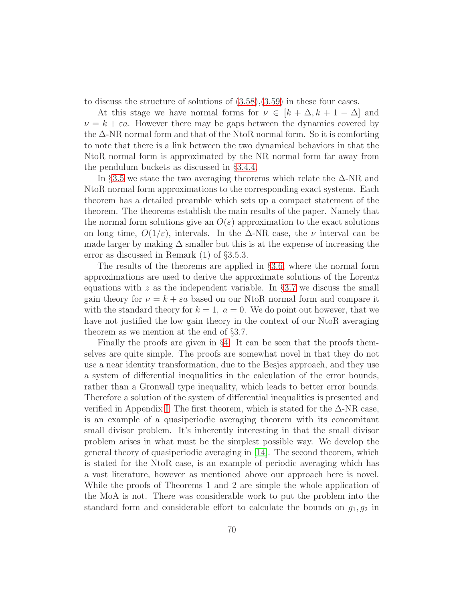to discuss the structure of solutions of [\(3.58\)](#page-30-0),[\(3.59\)](#page-30-0) in these four cases.

At this stage we have normal forms for  $\nu \in [k + \Delta, k + 1 - \Delta]$  and  $\nu = k + \varepsilon a$ . However there may be gaps between the dynamics covered by the ∆-NR normal form and that of the NtoR normal form. So it is comforting to note that there is a link between the two dynamical behaviors in that the NtoR normal form is approximated by the NR normal form far away from the pendulum buckets as discussed in §[3.4.4.](#page-38-0)

In §[3.5](#page-39-1) we state the two averaging theorems which relate the  $\Delta$ -NR and NtoR normal form approximations to the corresponding exact systems. Each theorem has a detailed preamble which sets up a compact statement of the theorem. The theorems establish the main results of the paper. Namely that the normal form solutions give an  $O(\varepsilon)$  approximation to the exact solutions on long time,  $O(1/\varepsilon)$ , intervals. In the  $\Delta$ -NR case, the  $\nu$  interval can be made larger by making  $\Delta$  smaller but this is at the expense of increasing the error as discussed in Remark (1) of §3.5.3.

The results of the theorems are applied in §[3.6,](#page-52-5) where the normal form approximations are used to derive the approximate solutions of the Lorentz equations with z as the independent variable. In §[3.7](#page-53-0) we discuss the small gain theory for  $\nu = k + \varepsilon a$  based on our NtoR normal form and compare it with the standard theory for  $k = 1$ ,  $a = 0$ . We do point out however, that we have not justified the low gain theory in the context of our NtoR averaging theorem as we mention at the end of §3.7.

Finally the proofs are given in §[4.](#page-83-1) It can be seen that the proofs themselves are quite simple. The proofs are somewhat novel in that they do not use a near identity transformation, due to the Besjes approach, and they use a system of differential inequalities in the calculation of the error bounds, rather than a Gronwall type inequality, which leads to better error bounds. Therefore a solution of the system of differential inequalities is presented and verified in Appendix [I.](#page-94-0) The first theorem, which is stated for the  $\Delta$ -NR case, is an example of a quasiperiodic averaging theorem with its concomitant small divisor problem. It's inherently interesting in that the small divisor problem arises in what must be the simplest possible way. We develop the general theory of quasiperiodic averaging in [\[14\]](#page-98-7). The second theorem, which is stated for the NtoR case, is an example of periodic averaging which has a vast literature, however as mentioned above our approach here is novel. While the proofs of Theorems 1 and 2 are simple the whole application of the MoA is not. There was considerable work to put the problem into the standard form and considerable effort to calculate the bounds on  $g_1, g_2$  in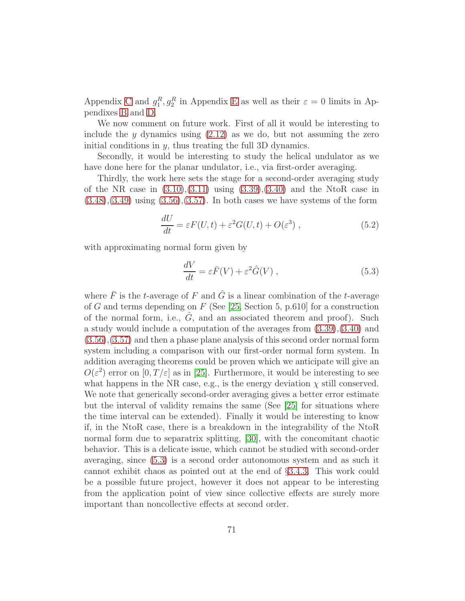Appendix [C](#page-79-0) and  $g_1^R, g_2^R$  in Appendix [E](#page-86-0) as well as their  $\varepsilon = 0$  limits in Appendixes [B](#page-74-0) and [D.](#page-83-1)

We now comment on future work. First of all it would be interesting to include the  $y$  dynamics using  $(2.12)$  as we do, but not assuming the zero initial conditions in  $y$ , thus treating the full 3D dynamics.

Secondly, it would be interesting to study the helical undulator as we have done here for the planar undulator, i.e., via first-order averaging.

Thirdly, the work here sets the stage for a second-order averaging study of the NR case in  $(3.10),(3.11)$  $(3.10),(3.11)$  using  $(3.39),(3.40)$  $(3.39),(3.40)$  and the NtoR case in  $(3.48), (3.49)$  $(3.48), (3.49)$  $(3.48), (3.49)$  using  $(3.56), (3.57)$  $(3.56), (3.57)$ . In both cases we have systems of the form

$$
\frac{dU}{dt} = \varepsilon F(U, t) + \varepsilon^2 G(U, t) + O(\varepsilon^3) ,\qquad (5.2)
$$

with approximating normal form given by

$$
\frac{dV}{dt} = \varepsilon \bar{F}(V) + \varepsilon^2 \hat{G}(V) ,\qquad(5.3)
$$

where  $\bar{F}$  is the t-average of F and  $\hat{G}$  is a linear combination of the t-average of G and terms depending on  $F$  (See [\[25,](#page-99-4) Section 5, p.610] for a construction of the normal form, i.e.,  $G$ , and an associated theorem and proof). Such a study would include a computation of the averages from [\(3.39\)](#page-26-4),[\(3.40\)](#page-26-4) and [\(3.56\)](#page-30-4),[\(3.57\)](#page-30-4) and then a phase plane analysis of this second order normal form system including a comparison with our first-order normal form system. In addition averaging theorems could be proven which we anticipate will give an  $O(\varepsilon^2)$  error on  $[0, T/\varepsilon]$  as in [\[25\]](#page-99-4). Furthermore, it would be interesting to see what happens in the NR case, e.g., is the energy deviation  $\chi$  still conserved. We note that generically second-order averaging gives a better error estimate but the interval of validity remains the same (See [\[25\]](#page-99-4) for situations where the time interval can be extended). Finally it would be interesting to know if, in the NtoR case, there is a breakdown in the integrability of the NtoR normal form due to separatrix splitting, [\[30\]](#page-100-1), with the concomitant chaotic behavior. This is a delicate issue, which cannot be studied with second-order averaging, since [\(5.3\)](#page-86-3) is a second order autonomous system and as such it cannot exhibit chaos as pointed out at the end of §[3.4.3.](#page-31-1) This work could be a possible future project, however it does not appear to be interesting from the application point of view since collective effects are surely more important than noncollective effects at second order.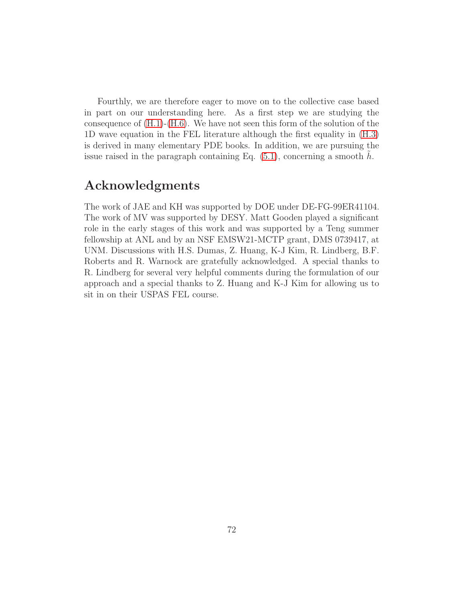Fourthly, we are therefore eager to move on to the collective case based in part on our understanding here. As a first step we are studying the consequence of  $(H.1)-(H.6)$  $(H.1)-(H.6)$ . We have not seen this form of the solution of the 1D wave equation in the FEL literature although the first equality in [\(H.3\)](#page-91-1) is derived in many elementary PDE books. In addition, we are pursuing the issue raised in the paragraph containing Eq.  $(5.1)$ , concerning a smooth h.

# Acknowledgments

The work of JAE and KH was supported by DOE under DE-FG-99ER41104. The work of MV was supported by DESY. Matt Gooden played a significant role in the early stages of this work and was supported by a Teng summer fellowship at ANL and by an NSF EMSW21-MCTP grant, DMS 0739417, at UNM. Discussions with H.S. Dumas, Z. Huang, K-J Kim, R. Lindberg, B.F. Roberts and R. Warnock are gratefully acknowledged. A special thanks to R. Lindberg for several very helpful comments during the formulation of our approach and a special thanks to Z. Huang and K-J Kim for allowing us to sit in on their USPAS FEL course.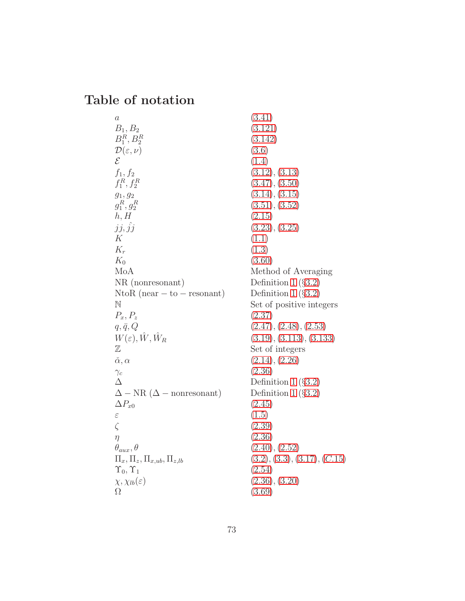### Table of notation

 $a \hspace{1.6cm} (3.41)$  $a \hspace{1.6cm} (3.41)$  $B_1, B_2$  (3.[121\)](#page-42-0)  $B_1^R, B_2^R$  $D(\varepsilon, \nu)$  [\(3](#page-79-0).6)<br>  $\mathcal{E}$  (1.4)  $\mathcal{E}$  [\(1](#page-73-0).4)  $f_1, f_2$  (3.[12\)](#page-81-0), (3.[13\)](#page-81-0)  $f_1^R, f_2^R$  $g_1, g_2$  (3.[14\)](#page-81-1), (3.[15\)](#page-81-1)  $g_1^R, g_2^R$  $h, H$  (2.[15\)](#page-10-0)  $jj, \hat{j}j$  (3.[23\)](#page-82-0), (3.[25\)](#page-82-1) K  $(1.1)$  $(1.1)$  $K_r$  [\(1](#page-73-2).3)  $K_0$  (3.[60\)](#page-30-0) MoA Method of Averaging NR (nonresonant) Definition [1](#page-25-0) (§3.[2\)](#page-23-0)<br>NtoR (near  $-$  to  $-$  resonant) Definition 1 (§3.2) NtoR (near  $-$  to  $-$  resonant)<br>N  $P_x, P_z$  (2.[37\)](#page-14-0)  $q, \bar{q}, Q$  (2.[47\)](#page-15-0), (2.[48\)](#page-15-0), (2.[53\)](#page-16-0)  $W(\varepsilon), \hat{W}, \hat{W}_R$ Z Set of integers α, α ˇ (2.[14\)](#page-10-1),(2.[26\)](#page-12-0)  $\gamma_c$  (2.[36\)](#page-14-1)  $\Delta$  Definition [1](#page-25-0) (§3.[2\)](#page-23-0)<br> $\Delta - NR (\Delta - nonresonant)$  Definition 1 (§3.2)  $\Delta - NR$  ( $\Delta - nonresonant$ )<br> $\Delta P_{x0}$  $\varepsilon$  [\(1](#page-73-3).5)  $\zeta$  (2.[39\)](#page-14-2)  $\eta$  (2.[36\)](#page-14-1)  $\theta_{aux}, \theta$  (2.[40\)](#page-14-3), (2.[52\)](#page-16-1)  $\Pi_x, \Pi_z, \Pi_{x,ub}, \Pi_{z,lb}$  [\(3](#page-79-1).2), (3.[3\)](#page-79-1), (3.[17\)](#page-81-3), (C.[15\)](#page-81-4)  $\Upsilon_0, \Upsilon_1$  (2.[54\)](#page-16-0)  $\chi, \chi_{lb}(\varepsilon)$  (2.[36\)](#page-14-1), (3.[20\)](#page-81-5)  $\Omega$  (3.[69\)](#page-32-0)

(3.[142\)](#page-46-0)  $(3.47), (3.50)$  $(3.47), (3.50)$  $(3.47), (3.50)$  $(3.47), (3.50)$  $(3.51), (3.52)$  $(3.51), (3.52)$  $(3.51), (3.52)$  $(3.51), (3.52)$ Set of positive integers  $(3.19), (3.113), (3.133)$  $(3.19), (3.113), (3.133)$  $(3.19), (3.113), (3.133)$  $(3.19), (3.113), (3.133)$  $(3.19), (3.113), (3.133)$  $(3.19), (3.113), (3.133)$  $(2.45)$  $(2.45)$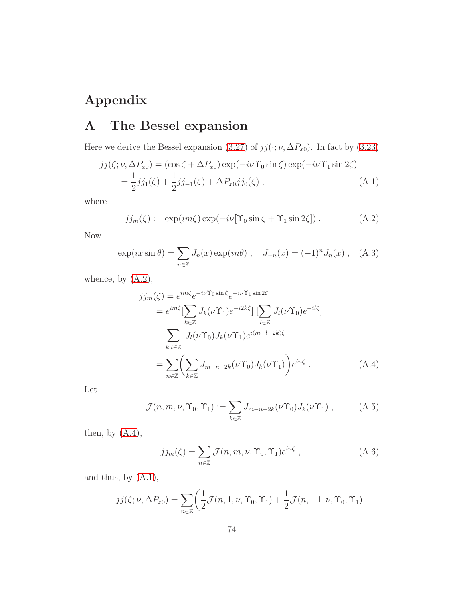# Appendix

# A The Bessel expansion

Here we derive the Bessel expansion [\(3.27\)](#page-82-2) of  $jj(\cdot; \nu, \Delta P_{x0})$ . In fact by [\(3.23\)](#page-82-0)

<span id="page-73-1"></span>
$$
jj(\zeta; \nu, \Delta P_{x0}) = (\cos \zeta + \Delta P_{x0}) \exp(-i\nu \Upsilon_0 \sin \zeta) \exp(-i\nu \Upsilon_1 \sin 2\zeta)
$$
  
=  $\frac{1}{2}jj_1(\zeta) + \frac{1}{2}jj_{-1}(\zeta) + \Delta P_{x0}jj_0(\zeta)$ , (A.1)

where

<span id="page-73-4"></span>
$$
jj_m(\zeta) := \exp(im\zeta)\exp(-i\nu[\Upsilon_0\sin\zeta + \Upsilon_1\sin 2\zeta]).
$$
 (A.2)

Now

<span id="page-73-2"></span>
$$
\exp(ix\sin\theta) = \sum_{n\in\mathbb{Z}} J_n(x) \exp(in\theta) , \quad J_{-n}(x) = (-1)^n J_n(x) , \quad (A.3)
$$

whence, by  $(A.2)$ ,

<span id="page-73-0"></span>
$$
j j_m(\zeta) = e^{im\zeta} e^{-i\nu \Upsilon_0 \sin \zeta} e^{-i\nu \Upsilon_1 \sin 2\zeta}
$$
  
\n
$$
= e^{im\zeta} \left[ \sum_{k \in \mathbb{Z}} J_k(\nu \Upsilon_1) e^{-i2k\zeta} \right] \left[ \sum_{l \in \mathbb{Z}} J_l(\nu \Upsilon_0) e^{-il\zeta} \right]
$$
  
\n
$$
= \sum_{k,l \in \mathbb{Z}} J_l(\nu \Upsilon_0) J_k(\nu \Upsilon_1) e^{i(m-l-2k)\zeta}
$$
  
\n
$$
= \sum_{n \in \mathbb{Z}} \left( \sum_{k \in \mathbb{Z}} J_{m-n-2k}(\nu \Upsilon_0) J_k(\nu \Upsilon_1) \right) e^{in\zeta} . \tag{A.4}
$$

Let

<span id="page-73-3"></span>
$$
\mathcal{J}(n,m,\nu,\Upsilon_0,\Upsilon_1) := \sum_{k \in \mathbb{Z}} J_{m-n-2k}(\nu \Upsilon_0) J_k(\nu \Upsilon_1) , \qquad (A.5)
$$

then, by  $(A.4)$ ,

$$
jj_m(\zeta) = \sum_{n \in \mathbb{Z}} \mathcal{J}(n, m, \nu, \Upsilon_0, \Upsilon_1) e^{i n \zeta}, \qquad (A.6)
$$

and thus, by [\(A.1\)](#page-73-1),

$$
jj(\zeta;\nu,\Delta P_{x0}) = \sum_{n\in\mathbb{Z}} \left( \frac{1}{2}\mathcal{J}(n,1,\nu,\Upsilon_0,\Upsilon_1) + \frac{1}{2}\mathcal{J}(n,-1,\nu,\Upsilon_0,\Upsilon_1) \right)
$$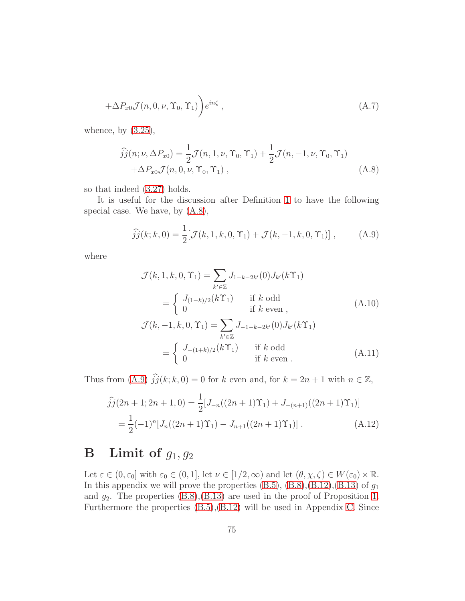$$
+\Delta P_{x0}\mathcal{J}(n,0,\nu,\Upsilon_0,\Upsilon_1)\bigg)e^{in\zeta},\qquad (A.7)
$$

whence, by  $(3.25)$ ,

<span id="page-74-0"></span>
$$
\widehat{jj}(n; \nu, \Delta P_{x0}) = \frac{1}{2} \mathcal{J}(n, 1, \nu, \Upsilon_0, \Upsilon_1) + \frac{1}{2} \mathcal{J}(n, -1, \nu, \Upsilon_0, \Upsilon_1) + \Delta P_{x0} \mathcal{J}(n, 0, \nu, \Upsilon_0, \Upsilon_1),
$$
\n(A.8)

so that indeed [\(3.27\)](#page-82-2) holds.

It is useful for the discussion after Definition [1](#page-25-0) to have the following special case. We have, by [\(A.8\)](#page-74-0),

<span id="page-74-1"></span>
$$
\widehat{j}\widehat{j}(k;k,0) = \frac{1}{2} [\mathcal{J}(k,1,k,0,\Upsilon_1) + \mathcal{J}(k,-1,k,0,\Upsilon_1)] , \qquad (A.9)
$$

where

$$
\mathcal{J}(k, 1, k, 0, \Upsilon_1) = \sum_{k' \in \mathbb{Z}} J_{1-k-2k'}(0) J_{k'}(k\Upsilon_1)
$$
  
\n
$$
= \begin{cases}\nJ_{(1-k)/2}(k\Upsilon_1) & \text{if } k \text{ odd} \\
0 & \text{if } k \text{ even}\n\end{cases}
$$
(A.10)  
\n
$$
\mathcal{J}(k, -1, k, 0, \Upsilon_1) = \sum_{k' \in \mathbb{Z}} J_{-1-k-2k'}(0) J_{k'}(k\Upsilon_1)
$$
  
\n
$$
= \begin{cases}\nJ_{-(1+k)/2}(k\Upsilon_1) & \text{if } k \text{ odd} \\
0 & \text{if } k \text{ even}\n\end{cases}
$$
(A.11)

Thus from [\(A.9\)](#page-74-1)  $\hat{j}j(k; k, 0) = 0$  for k even and, for  $k = 2n + 1$  with  $n \in \mathbb{Z}$ ,

$$
\hat{j}j(2n+1;2n+1,0) = \frac{1}{2}[J_{-n}((2n+1)\Upsilon_1) + J_{-(n+1)}((2n+1)\Upsilon_1)]
$$
  
= 
$$
\frac{1}{2}(-1)^n[J_n((2n+1)\Upsilon_1) - J_{n+1}((2n+1)\Upsilon_1)].
$$
 (A.12)

# <span id="page-74-2"></span>**B** Limit of  $g_1, g_2$

Let  $\varepsilon \in (0, \varepsilon_0]$  with  $\varepsilon_0 \in (0, 1]$ , let  $\nu \in [1/2, \infty)$  and let  $(\theta, \chi, \zeta) \in W(\varepsilon_0) \times \mathbb{R}$ . In this appendix we will prove the properties  $(B.5)$ ,  $(B.8)$ ,  $(B.12)$ ,  $(B.13)$  of  $g_1$ and  $g_2$ . The properties  $(B.8)$ , $(B.13)$  are used in the proof of Proposition [1.](#page-26-0) Furthermore the properties [\(B.5\)](#page-76-0),[\(B.12\)](#page-78-0) will be used in Appendix [C.](#page-79-3) Since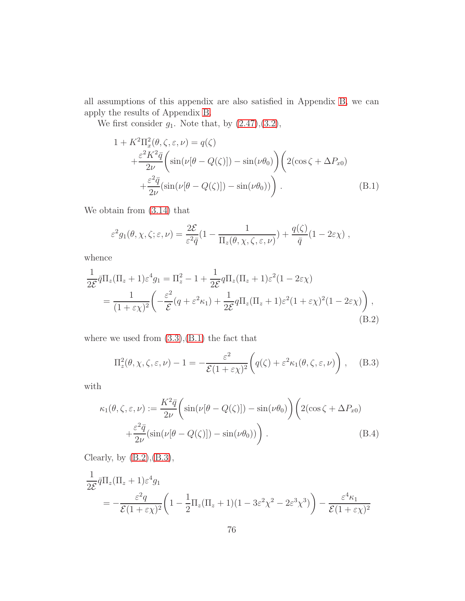all assumptions of this appendix are also satisfied in Appendix [B,](#page-74-2) we can apply the results of Appendix [B.](#page-74-2)

We first consider  $g_1$ . Note that, by  $(2.47),(3.2)$  $(2.47),(3.2)$ ,

<span id="page-75-0"></span>
$$
1 + K^{2}\Pi_{x}^{2}(\theta, \zeta, \varepsilon, \nu) = q(\zeta)
$$
  
+ 
$$
\frac{\varepsilon^{2} K^{2} \bar{q}}{2\nu} \left( \sin(\nu[\theta - Q(\zeta)]) - \sin(\nu\theta_{0}) \right) \left( 2(\cos \zeta + \Delta P_{x0}) + \frac{\varepsilon^{2} \bar{q}}{2\nu} (\sin(\nu[\theta - Q(\zeta)]) - \sin(\nu\theta_{0})) \right).
$$
 (B.1)

We obtain from [\(3.14\)](#page-81-1) that

$$
\varepsilon^2 g_1(\theta, \chi, \zeta; \varepsilon, \nu) = \frac{2\mathcal{E}}{\varepsilon^2 \bar{q}} (1 - \frac{1}{\Pi_z(\theta, \chi, \zeta, \varepsilon, \nu)}) + \frac{q(\zeta)}{\bar{q}} (1 - 2\varepsilon \chi) ,
$$

whence

<span id="page-75-1"></span>
$$
\frac{1}{2\mathcal{E}}\bar{q}\Pi_z(\Pi_z+1)\varepsilon^4 g_1 = \Pi_z^2 - 1 + \frac{1}{2\mathcal{E}}q\Pi_z(\Pi_z+1)\varepsilon^2(1-2\varepsilon\chi)
$$
  
= 
$$
\frac{1}{(1+\varepsilon\chi)^2} \left( -\frac{\varepsilon^2}{\mathcal{E}}(q+\varepsilon^2\kappa_1) + \frac{1}{2\mathcal{E}}q\Pi_z(\Pi_z+1)\varepsilon^2(1+\varepsilon\chi)^2(1-2\varepsilon\chi) \right),
$$
(B.2)

where we used from  $(3.3)$ , $(B.1)$  the fact that

<span id="page-75-2"></span>
$$
\Pi_z^2(\theta, \chi, \zeta, \varepsilon, \nu) - 1 = -\frac{\varepsilon^2}{\mathcal{E}(1 + \varepsilon \chi)^2} \left( q(\zeta) + \varepsilon^2 \kappa_1(\theta, \zeta, \varepsilon, \nu) \right), \quad (B.3)
$$

with

<span id="page-75-3"></span>
$$
\kappa_1(\theta,\zeta,\varepsilon,\nu) := \frac{K^2 \bar{q}}{2\nu} \left( \sin(\nu[\theta - Q(\zeta)]) - \sin(\nu\theta_0) \right) \left( 2(\cos\zeta + \Delta P_{x0}) + \frac{\varepsilon^2 \bar{q}}{2\nu} (\sin(\nu[\theta - Q(\zeta)]) - \sin(\nu\theta_0)) \right).
$$
\n(B.4)

Clearly, by  $(B.2), (B.3),$  $(B.2), (B.3),$  $(B.2), (B.3),$ 

$$
\frac{1}{2\mathcal{E}}\bar{q}\Pi_z(\Pi_z+1)\varepsilon^4 g_1
$$
\n
$$
= -\frac{\varepsilon^2 q}{\mathcal{E}(1+\varepsilon\chi)^2} \left(1 - \frac{1}{2}\Pi_z(\Pi_z+1)(1 - 3\varepsilon^2\chi^2 - 2\varepsilon^3\chi^3)\right) - \frac{\varepsilon^4 \kappa_1}{\mathcal{E}(1+\varepsilon\chi)^2}
$$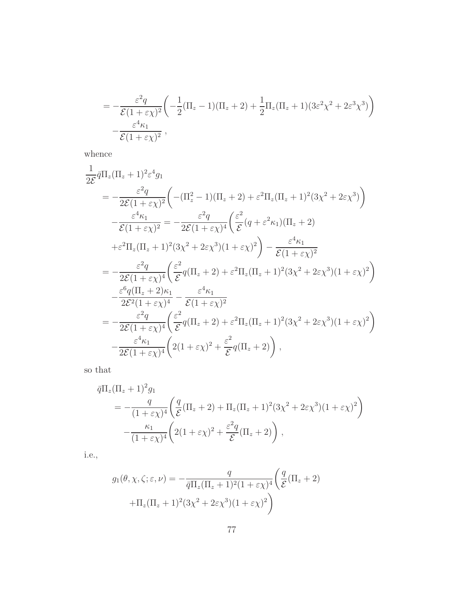$$
= -\frac{\varepsilon^2 q}{\mathcal{E}(1+\varepsilon \chi)^2} \left( -\frac{1}{2} (\Pi_z - 1) (\Pi_z + 2) + \frac{1}{2} \Pi_z (\Pi_z + 1) (3\varepsilon^2 \chi^2 + 2\varepsilon^3 \chi^3) \right) - \frac{\varepsilon^4 \kappa_1}{\mathcal{E}(1+\varepsilon \chi)^2},
$$

whence

$$
\frac{1}{2\varepsilon}\bar{q}\Pi_{z}(\Pi_{z}+1)^{2}\varepsilon^{4}g_{1}
$$
\n
$$
=\frac{\varepsilon^{2}q}{2\varepsilon(1+\varepsilon\chi)^{2}}\left(-(\Pi_{z}^{2}-1)(\Pi_{z}+2)+\varepsilon^{2}\Pi_{z}(\Pi_{z}+1)^{2}(3\chi^{2}+2\varepsilon\chi^{3})\right)
$$
\n
$$
-\frac{\varepsilon^{4}\kappa_{1}}{\varepsilon(1+\varepsilon\chi)^{2}}=-\frac{\varepsilon^{2}q}{2\varepsilon(1+\varepsilon\chi)^{4}}\left(\frac{\varepsilon^{2}}{\varepsilon}(q+\varepsilon^{2}\kappa_{1})(\Pi_{z}+2)+\varepsilon^{2}\Pi_{z}(\Pi_{z}+1)^{2}(3\chi^{2}+2\varepsilon\chi^{3})(1+\varepsilon\chi)^{2}\right)-\frac{\varepsilon^{4}\kappa_{1}}{\varepsilon(1+\varepsilon\chi)^{2}}
$$
\n
$$
=-\frac{\varepsilon^{2}q}{2\varepsilon(1+\varepsilon\chi)^{4}}\left(\frac{\varepsilon^{2}}{\varepsilon}q(\Pi_{z}+2)+\varepsilon^{2}\Pi_{z}(\Pi_{z}+1)^{2}(3\chi^{2}+2\varepsilon\chi^{3})(1+\varepsilon\chi)^{2}\right)
$$
\n
$$
-\frac{\varepsilon^{6}q(\Pi_{z}+2)\kappa_{1}}{2\varepsilon^{2}(1+\varepsilon\chi)^{4}}-\frac{\varepsilon^{4}\kappa_{1}}{\varepsilon(1+\varepsilon\chi)^{2}}
$$
\n
$$
=-\frac{\varepsilon^{2}q}{2\varepsilon(1+\varepsilon\chi)^{4}}\left(\frac{\varepsilon^{2}}{\varepsilon}q(\Pi_{z}+2)+\varepsilon^{2}\Pi_{z}(\Pi_{z}+1)^{2}(3\chi^{2}+2\varepsilon\chi^{3})(1+\varepsilon\chi)^{2}\right)
$$
\n
$$
-\frac{\varepsilon^{4}\kappa_{1}}{2\varepsilon(1+\varepsilon\chi)^{4}}\left(2(1+\varepsilon\chi)^{2}+\frac{\varepsilon^{2}}{\varepsilon}q(\Pi_{z}+2)\right),
$$

so that

$$
\overline{q}\Pi_z(\Pi_z+1)^2 g_1
$$
\n
$$
= -\frac{q}{(1+\varepsilon\chi)^4} \left( \frac{q}{\mathcal{E}} (\Pi_z+2) + \Pi_z(\Pi_z+1)^2 (3\chi^2 + 2\varepsilon\chi^3)(1+\varepsilon\chi)^2 \right)
$$
\n
$$
-\frac{\kappa_1}{(1+\varepsilon\chi)^4} \left( 2(1+\varepsilon\chi)^2 + \frac{\varepsilon^2 q}{\mathcal{E}} (\Pi_z+2) \right),
$$

i.e.,

<span id="page-76-0"></span>
$$
g_1(\theta, \chi, \zeta; \varepsilon, \nu) = -\frac{q}{\bar{q}\Pi_z(\Pi_z + 1)^2(1 + \varepsilon \chi)^4} \left(\frac{q}{\mathcal{E}}(\Pi_z + 2) + \Pi_z(\Pi_z + 1)^2(3\chi^2 + 2\varepsilon \chi^3)(1 + \varepsilon \chi)^2\right)
$$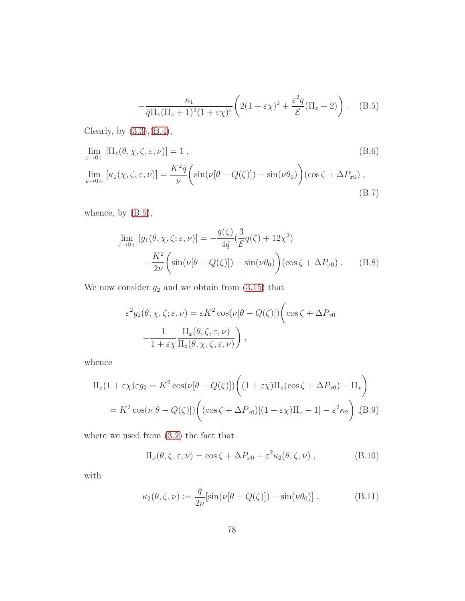$$
-\frac{\kappa_1}{\bar{q}\Pi_z(\Pi_z+1)^2(1+\varepsilon\chi)^4}\left(2(1+\varepsilon\chi)^2+\frac{\varepsilon^2q}{\mathcal{E}}(\Pi_z+2)\right). \quad (B.5)
$$

Clearly, by [\(3.3\)](#page-79-1),[\(B.4\)](#page-75-3),

<span id="page-77-2"></span>
$$
\lim_{\varepsilon \to 0+} \left[ \Pi_z(\theta, \chi, \zeta, \varepsilon, \nu) \right] = 1 , \tag{B.6}
$$
\n
$$
\lim_{\varepsilon \to 0+} \left[ \kappa_1(\chi, \zeta, \varepsilon, \nu) \right] = \frac{K^2 \bar{q}}{\nu} \left( \sin(\nu[\theta - Q(\zeta)]) - \sin(\nu \theta_0) \right) (\cos \zeta + \Delta P_{x0}), \tag{B.7}
$$

whence, by [\(B.5\)](#page-76-0),

<span id="page-77-0"></span>
$$
\lim_{\varepsilon \to 0+} [g_1(\theta, \chi, \zeta; \varepsilon, \nu)] = -\frac{q(\zeta)}{4\bar{q}} (\frac{3}{\mathcal{E}} q(\zeta) + 12\chi^2) \n- \frac{K^2}{2\nu} \left( \sin(\nu[\theta - Q(\zeta)]) - \sin(\nu\theta_0) \right) (\cos\zeta + \Delta P_{x0}).
$$
\n(B.8)

We now consider  $g_2$  and we obtain from  $(3.15)$  that

$$
\varepsilon^{2} g_{2}(\theta, \chi, \zeta; \varepsilon, \nu) = \varepsilon K^{2} \cos(\nu[\theta - Q(\zeta)]) \left( \cos \zeta + \Delta P_{x0} - \frac{1}{1 + \varepsilon \chi} \frac{\Pi_{x}(\theta, \zeta, \varepsilon, \nu)}{\Pi_{z}(\theta, \chi, \zeta, \varepsilon, \nu)} \right),
$$

whence

<span id="page-77-1"></span>
$$
\Pi_z(1+\varepsilon\chi)\varepsilon g_2 = K^2 \cos(\nu[\theta - Q(\zeta)]) \left( (1+\varepsilon\chi)\Pi_z(\cos\zeta + \Delta P_{x0}) - \Pi_x \right)
$$
  
=  $K^2 \cos(\nu[\theta - Q(\zeta)]) \left( (\cos\zeta + \Delta P_{x0})[(1+\varepsilon\chi)\Pi_z - 1] - \varepsilon^2 \kappa_2 \right),$  (B.9)

where we used from [\(3.2\)](#page-79-1) the fact that

$$
\Pi_x(\theta, \zeta, \varepsilon, \nu) = \cos \zeta + \Delta P_{x0} + \varepsilon^2 \kappa_2(\theta, \zeta, \nu) , \qquad (B.10)
$$

with

<span id="page-77-3"></span>
$$
\kappa_2(\theta,\zeta,\nu) := \frac{\bar{q}}{2\nu} [\sin(\nu[\theta - Q(\zeta)]) - \sin(\nu\theta_0)].
$$
 (B.11)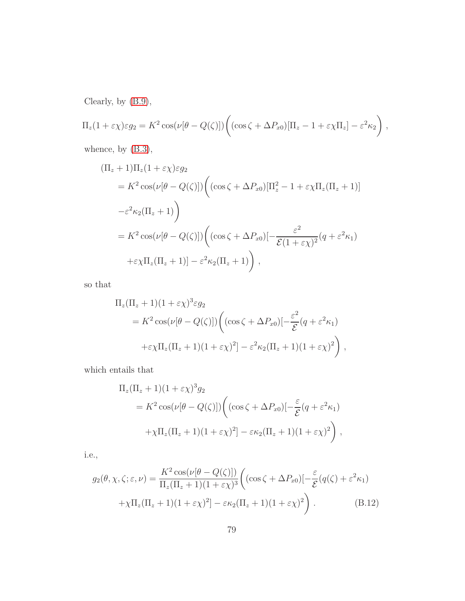Clearly, by [\(B.9\)](#page-77-1),

$$
\Pi_z(1+\varepsilon\chi)\varepsilon g_2 = K^2 \cos(\nu[\theta - Q(\zeta)]) \left( (\cos\zeta + \Delta P_{x0})[\Pi_z - 1 + \varepsilon\chi\Pi_z] - \varepsilon^2 \kappa_2 \right),
$$

whence, by [\(B.3\)](#page-75-2),

$$
\begin{aligned} (\Pi_z + 1)\Pi_z(1 + \varepsilon \chi)\varepsilon g_2 \\ &= K^2 \cos(\nu[\theta - Q(\zeta)]) \bigg( (\cos \zeta + \Delta P_{x0})[\Pi_z^2 - 1 + \varepsilon \chi \Pi_z(\Pi_z + 1)] \\ &- \varepsilon^2 \kappa_2(\Pi_z + 1) \bigg) \\ &= K^2 \cos(\nu[\theta - Q(\zeta)]) \bigg( (\cos \zeta + \Delta P_{x0})[-\frac{\varepsilon^2}{\mathcal{E}(1 + \varepsilon \chi)^2}(q + \varepsilon^2 \kappa_1)] \\ &+ \varepsilon \chi \Pi_z(\Pi_z + 1)] - \varepsilon^2 \kappa_2(\Pi_z + 1) \bigg) \,, \end{aligned}
$$

so that

$$
\Pi_z(\Pi_z + 1)(1 + \varepsilon \chi)^3 \varepsilon g_2
$$
  
=  $K^2 \cos(\nu[\theta - Q(\zeta)]) \left( (\cos \zeta + \Delta P_{x0}) \left[-\frac{\varepsilon^2}{\mathcal{E}} (q + \varepsilon^2 \kappa_1) + \varepsilon \chi \Pi_z (\Pi_z + 1)(1 + \varepsilon \chi)^2 \right] - \varepsilon^2 \kappa_2 (\Pi_z + 1)(1 + \varepsilon \chi)^2 \right),$ 

which entails that

$$
\Pi_z(\Pi_z + 1)(1 + \varepsilon \chi)^3 g_2
$$
  
=  $K^2 \cos(\nu[\theta - Q(\zeta)]) \Big( (\cos \zeta + \Delta P_{x0}) [-\frac{\varepsilon}{\mathcal{E}} (q + \varepsilon^2 \kappa_1) + \chi \Pi_z (\Pi_z + 1)(1 + \varepsilon \chi)^2] - \varepsilon \kappa_2 (\Pi_z + 1)(1 + \varepsilon \chi)^2 \Big),$ 

i.e.,

<span id="page-78-0"></span>
$$
g_2(\theta, \chi, \zeta; \varepsilon, \nu) = \frac{K^2 \cos(\nu[\theta - Q(\zeta)])}{\Pi_z(\Pi_z + 1)(1 + \varepsilon \chi)^3} \left( (\cos \zeta + \Delta P_{x0}) \left[ -\frac{\varepsilon}{\mathcal{E}} (q(\zeta) + \varepsilon^2 \kappa_1) \right] + \chi \Pi_z(\Pi_z + 1)(1 + \varepsilon \chi)^2 \right) - \varepsilon \kappa_2 (\Pi_z + 1)(1 + \varepsilon \chi)^2 \right). \tag{B.12}
$$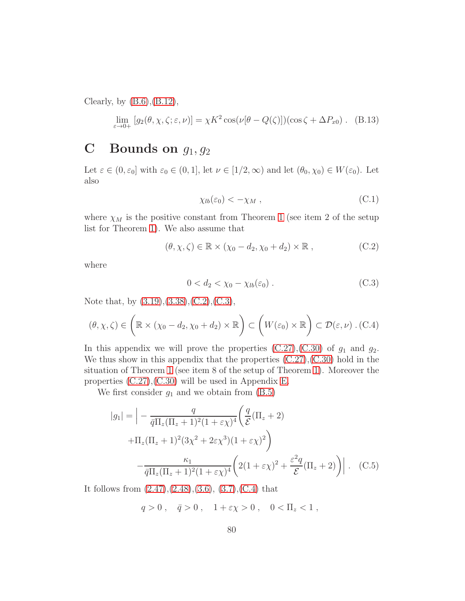Clearly, by  $(B.6), (B.12),$  $(B.6), (B.12),$  $(B.6), (B.12),$ 

<span id="page-79-2"></span>
$$
\lim_{\varepsilon \to 0+} [g_2(\theta, \chi, \zeta; \varepsilon, \nu)] = \chi K^2 \cos(\nu[\theta - Q(\zeta)])(\cos \zeta + \Delta P_{x0}). \quad (B.13)
$$

## <span id="page-79-3"></span>C Bounds on  $g_1, g_2$

Let  $\varepsilon \in (0, \varepsilon_0]$  with  $\varepsilon_0 \in (0, 1]$ , let  $\nu \in [1/2, \infty)$  and let  $(\theta_0, \chi_0) \in W(\varepsilon_0)$ . Let also

<span id="page-79-7"></span>
$$
\chi_{lb}(\varepsilon_0) < -\chi_M \;, \tag{C.1}
$$

where  $\chi_M$  is the positive constant from Theorem [1](#page-42-1) (see item 2 of the setup list for Theorem [1\)](#page-42-1). We also assume that

<span id="page-79-1"></span>
$$
(\theta, \chi, \zeta) \in \mathbb{R} \times (\chi_0 - d_2, \chi_0 + d_2) \times \mathbb{R} , \qquad (C.2)
$$

where

<span id="page-79-4"></span>
$$
0 < d_2 < \chi_0 - \chi_{lb}(\varepsilon_0) \tag{C.3}
$$

Note that, by [\(3.19\)](#page-81-2),[\(3.38\)](#page-26-1),[\(C.2\)](#page-79-1),[\(C.3\)](#page-79-4),

<span id="page-79-5"></span>
$$
(\theta, \chi, \zeta) \in \left(\mathbb{R} \times (\chi_0 - d_2, \chi_0 + d_2) \times \mathbb{R}\right) \subset \left(W(\varepsilon_0) \times \mathbb{R}\right) \subset \mathcal{D}(\varepsilon, \nu) \ . \ (C.4)
$$

In this appendix we will prove the properties  $(C.27)$ ,  $(C.30)$  of  $g_1$  and  $g_2$ . We thus show in this appendix that the properties  $(C.27)$ , $(C.30)$  hold in the situation of Theorem [1](#page-42-1) (see item 8 of the setup of Theorem [1\)](#page-42-1). Moreover the properties [\(C.27\)](#page-82-2),[\(C.30\)](#page-83-0) will be used in Appendix [E.](#page-86-0)

We first consider  $g_1$  and we obtain from  $(B.5)$ 

<span id="page-79-6"></span>
$$
|g_1| = \left| -\frac{q}{\bar{q}\Pi_z(\Pi_z + 1)^2(1 + \varepsilon \chi)^4} \left( \frac{q}{\mathcal{E}} (\Pi_z + 2) + \Pi_z(\Pi_z + 1)^2 (3\chi^2 + 2\varepsilon \chi^3)(1 + \varepsilon \chi)^2 \right) \right|
$$
  

$$
- \frac{\kappa_1}{\bar{q}\Pi_z(\Pi_z + 1)^2 (1 + \varepsilon \chi)^4} \left( 2(1 + \varepsilon \chi)^2 + \frac{\varepsilon^2 q}{\mathcal{E}} (\Pi_z + 2) \right) \right|.
$$
 (C.5)

It follows from  $(2.47),(2.48),(3.6),(3.7),(C.4)$  $(2.47),(2.48),(3.6),(3.7),(C.4)$  $(2.47),(2.48),(3.6),(3.7),(C.4)$  $(2.47),(2.48),(3.6),(3.7),(C.4)$  $(2.47),(2.48),(3.6),(3.7),(C.4)$  $(2.47),(2.48),(3.6),(3.7),(C.4)$  that

<span id="page-79-0"></span> $q > 0$ ,  $\bar{q} > 0$ ,  $1 + \varepsilon \chi > 0$ ,  $0 < \Pi_z < 1$ ,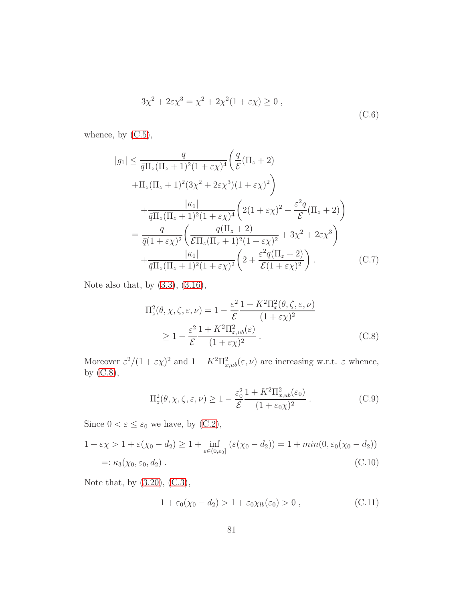$$
3\chi^2 + 2\varepsilon\chi^3 = \chi^2 + 2\chi^2(1 + \varepsilon\chi) \ge 0,
$$
\n(C.6)

whence, by  $(C.5)$ ,

<span id="page-80-0"></span>
$$
|g_1| \leq \frac{q}{\bar{q}\Pi_z(\Pi_z + 1)^2(1 + \varepsilon\chi)^4} \left(\frac{q}{\mathcal{E}}(\Pi_z + 2) + \Pi_z(\Pi_z + 1)^2(3\chi^2 + 2\varepsilon\chi^3)(1 + \varepsilon\chi)^2\right) + \frac{|\kappa_1|}{\bar{q}\Pi_z(\Pi_z + 1)^2(1 + \varepsilon\chi)^4} \left(2(1 + \varepsilon\chi)^2 + \frac{\varepsilon^2 q}{\mathcal{E}}(\Pi_z + 2)\right) = \frac{q}{\bar{q}(1 + \varepsilon\chi)^2} \left(\frac{q(\Pi_z + 2)}{\mathcal{E}\Pi_z(\Pi_z + 1)^2(1 + \varepsilon\chi)^2} + 3\chi^2 + 2\varepsilon\chi^3\right) + \frac{|\kappa_1|}{\bar{q}\Pi_z(\Pi_z + 1)^2(1 + \varepsilon\chi)^2} \left(2 + \frac{\varepsilon^2 q(\Pi_z + 2)}{\mathcal{E}(1 + \varepsilon\chi)^2}\right). \tag{C.7}
$$

Note also that, by [\(3.3\)](#page-79-1), [\(3.16\)](#page-81-6),

<span id="page-80-1"></span>
$$
\Pi_z^2(\theta, \chi, \zeta, \varepsilon, \nu) = 1 - \frac{\varepsilon^2}{\mathcal{E}} \frac{1 + K^2 \Pi_x^2(\theta, \zeta, \varepsilon, \nu)}{(1 + \varepsilon \chi)^2}
$$
\n
$$
\geq 1 - \frac{\varepsilon^2}{\mathcal{E}} \frac{1 + K^2 \Pi_{x,ub}^2(\varepsilon)}{(1 + \varepsilon \chi)^2}.
$$
\n(C.8)

Moreover  $\varepsilon^2/(1+\varepsilon\chi)^2$  and  $1+K^2\Pi_{x,ub}^2(\varepsilon,\nu)$  are increasing w.r.t.  $\varepsilon$  whence, by [\(C.8\)](#page-80-1),

<span id="page-80-3"></span>
$$
\Pi_z^2(\theta, \chi, \zeta, \varepsilon, \nu) \ge 1 - \frac{\varepsilon_0^2}{\mathcal{E}} \frac{1 + K^2 \Pi_{x,ub}^2(\varepsilon_0)}{(1 + \varepsilon_0 \chi)^2} \,. \tag{C.9}
$$

Since  $0 < \varepsilon \leq \varepsilon_0$  we have, by [\(C.2\)](#page-79-1),

<span id="page-80-2"></span>
$$
1 + \varepsilon \chi > 1 + \varepsilon(\chi_0 - d_2) \ge 1 + \inf_{\varepsilon \in (0, \varepsilon_0]} (\varepsilon(\chi_0 - d_2)) = 1 + \min(0, \varepsilon_0(\chi_0 - d_2))
$$
  
=:  $\kappa_3(\chi_0, \varepsilon_0, d_2)$ . (C.10)

Note that, by [\(3.20\)](#page-81-5), [\(C.3\)](#page-79-4),

<span id="page-80-4"></span>
$$
1 + \varepsilon_0(\chi_0 - d_2) > 1 + \varepsilon_0 \chi_{lb}(\varepsilon_0) > 0 , \qquad (C.11)
$$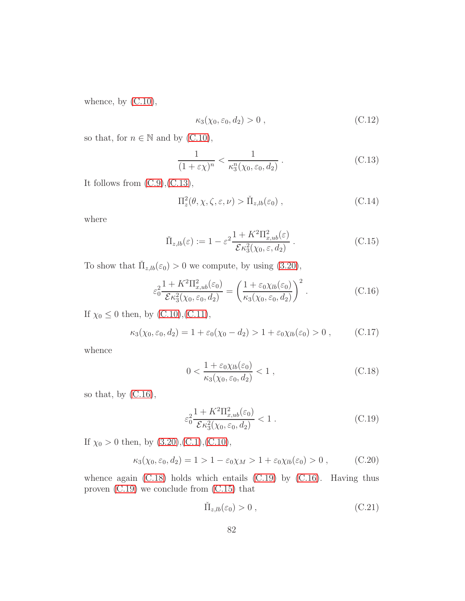whence, by  $(C.10)$ ,

<span id="page-81-0"></span>
$$
\kappa_3(\chi_0, \varepsilon_0, d_2) > 0 , \qquad (C.12)
$$

so that, for  $n \in \mathbb{N}$  and by [\(C.10\)](#page-80-2),

<span id="page-81-7"></span>
$$
\frac{1}{(1+\varepsilon\chi)^n} < \frac{1}{\kappa_3^n(\chi_0, \varepsilon_0, d_2)}\,. \tag{C.13}
$$

It follows from [\(C.9\)](#page-80-3),[\(C.13\)](#page-81-7),

<span id="page-81-1"></span>
$$
\Pi_z^2(\theta, \chi, \zeta, \varepsilon, \nu) > \check{\Pi}_{z, lb}(\varepsilon_0) , \qquad (C.14)
$$

where

<span id="page-81-4"></span>
$$
\check{\Pi}_{z,lb}(\varepsilon) := 1 - \varepsilon^2 \frac{1 + K^2 \Pi_{x,ub}^2(\varepsilon)}{\mathcal{E} \kappa_3^2(\chi_0, \varepsilon, d_2)}.
$$
\n(C.15)

To show that  $\tilde{\Pi}_{z,lb}(\varepsilon_0) > 0$  we compute, by using [\(3.20\)](#page-81-5),

<span id="page-81-6"></span>
$$
\varepsilon_0^2 \frac{1 + K^2 \Pi_{x,ub}^2(\varepsilon_0)}{\mathcal{E} \kappa_3^2(\chi_0, \varepsilon_0, d_2)} = \left(\frac{1 + \varepsilon_0 \chi_{lb}(\varepsilon_0)}{\kappa_3(\chi_0, \varepsilon_0, d_2)}\right)^2. \tag{C.16}
$$

If  $\chi_0 \leq 0$  then, by [\(C.10\)](#page-80-2),[\(C.11\)](#page-80-4),

<span id="page-81-3"></span>
$$
\kappa_3(\chi_0, \varepsilon_0, d_2) = 1 + \varepsilon_0(\chi_0 - d_2) > 1 + \varepsilon_0 \chi_{lb}(\varepsilon_0) > 0 , \qquad (C.17)
$$

whence

<span id="page-81-8"></span>
$$
0 < \frac{1 + \varepsilon_0 \chi_{lb}(\varepsilon_0)}{\kappa_3(\chi_0, \varepsilon_0, d_2)} < 1 \tag{C.18}
$$

so that, by [\(C.16\)](#page-81-6),

<span id="page-81-2"></span>
$$
\varepsilon_0^2 \frac{1 + K^2 \Pi_{x,ub}^2(\varepsilon_0)}{\mathcal{E} \kappa_3^2(\chi_0, \varepsilon_0, d_2)} < 1. \tag{C.19}
$$

If  $\chi_0 > 0$  then, by  $(3.20), (C.1), (C.10),$  $(3.20), (C.1), (C.10),$  $(3.20), (C.1), (C.10),$  $(3.20), (C.1), (C.10),$  $(3.20), (C.1), (C.10),$ 

<span id="page-81-5"></span>
$$
\kappa_3(\chi_0, \varepsilon_0, d_2) = 1 > 1 - \varepsilon_0 \chi_M > 1 + \varepsilon_0 \chi_{lb}(\varepsilon_0) > 0 , \qquad (C.20)
$$

whence again [\(C.18\)](#page-81-8) holds which entails [\(C.19\)](#page-81-2) by [\(C.16\)](#page-81-6). Having thus proven [\(C.19\)](#page-81-2) we conclude from [\(C.15\)](#page-81-4) that

$$
\check{\Pi}_{z,lb}(\varepsilon_0) > 0 , \qquad (C.21)
$$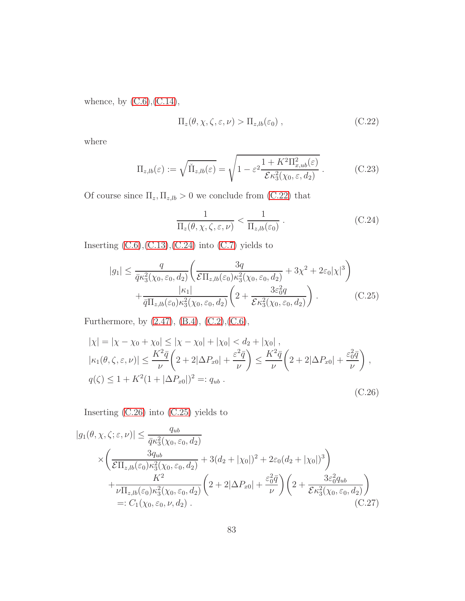whence, by  $(C.6)$ ,  $(C.14)$ ,

<span id="page-82-3"></span>
$$
\Pi_z(\theta, \chi, \zeta, \varepsilon, \nu) > \Pi_{z, lb}(\varepsilon_0) , \qquad (C.22)
$$

where

<span id="page-82-0"></span>
$$
\Pi_{z,b}(\varepsilon) := \sqrt{\check{\Pi}_{z,b}(\varepsilon)} = \sqrt{1 - \varepsilon^2 \frac{1 + K^2 \Pi_{x,ub}^2(\varepsilon)}{\mathcal{E} \kappa_3^2(\chi_0, \varepsilon, d_2)}}.
$$
\n(C.23)

Of course since  $\Pi_z, \Pi_{z,lb} > 0$  we conclude from [\(C.22\)](#page-82-3) that

<span id="page-82-4"></span>
$$
\frac{1}{\Pi_z(\theta, \chi, \zeta, \varepsilon, \nu)} < \frac{1}{\Pi_{z, lb}(\varepsilon_0)} \,. \tag{C.24}
$$

Inserting  $(C.6)$ , $(C.13)$ , $(C.24)$  into  $(C.7)$  yields to

<span id="page-82-1"></span>
$$
|g_1| \leq \frac{q}{\bar{q}\kappa_3^2(\chi_0, \varepsilon_0, d_2)} \left( \frac{3q}{\mathcal{E}\Pi_{z,lb}(\varepsilon_0)\kappa_3^2(\chi_0, \varepsilon_0, d_2)} + 3\chi^2 + 2\varepsilon_0|\chi|^3 \right) + \frac{|\kappa_1|}{\bar{q}\Pi_{z,lb}(\varepsilon_0)\kappa_3^2(\chi_0, \varepsilon_0, d_2)} \left( 2 + \frac{3\varepsilon_0^2q}{\mathcal{E}\kappa_3^2(\chi_0, \varepsilon_0, d_2)} \right). \tag{C.25}
$$

Furthermore, by [\(2.47\)](#page-15-0), [\(B.4\)](#page-75-3), [\(C.2\)](#page-79-1),[\(C.6\)](#page-79-0),

<span id="page-82-5"></span>
$$
|\chi| = |\chi - \chi_0 + \chi_0| \le |\chi - \chi_0| + |\chi_0| < d_2 + |\chi_0|,
$$
  
\n
$$
|\kappa_1(\theta, \zeta, \varepsilon, \nu)| \le \frac{K^2 \bar{q}}{\nu} \left(2 + 2|\Delta P_{x0}| + \frac{\varepsilon^2 \bar{q}}{\nu}\right) \le \frac{K^2 \bar{q}}{\nu} \left(2 + 2|\Delta P_{x0}| + \frac{\varepsilon_0^2 \bar{q}}{\nu}\right),
$$
  
\n
$$
q(\zeta) \le 1 + K^2 (1 + |\Delta P_{x0}|)^2 =: q_{ub}.
$$
  
\n(C.26)

Inserting [\(C.26\)](#page-82-5) into [\(C.25\)](#page-82-1) yields to

<span id="page-82-2"></span>
$$
|g_1(\theta, \chi, \zeta; \varepsilon, \nu)| \leq \frac{q_{ub}}{\bar{q}\kappa_3^2(\chi_0, \varepsilon_0, d_2)} \times \left(\frac{3q_{ub}}{\mathcal{E}\Pi_{z, lb}(\varepsilon_0)\kappa_3^2(\chi_0, \varepsilon_0, d_2)} + 3(d_2 + |\chi_0|)^2 + 2\varepsilon_0(d_2 + |\chi_0|)^3\right) + \frac{K^2}{\nu \Pi_{z, lb}(\varepsilon_0)\kappa_3^2(\chi_0, \varepsilon_0, d_2)} \left(2 + 2|\Delta P_{x0}| + \frac{\varepsilon_0^2 \bar{q}}{\nu}\right) \left(2 + \frac{3\varepsilon_0^2 q_{ub}}{\mathcal{E}\kappa_3^2(\chi_0, \varepsilon_0, d_2)}\right) =: C_1(\chi_0, \varepsilon_0, \nu, d_2).
$$
\n(C.27)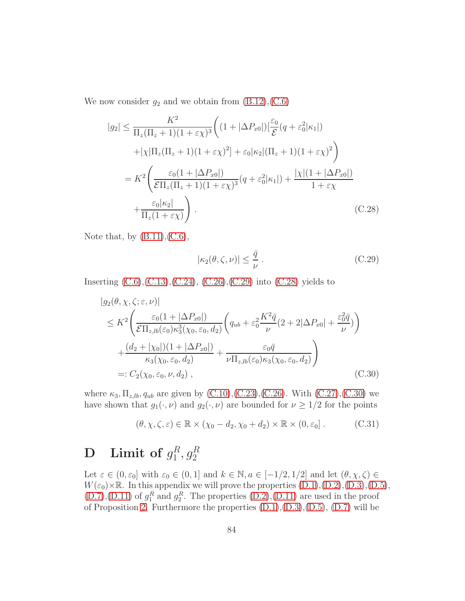We now consider  $g_2$  and we obtain from  $(B.12),(C.6)$  $(B.12),(C.6)$ 

<span id="page-83-2"></span>
$$
|g_2| \leq \frac{K^2}{\Pi_z(\Pi_z + 1)(1 + \varepsilon \chi)^3} \left( (1 + |\Delta P_{x0}|) \left[ \frac{\varepsilon_0}{\mathcal{E}} (q + \varepsilon_0^2 | \kappa_1|) \right] \right)
$$

$$
+ |\chi| \Pi_z(\Pi_z + 1)(1 + \varepsilon \chi)^2] + \varepsilon_0 |\kappa_2| (\Pi_z + 1)(1 + \varepsilon \chi)^2 \right)
$$

$$
= K^2 \left( \frac{\varepsilon_0 (1 + |\Delta P_{x0}|)}{\mathcal{E} \Pi_z(\Pi_z + 1)(1 + \varepsilon \chi)^3} (q + \varepsilon_0^2 | \kappa_1|) + \frac{|\chi| (1 + |\Delta P_{x0}|)}{1 + \varepsilon \chi} \right)
$$

$$
+ \frac{\varepsilon_0 |\kappa_2|}{\Pi_z(1 + \varepsilon \chi)} \right). \tag{C.28}
$$

Note that, by  $(B.11), (C.6),$  $(B.11), (C.6),$  $(B.11), (C.6),$ 

<span id="page-83-1"></span>
$$
|\kappa_2(\theta,\zeta,\nu)| \le \frac{\bar{q}}{\nu} \,. \tag{C.29}
$$

Inserting  $(C.6)$ ,  $(C.13)$ ,  $(C.24)$ ,  $(C.26)$ ,  $(C.29)$  into  $(C.28)$  yields to

<span id="page-83-0"></span>
$$
|g_2(\theta, \chi, \zeta; \varepsilon, \nu)|
$$
  
\n
$$
\leq K^2 \left( \frac{\varepsilon_0 (1 + |\Delta P_{x0}|)}{\varepsilon \Pi_{z,b}(\varepsilon_0) \kappa_3^3(\chi_0, \varepsilon_0, d_2)} \left( q_{ub} + \varepsilon_0^2 \frac{K^2 \bar{q}}{\nu} (2 + 2|\Delta P_{x0}| + \frac{\varepsilon_0^2 \bar{q}}{\nu}) \right) \right)
$$
  
\n
$$
+ \frac{(d_2 + |\chi_0|)(1 + |\Delta P_{x0}|)}{\kappa_3(\chi_0, \varepsilon_0, d_2)} + \frac{\varepsilon_0 \bar{q}}{\nu \Pi_{z,b}(\varepsilon_0) \kappa_3(\chi_0, \varepsilon_0, d_2)} \right)
$$
  
\n
$$
=: C_2(\chi_0, \varepsilon_0, \nu, d_2), \qquad (C.30)
$$

where  $\kappa_3, \Pi_{z,lb}, q_{ub}$  are given by  $(C.10), (C.23), (C.26)$  $(C.10), (C.23), (C.26)$  $(C.10), (C.23), (C.26)$  $(C.10), (C.23), (C.26)$ . With  $(C.27), (C.30)$  $(C.27), (C.30)$  we have shown that  $g_1(\cdot, \nu)$  and  $g_2(\cdot, \nu)$  are bounded for  $\nu \geq 1/2$  for the points

$$
(\theta, \chi, \zeta, \varepsilon) \in \mathbb{R} \times (\chi_0 - d_2, \chi_0 + d_2) \times \mathbb{R} \times (0, \varepsilon_0].
$$
 (C.31)

#### <span id="page-83-3"></span> $\mathbf{D} \quad \mathbf{Limit} \ \textbf{of} \ g_1^R$  $_1^R, g_2^R$

Let  $\varepsilon \in (0, \varepsilon_0]$  with  $\varepsilon_0 \in (0, 1]$  and  $k \in \mathbb{N}, a \in [-1/2, 1/2]$  and let  $(\theta, \chi, \zeta) \in$  $W(\varepsilon_0) \times \mathbb{R}$ . In this appendix we will prove the properties  $(D.1), (D.2), (D.3), (D.5),$  $(D.1), (D.2), (D.3), (D.5),$  $(D.1), (D.2), (D.3), (D.5),$  $(D.1), (D.2), (D.3), (D.5),$  $(D.1), (D.2), (D.3), (D.5),$  $(D.1), (D.2), (D.3), (D.5),$  $(D.1), (D.2), (D.3), (D.5),$  $(D.7), (D.11)$  $(D.7), (D.11)$  $(D.7), (D.11)$  of  $g_1^R$  and  $g_2^R$ . The properties  $(D.2), (D.11)$  are used in the proof of Proposition [2.](#page-30-1) Furthermore the properties  $(D.1), (D.3), (D.5), (D.7)$  $(D.1), (D.3), (D.5), (D.7)$  $(D.1), (D.3), (D.5), (D.7)$  $(D.1), (D.3), (D.5), (D.7)$  $(D.1), (D.3), (D.5), (D.7)$  $(D.1), (D.3), (D.5), (D.7)$  will be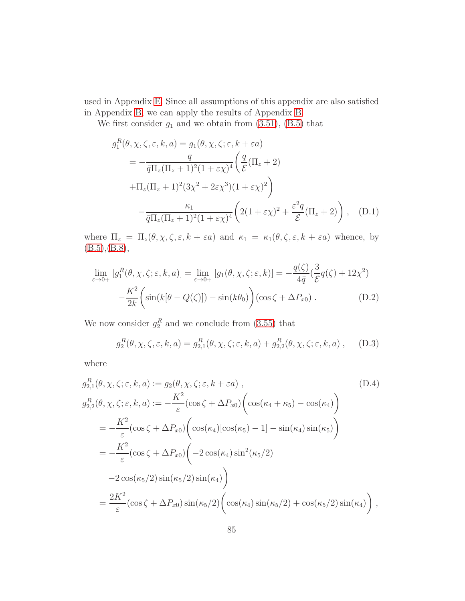used in Appendix [E.](#page-86-0) Since all assumptions of this appendix are also satisfied in Appendix [B,](#page-74-2) we can apply the results of Appendix [B.](#page-74-2)

We first consider  $g_1$  and we obtain from  $(3.51)$ ,  $(B.5)$  that

<span id="page-84-0"></span>
$$
g_1^R(\theta, \chi, \zeta, \varepsilon, k, a) = g_1(\theta, \chi, \zeta; \varepsilon, k + \varepsilon a)
$$
  
= 
$$
-\frac{q}{\overline{q}\Pi_z(\Pi_z + 1)^2(1 + \varepsilon\chi)^4} \left(\frac{q}{\mathcal{E}}(\Pi_z + 2) + \Pi_z(\Pi_z + 1)^2(3\chi^2 + 2\varepsilon\chi^3)(1 + \varepsilon\chi)^2\right)
$$

$$
-\frac{\kappa_1}{\overline{q}\Pi_z(\Pi_z + 1)^2(1 + \varepsilon\chi)^4} \left(2(1 + \varepsilon\chi)^2 + \frac{\varepsilon^2 q}{\mathcal{E}}(\Pi_z + 2)\right), \quad (D.1)
$$

where  $\Pi_z = \Pi_z(\theta, \chi, \zeta, \varepsilon, k + \varepsilon a)$  and  $\kappa_1 = \kappa_1(\theta, \zeta, \varepsilon, k + \varepsilon a)$  whence, by [\(B.5\)](#page-76-0),[\(B.8\)](#page-77-0),

<span id="page-84-1"></span>
$$
\lim_{\varepsilon \to 0+} \left[ g_1^R(\theta, \chi, \zeta; \varepsilon, k, a) \right] = \lim_{\varepsilon \to 0+} \left[ g_1(\theta, \chi, \zeta; \varepsilon, k) \right] = -\frac{q(\zeta)}{4\bar{q}} \left( \frac{3}{\mathcal{E}} q(\zeta) + 12\chi^2 \right)
$$

$$
-\frac{K^2}{2k} \left( \sin(k[\theta - Q(\zeta)]) - \sin(k\theta_0) \right) (\cos \zeta + \Delta P_{x0}). \tag{D.2}
$$

We now consider  $g_2^R$  and we conclude from [\(3.55\)](#page-29-1) that

<span id="page-84-2"></span>
$$
g_2^R(\theta, \chi, \zeta, \varepsilon, k, a) = g_{2,1}^R(\theta, \chi, \zeta; \varepsilon, k, a) + g_{2,2}^R(\theta, \chi, \zeta; \varepsilon, k, a) , \quad (D.3)
$$

where

<span id="page-84-3"></span>
$$
g_{2,1}^{R}(\theta, \chi, \zeta; \varepsilon, k, a) := g_{2}(\theta, \chi, \zeta; \varepsilon, k + \varepsilon a),
$$
\n
$$
g_{2,2}^{R}(\theta, \chi, \zeta; \varepsilon, k, a) := -\frac{K^{2}}{\varepsilon} (\cos \zeta + \Delta P_{x0}) \left( \cos(\kappa_{4} + \kappa_{5}) - \cos(\kappa_{4}) \right)
$$
\n
$$
= -\frac{K^{2}}{\varepsilon} (\cos \zeta + \Delta P_{x0}) \left( \cos(\kappa_{4}) [\cos(\kappa_{5}) - 1] - \sin(\kappa_{4}) \sin(\kappa_{5}) \right)
$$
\n
$$
= -\frac{K^{2}}{\varepsilon} (\cos \zeta + \Delta P_{x0}) \left( -2 \cos(\kappa_{4}) \sin^{2}(\kappa_{5}/2) -2 \cos(\kappa_{5}/2) \sin(\kappa_{5}/2) \sin(\kappa_{5}/2) \right)
$$
\n
$$
= \frac{2K^{2}}{\varepsilon} (\cos \zeta + \Delta P_{x0}) \sin(\kappa_{5}/2) \left( \cos(\kappa_{4}) \sin(\kappa_{5}/2) + \cos(\kappa_{5}/2) \sin(\kappa_{4}) \right),
$$
\n(D.4)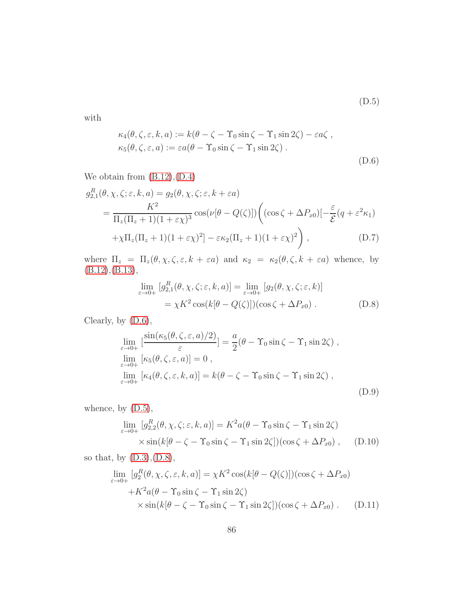(D.5)

with

<span id="page-85-2"></span>
$$
\kappa_4(\theta, \zeta, \varepsilon, k, a) := k(\theta - \zeta - \Upsilon_0 \sin \zeta - \Upsilon_1 \sin 2\zeta) - \varepsilon a \zeta ,
$$
  

$$
\kappa_5(\theta, \zeta, \varepsilon, a) := \varepsilon a(\theta - \Upsilon_0 \sin \zeta - \Upsilon_1 \sin 2\zeta) .
$$
  
(D.6)

We obtain from  $(B.12), (D.4)$  $(B.12), (D.4)$ 

<span id="page-85-0"></span>
$$
g_{2,1}^{R}(\theta, \chi, \zeta; \varepsilon, k, a) = g_2(\theta, \chi, \zeta; \varepsilon, k + \varepsilon a)
$$
  
= 
$$
\frac{K^2}{\Pi_z(\Pi_z + 1)(1 + \varepsilon \chi)^3} \cos(\nu[\theta - Q(\zeta)]) \left( (\cos \zeta + \Delta P_{x0}) \left[-\frac{\varepsilon}{\mathcal{E}}(q + \varepsilon^2 \kappa_1) + \chi \Pi_z(\Pi_z + 1)(1 + \varepsilon \chi)^2 \right] \right),
$$
 (D.7)

where  $\Pi_z = \Pi_z(\theta, \chi, \zeta, \varepsilon, k + \varepsilon a)$  and  $\kappa_2 = \kappa_2(\theta, \zeta, k + \varepsilon a)$  whence, by [\(B.12\)](#page-78-0),[\(B.13\)](#page-79-2),

<span id="page-85-3"></span>
$$
\lim_{\varepsilon \to 0+} [g_{2,1}^{R}(\theta, \chi, \zeta; \varepsilon, k, a)] = \lim_{\varepsilon \to 0+} [g_2(\theta, \chi, \zeta; \varepsilon, k)]
$$
  
=  $\chi K^2 \cos(k[\theta - Q(\zeta)])(\cos \zeta + \Delta P_{x0}).$  (D.8)

Clearly, by [\(D.6\)](#page-85-2),

$$
\lim_{\varepsilon \to 0+} \left[ \frac{\sin(\kappa_5(\theta, \zeta, \varepsilon, a)/2)}{\varepsilon} \right] = \frac{a}{2} (\theta - \Upsilon_0 \sin \zeta - \Upsilon_1 \sin 2\zeta) ,
$$
  
\n
$$
\lim_{\varepsilon \to 0+} \left[ \kappa_5(\theta, \zeta, \varepsilon, a) \right] = 0 ,
$$
  
\n
$$
\lim_{\varepsilon \to 0+} \left[ \kappa_4(\theta, \zeta, \varepsilon, k, a) \right] = k(\theta - \zeta - \Upsilon_0 \sin \zeta - \Upsilon_1 \sin 2\zeta) ,
$$
  
\n(D.9)

whence, by  $(D.5)$ ,

$$
\lim_{\varepsilon \to 0+} [g_{2,2}^{R}(\theta, \chi, \zeta; \varepsilon, k, a)] = K^{2} a(\theta - \Upsilon_{0} \sin \zeta - \Upsilon_{1} \sin 2\zeta)
$$
  
 
$$
\times \sin(k[\theta - \zeta - \Upsilon_{0} \sin \zeta - \Upsilon_{1} \sin 2\zeta])(\cos \zeta + \Delta P_{x0}), \quad (D.10)
$$

so that, by [\(D.3\)](#page-84-2),[\(D.8\)](#page-85-3),

<span id="page-85-1"></span>
$$
\lim_{\varepsilon \to 0+} [g_2^R(\theta, \chi, \zeta, \varepsilon, k, a)] = \chi K^2 \cos(k[\theta - Q(\zeta)])(\cos \zeta + \Delta P_{x0})
$$

$$
+ K^2 a(\theta - \Upsilon_0 \sin \zeta - \Upsilon_1 \sin 2\zeta)
$$

$$
\times \sin(k[\theta - \zeta - \Upsilon_0 \sin \zeta - \Upsilon_1 \sin 2\zeta])(\cos \zeta + \Delta P_{x0}). \quad (D.11)
$$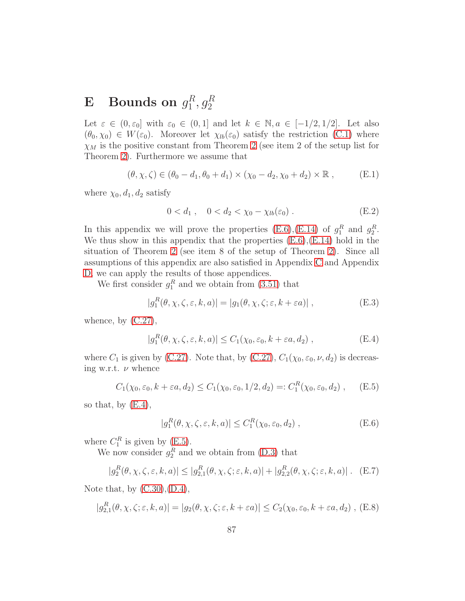#### <span id="page-86-0"></span> $\mathbf{E}$  Bounds on  $g_1^R$  $_1^R,g_2^R$

Let  $\varepsilon \in (0, \varepsilon_0]$  with  $\varepsilon_0 \in (0, 1]$  and let  $k \in \mathbb{N}, a \in [-1/2, 1/2]$ . Let also  $(\theta_0, \chi_0) \in W(\varepsilon_0)$ . Moreover let  $\chi_{lb}(\varepsilon_0)$  satisfy the restriction [\(C.1\)](#page-79-7) where  $\chi_M$  is the positive constant from Theorem [2](#page-47-0) (see item 2 of the setup list for Theorem [2\)](#page-47-0). Furthermore we assume that

<span id="page-86-5"></span>
$$
(\theta, \chi, \zeta) \in (\theta_0 - d_1, \theta_0 + d_1) \times (\chi_0 - d_2, \chi_0 + d_2) \times \mathbb{R},
$$
 (E.1)

where  $\chi_0, d_1, d_2$  satisfy

$$
0 < d_1 \,, \quad 0 < d_2 < \chi_0 - \chi_{lb}(\varepsilon_0) \,. \tag{E.2}
$$

In this appendix we will prove the properties  $(E.6), (E.14)$  $(E.6), (E.14)$  of  $g_1^R$  and  $g_2^R$ . We thus show in this appendix that the properties  $(E.6)$ , $(E.14)$  hold in the situation of Theorem [2](#page-47-0) (see item 8 of the setup of Theorem [2\)](#page-47-0). Since all assumptions of this appendix are also satisfied in Appendix [C](#page-79-3) and Appendix [D,](#page-83-3) we can apply the results of those appendices.

We first consider  $g_1^R$  and we obtain from [\(3.51\)](#page-29-0) that

$$
|g_1^R(\theta, \chi, \zeta, \varepsilon, k, a)| = |g_1(\theta, \chi, \zeta; \varepsilon, k + \varepsilon a)|,
$$
 (E.3)

whence, by  $(C.27)$ ,

<span id="page-86-2"></span>
$$
|g_1^R(\theta, \chi, \zeta, \varepsilon, k, a)| \le C_1(\chi_0, \varepsilon_0, k + \varepsilon a, d_2), \qquad (E.4)
$$

where  $C_1$  is given by [\(C.27\)](#page-82-2). Note that, by (C.27),  $C_1(\chi_0, \varepsilon_0, \nu, d_2)$  is decreasing w.r.t.  $\nu$  whence

<span id="page-86-3"></span>
$$
C_1(\chi_0, \varepsilon_0, k + \varepsilon a, d_2) \le C_1(\chi_0, \varepsilon_0, 1/2, d_2) =: C_1^R(\chi_0, \varepsilon_0, d_2), \quad (E.5)
$$

so that, by  $(E.4)$ ,

<span id="page-86-1"></span>
$$
|g_1^R(\theta, \chi, \zeta, \varepsilon, k, a)| \le C_1^R(\chi_0, \varepsilon_0, d_2) , \qquad (E.6)
$$

where  $C_1^R$  is given by [\(E.5\)](#page-86-3).

We now consider  $g_2^R$  and we obtain from [\(D.3\)](#page-84-2) that

<span id="page-86-6"></span>
$$
|g_2^R(\theta, \chi, \zeta, \varepsilon, k, a)| \le |g_{2,1}^R(\theta, \chi, \zeta; \varepsilon, k, a)| + |g_{2,2}^R(\theta, \chi, \zeta; \varepsilon, k, a)|. \quad (E.7)
$$

Note that, by  $(C.30), (D.4),$  $(C.30), (D.4),$  $(C.30), (D.4),$ 

<span id="page-86-4"></span>
$$
|g_{2,1}^R(\theta,\chi,\zeta;\varepsilon,k,a)| = |g_2(\theta,\chi,\zeta;\varepsilon,k+\varepsilon a)| \le C_2(\chi_0,\varepsilon_0,k+\varepsilon a,d_2), \text{ (E.8)}
$$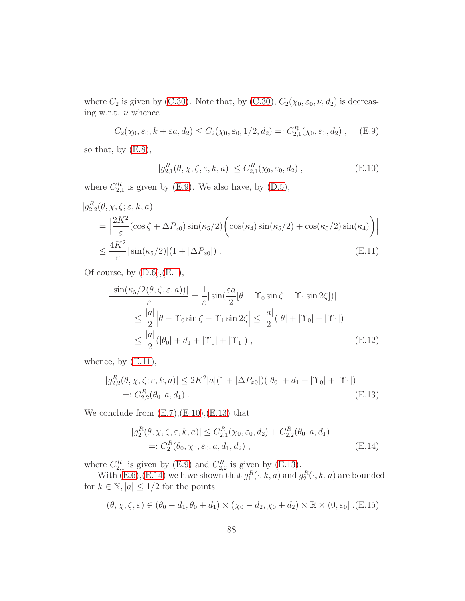where  $C_2$  is given by [\(C.30\)](#page-83-0). Note that, by (C.30),  $C_2(\chi_0, \varepsilon_0, \nu, d_2)$  is decreasing w.r.t.  $\nu$  whence

<span id="page-87-1"></span>
$$
C_2(\chi_0, \varepsilon_0, k + \varepsilon a, d_2) \le C_2(\chi_0, \varepsilon_0, 1/2, d_2) =: C_{2,1}^R(\chi_0, \varepsilon_0, d_2), \quad (E.9)
$$

so that, by  $(E.8)$ ,

<span id="page-87-3"></span>
$$
|g_{2,1}^R(\theta,\chi,\zeta,\varepsilon,k,a)| \le C_{2,1}^R(\chi_0,\varepsilon_0,d_2) ,
$$
 (E.10)

where  $C_{2,1}^R$  is given by [\(E.9\)](#page-87-1). We also have, by [\(D.5\)](#page-84-3),

<span id="page-87-2"></span>
$$
|g_{2,2}^{R}(\theta, \chi, \zeta; \varepsilon, k, a)|
$$
  
= 
$$
\left| \frac{2K^2}{\varepsilon} (\cos \zeta + \Delta P_{x0}) \sin(\kappa_5/2) \left( \cos(\kappa_4) \sin(\kappa_5/2) + \cos(\kappa_5/2) \sin(\kappa_4) \right) \right|
$$
  

$$
\leq \frac{4K^2}{\varepsilon} |\sin(\kappa_5/2)| (1 + |\Delta P_{x0}|).
$$
 (E.11)

Of course, by  $(D.6)$ , $(E.1)$ ,

$$
\frac{|\sin(\kappa_5/2(\theta,\zeta,\varepsilon,a))|}{\varepsilon} = \frac{1}{\varepsilon} |\sin(\frac{\varepsilon a}{2}[\theta - \Upsilon_0 \sin \zeta - \Upsilon_1 \sin 2\zeta])|
$$
  

$$
\leq \frac{|a|}{2} |\theta - \Upsilon_0 \sin \zeta - \Upsilon_1 \sin 2\zeta| \leq \frac{|a|}{2} (|\theta| + |\Upsilon_0| + |\Upsilon_1|)
$$
  

$$
\leq \frac{|a|}{2} (|\theta_0| + d_1 + |\Upsilon_0| + |\Upsilon_1|), \qquad (E.12)
$$

whence, by  $(E.11)$ ,

<span id="page-87-4"></span>
$$
|g_{2,2}^{R}(\theta, \chi, \zeta; \varepsilon, k, a)| \le 2K^2|a|(1 + |\Delta P_{x0}|)(|\theta_0| + d_1 + |\Upsilon_0| + |\Upsilon_1|)
$$
  
=:  $C_{2,2}^{R}(\theta_0, a, d_1)$ . (E.13)

We conclude from  $(E.7), (E.10), (E.13)$  $(E.7), (E.10), (E.13)$  $(E.7), (E.10), (E.13)$  $(E.7), (E.10), (E.13)$  that

<span id="page-87-0"></span>
$$
|g_2^R(\theta, \chi, \zeta, \varepsilon, k, a)| \le C_{2,1}^R(\chi_0, \varepsilon_0, d_2) + C_{2,2}^R(\theta_0, a, d_1)
$$
  
=:  $C_2^R(\theta_0, \chi_0, \varepsilon_0, a, d_1, d_2)$ , (E.14)

where  $C_{2,1}^R$  is given by [\(E.9\)](#page-87-1) and  $C_{2,2}^R$  is given by [\(E.13\)](#page-87-4).

With  $(E.6)$ ,  $(E.14)$  we have shown that  $g_1^R(\cdot, k, a)$  and  $g_2^R(\cdot, k, a)$  are bounded for  $k \in \mathbb{N}$ ,  $|a| \leq 1/2$  for the points

$$
(\theta, \chi, \zeta, \varepsilon) \in (\theta_0 - d_1, \theta_0 + d_1) \times (\chi_0 - d_2, \chi_0 + d_2) \times \mathbb{R} \times (0, \varepsilon_0] . (E.15)
$$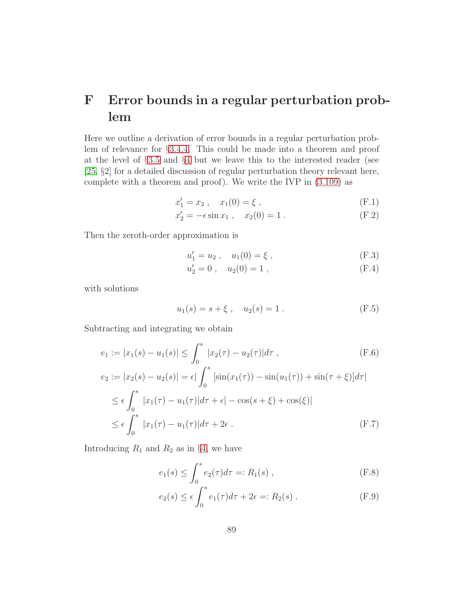## <span id="page-88-0"></span>F Error bounds in a regular perturbation problem

Here we outline a derivation of error bounds in a regular perturbation problem of relevance for §[3.4.4.](#page-38-0) This could be made into a theorem and proof at the level of §[3.5](#page-39-0) and §[4](#page-83-3) but we leave this to the interested reader (see [\[25,](#page-99-0) §2] for a detailed discussion of regular perturbation theory relevant here, complete with a theorem and proof). We write the IVP in [\(3.109\)](#page-38-1) as

$$
x_1' = x_2 , \quad x_1(0) = \xi , \tag{F.1}
$$

$$
x_2' = -\epsilon \sin x_1 , \quad x_2(0) = 1 . \tag{F.2}
$$

Then the zeroth-order approximation is

$$
u_1' = u_2, \quad u_1(0) = \xi, \tag{F.3}
$$

$$
u_2' = 0, \quad u_2(0) = 1, \tag{F.4}
$$

with solutions

$$
u_1(s) = s + \xi , \quad u_2(s) = 1 . \tag{F.5}
$$

Subtracting and integrating we obtain

$$
e_1 := |x_1(s) - u_1(s)| \le \int_0^s |x_2(\tau) - u_2(\tau)| d\tau ,
$$
\n(F.6)  
\n
$$
e_2 := |x_2(s) - u_2(s)| = \epsilon \left| \int_0^s \left[ \sin(x_1(\tau)) - \sin(u_1(\tau)) + \sin(\tau + \xi) \right] d\tau \right|
$$
\n
$$
\le \epsilon \int_0^s |x_1(\tau) - u_1(\tau)| d\tau + \epsilon | - \cos(s + \xi) + \cos(\xi)|
$$
\n
$$
\le \epsilon \int_0^s |x_1(\tau) - u_1(\tau)| d\tau + 2\epsilon .
$$
\n(F.7)

Introducing  $R_1$  and  $R_2$  as in §[4,](#page-83-3) we have

$$
e_1(s) \le \int_0^s e_2(\tau) d\tau =: R_1(s) , \qquad (F.8)
$$

$$
e_2(s) \le \epsilon \int_0^s e_1(\tau) d\tau + 2\epsilon =: R_2(s) .
$$
 (F.9)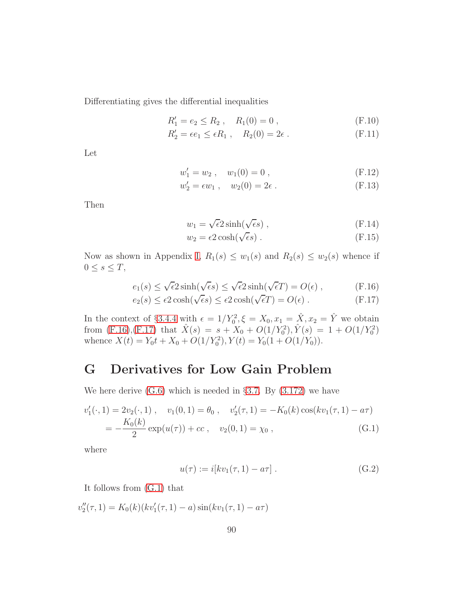Differentiating gives the differential inequalities

$$
R'_1 = e_2 \le R_2 , \quad R_1(0) = 0 , \tag{F.10}
$$

$$
R'_2 = \epsilon e_1 \leq \epsilon R_1 , \quad R_2(0) = 2\epsilon . \tag{F.11}
$$

Let

$$
w_1' = w_2 , \quad w_1(0) = 0 , \tag{F.12}
$$

$$
w_2' = \epsilon w_1 , \quad w_2(0) = 2\epsilon . \tag{F.13}
$$

Then

$$
w_1 = \sqrt{\epsilon} 2 \sinh(\sqrt{\epsilon} s) , \qquad (F.14)
$$

$$
w_2 = \epsilon 2 \cosh(\sqrt{\epsilon} s) \tag{F.15}
$$

Now as shown in Appendix [I,](#page-94-0)  $R_1(s) \leq w_1(s)$  and  $R_2(s) \leq w_2(s)$  whence if  $0 \leq s \leq T$ ,

<span id="page-89-0"></span>
$$
e_1(s) \le \sqrt{\epsilon} 2 \sinh(\sqrt{\epsilon}s) \le \sqrt{\epsilon} 2 \sinh(\sqrt{\epsilon}T) = O(\epsilon) , \qquad (F.16)
$$

$$
e_2(s) \le \epsilon 2 \cosh(\sqrt{\epsilon}s) \le \epsilon 2 \cosh(\sqrt{\epsilon}T) = O(\epsilon) . \tag{F.17}
$$

In the context of §[3.4.4](#page-38-0) with  $\epsilon = 1/Y_0^2$ ,  $\xi = X_0, x_1 = \hat{X}, x_2 = \hat{Y}$  we obtain from [\(F.16\)](#page-89-0),[\(F.17\)](#page-89-0) that  $\hat{X}(s) = s + X_0 + O(1/Y_0^2), \hat{Y}(s) = 1 + O(1/Y_0^2)$ whence  $X(t) = Y_0 t + X_0 + O(1/Y_0^2), Y(t) = Y_0(1 + O(1/Y_0)).$ 

### G Derivatives for Low Gain Problem

We here derive  $(G.6)$  which is needed in §[3.7.](#page-53-0) By  $(3.172)$  we have

<span id="page-89-1"></span>
$$
v'_1(\cdot, 1) = 2v_2(\cdot, 1), \quad v_1(0, 1) = \theta_0, \quad v'_2(\tau, 1) = -K_0(k)\cos(kv_1(\tau, 1) - a\tau)
$$
  
= 
$$
-\frac{K_0(k)}{2}\exp(u(\tau)) + cc, \quad v_2(0, 1) = \chi_0,
$$
 (G.1)

where

<span id="page-89-2"></span>
$$
u(\tau) := i[kv_1(\tau, 1) - a\tau].
$$
 (G.2)

It follows from [\(G.1\)](#page-89-1) that

<span id="page-89-3"></span> $v''_2(\tau, 1) = K_0(k)(kv'_1(\tau, 1) - a) \sin(kv_1(\tau, 1) - a\tau)$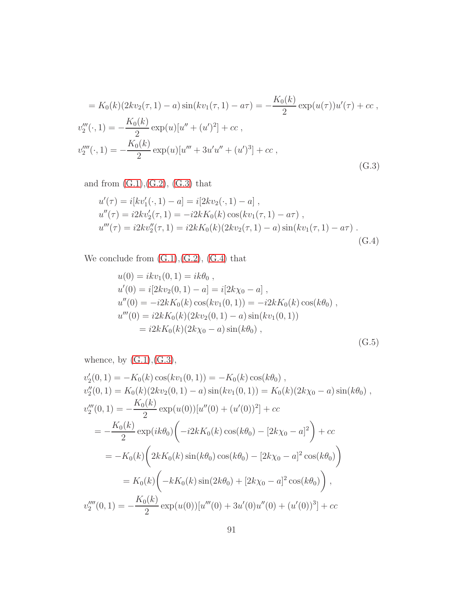$$
= K_0(k)(2kv_2(\tau, 1) - a) \sin(kv_1(\tau, 1) - a\tau) = -\frac{K_0(k)}{2} \exp(u(\tau))u'(\tau) + cc,
$$
  
\n
$$
v_2'''(\cdot, 1) = -\frac{K_0(k)}{2} \exp(u)[u'' + (u')^2] + cc,
$$
  
\n
$$
v_2''''(\cdot, 1) = -\frac{K_0(k)}{2} \exp(u)[u''' + 3u'u'' + (u')^3] + cc,
$$
  
\n(G.3)

and from  $(G.1), (G.2), (G.3)$  $(G.1), (G.2), (G.3)$  $(G.1), (G.2), (G.3)$  $(G.1), (G.2), (G.3)$  that

<span id="page-90-1"></span>
$$
u'(\tau) = i[kv'_1(\cdot, 1) - a] = i[2kv_2(\cdot, 1) - a],
$$
  
\n
$$
u''(\tau) = i2kv'_2(\tau, 1) = -i2kK_0(k)\cos(kv_1(\tau, 1) - a\tau),
$$
  
\n
$$
u'''(\tau) = i2kv''_2(\tau, 1) = i2kK_0(k)(2kv_2(\tau, 1) - a)\sin(kv_1(\tau, 1) - a\tau).
$$
\n(G.4)

We conclude from  $(G.1), (G.2), (G.4)$  $(G.1), (G.2), (G.4)$  $(G.1), (G.2), (G.4)$  $(G.1), (G.2), (G.4)$  that

$$
u(0) = ikv1(0, 1) = ik\theta0,\nu'(0) = i[2kv2(0, 1) - a] = i[2k\chi0 - a],\nu''(0) = -i2kK0(k) cos(kv1(0, 1)) = -i2kK0(k) cos(k\theta0),\nu'''(0) = i2kK0(k)(2kv2(0, 1) - a) sin(kv1(0, 1))\n= i2kK0(k)(2k\chi0 - a) sin(k\theta0),
$$
\n(G.5)

whence, by  $(G.1), (G.3),$  $(G.1), (G.3),$  $(G.1), (G.3),$ 

<span id="page-90-0"></span>
$$
v'_2(0,1) = -K_0(k)\cos(kv_1(0,1)) = -K_0(k)\cos(k\theta_0),
$$
  
\n
$$
v''_2(0,1) = K_0(k)(2kv_2(0,1) - a)\sin(kv_1(0,1)) = K_0(k)(2k\chi_0 - a)\sin(k\theta_0),
$$
  
\n
$$
v'''_2(0,1) = -\frac{K_0(k)}{2}\exp(u(0))[u''(0) + (u'(0))^2] + cc
$$
  
\n
$$
= -\frac{K_0(k)}{2}\exp(ik\theta_0)\left(-i2kK_0(k)\cos(k\theta_0) - [2k\chi_0 - a]^2\right) + cc
$$
  
\n
$$
= -K_0(k)\left(2kK_0(k)\sin(k\theta_0)\cos(k\theta_0) - [2k\chi_0 - a]^2\cos(k\theta_0)\right)
$$
  
\n
$$
= K_0(k)\left(-kK_0(k)\sin(2k\theta_0) + [2k\chi_0 - a]^2\cos(k\theta_0)\right),
$$
  
\n
$$
v'''_2(0,1) = -\frac{K_0(k)}{2}\exp(u(0))[u'''(0) + 3u'(0)u''(0) + (u'(0))^3] + cc
$$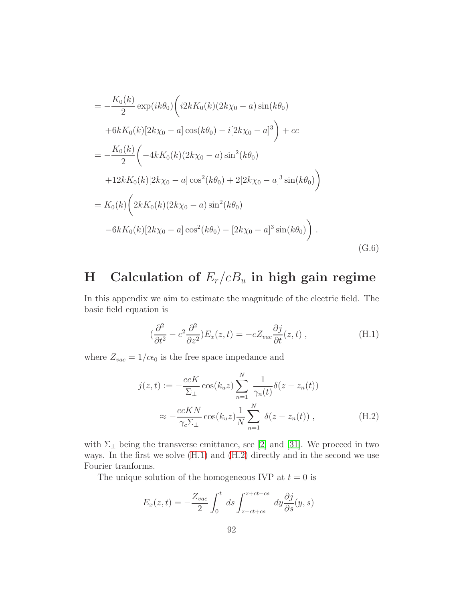$$
= -\frac{K_0(k)}{2} \exp(ik\theta_0) \left( i2kK_0(k)(2k\chi_0 - a) \sin(k\theta_0) \right.+ 6kK_0(k)[2k\chi_0 - a] \cos(k\theta_0) - i[2k\chi_0 - a]^3 \right) + cc= -\frac{K_0(k)}{2} \left( -4kK_0(k)(2k\chi_0 - a) \sin^2(k\theta_0) \right.+ 12kK_0(k)[2k\chi_0 - a] \cos^2(k\theta_0) + 2[2k\chi_0 - a]^3 \sin(k\theta_0) \right)= K_0(k) \left( 2kK_0(k)(2k\chi_0 - a) \sin^2(k\theta_0) \right.- 6kK_0(k)[2k\chi_0 - a] \cos^2(k\theta_0) - [2k\chi_0 - a]^3 \sin(k\theta_0) \right). (G.6)
$$

# H Calculation of  $E_r/cB_u$  in high gain regime

In this appendix we aim to estimate the magnitude of the electric field. The basic field equation is

<span id="page-91-0"></span>
$$
(\frac{\partial^2}{\partial t^2} - c^2 \frac{\partial^2}{\partial z^2}) E_x(z, t) = -c Z_{vac} \frac{\partial j}{\partial t}(z, t) , \qquad (H.1)
$$

where  $Z_{vac} = 1/c\epsilon_0$  is the free space impedance and

<span id="page-91-1"></span>
$$
j(z,t) := -\frac{ecK}{\Sigma_{\perp}} \cos(k_u z) \sum_{n=1}^{N} \frac{1}{\gamma_n(t)} \delta(z - z_n(t))
$$
  

$$
\approx -\frac{ecKN}{\gamma_c \Sigma_{\perp}} \cos(k_u z) \frac{1}{N} \sum_{n=1}^{N} \delta(z - z_n(t)), \qquad (H.2)
$$

with  $\Sigma_{\perp}$  being the transverse emittance, see [\[2\]](#page-97-0) and [\[31\]](#page-100-0). We proceed in two ways. In the first we solve [\(H.1\)](#page-91-0) and [\(H.2\)](#page-91-1) directly and in the second we use Fourier tranforms.

The unique solution of the homogeneous IVP at  $t = 0$  is

<span id="page-91-2"></span>
$$
E_x(z,t) = -\frac{Z_{vac}}{2} \int_0^t ds \int_{z-ct+cs}^{z+ct-cs} dy \frac{\partial j}{\partial s}(y,s)
$$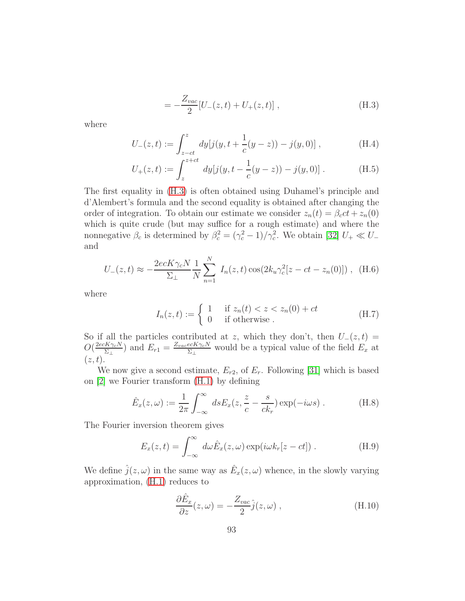$$
= -\frac{Z_{vac}}{2} [U_{-}(z,t) + U_{+}(z,t)] , \qquad (H.3)
$$

where

$$
U_{-}(z,t) := \int_{z-ct}^{z} dy[j(y, t + \frac{1}{c}(y-z)) - j(y,0)], \qquad (H.4)
$$

$$
U_{+}(z,t) := \int_{z}^{z+ct} dy[j(y, t - \frac{1}{c}(y-z)) - j(y,0)].
$$
 (H.5)

The first equality in [\(H.3\)](#page-91-2) is often obtained using Duhamel's principle and d'Alembert's formula and the second equality is obtained after changing the order of integration. To obtain our estimate we consider  $z_n(t) = \beta_c ct + z_n(0)$ which is quite crude (but may suffice for a rough estimate) and where the nonnegative  $\beta_c$  is determined by  $\beta_c^2 = (\gamma_c^2 - 1)/\gamma_c^2$ . We obtain [\[32\]](#page-100-1)  $U_+ \ll U_$ and

$$
U_{-}(z,t) \approx -\frac{2ecK\gamma_c N}{\Sigma_{\perp}} \frac{1}{N} \sum_{n=1}^{N} I_n(z,t) \cos(2k_u \gamma_c^2 [z - ct - z_n(0)]), \quad (H.6)
$$

where

$$
I_n(z,t) := \begin{cases} 1 & \text{if } z_n(t) < z < z_n(0) + ct \\ 0 & \text{if otherwise.} \end{cases}
$$
 (H.7)

So if all the particles contributed at z, which they don't, then  $U_-(z,t)$  =  $O(\frac{2ecK\gamma_cN}{\Sigma_a})$  $(\frac{dK\gamma_cN}{\Sigma_\perp})$  and  $E_{r1}=\frac{Z_{vac}eCK\gamma_cN}{\Sigma_\perp}$  $\frac{ec \kappa \gamma_{c} N}{\Sigma_{\perp}}$  would be a typical value of the field  $E_x$  at  $(z, t)$ .

We now give a second estimate,  $E_{r2}$ , of  $E_r$ . Following [\[31\]](#page-100-0) which is based on [\[2\]](#page-97-0) we Fourier transform [\(H.1\)](#page-91-0) by defining

$$
\hat{E}_x(z,\omega) := \frac{1}{2\pi} \int_{-\infty}^{\infty} ds E_x(z, \frac{z}{c} - \frac{s}{ck_r}) \exp(-i\omega s) . \tag{H.8}
$$

The Fourier inversion theorem gives

$$
E_x(z,t) = \int_{-\infty}^{\infty} d\omega \hat{E}_x(z,\omega) \exp(i\omega k_r[z-ct]).
$$
 (H.9)

We define  $\hat{j}(z,\omega)$  in the same way as  $\hat{E}_x(z,\omega)$  whence, in the slowly varying approximation, [\(H.1\)](#page-91-0) reduces to

<span id="page-92-0"></span>
$$
\frac{\partial \hat{E}_x}{\partial z}(z,\omega) = -\frac{Z_{vac}}{2}\hat{j}(z,\omega) ,\qquad (H.10)
$$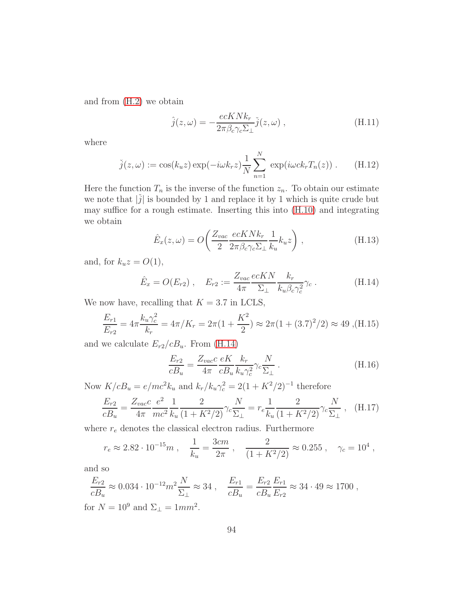and from [\(H.2\)](#page-91-1) we obtain

$$
\hat{j}(z,\omega) = -\frac{ecKNk_r}{2\pi\beta_c\gamma_c\Sigma_\perp}\check{j}(z,\omega) ,\qquad (H.11)
$$

where

$$
\check{j}(z,\omega) := \cos(k_u z) \exp(-i\omega k_r z) \frac{1}{N} \sum_{n=1}^N \exp(i\omega c k_r T_n(z)) . \tag{H.12}
$$

Here the function  $T_n$  is the inverse of the function  $z_n$ . To obtain our estimate we note that  $|\check{j}|$  is bounded by 1 and replace it by 1 which is quite crude but may suffice for a rough estimate. Inserting this into [\(H.10\)](#page-92-0) and integrating we obtain

$$
\hat{E}_x(z,\omega) = O\left(\frac{Z_{vac}}{2} \frac{ecKNk_r}{2\pi\beta_c\gamma_c\Sigma_\perp} \frac{1}{k_u} k_u z\right),\tag{H.13}
$$

and, for  $k_u z = O(1)$ ,

<span id="page-93-0"></span>
$$
\hat{E}_x = O(E_{r2}), \quad E_{r2} := \frac{Z_{vac}}{4\pi} \frac{ecKN}{\Sigma_\perp} \frac{k_r}{k_u \beta_c \gamma_c^2} \gamma_c \,. \tag{H.14}
$$

We now have, recalling that  $K = 3.7$  in LCLS,

$$
\frac{E_{r1}}{E_{r2}} = 4\pi \frac{k_u \gamma_c^2}{k_r} = 4\pi / K_r = 2\pi (1 + \frac{K^2}{2}) \approx 2\pi (1 + (3.7)^2 / 2) \approx 49 \text{ ,(H.15)}
$$

and we calculate  $E_{r2}/cB_u$ . From [\(H.14\)](#page-93-0)

$$
\frac{E_{r2}}{cB_u} = \frac{Z_{vac}c}{4\pi} \frac{eK}{cB_u} \frac{k_r}{k_u \gamma_c^2} \gamma_c \frac{N}{\Sigma_\perp} \,. \tag{H.16}
$$

Now  $K/cB_u = e/mc^2k_u$  and  $k_r/k_u\gamma_c^2 = 2(1 + K^2/2)^{-1}$  therefore

$$
\frac{E_{r2}}{cB_u} = \frac{Z_{vac}c}{4\pi} \frac{e^2}{mc^2} \frac{1}{k_u} \frac{2}{(1+K^2/2)} \gamma_c \frac{N}{\Sigma_{\perp}} = r_e \frac{1}{k_u} \frac{2}{(1+K^2/2)} \gamma_c \frac{N}{\Sigma_{\perp}} , \quad (H.17)
$$

where  $r_e$  denotes the classical electron radius. Furthermore

$$
r_e \approx 2.82 \cdot 10^{-15} m
$$
,  $\frac{1}{k_u} = \frac{3cm}{2\pi}$ ,  $\frac{2}{(1 + K^2/2)} \approx 0.255$ ,  $\gamma_c = 10^4$ ,

and so

$$
\frac{E_{r2}}{cB_u} \approx 0.034 \cdot 10^{-12} m^2 \frac{N}{\Sigma_{\perp}} \approx 34 , \quad \frac{E_{r1}}{cB_u} = \frac{E_{r2}}{cB_u} \frac{E_{r1}}{E_{r2}} \approx 34 \cdot 49 \approx 1700 ,
$$
  
for  $N = 10^9$  and  $\Sigma_{\perp} = 1 mm^2$ .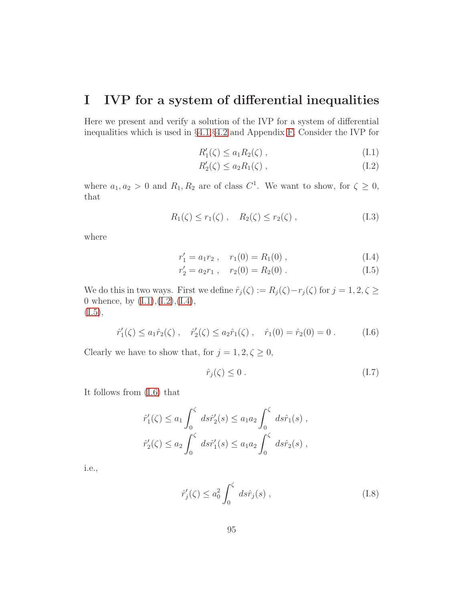### <span id="page-94-0"></span>I IVP for a system of differential inequalities

Here we present and verify a solution of the IVP for a system of differential inequalities which is used in §[4.1,](#page-56-0)§[4.2](#page-62-0) and Appendix [F.](#page-88-0) Consider the IVP for

<span id="page-94-1"></span>
$$
R_1'(\zeta) \le a_1 R_2(\zeta) \tag{I.1}
$$

$$
R_2'(\zeta) \le a_2 R_1(\zeta) ,\qquad (I.2)
$$

where  $a_1, a_2 > 0$  and  $R_1, R_2$  are of class  $C^1$ . We want to show, for  $\zeta \geq 0$ , that

<span id="page-94-6"></span>
$$
R_1(\zeta) \le r_1(\zeta), \quad R_2(\zeta) \le r_2(\zeta),
$$
 (I.3)

where

<span id="page-94-2"></span>
$$
r_1' = a_1 r_2 , \quad r_1(0) = R_1(0) , \tag{I.4}
$$

$$
r'_2 = a_2 r_1 , \quad r_2(0) = R_2(0) . \tag{I.5}
$$

We do this in two ways. First we define  $\hat{r}_j(\zeta) := R_j(\zeta) - r_j(\zeta)$  for  $j = 1, 2, \zeta \geq 1$ 0 whence, by  $(L1), (L2), (L4),$  $(I.5),$  $(I.5),$ 

<span id="page-94-3"></span>
$$
\hat{r}'_1(\zeta) \le a_1 \hat{r}_2(\zeta), \quad \hat{r}'_2(\zeta) \le a_2 \hat{r}_1(\zeta), \quad \hat{r}_1(0) = \hat{r}_2(0) = 0.
$$
 (I.6)

Clearly we have to show that, for  $j=1,2,\zeta\geq 0,$ 

<span id="page-94-5"></span>
$$
\hat{r}_j(\zeta) \le 0 \tag{I.7}
$$

It follows from [\(I.6\)](#page-94-3) that

$$
\hat{r}'_1(\zeta) \le a_1 \int_0^{\zeta} ds \hat{r}'_2(s) \le a_1 a_2 \int_0^{\zeta} ds \hat{r}_1(s) ,
$$
  
\n $\hat{r}'_2(\zeta) \le a_2 \int_0^{\zeta} ds \hat{r}'_1(s) \le a_1 a_2 \int_0^{\zeta} ds \hat{r}_2(s) ,$ 

i.e.,

<span id="page-94-4"></span>
$$
\hat{r}'_j(\zeta) \le a_0^2 \int_0^{\zeta} ds \hat{r}_j(s) , \qquad (I.8)
$$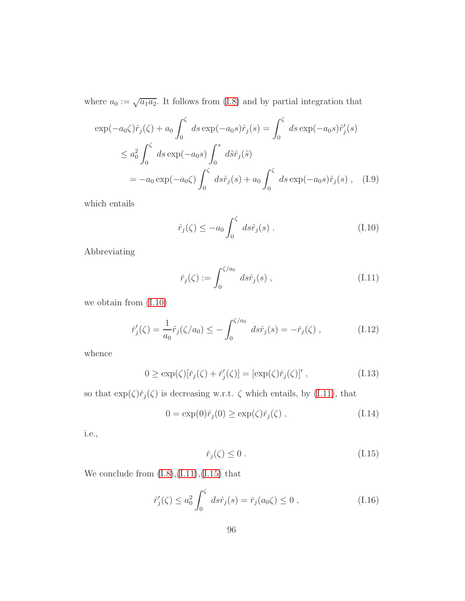where  $a_0 := \sqrt{a_1 a_2}$ . It follows from [\(I.8\)](#page-94-4) and by partial integration that

$$
\exp(-a_0 \zeta) \hat{r}_j(\zeta) + a_0 \int_0^{\zeta} ds \exp(-a_0 s) \hat{r}_j(s) = \int_0^{\zeta} ds \exp(-a_0 s) \hat{r}'_j(s)
$$
  

$$
\leq a_0^2 \int_0^{\zeta} ds \exp(-a_0 s) \int_0^s d\tilde{s} \hat{r}_j(\tilde{s})
$$
  

$$
= -a_0 \exp(-a_0 \zeta) \int_0^{\zeta} ds \hat{r}_j(s) + a_0 \int_0^{\zeta} ds \exp(-a_0 s) \hat{r}_j(s) , \quad (I.9)
$$

which entails

<span id="page-95-0"></span>
$$
\hat{r}_j(\zeta) \le -a_0 \int_0^{\zeta} ds \hat{r}_j(s) . \tag{I.10}
$$

Abbreviating

<span id="page-95-1"></span>
$$
\check{r}_j(\zeta) := \int_0^{\zeta/a_0} ds \hat{r}_j(s) , \qquad (I.11)
$$

we obtain from [\(I.10\)](#page-95-0)

$$
\check{r}'_j(\zeta) = \frac{1}{a_0} \hat{r}_j(\zeta/a_0) \le -\int_0^{\zeta/a_0} ds \hat{r}_j(s) = -\check{r}_j(\zeta) , \qquad (I.12)
$$

whence

$$
0 \ge \exp(\zeta)[\check{r}_j(\zeta) + \check{r}'_j(\zeta)] = [\exp(\zeta)\check{r}_j(\zeta)]', \qquad (I.13)
$$

so that  $\exp(\zeta)\check{r}_j(\zeta)$  is decreasing w.r.t.  $\zeta$  which entails, by [\(I.11\)](#page-95-1), that

$$
0 = \exp(0)\tilde{r}_j(0) \ge \exp(\zeta)\tilde{r}_j(\zeta) , \qquad (I.14)
$$

i.e.,

<span id="page-95-2"></span>
$$
\check{r}_j(\zeta) \le 0 \tag{I.15}
$$

We conclude from  $(I.8), (I.11), (I.15)$  $(I.8), (I.11), (I.15)$  $(I.8), (I.11), (I.15)$  $(I.8), (I.11), (I.15)$  that

$$
\hat{r}'_j(\zeta) \le a_0^2 \int_0^{\zeta} ds \hat{r}_j(s) = \check{r}_j(a_0 \zeta) \le 0,
$$
\n(1.16)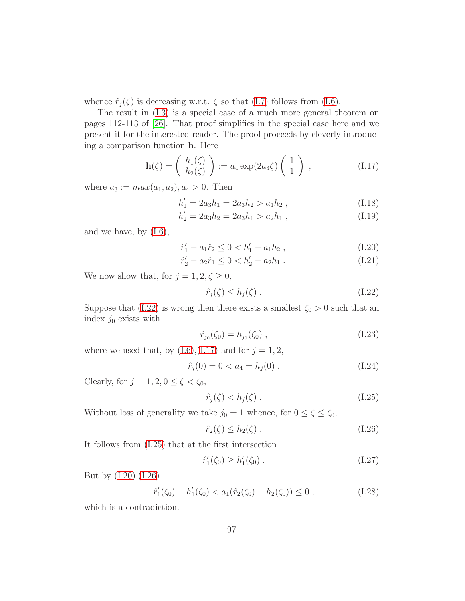whence  $\hat{r}_j(\zeta)$  is decreasing w.r.t.  $\zeta$  so that [\(I.7\)](#page-94-5) follows from [\(I.6\)](#page-94-3).

The result in [\(I.3\)](#page-94-6) is a special case of a much more general theorem on pages 112-113 of [\[26\]](#page-99-1). That proof simplifies in the special case here and we present it for the interested reader. The proof proceeds by cleverly introducing a comparison function h. Here

<span id="page-96-1"></span>
$$
\mathbf{h}(\zeta) = \begin{pmatrix} h_1(\zeta) \\ h_2(\zeta) \end{pmatrix} := a_4 \exp(2a_3 \zeta) \begin{pmatrix} 1 \\ 1 \end{pmatrix} , \qquad (I.17)
$$

where  $a_3 := max(a_1, a_2), a_4 > 0$ . Then

$$
h_1' = 2a_3h_1 = 2a_3h_2 > a_1h_2 , \qquad (I.18)
$$

$$
h_2' = 2a_3h_2 = 2a_3h_1 > a_2h_1 , \qquad (I.19)
$$

and we have, by [\(I.6\)](#page-94-3),

<span id="page-96-3"></span>
$$
\hat{r}'_1 - a_1 \hat{r}_2 \le 0 < h'_1 - a_1 h_2 \,,\tag{I.20}
$$

$$
\hat{r}'_2 - a_2 \hat{r}_1 \le 0 < h'_2 - a_2 h_1 \,. \tag{I.21}
$$

We now show that, for  $j = 1, 2, \zeta \geq 0$ ,

<span id="page-96-0"></span>
$$
\hat{r}_j(\zeta) \le h_j(\zeta) \tag{I.22}
$$

Suppose that [\(I.22\)](#page-96-0) is wrong then there exists a smallest  $\zeta_0 > 0$  such that an index  $j_0$  exists with

$$
\hat{r}_{j_0}(\zeta_0) = h_{j_0}(\zeta_0) , \qquad (1.23)
$$

where we used that, by  $(I.6)$ , $(I.17)$  and for  $j = 1, 2$ ,

$$
\hat{r}_j(0) = 0 < a_4 = h_j(0) \tag{I.24}
$$

Clearly, for  $j = 1, 2, 0 \le \zeta < \zeta_0$ ,

<span id="page-96-2"></span>
$$
\hat{r}_j(\zeta) < h_j(\zeta) \tag{I.25}
$$

Without loss of generality we take  $j_0 = 1$  whence, for  $0 \le \zeta \le \zeta_0$ ,

<span id="page-96-4"></span>
$$
\hat{r}_2(\zeta) \le h_2(\zeta) \tag{I.26}
$$

It follows from [\(I.25\)](#page-96-2) that at the first intersection

$$
\hat{r}'_1(\zeta_0) \ge h'_1(\zeta_0) \ . \tag{I.27}
$$

But by [\(I.20\)](#page-96-3),[\(I.26\)](#page-96-4)

$$
\hat{r}'_1(\zeta_0) - h'_1(\zeta_0) < a_1(\hat{r}_2(\zeta_0) - h_2(\zeta_0)) \le 0 \tag{I.28}
$$

which is a contradiction.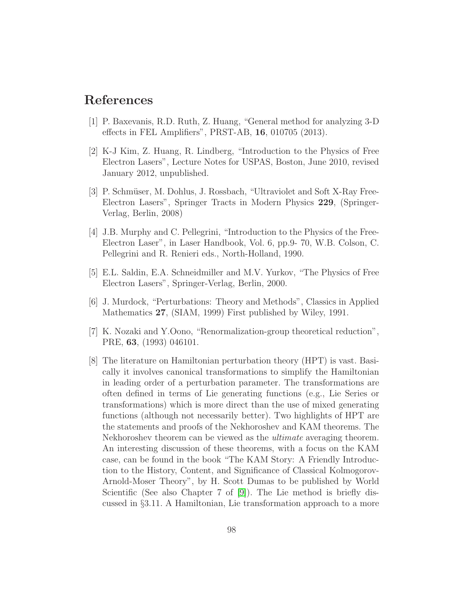### References

- <span id="page-97-0"></span>[1] P. Baxevanis, R.D. Ruth, Z. Huang, "General method for analyzing 3-D effects in FEL Amplifiers", PRST-AB, 16, 010705 (2013).
- [2] K-J Kim, Z. Huang, R. Lindberg, "Introduction to the Physics of Free Electron Lasers", Lecture Notes for USPAS, Boston, June 2010, revised January 2012, unpublished.
- [3] P. Schmüser, M. Dohlus, J. Rossbach, "Ultraviolet and Soft X-Ray Free-Electron Lasers", Springer Tracts in Modern Physics 229, (Springer-Verlag, Berlin, 2008)
- [4] J.B. Murphy and C. Pellegrini, "Introduction to the Physics of the Free-Electron Laser", in Laser Handbook, Vol. 6, pp.9- 70, W.B. Colson, C. Pellegrini and R. Renieri eds., North-Holland, 1990.
- [5] E.L. Saldin, E.A. Schneidmiller and M.V. Yurkov, "The Physics of Free Electron Lasers", Springer-Verlag, Berlin, 2000.
- [6] J. Murdock, "Perturbations: Theory and Methods", Classics in Applied Mathematics 27, (SIAM, 1999) First published by Wiley, 1991.
- [7] K. Nozaki and Y.Oono, "Renormalization-group theoretical reduction", PRE, 63, (1993) 046101.
- [8] The literature on Hamiltonian perturbation theory (HPT) is vast. Basically it involves canonical transformations to simplify the Hamiltonian in leading order of a perturbation parameter. The transformations are often defined in terms of Lie generating functions (e.g., Lie Series or transformations) which is more direct than the use of mixed generating functions (although not necessarily better). Two highlights of HPT are the statements and proofs of the Nekhoroshev and KAM theorems. The Nekhoroshev theorem can be viewed as the ultimate averaging theorem. An interesting discussion of these theorems, with a focus on the KAM case, can be found in the book "The KAM Story: A Friendly Introduction to the History, Content, and Significance of Classical Kolmogorov-Arnold-Moser Theory", by H. Scott Dumas to be published by World Scientific (See also Chapter 7 of [\[9\]](#page-98-0)). The Lie method is briefly discussed in §3.11. A Hamiltonian, Lie transformation approach to a more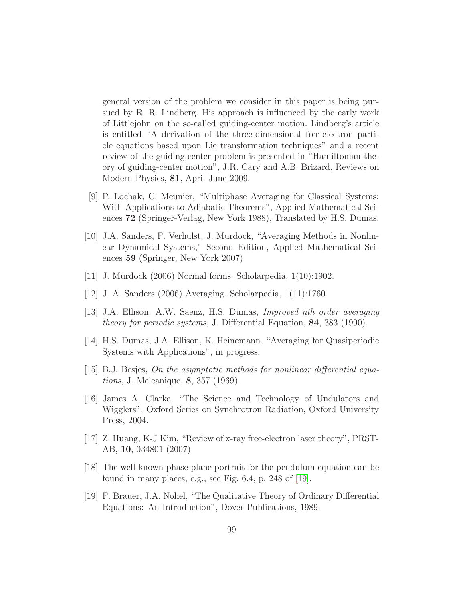general version of the problem we consider in this paper is being pursued by R. R. Lindberg. His approach is influenced by the early work of Littlejohn on the so-called guiding-center motion. Lindberg's article is entitled "A derivation of the three-dimensional free-electron particle equations based upon Lie transformation techniques" and a recent review of the guiding-center problem is presented in "Hamiltonian theory of guiding-center motion", J.R. Cary and A.B. Brizard, Reviews on Modern Physics, 81, April-June 2009.

- <span id="page-98-0"></span>[9] P. Lochak, C. Meunier, "Multiphase Averaging for Classical Systems: With Applications to Adiabatic Theorems", Applied Mathematical Sciences 72 (Springer-Verlag, New York 1988), Translated by H.S. Dumas.
- [10] J.A. Sanders, F. Verhulst, J. Murdock, "Averaging Methods in Nonlinear Dynamical Systems," Second Edition, Applied Mathematical Sciences 59 (Springer, New York 2007)
- [11] J. Murdock (2006) Normal forms. Scholarpedia, 1(10):1902.
- [12] J. A. Sanders (2006) Averaging. Scholarpedia, 1(11):1760.
- [13] J.A. Ellison, A.W. Saenz, H.S. Dumas, Improved nth order averaging theory for periodic systems, J. Differential Equation, 84, 383 (1990).
- [14] H.S. Dumas, J.A. Ellison, K. Heinemann, "Averaging for Quasiperiodic Systems with Applications", in progress.
- $[15]$  B.J. Besjes, On the asymptotic methods for nonlinear differential equations, J. Me'canique, 8, 357 (1969).
- [16] James A. Clarke, "The Science and Technology of Undulators and Wigglers", Oxford Series on Synchrotron Radiation, Oxford University Press, 2004.
- [17] Z. Huang, K-J Kim, "Review of x-ray free-electron laser theory", PRST-AB, 10, 034801 (2007)
- [18] The well known phase plane portrait for the pendulum equation can be found in many places, e.g., see Fig. 6.4, p. 248 of [\[19\]](#page-98-1).
- <span id="page-98-1"></span>[19] F. Brauer, J.A. Nohel, "The Qualitative Theory of Ordinary Differential Equations: An Introduction", Dover Publications, 1989.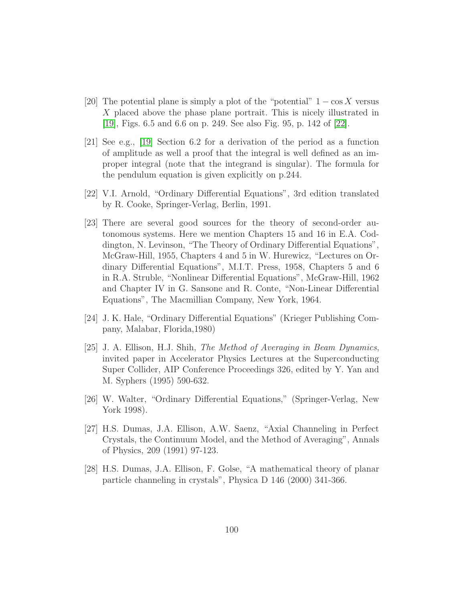- [20] The potential plane is simply a plot of the "potential"  $1 \cos X$  versus X placed above the phase plane portrait. This is nicely illustrated in [\[19\]](#page-98-1), Figs. 6.5 and 6.6 on p. 249. See also Fig. 95, p. 142 of [\[22\]](#page-99-2).
- [21] See e.g., [\[19\]](#page-98-1) Section 6.2 for a derivation of the period as a function of amplitude as well a proof that the integral is well defined as an improper integral (note that the integrand is singular). The formula for the pendulum equation is given explicitly on p.244.
- <span id="page-99-2"></span>[22] V.I. Arnold, "Ordinary Differential Equations", 3rd edition translated by R. Cooke, Springer-Verlag, Berlin, 1991.
- [23] There are several good sources for the theory of second-order autonomous systems. Here we mention Chapters 15 and 16 in E.A. Coddington, N. Levinson, "The Theory of Ordinary Differential Equations", McGraw-Hill, 1955, Chapters 4 and 5 in W. Hurewicz, "Lectures on Ordinary Differential Equations", M.I.T. Press, 1958, Chapters 5 and 6 in R.A. Struble, "Nonlinear Differential Equations", McGraw-Hill, 1962 and Chapter IV in G. Sansone and R. Conte, "Non-Linear Differential Equations", The Macmillian Company, New York, 1964.
- [24] J. K. Hale, "Ordinary Differential Equations" (Krieger Publishing Company, Malabar, Florida,1980)
- <span id="page-99-0"></span>[25] J. A. Ellison, H.J. Shih, The Method of Averaging in Beam Dynamics, invited paper in Accelerator Physics Lectures at the Superconducting Super Collider, AIP Conference Proceedings 326, edited by Y. Yan and M. Syphers (1995) 590-632.
- <span id="page-99-1"></span>[26] W. Walter, "Ordinary Differential Equations," (Springer-Verlag, New York 1998).
- [27] H.S. Dumas, J.A. Ellison, A.W. Saenz, "Axial Channeling in Perfect Crystals, the Continuum Model, and the Method of Averaging", Annals of Physics, 209 (1991) 97-123.
- [28] H.S. Dumas, J.A. Ellison, F. Golse, "A mathematical theory of planar particle channeling in crystals", Physica D 146 (2000) 341-366.